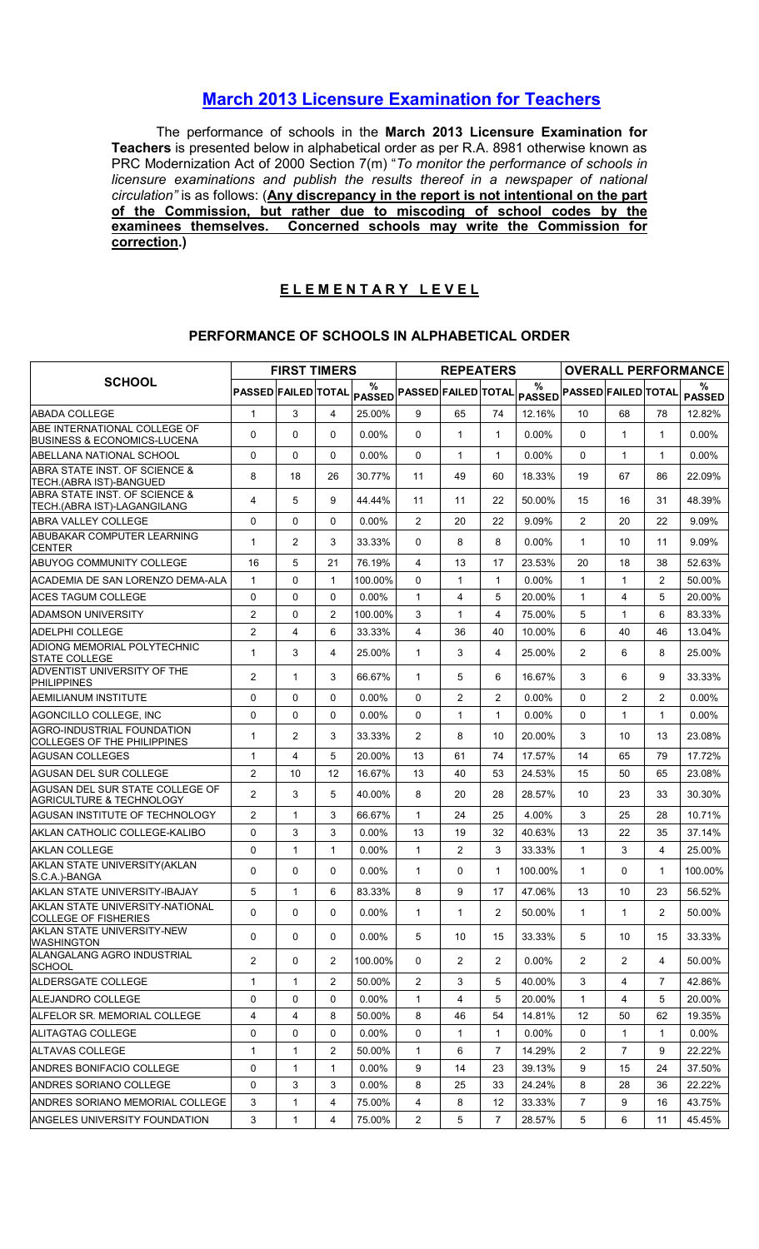## March 2013 Licensure Examination for Teachers

The performance of schools in the March 2013 Licensure Examination for Teachers is presented below in alphabetical order as per R.A. 8981 otherwise known as PRC Modernization Act of 2000 Section 7(m) "To monitor the performance of schools in licensure examinations and publish the results thereof in a newspaper of national circulation" is as follows: (Any discrepancy in the report is not intentional on the part of the Commission, but rather due to miscoding of school codes by the examinees themselves. Concerned schools may write the Commission for correction.)

## ELEMENTARY LEVEL

## PERFORMANCE OF SCHOOLS IN ALPHABETICAL ORDER

|                                                                         |                            | <b>FIRST TIMERS</b> |                         |                    |                            | <b>REPEATERS</b> |                |                       |                            |                |                | <b>OVERALL PERFORMANCE</b> |
|-------------------------------------------------------------------------|----------------------------|---------------------|-------------------------|--------------------|----------------------------|------------------|----------------|-----------------------|----------------------------|----------------|----------------|----------------------------|
| <b>SCHOOL</b>                                                           | <b>PASSED FAILED TOTAL</b> |                     |                         | %<br><b>PASSED</b> | <b>PASSED FAILED TOTAL</b> |                  |                | $\%$<br><b>PASSED</b> | <b>PASSED FAILED TOTAL</b> |                |                | ℅<br><b>PASSED</b>         |
| <b>ABADA COLLEGE</b>                                                    | $\mathbf{1}$               | 3                   | $\overline{\mathbf{4}}$ | 25.00%             | 9                          | 65               | 74             | 12.16%                | 10                         | 68             | 78             | 12.82%                     |
| ABE INTERNATIONAL COLLEGE OF<br><b>IBUSINESS &amp; ECONOMICS-LUCENA</b> | 0                          | 0                   | 0                       | $0.00\%$           | $\Omega$                   | 1                | 1              | $0.00\%$              | $\mathbf{0}$               | $\mathbf 1$    | 1              | $0.00\%$                   |
| ABELLANA NATIONAL SCHOOL                                                | 0                          | 0                   | 0                       | $0.00\%$           | $\Omega$                   | 1                | $\mathbf{1}$   | $0.00\%$              | 0                          | $\mathbf{1}$   | $\mathbf{1}$   | $0.00\%$                   |
| ABRA STATE INST. OF SCIENCE &<br>TECH.(ABRA IST)-BANGUED                | 8                          | 18                  | 26                      | 30.77%             | 11                         | 49               | 60             | 18.33%                | 19                         | 67             | 86             | 22.09%                     |
| ABRA STATE INST. OF SCIENCE &<br>TECH.(ABRA IST)-LAGANGILANG            | 4                          | 5                   | 9                       | 44.44%             | 11                         | 11               | 22             | 50.00%                | 15                         | 16             | 31             | 48.39%                     |
| <b>ABRA VALLEY COLLEGE</b>                                              | 0                          | 0                   | $\mathbf{0}$            | 0.00%              | $\overline{2}$             | 20               | 22             | 9.09%                 | 2                          | 20             | 22             | 9.09%                      |
| ABUBAKAR COMPUTER LEARNING<br><b>CENTER</b>                             | 1                          | $\overline{c}$      | 3                       | 33.33%             | $\Omega$                   | 8                | 8              | $0.00\%$              | $\mathbf{1}$               | 10             | 11             | 9.09%                      |
| ABUYOG COMMUNITY COLLEGE                                                | 16                         | 5                   | 21                      | 76.19%             | $\overline{4}$             | 13               | 17             | 23.53%                | 20                         | 18             | 38             | 52.63%                     |
| IACADEMIA DE SAN LORENZO DEMA-ALA                                       | 1                          | 0                   | $\mathbf{1}$            | 100.00%            | $\Omega$                   | 1                | $\mathbf{1}$   | $0.00\%$              | $\mathbf{1}$               | $\mathbf{1}$   | $\overline{2}$ | 50.00%                     |
| IACES TAGUM COLLEGE                                                     | 0                          | 0                   | $\mathbf 0$             | 0.00%              | 1                          | 4                | 5              | 20.00%                | 1                          | 4              | 5              | 20.00%                     |
| IADAMSON UNIVERSITY                                                     | $\overline{2}$             | 0                   | 2                       | 100.00%            | 3                          | 1                | $\overline{4}$ | 75.00%                | 5                          | $\mathbf{1}$   | 6              | 83.33%                     |
| IADELPHI COLLEGE                                                        | $\overline{2}$             | 4                   | 6                       | 33.33%             | 4                          | 36               | 40             | 10.00%                | 6                          | 40             | 46             | 13.04%                     |
| ADIONG MEMORIAL POLYTECHNIC<br><b>STATE COLLEGE</b>                     | $\mathbf{1}$               | 3                   | 4                       | 25.00%             | $\mathbf{1}$               | 3                | 4              | 25.00%                | 2                          | 6              | 8              | 25.00%                     |
| ADVENTIST UNIVERSITY OF THE<br><b>PHILIPPINES</b>                       | $\overline{c}$             | $\mathbf{1}$        | 3                       | 66.67%             | $\mathbf{1}$               | 5                | 6              | 16.67%                | 3                          | 6              | 9              | 33.33%                     |
| IAEMILIANUM INSTITUTE                                                   | $\Omega$                   | 0                   | $\mathbf 0$             | $0.00\%$           | $\Omega$                   | $\overline{2}$   | 2              | 0.00%                 | $\Omega$                   | $\overline{2}$ | $\overline{2}$ | $0.00\%$                   |
| AGONCILLO COLLEGE, INC                                                  | 0                          | 0                   | 0                       | $0.00\%$           | $\Omega$                   | 1                | $\mathbf{1}$   | $0.00\%$              | $\mathbf{0}$               | $\mathbf{1}$   | 1              | $0.00\%$                   |
| AGRO-INDUSTRIAL FOUNDATION<br>COLLEGES OF THE PHILIPPINES               | 1                          | $\overline{c}$      | 3                       | 33.33%             | 2                          | 8                | 10             | 20.00%                | 3                          | 10             | 13             | 23.08%                     |
| AGUSAN COLLEGES                                                         | $\mathbf{1}$               | 4                   | 5                       | 20.00%             | 13                         | 61               | 74             | 17.57%                | 14                         | 65             | 79             | 17.72%                     |
| AGUSAN DEL SUR COLLEGE                                                  | $\overline{2}$             | 10                  | 12                      | 16.67%             | 13                         | 40               | 53             | 24.53%                | 15                         | 50             | 65             | 23.08%                     |
| IAGUSAN DEL SUR STATE COLLEGE OF<br>AGRICULTURE & TECHNOLOGY            | 2                          | 3                   | 5                       | 40.00%             | 8                          | 20               | 28             | 28.57%                | 10                         | 23             | 33             | 30.30%                     |
| <b>AGUSAN INSTITUTE OF TECHNOLOGY</b>                                   | $\overline{2}$             | $\mathbf{1}$        | 3                       | 66.67%             | $\mathbf{1}$               | 24               | 25             | 4.00%                 | 3                          | 25             | 28             | 10.71%                     |
| IAKLAN CATHOLIC COLLEGE-KALIBO                                          | 0                          | 3                   | 3                       | $0.00\%$           | 13                         | 19               | 32             | 40.63%                | 13                         | 22             | 35             | 37.14%                     |
| <b>AKLAN COLLEGE</b>                                                    | 0                          | 1                   | $\mathbf{1}$            | $0.00\%$           | 1                          | 2                | 3              | 33.33%                | $\mathbf{1}$               | 3              | 4              | 25.00%                     |
| AKLAN STATE UNIVERSITY (AKLAN<br>S.C.A.)-BANGA                          | $\Omega$                   | 0                   | 0                       | 0.00%              | $\mathbf{1}$               | 0                | $\mathbf{1}$   | 100.00%               | $\mathbf{1}$               | 0              | $\mathbf{1}$   | 100.00%                    |
| AKLAN STATE UNIVERSITY-IBAJAY                                           | 5                          | $\mathbf{1}$        | 6                       | 83.33%             | 8                          | 9                | 17             | 47.06%                | 13                         | 10             | 23             | 56.52%                     |
| AKLAN STATE UNIVERSITY-NATIONAL<br><b>COLLEGE OF FISHERIES</b>          | $\mathsf{O}$               | 0                   | 0                       | 0.00%              | $\mathbf{1}$               | $\mathbf{1}$     | $\overline{a}$ | 50.00%                | 1                          | $\mathbf{1}$   | $\overline{2}$ | 50.00%                     |
| AKLAN STATE UNIVERSITY-NEW<br><b>WASHINGTON</b>                         | 0                          | 0                   | 0                       | $0.00\%$           | 5                          | 10               | 15             | 33.33%                | 5                          | 10             | 15             | 33.33%                     |
| ALANGALANG AGRO INDUSTRIAL<br><b>SCHOOL</b>                             | 2                          | 0                   | 2                       | 100.00%            | 0                          | $\overline{2}$   | $\overline{2}$ | $0.00\%$              | $\overline{2}$             | $\overline{2}$ | 4              | 50.00%                     |
| <b>ALDERSGATE COLLEGE</b>                                               | $\mathbf{1}$               | $\mathbf{1}$        | $\overline{2}$          | 50.00%             | $\overline{2}$             | 3                | 5              | 40.00%                | 3                          | 4              | $\overline{7}$ | 42.86%                     |
| ALEJANDRO COLLEGE                                                       | 0                          | 0                   | $\mathbf 0$             | $0.00\%$           | $\mathbf{1}$               | 4                | 5              | 20.00%                | $\mathbf{1}$               | 4              | 5              | 20.00%                     |
| ALFELOR SR. MEMORIAL COLLEGE                                            | 4                          | 4                   | 8                       | 50.00%             | 8                          | 46               | 54             | 14.81%                | $12 \overline{ }$          | 50             | 62             | 19.35%                     |
| ALITAGTAG COLLEGE                                                       | 0                          | 0                   | 0                       | $0.00\%$           | 0                          | 1                | 1              | $0.00\%$              | 0                          | $\mathbf{1}$   | 1              | $0.00\%$                   |
| <b>ALTAVAS COLLEGE</b>                                                  | $\mathbf 1$                | 1                   | 2                       | 50.00%             | $\mathbf{1}$               | 6                | $\overline{7}$ | 14.29%                | $\overline{2}$             | 7              | 9              | 22.22%                     |
| ANDRES BONIFACIO COLLEGE                                                | 0                          | $\mathbf{1}$        | $\mathbf{1}$            | $0.00\%$           | 9                          | 14               | 23             | 39.13%                | 9                          | 15             | 24             | 37.50%                     |
| ANDRES SORIANO COLLEGE                                                  | 0                          | 3                   | 3                       | $0.00\%$           | 8                          | 25               | 33             | 24.24%                | 8                          | 28             | 36             | 22.22%                     |
| ANDRES SORIANO MEMORIAL COLLEGE                                         | 3                          | 1                   | 4                       | 75.00%             | 4                          | 8                | 12             | 33.33%                | $\overline{7}$             | 9              | 16             | 43.75%                     |
| <b>ANGELES UNIVERSITY FOUNDATION</b>                                    | 3                          | $\mathbf{1}$        | 4                       | 75.00%             | $\overline{2}$             | 5                | $\overline{7}$ | 28.57%                | 5                          | 6              | 11             | 45.45%                     |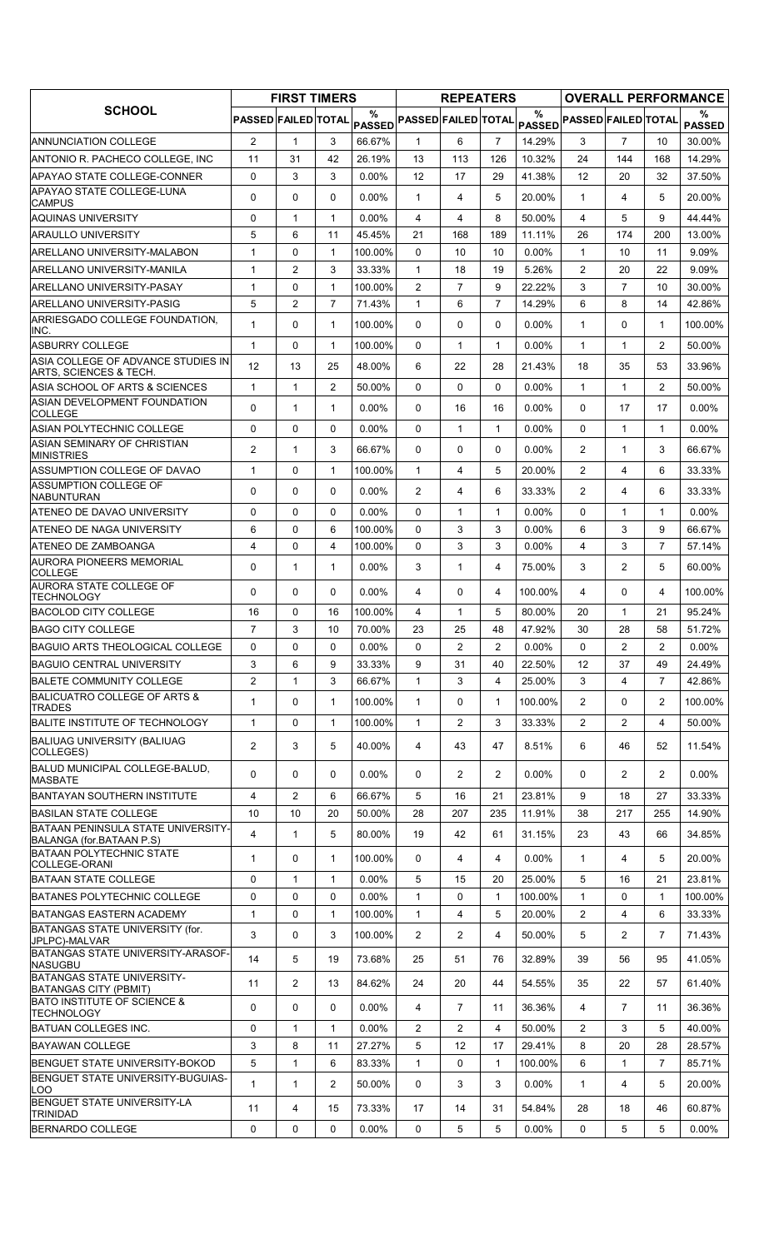|                                                                |                            | <b>FIRST TIMERS</b> |                     |                     |                            | <b>REPEATERS</b> |                   |                   |                                |                |                     | <b>OVERALL PERFORMANCE</b> |
|----------------------------------------------------------------|----------------------------|---------------------|---------------------|---------------------|----------------------------|------------------|-------------------|-------------------|--------------------------------|----------------|---------------------|----------------------------|
| <b>SCHOOL</b>                                                  | <b>PASSED FAILED TOTAL</b> |                     |                     | %<br><b>PASSED</b>  | <b>PASSED FAILED TOTAL</b> |                  |                   | $\frac{0}{0}$     | PASSED PASSED FAILED TOTAL     |                |                     | %<br><b>PASSED</b>         |
| <b>ANNUNCIATION COLLEGE</b>                                    | $\overline{2}$             | $\mathbf{1}$        | 3                   | 66.67%              | $\mathbf{1}$               | 6                | $\overline{7}$    | 14.29%            | 3                              | $\overline{7}$ | 10                  | 30.00%                     |
| ANTONIO R. PACHECO COLLEGE, INC                                | 11                         | 31                  | 42                  | 26.19%              | 13                         | 113              | 126               | 10.32%            | 24                             | 144            | 168                 | 14.29%                     |
| APAYAO STATE COLLEGE-CONNER                                    | $\Omega$                   | 3                   | 3                   | 0.00%               | 12                         | 17               | 29                | 41.38%            | 12                             | 20             | 32                  | 37.50%                     |
| APAYAO STATE COLLEGE-LUNA<br><b>CAMPUS</b>                     | $\Omega$                   | 0                   | $\mathbf{0}$        | 0.00%               | $\mathbf{1}$               | 4                | 5                 | 20.00%            | $\mathbf{1}$                   | 4              | 5                   | 20.00%                     |
| <b>AQUINAS UNIVERSITY</b>                                      | 0                          | $\mathbf{1}$        | $\mathbf{1}$        | $0.00\%$            | 4                          | 4                | 8                 | 50.00%            | $\overline{4}$                 | 5              | 9                   | 44.44%                     |
| <b>ARAULLO UNIVERSITY</b>                                      | 5                          | 6                   | 11                  | 45.45%              | 21                         | 168              | 189               | 11.11%            | 26                             | 174            | 200                 | 13.00%                     |
| <b>ARELLANO UNIVERSITY-MALABON</b>                             | $\mathbf{1}$               | 0                   | $\mathbf{1}$        | 100.00%             | $\mathbf{0}$               | 10               | 10                | 0.00%             | $\mathbf{1}$                   | 10             | 11                  | 9.09%                      |
| ARELLANO UNIVERSITY-MANILA                                     | $\mathbf{1}$               | $\overline{c}$      | 3                   | 33.33%              | $\mathbf{1}$               | 18               | 19                | 5.26%             | $\overline{c}$                 | 20             | 22                  | 9.09%                      |
| ARELLANO UNIVERSITY-PASAY                                      | $\mathbf{1}$               | 0                   | $\mathbf{1}$        | 100.00%             | $\overline{2}$             | $\overline{7}$   | 9                 | 22.22%            | 3                              | $\overline{7}$ | 10                  | 30.00%                     |
| ARELLANO UNIVERSITY-PASIG                                      | 5                          | $\overline{c}$      | $\overline{7}$      | 71.43%              | $\mathbf{1}$               | 6                | $\overline{7}$    | 14.29%            | 6                              | 8              | 14                  | 42.86%                     |
| ARRIESGADO COLLEGE FOUNDATION.                                 | $\mathbf{1}$               | 0                   | $\mathbf{1}$        | 100.00%             | $\Omega$                   | 0                | $\Omega$          | 0.00%             | $\mathbf{1}$                   | $\Omega$       | $\mathbf{1}$        | 100.00%                    |
| INC.<br><b>ASBURRY COLLEGE</b>                                 | $\mathbf{1}$               | 0                   | $\mathbf{1}$        | 100.00%             | $\Omega$                   | $\mathbf{1}$     | $\mathbf{1}$      | $0.00\%$          | $\mathbf{1}$                   | $\mathbf{1}$   | $\overline{2}$      | 50.00%                     |
| ASIA COLLEGE OF ADVANCE STUDIES IN                             |                            |                     |                     |                     |                            |                  |                   |                   |                                |                |                     |                            |
| <b>ARTS, SCIENCES &amp; TECH.</b>                              | 12                         | 13                  | 25                  | 48.00%              | 6                          | 22               | 28                | 21.43%            | 18                             | 35             | 53                  | 33.96%                     |
| ASIA SCHOOL OF ARTS & SCIENCES                                 | $\mathbf{1}$               | 1                   | $\overline{2}$      | 50.00%              | $\mathbf{0}$               | 0                | $\Omega$          | $0.00\%$          | $\mathbf{1}$                   | 1              | $\overline{2}$      | 50.00%                     |
| <b>ASIAN DEVELOPMENT FOUNDATION</b><br><b>COLLEGE</b>          | 0                          | $\mathbf{1}$        | $\mathbf{1}$        | $0.00\%$            | $\mathbf{0}$               | 16               | 16                | $0.00\%$          | 0                              | 17             | 17                  | $0.00\%$                   |
| ASIAN POLYTECHNIC COLLEGE                                      | 0                          | 0                   | $\mathbf{0}$        | $0.00\%$            | $\Omega$                   | $\mathbf{1}$     | $\mathbf{1}$      | 0.00%             | $\Omega$                       | $\mathbf{1}$   | $\mathbf{1}$        | $0.00\%$                   |
| ASIAN SEMINARY OF CHRISTIAN<br><b>MINISTRIES</b>               | $\overline{2}$             | $\mathbf{1}$        | 3                   | 66.67%              | $\mathbf{0}$               | 0                | 0                 | 0.00%             | 2                              | $\mathbf 1$    | 3                   | 66.67%                     |
| ASSUMPTION COLLEGE OF DAVAO                                    | $\mathbf{1}$               | 0                   | $\mathbf{1}$        | 100.00%             | 1                          | 4                | 5                 | 20.00%            | 2                              | 4              | 6                   | 33.33%                     |
| <b>ASSUMPTION COLLEGE OF</b>                                   | 0                          | 0                   | $\Omega$            | $0.00\%$            | $\overline{2}$             | 4                | 6                 | 33.33%            | 2                              | 4              | 6                   | 33.33%                     |
| <b>NABUNTURAN</b>                                              |                            |                     |                     |                     |                            |                  |                   |                   |                                |                |                     |                            |
| ATENEO DE DAVAO UNIVERSITY                                     | 0                          | 0                   | $\mathbf{0}$        | $0.00\%$            | $\Omega$                   | $\mathbf{1}$     | $\mathbf{1}$      | 0.00%             | $\Omega$                       | $\mathbf{1}$   | $\mathbf{1}$        | $0.00\%$                   |
| ATENEO DE NAGA UNIVERSITY<br>ATENEO DE ZAMBOANGA               | 6<br>$\overline{4}$        | 0<br>0              | 6<br>$\overline{4}$ | 100.00%<br>100.00%  | $\Omega$<br>$\Omega$       | 3<br>3           | 3<br>3            | $0.00\%$<br>0.00% | 6<br>$\overline{4}$            | 3<br>3         | 9<br>$\overline{7}$ | 66.67%<br>57.14%           |
| <b>AURORA PIONEERS MEMORIAL</b>                                |                            |                     |                     |                     |                            |                  |                   |                   |                                |                |                     |                            |
| <b>COLLEGE</b>                                                 | 0                          | $\mathbf{1}$        | $\mathbf{1}$        | $0.00\%$            | 3                          | 1                | 4                 | 75.00%            | 3                              | $\overline{2}$ | 5                   | 60.00%                     |
| AURORA STATE COLLEGE OF<br><b>TECHNOLOGY</b>                   | 0                          | 0                   | $\mathbf{0}$        | 0.00%               | 4                          | 0                | 4                 | 100.00%           | 4                              | $\Omega$       | 4                   | 100.00%                    |
| <b>BACOLOD CITY COLLEGE</b>                                    | 16                         | 0                   | 16                  | 100.00%             | 4                          | $\mathbf{1}$     | 5                 | 80.00%            | 20                             | 1              | 21                  | 95.24%                     |
| <b>BAGO CITY COLLEGE</b>                                       | $\overline{7}$             | 3                   | 10                  | 70.00%              | 23                         | 25               | 48                | 47.92%            | 30                             | 28             | 58                  | 51.72%                     |
| BAGUIO ARTS THEOLOGICAL COLLEGE                                | 0                          | 0                   | 0                   | $0.00\%$            | 0                          | 2                | 2                 | $0.00\%$          | 0                              | 2              | 2                   | $0.00\%$                   |
| <b>BAGUIO CENTRAL UNIVERSITY</b>                               | 3                          | 6                   | 9                   | 33.33%              | 9                          | 31               | 40                | 22.50%            | 12                             | 37             | 49                  | 24.49%                     |
| <b>BALETE COMMUNITY COLLEGE</b>                                | $\overline{2}$             | $\mathbf{1}$        | 3                   | 66.67%              | $\mathbf{1}$               | 3                | 4                 | 25.00%            | 3                              | 4              | $\overline{7}$      | 42.86%                     |
| <b>BALICUATRO COLLEGE OF ARTS &amp;</b><br><b>TRADES</b>       | $\mathbf{1}$               | 0                   | $\mathbf{1}$        | 100.00%             | $\mathbf{1}$               | 0                | $\mathbf{1}$      | 100.00%           | $\overline{2}$                 | 0              | $\overline{2}$      | 100.00%                    |
| <b>BALITE INSTITUTE OF TECHNOLOGY</b>                          | $\mathbf{1}$               | 0                   | $\mathbf{1}$        | 100.00%             | 1                          | $\overline{c}$   | 3                 | 33.33%            | $\overline{2}$                 | $\overline{c}$ | 4                   | 50.00%                     |
| <b>BALIUAG UNIVERSITY (BALIUAG)</b>                            | $\overline{2}$             | 3                   | 5                   | 40.00%              | 4                          | 43               | 47                | 8.51%             | 6                              | 46             | 52                  | 11.54%                     |
| COLLEGES)                                                      |                            |                     |                     |                     |                            |                  |                   |                   |                                |                |                     |                            |
| BALUD MUNICIPAL COLLEGE-BALUD,<br><b>MASBATE</b>               | $\Omega$                   | 0                   | $\mathbf 0$         | $0.00\%$            | 0                          | 2                | $\overline{2}$    | $0.00\%$          | 0                              | $\overline{2}$ | $\overline{2}$      | $0.00\%$                   |
| <b>BANTAYAN SOUTHERN INSTITUTE</b>                             | 4                          | $\overline{c}$      | 6                   | 66.67%              | 5                          | 16               | 21                | 23.81%            | 9                              | 18             | 27                  | 33.33%                     |
| <b>BASILAN STATE COLLEGE</b>                                   | 10                         | 10                  | 20                  | 50.00%              | 28                         | 207              | 235               | 11.91%            | 38                             | 217            | 255                 | 14.90%                     |
| BATAAN PENINSULA STATE UNIVERSITY-<br>BALANGA (for BATAAN P.S) | $\overline{4}$             | $\mathbf{1}$        | 5                   | 80.00%              | 19                         | 42               | 61                | 31.15%            | 23                             | 43             | 66                  | 34.85%                     |
| <b>BATAAN POLYTECHNIC STATE</b>                                | $\mathbf{1}$               | 0                   | $\mathbf{1}$        | 100.00%             | $\mathbf{0}$               | 4                | 4                 | 0.00%             | $\mathbf{1}$                   | 4              | 5                   | 20.00%                     |
| COLLEGE-ORANI                                                  |                            |                     |                     |                     |                            |                  |                   |                   |                                |                |                     |                            |
| <b>BATAAN STATE COLLEGE</b>                                    | 0                          | $\mathbf{1}$        | $\mathbf{1}$        | $0.00\%$            | 5                          | 15               | 20                | 25.00%            | 5                              | 16             | 21                  | 23.81%                     |
| BATANES POLYTECHNIC COLLEGE<br><b>BATANGAS EASTERN ACADEMY</b> | 0<br>$\mathbf{1}$          | 0<br>0              | 0<br>$\mathbf{1}$   | $0.00\%$<br>100.00% | 1<br>$\mathbf{1}$          | 0<br>4           | $\mathbf{1}$<br>5 | 100.00%<br>20.00% | $\mathbf{1}$<br>$\overline{2}$ | 0<br>4         | $\mathbf{1}$<br>6   | 100.00%<br>33.33%          |
| BATANGAS STATE UNIVERSITY (for.                                |                            |                     |                     |                     |                            |                  |                   |                   |                                |                |                     |                            |
| JPLPC)-MALVAR                                                  | 3                          | 0                   | 3                   | 100.00%             | $\overline{2}$             | $\overline{2}$   | 4                 | 50.00%            | 5                              | $\overline{c}$ | $\overline{7}$      | 71.43%                     |
| BATANGAS STATE UNIVERSITY-ARASOF-<br><b>NASUGBU</b>            | 14                         | 5                   | 19                  | 73.68%              | 25                         | 51               | 76                | 32.89%            | 39                             | 56             | 95                  | 41.05%                     |
| BATANGAS STATE UNIVERSITY-<br>BATANGAS CITY (PBMIT)            | 11                         | $\overline{2}$      | 13                  | 84.62%              | 24                         | 20               | 44                | 54.55%            | 35                             | 22             | 57                  | 61.40%                     |
| <b>BATO INSTITUTE OF SCIENCE &amp;</b><br><b>TECHNOLOGY</b>    | 0                          | 0                   | $\mathbf 0$         | 0.00%               | 4                          | $\overline{7}$   | 11                | 36.36%            | 4                              | $\overline{7}$ | 11                  | 36.36%                     |
| BATUAN COLLEGES INC.                                           | $\mathbf 0$                | $\mathbf{1}$        | $\mathbf{1}$        | $0.00\%$            | $\mathbf{2}^{\prime}$      | $\overline{2}$   | 4                 | 50.00%            | $\overline{2}$                 | 3              | 5                   | 40.00%                     |
| <b>BAYAWAN COLLEGE</b>                                         | 3                          | 8                   | 11                  | 27.27%              | 5                          | 12               | 17                | 29.41%            | 8                              | 20             | 28                  | 28.57%                     |
| BENGUET STATE UNIVERSITY-BOKOD                                 | 5                          | $\mathbf{1}$        | 6                   | 83.33%              | $\mathbf{1}$               | 0                | $\mathbf{1}$      | 100.00%           | 6                              | 1              | $\overline{7}$      | 85.71%                     |
| BENGUET STATE UNIVERSITY-BUGUIAS-<br>-00                       | 1                          | $\mathbf{1}$        | 2                   | 50.00%              | 0                          | 3                | 3                 | $0.00\%$          | $\mathbf{1}$                   | 4              | 5                   | 20.00%                     |
| BENGUET STATE UNIVERSITY-LA<br><b>TRINIDAD</b>                 | 11                         | 4                   | 15                  | 73.33%              | 17                         | 14               | 31                | 54.84%            | 28                             | 18             | 46                  | 60.87%                     |
| <b>BERNARDO COLLEGE</b>                                        | 0                          | 0                   | 0                   | $0.00\%$            | 0                          | 5                | 5                 | 0.00%             | 0                              | 5              | 5                   | $0.00\%$                   |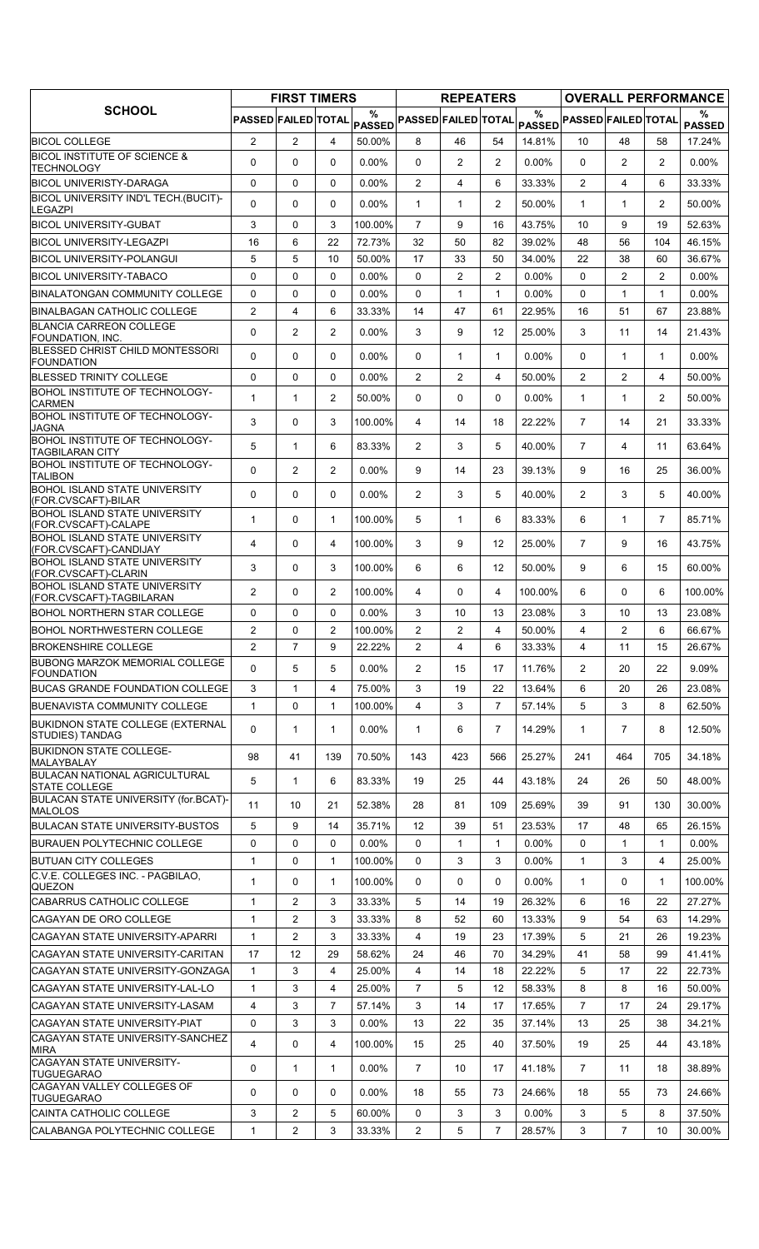|                                                                          |                            | <b>FIRST TIMERS</b> |                |                    |                            | <b>REPEATERS</b> |                |          |                            |                |                | <b>OVERALL PERFORMANCE</b> |
|--------------------------------------------------------------------------|----------------------------|---------------------|----------------|--------------------|----------------------------|------------------|----------------|----------|----------------------------|----------------|----------------|----------------------------|
| <b>SCHOOL</b>                                                            | <b>PASSED FAILED TOTAL</b> |                     |                | %<br><b>PASSED</b> | <b>PASSED FAILED TOTAL</b> |                  |                | $\%$     | PASSED PASSED FAILED TOTAL |                |                | ℅<br><b>PASSED</b>         |
| <b>BICOL COLLEGE</b>                                                     | $\overline{2}$             | $\overline{2}$      | $\overline{4}$ | 50.00%             | 8                          | 46               | 54             | 14.81%   | 10                         | 48             | 58             | 17.24%                     |
| <b>BICOL INSTITUTE OF SCIENCE &amp;</b><br>TECHNOLOGY                    | 0                          | 0                   | $\Omega$       | 0.00%              | $\Omega$                   | $\overline{2}$   | $\overline{2}$ | 0.00%    | $\mathbf{0}$               | $\overline{2}$ | 2              | $0.00\%$                   |
| <b>BICOL UNIVERISTY-DARAGA</b>                                           | 0                          | 0                   | $\mathbf 0$    | 0.00%              | $\overline{2}$             | 4                | 6              | 33.33%   | 2                          | 4              | 6              | 33.33%                     |
| BICOL UNIVERSITY IND'L TECH.(BUCIT)-<br><b>LEGAZPI</b>                   | 0                          | 0                   | $\Omega$       | $0.00\%$           | $\mathbf{1}$               | $\mathbf{1}$     | $\overline{2}$ | 50.00%   | $\mathbf{1}$               | $\mathbf{1}$   | $\overline{2}$ | 50.00%                     |
| <b>BICOL UNIVERSITY-GUBAT</b>                                            | 3                          | 0                   | 3              | 100.00%            | 7                          | 9                | 16             | 43.75%   | 10                         | 9              | 19             | 52.63%                     |
| <b>BICOL UNIVERSITY-LEGAZPI</b>                                          | 16                         | 6                   | 22             | 72.73%             | 32                         | 50               | 82             | 39.02%   | 48                         | 56             | 104            | 46.15%                     |
| BICOL UNIVERSITY-POLANGUI                                                | 5                          | 5                   | 10             | 50.00%             | 17                         | 33               | 50             | 34.00%   | 22                         | 38             | 60             | 36.67%                     |
| BICOL UNIVERSITY-TABACO                                                  | 0                          | $\mathbf 0$         | $\Omega$       | $0.00\%$           | 0                          | $\overline{2}$   | 2              | $0.00\%$ | $\Omega$                   | $\overline{2}$ | 2              | $0.00\%$                   |
| BINALATONGAN COMMUNITY COLLEGE                                           | 0                          | $\mathbf 0$         | $\Omega$       | 0.00%              | 0                          | $\mathbf{1}$     | $\mathbf{1}$   | 0.00%    | $\Omega$                   | $\mathbf{1}$   | $\mathbf{1}$   | $0.00\%$                   |
| BINALBAGAN CATHOLIC COLLEGE                                              | $\overline{2}$             | $\overline{4}$      | 6              | 33.33%             | 14                         | 47               | 61             | 22.95%   | 16                         | 51             | 67             | 23.88%                     |
| <b>BLANCIA CARREON COLLEGE</b><br>FOUNDATION, INC.                       | 0                          | 2                   | $\overline{2}$ | 0.00%              | 3                          | 9                | 12             | 25.00%   | 3                          | 11             | 14             | 21.43%                     |
| BLESSED CHRIST CHILD MONTESSORI<br>FOUNDATION                            | $\Omega$                   | $\Omega$            | $\Omega$       | $0.00\%$           | $\Omega$                   | $\mathbf{1}$     | $\mathbf{1}$   | $0.00\%$ | $\mathbf{0}$               | $\mathbf{1}$   | $\mathbf{1}$   | $0.00\%$                   |
| <b>BLESSED TRINITY COLLEGE</b>                                           | 0                          | $\mathbf 0$         | $\Omega$       | $0.00\%$           | $\overline{2}$             | $\overline{2}$   | 4              | 50.00%   | 2                          | $\overline{2}$ | 4              | 50.00%                     |
| BOHOL INSTITUTE OF TECHNOLOGY-<br><b>CARMEN</b>                          | 1                          | $\mathbf{1}$        | $\overline{2}$ | 50.00%             | 0                          | 0                | 0              | $0.00\%$ | $\mathbf{1}$               | $\mathbf{1}$   | $\overline{2}$ | 50.00%                     |
| BOHOL INSTITUTE OF TECHNOLOGY-<br><b>JAGNA</b>                           | 3                          | $\mathbf 0$         | 3              | 100.00%            | 4                          | 14               | 18             | 22.22%   | $\overline{7}$             | 14             | 21             | 33.33%                     |
| BOHOL INSTITUTE OF TECHNOLOGY-<br><b>TAGBILARAN CITY</b>                 | 5                          | $\mathbf{1}$        | 6              | 83.33%             | 2                          | 3                | 5              | 40.00%   | $\overline{7}$             | 4              | 11             | 63.64%                     |
| BOHOL INSTITUTE OF TECHNOLOGY-<br><b>TALIBON</b>                         | 0                          | $\overline{2}$      | $\overline{2}$ | 0.00%              | 9                          | 14               | 23             | 39.13%   | 9                          | 16             | 25             | 36.00%                     |
| <b>BOHOL ISLAND STATE UNIVERSITY</b><br>(FOR.CVSCAFT)-BILAR              | 0                          | $\mathbf 0$         | $\mathbf{0}$   | 0.00%              | $\overline{2}$             | 3                | 5              | 40.00%   | 2                          | 3              | 5              | 40.00%                     |
| <b>BOHOL ISLAND STATE UNIVERSITY</b><br>(FOR.CVSCAFT)-CALAPE             | 1                          | 0                   | 1              | 100.00%            | 5                          | $\mathbf{1}$     | 6              | 83.33%   | 6                          | $\mathbf{1}$   | $\overline{7}$ | 85.71%                     |
| <b>BOHOL ISLAND STATE UNIVERSITY</b><br>(FOR.CVSCAFT)-CANDIJAY           | 4                          | 0                   | 4              | 100.00%            | 3                          | 9                | 12             | 25.00%   | $\overline{7}$             | 9              | 16             | 43.75%                     |
| <b>BOHOL ISLAND STATE UNIVERSITY</b><br>(FOR.CVSCAFT)-CLARIN             | 3                          | 0                   | 3              | 100.00%            | 6                          | 6                | 12             | 50.00%   | 9                          | 6              | 15             | 60.00%                     |
| <b>BOHOL ISLAND STATE UNIVERSITY</b><br>(FOR.CVSCAFT)-TAGBILARAN         | $\overline{2}$             | 0                   | $\overline{c}$ | 100.00%            | 4                          | 0                | 4              | 100.00%  | 6                          | $\Omega$       | 6              | 100.00%                    |
| BOHOL NORTHERN STAR COLLEGE                                              | 0                          | 0                   | $\mathbf 0$    | $0.00\%$           | 3                          | 10               | 13             | 23.08%   | 3                          | 10             | 13             | 23.08%                     |
| <b>BOHOL NORTHWESTERN COLLEGE</b>                                        | $\overline{2}$             | 0                   | 2              | 100.00%            | $\overline{2}$             | $\overline{2}$   | 4              | 50.00%   | 4                          | $\overline{2}$ | 6              | 66.67%                     |
| <b>BROKENSHIRE COLLEGE</b>                                               | 2                          | 7                   | 9              | 22.22%             | 2                          | 4                | 6              | 33.33%   | 4                          | 11             | 15             | 26.67%                     |
| BUBONG MARZOK MEMORIAL COLLEGE<br><b>FOUNDATION</b>                      | 0                          | 5                   | 5              | $0.00\%$           | $\overline{2}$             | 15               | 17             | 11.76%   | $\overline{2}$             | 20             | 22             | $9.09\%$                   |
| <b>BUCAS GRANDE FOUNDATION COLLEGE</b>                                   | 3                          | $\mathbf{1}$        | 4              | 75.00%             | 3                          | 19               | 22             | 13.64%   | 6                          | 20             | 26             | 23.08%                     |
| <b>BUENAVISTA COMMUNITY COLLEGE</b>                                      | $\mathbf{1}$               | 0                   | 1              | 100.00%            | 4                          | 3                | $\overline{7}$ | 57.14%   | 5                          | 3              | 8              | 62.50%                     |
| <b>BUKIDNON STATE COLLEGE (EXTERNAL</b><br><b>STUDIES) TANDAG</b>        | 0                          | $\mathbf{1}$        | 1              | $0.00\%$           | $\mathbf{1}$               | 6                | $\overline{7}$ | 14.29%   | $\mathbf{1}$               | $\overline{7}$ | 8              | 12.50%                     |
| <b>BUKIDNON STATE COLLEGE-</b><br>MALAYBALAY                             | 98                         | 41                  | 139            | 70.50%             | 143                        | 423              | 566            | 25.27%   | 241                        | 464            | 705            | 34.18%                     |
| <b>BULACAN NATIONAL AGRICULTURAL</b><br><b>STATE COLLEGE</b>             | 5                          | $\mathbf{1}$        | 6              | 83.33%             | 19                         | 25               | 44             | 43.18%   | 24                         | 26             | 50             | 48.00%                     |
| BULACAN STATE UNIVERSITY (for.BCAT)-<br><b>MALOLOS</b>                   | 11                         | 10                  | 21             | 52.38%             | 28                         | 81               | 109            | 25.69%   | 39                         | 91             | 130            | 30.00%                     |
| <b>BULACAN STATE UNIVERSITY-BUSTOS</b>                                   | 5                          | 9                   | 14             | 35.71%             | 12                         | 39               | 51             | 23.53%   | 17                         | 48             | 65             | 26.15%                     |
| <b>BURAUEN POLYTECHNIC COLLEGE</b>                                       | 0                          | 0                   | $\mathbf 0$    | $0.00\%$           | 0                          | $\mathbf{1}$     | 1              | $0.00\%$ | $\mathbf 0$                | $\mathbf{1}$   | $\mathbf{1}$   | $0.00\%$                   |
| <b>BUTUAN CITY COLLEGES</b>                                              | 1                          | 0                   | 1              | 100.00%            | $\Omega$                   | 3                | 3              | $0.00\%$ | $\mathbf{1}$               | 3              | 4              | 25.00%                     |
| C.V.E. COLLEGES INC. - PAGBILAO.<br><b>QUEZON</b>                        | 1                          | 0                   | 1              | 100.00%            | 0                          | 0                | 0              | 0.00%    | $\mathbf{1}$               | 0              | $\mathbf{1}$   | 100.00%                    |
| ICABARRUS CATHOLIC COLLEGE                                               | 1                          | 2                   | 3              | 33.33%             | 5                          | 14               | 19             | 26.32%   | 6                          | 16             | 22             | 27.27%                     |
| ICAGAYAN DE ORO COLLEGE                                                  | 1                          | 2                   | 3              | 33.33%             | 8                          | 52               | 60             | 13.33%   | 9                          | 54             | 63             | 14.29%                     |
| ICAGAYAN STATE UNIVERSITY-APARRI                                         | 1                          | 2                   | 3              | 33.33%             | 4                          | 19               | 23             | 17.39%   | 5                          | 21             | 26             | 19.23%                     |
| CAGAYAN STATE UNIVERSITY-CARITAN                                         | 17                         | 12                  | 29             | 58.62%             | 24                         | 46               | 70             | 34.29%   | 41                         | 58             | 99             | 41.41%                     |
| CAGAYAN STATE UNIVERSITY-GONZAGA                                         | $\mathbf{1}$               | 3                   | 4              | 25.00%             | 4                          | 14               | 18             | 22.22%   | 5                          | 17             | 22             | 22.73%                     |
| ICAGAYAN STATE UNIVERSITY-LAL-LO                                         | 1                          | 3                   | 4              | 25.00%             | 7                          | 5                | 12             | 58.33%   | 8                          | 8              | 16             | 50.00%                     |
| CAGAYAN STATE UNIVERSITY-LASAM                                           | 4                          | 3                   | $\overline{7}$ | 57.14%             | 3                          | 14               | 17             | 17.65%   | $\overline{7}$             | 17             | 24             | 29.17%                     |
| CAGAYAN STATE UNIVERSITY-PIAT<br><b>CAGAYAN STATE UNIVERSITY-SANCHEZ</b> | 0                          | 3                   | 3              | 0.00%              | 13                         | 22               | 35             | 37.14%   | 13                         | 25             | 38             | 34.21%                     |
| <b>MIRA</b>                                                              | 4                          | 0                   | 4              | 100.00%            | 15                         | 25               | 40             | 37.50%   | 19                         | 25             | 44             | 43.18%                     |
| <b>CAGAYAN STATE UNIVERSITY-</b><br><b>TUGUEGARAO</b>                    | 0                          | 1                   | 1              | $0.00\%$           | $\overline{7}$             | 10               | 17             | 41.18%   | $\overline{7}$             | 11             | 18             | 38.89%                     |
| ICAGAYAN VALLEY COLLEGES OF<br><b>TUGUEGARAO</b>                         | 0                          | 0                   | $\Omega$       | $0.00\%$           | 18                         | 55               | 73             | 24.66%   | 18                         | 55             | 73             | 24.66%                     |
| CAINTA CATHOLIC COLLEGE                                                  | 3                          | 2                   | 5              | 60.00%             | 0                          | 3                | 3              | $0.00\%$ | 3                          | 5              | 8              | 37.50%                     |
| CALABANGA POLYTECHNIC COLLEGE                                            | 1                          | $\overline{2}$      | 3              | 33.33%             | $\overline{2}$             | 5                | $\overline{7}$ | 28.57%   | 3                          | $\overline{7}$ | 10             | 30.00%                     |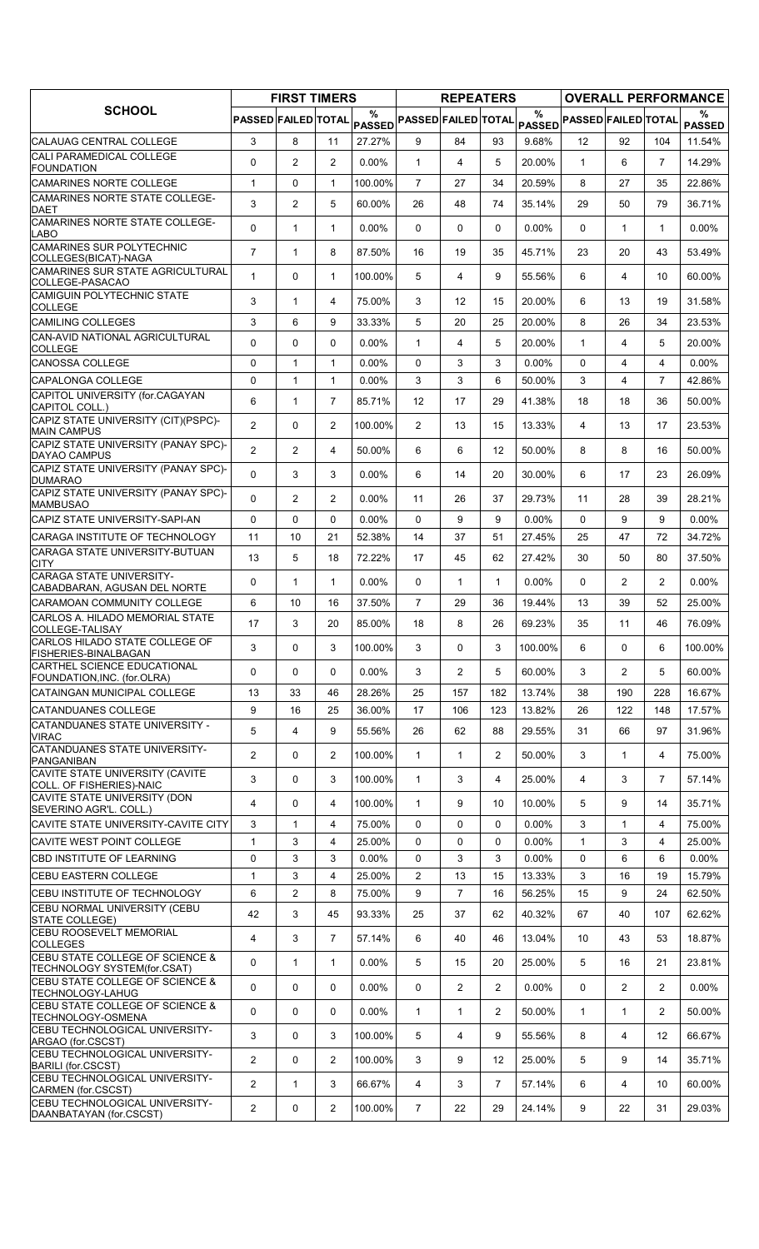|                                                                |                     | <b>FIRST TIMERS</b> |                |          |                            | <b>REPEATERS</b> |                |          |                            |                         |                   | <b>OVERALL PERFORMANCE</b> |
|----------------------------------------------------------------|---------------------|---------------------|----------------|----------|----------------------------|------------------|----------------|----------|----------------------------|-------------------------|-------------------|----------------------------|
| <b>SCHOOL</b>                                                  | PASSED FAILED TOTAL |                     |                | %        | PASSED PASSED FAILED TOTAL |                  |                | $\%$     | PASSED PASSED FAILED TOTAL |                         |                   | %<br><b>PASSED</b>         |
| CALAUAG CENTRAL COLLEGE                                        | 3                   | 8                   | 11             | 27.27%   | 9                          | 84               | 93             | 9.68%    | 12                         | 92                      | 104               | 11.54%                     |
| CALI PARAMEDICAL COLLEGE<br><b>FOUNDATION</b>                  | $\Omega$            | $\overline{2}$      | $\overline{2}$ | $0.00\%$ | $\mathbf{1}$               | 4                | 5              | 20.00%   | $\mathbf{1}$               | 6                       | $\overline{7}$    | 14.29%                     |
| CAMARINES NORTE COLLEGE                                        | $\mathbf{1}$        | 0                   | $\mathbf{1}$   | 100.00%  | $\overline{7}$             | 27               | 34             | 20.59%   | 8                          | 27                      | 35                | 22.86%                     |
| CAMARINES NORTE STATE COLLEGE-<br>DAET                         | 3                   | 2                   | 5              | 60.00%   | 26                         | 48               | 74             | 35.14%   | 29                         | 50                      | 79                | 36.71%                     |
| CAMARINES NORTE STATE COLLEGE-<br>LABO                         | 0                   | $\mathbf{1}$        | $\mathbf{1}$   | $0.00\%$ | $\Omega$                   | 0                | $\Omega$       | 0.00%    | $\Omega$                   | $\mathbf{1}$            | $\mathbf{1}$      | $0.00\%$                   |
| <b>CAMARINES SUR POLYTECHNIC</b><br>COLLEGES(BICAT)-NAGA       | $\overline{7}$      | $\mathbf{1}$        | 8              | 87.50%   | 16                         | 19               | 35             | 45.71%   | 23                         | 20                      | 43                | 53.49%                     |
| CAMARINES SUR STATE AGRICULTURAL<br>COLLEGE-PASACAO            | 1                   | 0                   | $\mathbf{1}$   | 100.00%  | 5                          | 4                | 9              | 55.56%   | 6                          | 4                       | 10                | 60.00%                     |
| CAMIGUIN POLYTECHNIC STATE<br><b>COLLEGE</b>                   | 3                   | $\mathbf{1}$        | $\overline{4}$ | 75.00%   | 3                          | 12 <sup>2</sup>  | 15             | 20.00%   | 6                          | 13                      | 19                | 31.58%                     |
| <b>CAMILING COLLEGES</b>                                       | 3                   | 6                   | 9              | 33.33%   | 5                          | 20               | 25             | 20.00%   | 8                          | 26                      | 34                | 23.53%                     |
| CAN-AVID NATIONAL AGRICULTURAL<br><b>COLLEGE</b>               | $\Omega$            | 0                   | $\mathbf{0}$   | $0.00\%$ | $\mathbf{1}$               | 4                | 5              | 20.00%   | $\mathbf{1}$               | 4                       | 5                 | 20.00%                     |
| <b>CANOSSA COLLEGE</b>                                         | $\mathbf 0$         | $\mathbf{1}$        | $\mathbf{1}$   | $0.00\%$ | $\Omega$                   | 3                | 3              | $0.00\%$ | $\Omega$                   | $\overline{\mathbf{4}}$ | 4                 | $0.00\%$                   |
| CAPALONGA COLLEGE                                              | 0                   | $\mathbf{1}$        | $\mathbf{1}$   | $0.00\%$ | 3                          | 3                | 6              | 50.00%   | 3                          | 4                       | $\overline{7}$    | 42.86%                     |
| CAPITOL UNIVERSITY (for.CAGAYAN<br>CAPITOL COLL.)              | 6                   | $\mathbf{1}$        | $\overline{7}$ | 85.71%   | 12                         | 17               | 29             | 41.38%   | 18                         | 18                      | 36                | 50.00%                     |
| CAPIZ STATE UNIVERSITY (CIT)(PSPC)-<br><b>MAIN CAMPUS</b>      | $\overline{2}$      | 0                   | $\overline{2}$ | 100.00%  | $\overline{2}$             | 13               | 15             | 13.33%   | $\overline{4}$             | 13                      | 17                | 23.53%                     |
| CAPIZ STATE UNIVERSITY (PANAY SPC)-<br>DAYAO CAMPUS            | $\overline{2}$      | 2                   | 4              | 50.00%   | 6                          | 6                | 12             | 50.00%   | 8                          | 8                       | 16                | 50.00%                     |
| CAPIZ STATE UNIVERSITY (PANAY SPC)-<br><b>DUMARAO</b>          | $\Omega$            | 3                   | 3              | 0.00%    | 6                          | 14               | 20             | 30.00%   | 6                          | 17                      | 23                | 26.09%                     |
| CAPIZ STATE UNIVERSITY (PANAY SPC)-<br><b>MAMBUSAO</b>         | $\Omega$            | 2                   | 2              | 0.00%    | 11                         | 26               | 37             | 29.73%   | 11                         | 28                      | 39                | 28.21%                     |
| CAPIZ STATE UNIVERSITY-SAPI-AN                                 | $\mathbf 0$         | 0                   | $\Omega$       | $0.00\%$ | $\Omega$                   | 9                | 9              | 0.00%    | $\Omega$                   | 9                       | 9                 | $0.00\%$                   |
| CARAGA INSTITUTE OF TECHNOLOGY                                 | 11                  | 10                  | 21             | 52.38%   | 14                         | 37               | 51             | 27.45%   | 25                         | 47                      | 72                | 34.72%                     |
| CARAGA STATE UNIVERSITY-BUTUAN<br><b>CITY</b>                  | 13                  | 5                   | 18             | 72.22%   | 17                         | 45               | 62             | 27.42%   | 30                         | 50                      | 80                | 37.50%                     |
| CARAGA STATE UNIVERSITY-<br>CABADBARAN, AGUSAN DEL NORTE       | $\Omega$            | $\mathbf{1}$        | $\mathbf{1}$   | 0.00%    | $\mathbf{0}$               | 1                | $\mathbf{1}$   | 0.00%    | $\Omega$                   | $\overline{2}$          | $\overline{2}$    | $0.00\%$                   |
| <b>CARAMOAN COMMUNITY COLLEGE</b>                              | 6                   | 10                  | 16             | 37.50%   | $\overline{7}$             | 29               | 36             | 19.44%   | 13                         | 39                      | 52                | 25.00%                     |
| CARLOS A. HILADO MEMORIAL STATE<br>COLLEGE-TALISAY             | 17                  | 3                   | 20             | 85.00%   | 18                         | 8                | 26             | 69.23%   | 35                         | 11                      | 46                | 76.09%                     |
| CARLOS HILADO STATE COLLEGE OF<br><b>FISHERIES-BINALBAGAN</b>  | 3                   | 0                   | 3              | 100.00%  | 3                          | 0                | 3              | 100.00%  | 6                          | 0                       | 6                 | 100.00%                    |
| CARTHEL SCIENCE EDUCATIONAL<br>FOUNDATION, INC. (for.OLRA)     | 0                   | 0                   | 0              | $0.00\%$ | 3                          | $\overline{2}$   | 5              | 60.00%   | 3                          | $\overline{2}$          | 5                 | 60.00%                     |
| CATAINGAN MUNICIPAL COLLEGE                                    | 13                  | 33                  | 46             | 28.26%   | 25                         | 157              | 182            | 13.74%   | 38                         | 190                     | 228               | 16.67%                     |
| <b>CATANDUANES COLLEGE</b>                                     | 9                   | 16                  | 25             | 36.00%   | 17                         | 106              | 123            | 13.82%   | 26                         | 122                     | 148               | 17.57%                     |
| CATANDUANES STATE UNIVERSITY -<br><b>VIRAC</b>                 | 5                   | 4                   | 9              | 55.56%   | 26                         | 62               | 88             | 29.55%   | 31                         | 66                      | 97                | 31.96%                     |
| CATANDUANES STATE UNIVERSITY-<br>PANGANIBAN                    | $\overline{2}$      | 0                   | $\overline{2}$ | 100.00%  | $\mathbf{1}$               | $\mathbf{1}$     | $\overline{2}$ | 50.00%   | 3                          | $\mathbf{1}$            | 4                 | 75.00%                     |
| CAVITE STATE UNIVERSITY (CAVITE<br>COLL. OF FISHERIES)-NAIC    | 3                   | 0                   | 3              | 100.00%  | $\mathbf{1}$               | 3                | 4              | 25.00%   | $\overline{4}$             | 3                       | $\overline{7}$    | 57.14%                     |
| CAVITE STATE UNIVERSITY (DON<br>SEVERINO AGR'L. COLL.)         | 4                   | 0                   | 4              | 100.00%  | $\mathbf{1}$               | 9                | 10             | 10.00%   | 5                          | 9                       | 14                | 35.71%                     |
| CAVITE STATE UNIVERSITY-CAVITE CITY                            | 3                   | $\mathbf{1}$        | 4              | 75.00%   | 0                          | 0                | 0              | $0.00\%$ | 3                          | $\mathbf{1}$            | 4                 | 75.00%                     |
| CAVITE WEST POINT COLLEGE                                      | $\mathbf{1}$        | 3                   | 4              | 25.00%   | 0                          | 0                | 0              | $0.00\%$ | $\mathbf{1}$               | 3                       | 4                 | 25.00%                     |
| CBD INSTITUTE OF LEARNING                                      | $\mathbf 0$         | 3                   | 3              | 0.00%    | 0                          | 3                | 3              | 0.00%    | 0                          | 6                       | 6                 | $0.00\%$                   |
| <b>CEBU EASTERN COLLEGE</b>                                    | $\mathbf{1}$        | 3                   | $\overline{4}$ | 25.00%   | $\overline{2}$             | 13               | 15             | 13.33%   | 3                          | 16                      | 19                | 15.79%                     |
| CEBU INSTITUTE OF TECHNOLOGY                                   | 6                   | 2                   | 8              | 75.00%   | 9                          | 7                | 16             | 56.25%   | 15                         | 9                       | 24                | 62.50%                     |
| CEBU NORMAL UNIVERSITY (CEBU<br>STATE COLLEGE)                 | 42                  | 3                   | 45             | 93.33%   | 25                         | 37               | 62             | 40.32%   | 67                         | 40                      | 107               | 62.62%                     |
| <b>CEBU ROOSEVELT MEMORIAL</b><br><b>COLLEGES</b>              | 4                   | 3                   | $\overline{7}$ | 57.14%   | 6                          | 40               | 46             | 13.04%   | 10                         | 43                      | 53                | 18.87%                     |
| CEBU STATE COLLEGE OF SCIENCE &<br>TECHNOLOGY SYSTEM(for.CSAT) | 0                   | 1                   | $\mathbf{1}$   | $0.00\%$ | 5                          | 15               | 20             | 25.00%   | 5                          | 16                      | 21                | 23.81%                     |
| CEBU STATE COLLEGE OF SCIENCE &<br>TECHNOLOGY-LAHUG            | $\mathbf 0$         | 0                   | 0              | $0.00\%$ | 0                          | 2                | $\overline{2}$ | 0.00%    | 0                          | $\overline{2}$          | $\overline{2}$    | $0.00\%$                   |
| CEBU STATE COLLEGE OF SCIENCE &<br>TECHNOLOGY-OSMENA           | 0                   | 0                   | $\mathbf 0$    | $0.00\%$ | $\mathbf{1}$               | 1                | 2              | 50.00%   | $\mathbf{1}$               | $\mathbf{1}$            | $\overline{2}$    | 50.00%                     |
| CEBU TECHNOLOGICAL UNIVERSITY-<br>ARGAO (for.CSCST)            | 3                   | 0                   | 3              | 100.00%  | 5                          | 4                | 9              | 55.56%   | 8                          | 4                       | $12 \overline{ }$ | 66.67%                     |
| CEBU TECHNOLOGICAL UNIVERSITY-<br><b>BARILI (for.CSCST)</b>    | $\overline{2}$      | 0                   | $\overline{2}$ | 100.00%  | 3                          | 9                | 12             | 25.00%   | 5                          | 9                       | 14                | 35.71%                     |
| CEBU TECHNOLOGICAL UNIVERSITY-<br>CARMEN (for.CSCST)           | $\overline{2}$      | $\mathbf{1}$        | 3              | 66.67%   | 4                          | 3                | $\overline{7}$ | 57.14%   | 6                          | 4                       | 10                | 60.00%                     |
| CEBU TECHNOLOGICAL UNIVERSITY-<br>DAANBATAYAN (for.CSCST)      | 2                   | 0                   | 2              | 100.00%  | $\overline{7}$             | 22               | 29             | 24.14%   | 9                          | 22                      | 31                | 29.03%                     |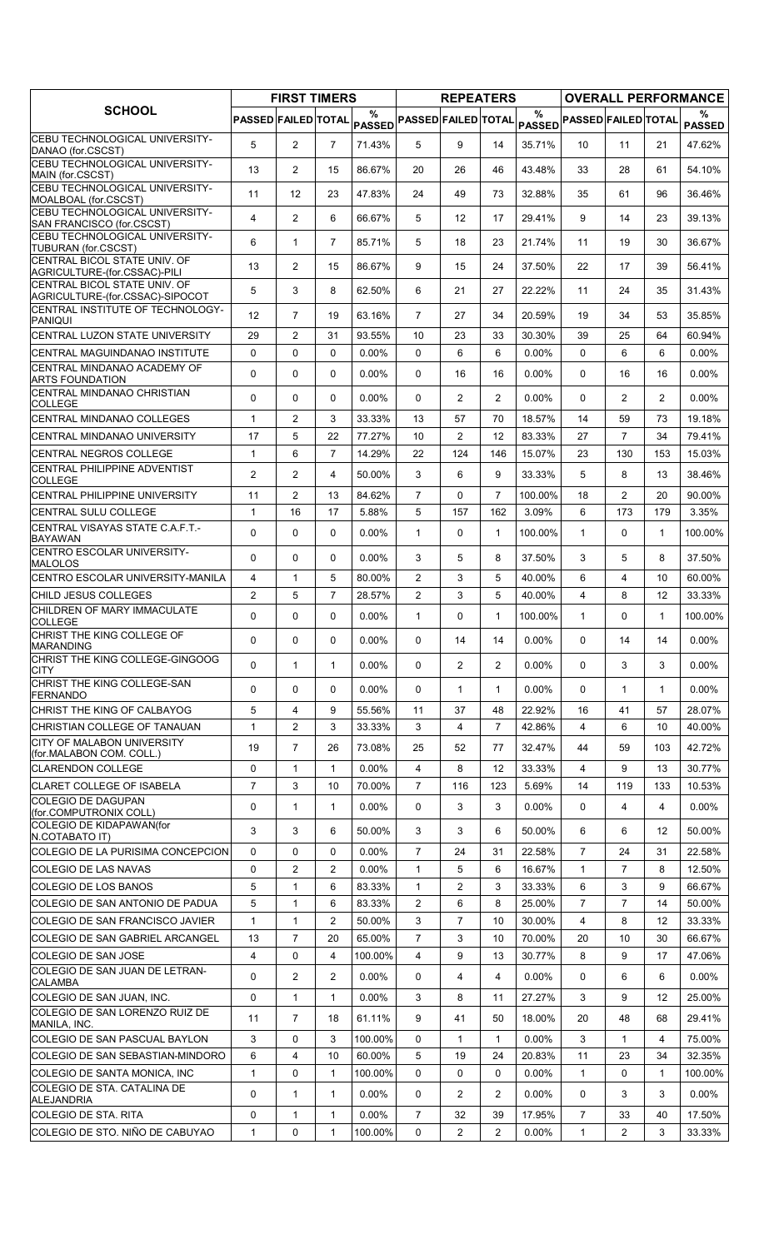|                                                                         |                     | <b>FIRST TIMERS</b> |                |                    |                            | <b>REPEATERS</b> |                |               |                            |                |                | <b>OVERALL PERFORMANCE</b> |
|-------------------------------------------------------------------------|---------------------|---------------------|----------------|--------------------|----------------------------|------------------|----------------|---------------|----------------------------|----------------|----------------|----------------------------|
| <b>SCHOOL</b>                                                           | PASSED FAILED TOTAL |                     |                | %<br><b>PASSED</b> | <b>PASSED FAILED TOTAL</b> |                  |                | $\frac{0}{0}$ | PASSED PASSED FAILED TOTAL |                |                | %<br><b>PASSED</b>         |
| CEBU TECHNOLOGICAL UNIVERSITY-                                          | 5                   | $\overline{2}$      | $\overline{7}$ | 71.43%             | 5                          | 9                | 14             | 35.71%        | 10 <sup>°</sup>            | 11             | 21             | 47.62%                     |
| DANAO (for CSCST)<br>CEBU TECHNOLOGICAL UNIVERSITY-<br>MAIN (for.CSCST) | 13                  | $\overline{2}$      | 15             | 86.67%             | 20                         | 26               | 46             | 43.48%        | 33                         | 28             | 61             | 54.10%                     |
| CEBU TECHNOLOGICAL UNIVERSITY-<br>MOALBOAL (for.CSCST)                  | 11                  | 12                  | 23             | 47.83%             | 24                         | 49               | 73             | 32.88%        | 35                         | 61             | 96             | 36.46%                     |
| CEBU TECHNOLOGICAL UNIVERSITY-                                          | 4                   | $\overline{2}$      | 6              | 66.67%             | 5                          | 12               | 17             | 29.41%        | 9                          | 14             | 23             | 39.13%                     |
| SAN FRANCISCO (for.CSCST)<br>CEBU TECHNOLOGICAL UNIVERSITY-             | 6                   | $\mathbf{1}$        | $\overline{7}$ | 85.71%             | 5                          | 18               | 23             | 21.74%        | 11                         | 19             | 30             | 36.67%                     |
| TUBURAN (for.CSCST)<br>CENTRAL BICOL STATE UNIV. OF                     | 13                  | $\overline{2}$      | 15             | 86.67%             | 9                          | 15               | 24             | 37.50%        | 22                         | 17             | 39             | 56.41%                     |
| AGRICULTURE-(for.CSSAC)-PILI<br>CENTRAL BICOL STATE UNIV. OF            | 5                   | 3                   | 8              | 62.50%             | 6                          | 21               | 27             | 22.22%        | 11                         | 24             | 35             | 31.43%                     |
| AGRICULTURE-(for.CSSAC)-SIPOCOT<br>CENTRAL INSTITUTE OF TECHNOLOGY-     |                     |                     |                |                    |                            |                  |                |               |                            |                |                |                            |
| <b>PANIQUI</b>                                                          | $12 \,$             | $\overline{7}$      | 19             | 63.16%             | $\overline{7}$             | 27               | 34             | 20.59%        | 19                         | 34             | 53             | 35.85%                     |
| CENTRAL LUZON STATE UNIVERSITY                                          | 29                  | $\overline{2}$      | 31             | 93.55%             | 10                         | 23               | 33             | 30.30%        | 39                         | 25             | 64             | 60.94%                     |
| CENTRAL MAGUINDANAO INSTITUTE<br>CENTRAL MINDANAO ACADEMY OF            | 0                   | 0                   | $\Omega$       | 0.00%              | $\Omega$                   | 6                | 6              | 0.00%         | $\Omega$                   | 6              | 6              | $0.00\%$                   |
| <b>ARTS FOUNDATION</b>                                                  | 0                   | 0                   | 0              | 0.00%              | 0                          | 16               | 16             | 0.00%         | $\Omega$                   | 16             | 16             | $0.00\%$                   |
| CENTRAL MINDANAO CHRISTIAN<br><b>COLLEGE</b>                            | 0                   | 0                   | $\Omega$       | $0.00\%$           | $\Omega$                   | $\overline{2}$   | $\overline{2}$ | 0.00%         | $\Omega$                   | $\overline{2}$ | $\overline{2}$ | $0.00\%$                   |
| <b>CENTRAL MINDANAO COLLEGES</b>                                        | $\mathbf{1}$        | $\overline{2}$      | 3              | 33.33%             | 13                         | 57               | 70             | 18.57%        | 14                         | 59             | 73             | 19.18%                     |
| CENTRAL MINDANAO UNIVERSITY                                             | 17                  | 5                   | 22             | 77.27%             | 10                         | $\overline{2}$   | 12             | 83.33%        | 27                         | $\overline{7}$ | 34             | 79.41%                     |
| CENTRAL NEGROS COLLEGE                                                  | $\mathbf{1}$        | 6                   | $\overline{7}$ | 14.29%             | 22                         | 124              | 146            | 15.07%        | 23                         | 130            | 153            | 15.03%                     |
| CENTRAL PHILIPPINE ADVENTIST<br><b>COLLEGE</b>                          | 2                   | $\overline{2}$      | 4              | 50.00%             | 3                          | 6                | 9              | 33.33%        | 5                          | 8              | 13             | 38.46%                     |
| <b>CENTRAL PHILIPPINE UNIVERSITY</b>                                    | 11                  | 2                   | 13             | 84.62%             | $\overline{7}$             | $\Omega$         | $\overline{7}$ | 100.00%       | 18                         | $\overline{2}$ | 20             | 90.00%                     |
| <b>CENTRAL SULU COLLEGE</b>                                             | $\mathbf{1}$        | 16                  | 17             | 5.88%              | 5                          | 157              | 162            | 3.09%         | 6                          | 173            | 179            | 3.35%                      |
| CENTRAL VISAYAS STATE C.A.F.T.-<br><b>BAYAWAN</b>                       | $\Omega$            | 0                   | $\Omega$       | $0.00\%$           | $\mathbf{1}$               | 0                | $\mathbf{1}$   | 100.00%       | $\mathbf{1}$               | $\Omega$       | $\mathbf{1}$   | 100.00%                    |
| <b>CENTRO ESCOLAR UNIVERSITY-</b><br><b>MALOLOS</b>                     | $\Omega$            | $\Omega$            | $\Omega$       | 0.00%              | 3                          | 5                | 8              | 37.50%        | 3                          | 5              | 8              | 37.50%                     |
| CENTRO ESCOLAR UNIVERSITY-MANILA                                        | $\overline{4}$      | $\mathbf{1}$        | 5              | 80.00%             | $\overline{2}$             | 3                | 5              | 40.00%        | 6                          | 4              | 10             | 60.00%                     |
| CHILD JESUS COLLEGES                                                    | 2                   | 5                   | $\overline{7}$ | 28.57%             | $\overline{2}$             | 3                | 5              | 40.00%        | $\overline{4}$             | 8              | 12             | 33.33%                     |
| CHILDREN OF MARY IMMACULATE<br><b>COLLEGE</b>                           | 0                   | 0                   | $\mathbf{0}$   | $0.00\%$           | $\mathbf{1}$               | 0                | $\mathbf{1}$   | 100.00%       | $\mathbf{1}$               | 0              | $\mathbf{1}$   | 100.00%                    |
| CHRIST THE KING COLLEGE OF<br><b>MARANDING</b>                          | $\mathbf{0}$        | 0                   | 0              | 0.00%              | 0                          | 14               | 14             | $0.00\%$      | 0                          | 14             | 14             | $0.00\%$                   |
| CHRIST THE KING COLLEGE-GINGOOG<br>CITY                                 | $\Omega$            | $\mathbf{1}$        | 1              | $0.00\%$           | $\Omega$                   | $\overline{2}$   | $\overline{2}$ | 0.00%         | $\Omega$                   | 3              | 3              | $0.00\%$                   |
| CHRIST THE KING COLLEGE-SAN<br><b>FERNANDO</b>                          | 0                   | $\Omega$            | $\mathbf{0}$   | 0.00%              | $\Omega$                   | 1                | $\mathbf{1}$   | 0.00%         | $\Omega$                   | $\mathbf{1}$   | $\mathbf 1$    | $0.00\%$                   |
| CHRIST THE KING OF CALBAYOG                                             | 5                   | 4                   | 9              | 55.56%             | 11                         | 37               | 48             | 22.92%        | 16                         | 41             | 57             | 28.07%                     |
| CHRISTIAN COLLEGE OF TANAUAN                                            | $\mathbf{1}$        | $\overline{2}$      | 3              | 33.33%             | 3                          | 4                | $\overline{7}$ | 42.86%        | 4                          | 6              | 10             | 40.00%                     |
| CITY OF MALABON UNIVERSITY                                              | 19                  | $\overline{7}$      | 26             | 73.08%             | 25                         | 52               | 77             | 32.47%        | 44                         | 59             | 103            | 42.72%                     |
| (for MALABON COM. COLL.)<br><b>CLARENDON COLLEGE</b>                    | 0                   | $\mathbf{1}$        | $\mathbf{1}$   | $0.00\%$           | 4                          | 8                | 12             | 33.33%        | 4                          | 9              | 13             | 30.77%                     |
| <b>CLARET COLLEGE OF ISABELA</b>                                        | $\overline{7}$      | 3                   | 10             | 70.00%             | $\overline{7}$             | 116              | 123            | 5.69%         | 14                         | 119            | 133            | 10.53%                     |
| <b>COLEGIO DE DAGUPAN</b><br>(for.COMPUTRONIX COLL)                     | 0                   | $\mathbf{1}$        | $\mathbf{1}$   | 0.00%              | 0                          | 3                | 3              | 0.00%         | $\Omega$                   | 4              | 4              | $0.00\%$                   |
| COLEGIO DE KIDAPAWAN(for                                                | 3                   | 3                   | 6              | 50.00%             | 3                          | 3                | 6              | 50.00%        | 6                          | 6              | 12             | 50.00%                     |
| N.COTABATO IT)<br>COLEGIO DE LA PURISIMA CONCEPCION                     | $\mathbf 0$         | 0                   | $\mathbf 0$    | $0.00\%$           | $\overline{7}$             | 24               | 31             | 22.58%        | $\overline{7}$             | 24             | 31             | 22.58%                     |
| <b>COLEGIO DE LAS NAVAS</b>                                             | 0                   | $\overline{c}$      | $\overline{2}$ | $0.00\%$           | $\mathbf{1}$               | 5                | 6              | 16.67%        | $\mathbf{1}$               | 7              | 8              | 12.50%                     |
| COLEGIO DE LOS BANOS                                                    | 5                   | $\mathbf{1}$        | 6              | 83.33%             | 1                          | 2                | 3              | 33.33%        | 6                          | 3              | 9              | 66.67%                     |
| COLEGIO DE SAN ANTONIO DE PADUA                                         | 5                   | $\mathbf{1}$        | 6              | 83.33%             | $\overline{2}$             | 6                | 8              | 25.00%        | $\overline{7}$             | $\overline{7}$ | 14             | 50.00%                     |
| COLEGIO DE SAN FRANCISCO JAVIER                                         | $\mathbf{1}$        | $\mathbf{1}$        | $\overline{2}$ | 50.00%             | 3                          | $\overline{7}$   | 10             | 30.00%        | $\overline{4}$             | 8              | 12             | 33.33%                     |
| COLEGIO DE SAN GABRIEL ARCANGEL                                         | 13                  | $\overline{7}$      | 20             | 65.00%             | $\overline{7}$             | 3                | 10             | 70.00%        | 20                         | 10             | 30             | 66.67%                     |
| COLEGIO DE SAN JOSE                                                     | $\overline{4}$      | 0                   | $\overline{4}$ | 100.00%            | 4                          | 9                | 13             | 30.77%        | 8                          | 9              | 17             | 47.06%                     |
| COLEGIO DE SAN JUAN DE LETRAN-<br><b>CALAMBA</b>                        | 0                   | $\overline{c}$      | $\overline{2}$ | $0.00\%$           | 0                          | 4                | 4              | $0.00\%$      | 0                          | 6              | 6              | $0.00\%$                   |
| COLEGIO DE SAN JUAN, INC.                                               | 0                   | 1                   | 1              | $0.00\%$           | 3                          | 8                | 11             | 27.27%        | 3                          | 9              | 12             | 25.00%                     |
| COLEGIO DE SAN LORENZO RUIZ DE<br>MANILA, INC.                          | 11                  | $\overline{7}$      | 18             | 61.11%             | 9                          | 41               | 50             | 18.00%        | 20                         | 48             | 68             | 29.41%                     |
| COLEGIO DE SAN PASCUAL BAYLON                                           | 3                   | 0                   | 3              | 100.00%            | 0                          | 1                | $\mathbf{1}$   | $0.00\%$      | 3                          | $\mathbf{1}$   | 4              | 75.00%                     |
| COLEGIO DE SAN SEBASTIAN-MINDORO                                        | 6                   | $\overline{4}$      | 10             | 60.00%             | 5                          | 19               | 24             | 20.83%        | 11                         | 23             | 34             | 32.35%                     |
| COLEGIO DE SANTA MONICA, INC                                            | $\mathbf{1}$        | 0                   | $\mathbf{1}$   | 100.00%            | 0                          | 0                | 0              | 0.00%         | $\mathbf{1}$               | 0              | 1              | 100.00%                    |
| <b>COLEGIO DE STA, CATALINA DE</b><br><b>ALEJANDRIA</b>                 | 0                   | $\mathbf{1}$        | $\mathbf{1}$   | $0.00\%$           | 0                          | $\overline{c}$   | $\overline{2}$ | 0.00%         | $\Omega$                   | 3              | 3              | $0.00\%$                   |
| COLEGIO DE STA, RITA                                                    | 0                   | $\mathbf{1}$        | $\mathbf{1}$   | $0.00\%$           | $\overline{7}$             | 32               | 39             | 17.95%        | $\overline{7}$             | 33             | 40             | 17.50%                     |
| COLEGIO DE STO. NIÑO DE CABUYAO                                         | $\mathbf{1}$        | 0                   | $\mathbf{1}$   | 100.00%            | 0                          | $\overline{2}$   | $\overline{2}$ | 0.00%         | $\mathbf{1}$               | 2              | 3              | 33.33%                     |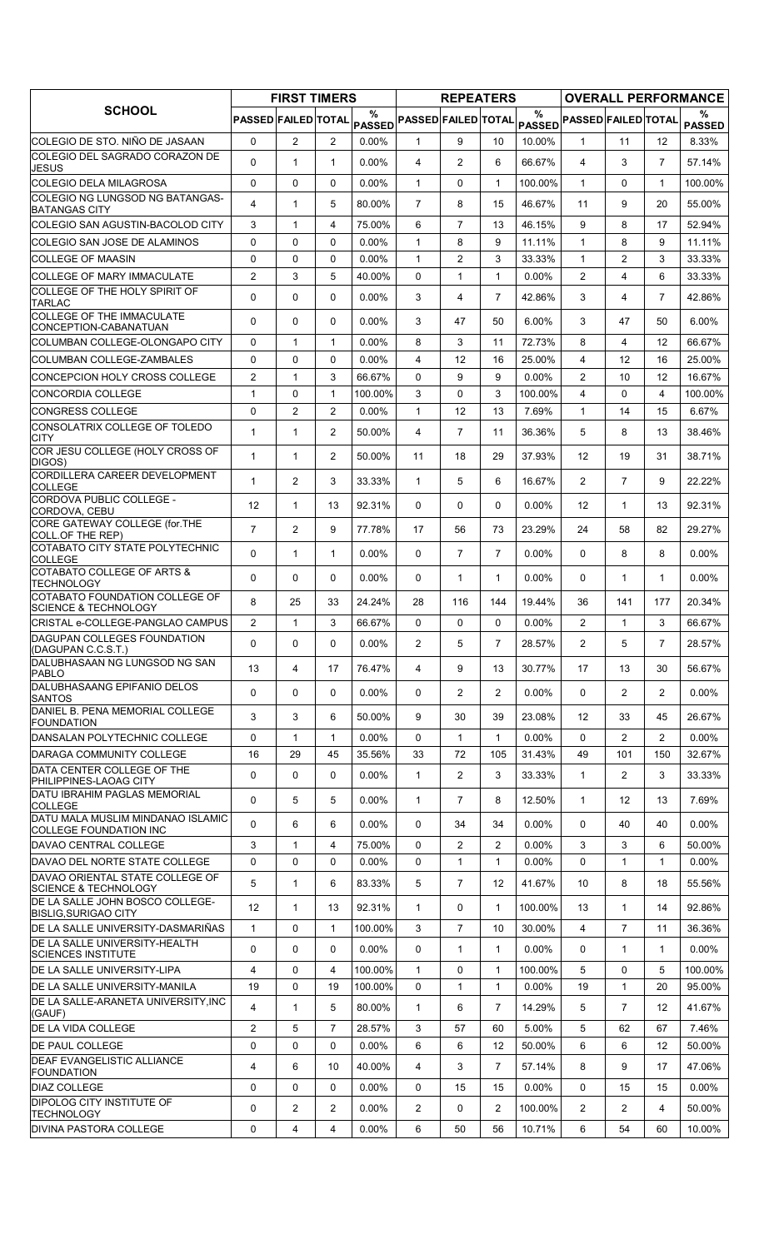|                                                                    |                     | <b>FIRST TIMERS</b> |                |                    |                            | <b>REPEATERS</b> |                |               |                                                                               |                   |                   | <b>OVERALL PERFORMANCE</b> |
|--------------------------------------------------------------------|---------------------|---------------------|----------------|--------------------|----------------------------|------------------|----------------|---------------|-------------------------------------------------------------------------------|-------------------|-------------------|----------------------------|
| <b>SCHOOL</b>                                                      | PASSED FAILED TOTAL |                     |                | %<br><b>PASSED</b> | <b>PASSED FAILED TOTAL</b> |                  |                | $\frac{0}{0}$ | $\mathsf{PAS\widetilde{SED}} \mathsf{PASSED} \mathsf{FAILED} \mathsf{TOTAL} $ |                   |                   | ℅<br><b>PASSED</b>         |
| COLEGIO DE STO. NIÑO DE JASAAN                                     | $\mathbf 0$         | $\overline{2}$      | $\overline{2}$ | $0.00\%$           | $\mathbf{1}$               | 9                | 10             | 10.00%        | 1                                                                             | 11                | 12                | 8.33%                      |
| COLEGIO DEL SAGRADO CORAZON DE<br>JESUS                            | $\Omega$            | $\mathbf{1}$        | $\mathbf{1}$   | $0.00\%$           | 4                          | $\overline{c}$   | 6              | 66.67%        | 4                                                                             | 3                 | $\overline{7}$    | 57.14%                     |
| COLEGIO DELA MILAGROSA                                             | $\mathbf{0}$        | 0                   | $\Omega$       | $0.00\%$           | $\mathbf{1}$               | $\mathbf{0}$     | $\mathbf{1}$   | 100.00%       | $\mathbf{1}$                                                                  | 0                 | $\mathbf 1$       | 100.00%                    |
| COLEGIO NG LUNGSOD NG BATANGAS-<br><b>BATANGAS CITY</b>            | $\overline{4}$      | $\mathbf{1}$        | 5              | 80.00%             | $\overline{7}$             | 8                | 15             | 46.67%        | 11                                                                            | 9                 | 20                | 55.00%                     |
| COLEGIO SAN AGUSTIN-BACOLOD CITY                                   | 3                   | 1                   | 4              | 75.00%             | 6                          | $\overline{7}$   | 13             | 46.15%        | 9                                                                             | 8                 | 17                | 52.94%                     |
| COLEGIO SAN JOSE DE ALAMINOS                                       | $\mathbf 0$         | 0                   | $\mathbf 0$    | 0.00%              | $\mathbf{1}$               | 8                | 9              | 11.11%        | $\mathbf{1}$                                                                  | 8                 | 9                 | 11.11%                     |
| <b>COLLEGE OF MAASIN</b>                                           | 0                   | 0                   | $\Omega$       | $0.00\%$           | $\mathbf{1}$               | $\overline{c}$   | 3              | 33.33%        | $\mathbf{1}$                                                                  | $\overline{2}$    | 3                 | 33.33%                     |
| <b>COLLEGE OF MARY IMMACULATE</b>                                  | $\overline{2}$      | 3                   | 5              | 40.00%             | $\mathbf{0}$               | 1                | $\mathbf{1}$   | 0.00%         | $\overline{2}$                                                                | 4                 | 6                 | 33.33%                     |
| COLLEGE OF THE HOLY SPIRIT OF<br><b>TARLAC</b>                     | $\Omega$            | $\Omega$            | $\mathbf{0}$   | $0.00\%$           | 3                          | 4                | $\overline{7}$ | 42.86%        | 3                                                                             | 4                 | $\overline{7}$    | 42.86%                     |
| COLLEGE OF THE IMMACULATE<br>CONCEPTION-CABANATUAN                 | $\Omega$            | 0                   | $\mathbf{0}$   | 0.00%              | 3                          | 47               | 50             | 6.00%         | 3                                                                             | 47                | 50                | 6.00%                      |
| COLUMBAN COLLEGE-OLONGAPO CITY                                     | 0                   | $\mathbf{1}$        | $\mathbf{1}$   | $0.00\%$           | 8                          | 3                | 11             | 72.73%        | 8                                                                             | 4                 | 12                | 66.67%                     |
| COLUMBAN COLLEGE-ZAMBALES                                          | 0                   | 0                   | 0              | $0.00\%$           | 4                          | 12               | 16             | 25.00%        | $\overline{4}$                                                                | 12                | 16                | 25.00%                     |
| CONCEPCION HOLY CROSS COLLEGE                                      | $\overline{2}$      | $\mathbf{1}$        | 3              | 66.67%             | $\Omega$                   | 9                | 9              | $0.00\%$      | 2                                                                             | 10                | 12                | 16.67%                     |
| <b>CONCORDIA COLLEGE</b>                                           | $\mathbf{1}$        | 0                   | $\mathbf{1}$   | 100.00%            | 3                          | 0                | 3              | 100.00%       | 4                                                                             | $\Omega$          | 4                 | 100.00%                    |
| <b>CONGRESS COLLEGE</b><br>CONSOLATRIX COLLEGE OF TOLEDO           | $\mathbf 0$         | $\overline{2}$      | 2              | 0.00%              | $\mathbf{1}$               | 12               | 13             | 7.69%         | $\mathbf{1}$                                                                  | 14                | 15                | 6.67%                      |
| <b>CITY</b>                                                        | $\mathbf{1}$        | $\mathbf{1}$        | $\overline{2}$ | 50.00%             | 4                          | $\overline{7}$   | 11             | 36.36%        | 5                                                                             | 8                 | 13                | 38.46%                     |
| COR JESU COLLEGE (HOLY CROSS OF<br>DIGOS)                          | $\mathbf{1}$        | $\mathbf{1}$        | 2              | 50.00%             | 11                         | 18               | 29             | 37.93%        | 12                                                                            | 19                | 31                | 38.71%                     |
| CORDILLERA CAREER DEVELOPMENT<br><b>COLLEGE</b>                    | $\mathbf{1}$        | $\overline{2}$      | 3              | 33.33%             | $\mathbf{1}$               | 5                | 6              | 16.67%        | $\overline{2}$                                                                | $\overline{7}$    | 9                 | 22.22%                     |
| CORDOVA PUBLIC COLLEGE -<br>CORDOVA, CEBU                          | 12                  | $\mathbf{1}$        | 13             | 92.31%             | $\mathbf{0}$               | $\mathbf{0}$     | 0              | $0.00\%$      | 12                                                                            | $\mathbf{1}$      | 13                | 92.31%                     |
| CORE GATEWAY COLLEGE (for.THE<br>COLL OF THE REP)                  | $\overline{7}$      | $\overline{2}$      | 9              | 77.78%             | 17                         | 56               | 73             | 23.29%        | 24                                                                            | 58                | 82                | 29.27%                     |
| COTABATO CITY STATE POLYTECHNIC<br><b>COLLEGE</b>                  | $\Omega$            | $\mathbf{1}$        | $\mathbf{1}$   | $0.00\%$           | $\Omega$                   | $\overline{7}$   | $\overline{7}$ | 0.00%         | $\Omega$                                                                      | 8                 | 8                 | $0.00\%$                   |
| COTABATO COLLEGE OF ARTS &<br><b>TECHNOLOGY</b>                    | $\Omega$            | 0                   | $\mathbf{0}$   | $0.00\%$           | $\Omega$                   | 1                | $\mathbf{1}$   | 0.00%         | $\Omega$                                                                      | $\mathbf{1}$      | $\mathbf{1}$      | $0.00\%$                   |
| COTABATO FOUNDATION COLLEGE OF<br><b>SCIENCE &amp; TECHNOLOGY</b>  | 8                   | 25                  | 33             | 24.24%             | 28                         | 116              | 144            | 19.44%        | 36                                                                            | 141               | 177               | 20.34%                     |
| CRISTAL e-COLLEGE-PANGLAO CAMPUS                                   | $\overline{2}$      | $\mathbf{1}$        | 3              | 66.67%             | $\Omega$                   | 0                | 0              | $0.00\%$      | $\overline{2}$                                                                | $\mathbf{1}$      | 3                 | 66.67%                     |
| DAGUPAN COLLEGES FOUNDATION<br>(DAGUPAN C.C.S.T.)                  | 0                   | 0                   | $\mathbf 0$    | $0.00\%$           | 2                          | 5                | $7^{\circ}$    | 28.57%        | $\overline{2}$                                                                | 5                 | 7                 | 28.57%                     |
| DALUBHASAAN NG LUNGSOD NG SAN<br>PABLO                             | 13                  | 4                   | 17             | 76.47%             | 4                          | 9                | 13             | 30.77%        | 17                                                                            | 13                | 30                | 56.67%                     |
| DALUBHASAANG EPIFANIO DELOS<br><b>SANTOS</b>                       | 0                   | 0                   | $\mathbf{0}$   | $0.00\%$           | $\mathbf{0}$               | 2                | $\overline{2}$ | $0.00\%$      | $\Omega$                                                                      | $\overline{2}$    | $\overline{2}$    | $0.00\%$                   |
| DANIEL B. PENA MEMORIAL COLLEGE<br><b>FOUNDATION</b>               | 3                   | 3                   | 6              | 50.00%             | 9                          | 30               | 39             | 23.08%        | $12 \overline{ }$                                                             | 33                | 45                | 26.67%                     |
| DANSALAN POLYTECHNIC COLLEGE                                       | 0                   | $\mathbf{1}$        | $\mathbf{1}$   | $0.00\%$           | 0                          | 1                | $\mathbf{1}$   | $0.00\%$      | 0                                                                             | $\overline{2}$    | 2                 | $0.00\%$                   |
| DARAGA COMMUNITY COLLEGE                                           | 16                  | 29                  | 45             | 35.56%             | 33                         | 72               | 105            | 31.43%        | 49                                                                            | 101               | 150               | 32.67%                     |
| DATA CENTER COLLEGE OF THE<br>PHILIPPINES-LAOAG CITY               | 0                   | 0                   | 0              | 0.00%              | 1                          | $\overline{2}$   | 3              | 33.33%        | $\mathbf{1}$                                                                  | $\overline{2}$    | 3                 | 33.33%                     |
| DATU IBRAHIM PAGLAS MEMORIAL<br><b>COLLEGE</b>                     | $\mathbf 0$         | 5                   | 5              | 0.00%              | $\mathbf{1}$               | $\overline{7}$   | 8              | 12.50%        | $\mathbf{1}$                                                                  | $12 \overline{ }$ | 13                | 7.69%                      |
| DATU MALA MUSLIM MINDANAO ISLAMIC<br><b>COLLEGE FOUNDATION INC</b> | $\Omega$            | 6                   | 6              | $0.00\%$           | $\mathbf{0}$               | 34               | 34             | $0.00\%$      | $\Omega$                                                                      | 40                | 40                | $0.00\%$                   |
| DAVAO CENTRAL COLLEGE                                              | 3                   | $\mathbf{1}$        | 4              | 75.00%             | $\mathbf{0}$               | $\overline{2}$   | $\overline{2}$ | $0.00\%$      | 3                                                                             | 3                 | 6                 | 50.00%                     |
| DAVAO DEL NORTE STATE COLLEGE                                      | $\mathbf 0$         | 0                   | $\mathbf{0}$   | $0.00\%$           | 0                          | 1                | $\mathbf{1}$   | 0.00%         | $\Omega$                                                                      | 1                 | $\mathbf{1}$      | $0.00\%$                   |
| DAVAO ORIENTAL STATE COLLEGE OF<br><b>SCIENCE &amp; TECHNOLOGY</b> | 5                   | $\mathbf{1}$        | 6              | 83.33%             | 5                          | $\overline{7}$   | 12             | 41.67%        | 10                                                                            | 8                 | 18                | 55.56%                     |
| DE LA SALLE JOHN BOSCO COLLEGE-<br><b>BISLIG, SURIGAO CITY</b>     | 12                  | $\mathbf{1}$        | 13             | 92.31%             | $\mathbf{1}$               | 0                | $\mathbf{1}$   | 100.00%       | 13                                                                            | 1                 | 14                | 92.86%                     |
| DE LA SALLE UNIVERSITY-DASMARIÑAS                                  | $\mathbf{1}$        | 0                   | $\mathbf{1}$   | 100.00%            | 3                          | $\overline{7}$   | 10             | 30.00%        | $\overline{4}$                                                                | $\overline{7}$    | 11                | 36.36%                     |
| DE LA SALLE UNIVERSITY-HEALTH<br><b>SCIENCES INSTITUTE</b>         | 0                   | 0                   | $\mathbf 0$    | $0.00\%$           | 0                          | $\mathbf{1}$     | $\mathbf{1}$   | $0.00\%$      | 0                                                                             | $\mathbf{1}$      | $\mathbf{1}$      | $0.00\%$                   |
| DE LA SALLE UNIVERSITY-LIPA                                        | 4                   | 0                   | 4              | 100.00%            | $\mathbf{1}$               | 0                | $\mathbf{1}$   | 100.00%       | 5                                                                             | 0                 | 5                 | 100.00%                    |
| DE LA SALLE UNIVERSITY-MANILA                                      | 19                  | 0                   | 19             | 100.00%            | $\Omega$                   | 1                | $\mathbf{1}$   | 0.00%         | 19                                                                            | $\mathbf{1}$      | 20                | 95.00%                     |
| DE LA SALLE-ARANETA UNIVERSITY, INC<br>(GAUF)                      | 4                   | $\mathbf{1}$        | 5              | 80.00%             | 1                          | 6                | $\overline{7}$ | 14.29%        | 5                                                                             | $\overline{7}$    | $12 \overline{ }$ | 41.67%                     |
| DE LA VIDA COLLEGE                                                 | $\overline{2}$      | 5                   | $\overline{7}$ | 28.57%             | 3                          | 57               | 60             | 5.00%         | 5                                                                             | 62                | 67                | 7.46%                      |
| <b>DE PAUL COLLEGE</b>                                             | 0                   | 0                   | $\mathbf{0}$   | $0.00\%$           | 6                          | 6                | 12             | 50.00%        | 6                                                                             | 6                 | 12                | 50.00%                     |
| <b>DEAF EVANGELISTIC ALLIANCE</b><br><b>FOUNDATION</b>             | 4                   | 6                   | 10             | 40.00%             | 4                          | 3                | $\overline{7}$ | 57.14%        | 8                                                                             | 9                 | 17                | 47.06%                     |
| <b>DIAZ COLLEGE</b>                                                | 0                   | 0                   | $\Omega$       | $0.00\%$           | 0                          | 15               | 15             | 0.00%         | $\Omega$                                                                      | 15                | 15                | $0.00\%$                   |
| DIPOLOG CITY INSTITUTE OF<br><b>TECHNOLOGY</b>                     | 0                   | $\overline{c}$      | $\overline{2}$ | 0.00%              | $\overline{2}$             | 0                | 2              | 100.00%       | $\overline{2}$                                                                | $\overline{2}$    | 4                 | 50.00%                     |
| <b>DIVINA PASTORA COLLEGE</b>                                      | 0                   | 4                   | 4              | $0.00\%$           | 6                          | 50               | 56             | 10.71%        | 6                                                                             | 54                | 60                | 10.00%                     |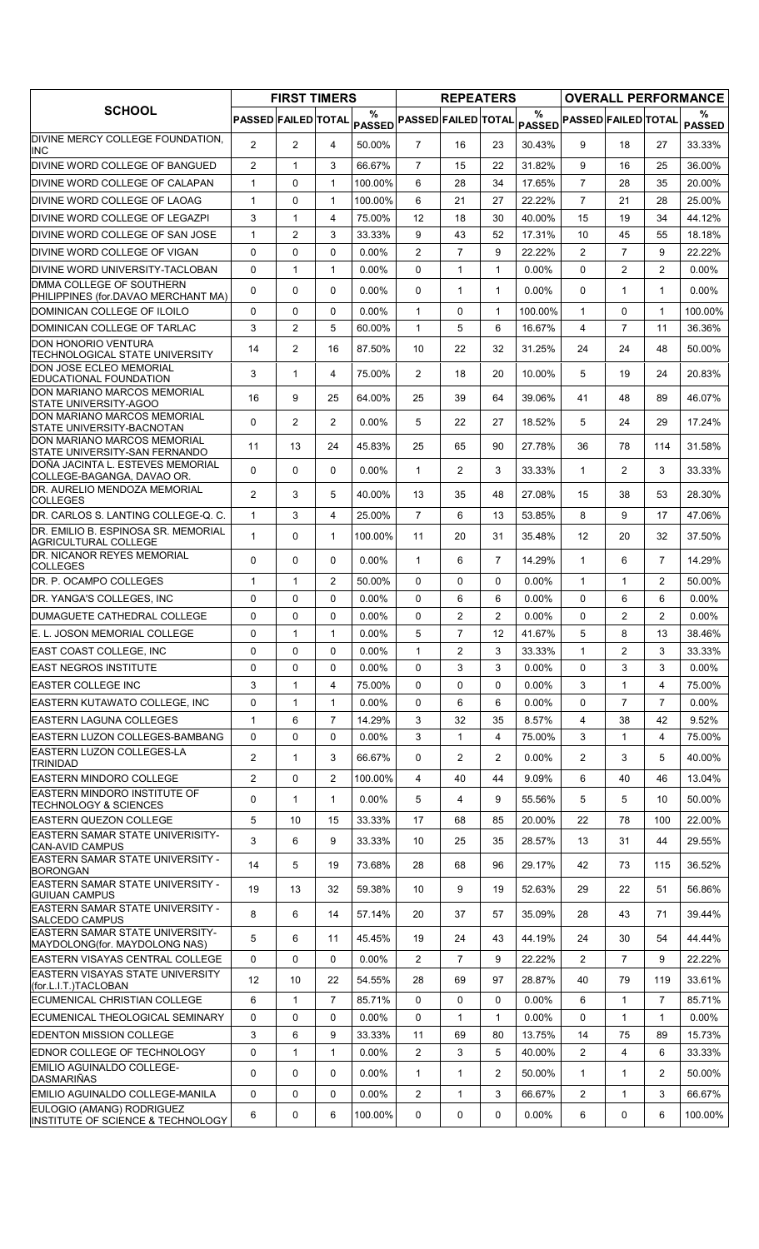|                                                                           |                            | <b>FIRST TIMERS</b> |                |                    |                            | <b>REPEATERS</b> |                |                    |                            |                |                | <b>OVERALL PERFORMANCE</b> |
|---------------------------------------------------------------------------|----------------------------|---------------------|----------------|--------------------|----------------------------|------------------|----------------|--------------------|----------------------------|----------------|----------------|----------------------------|
| <b>SCHOOL</b>                                                             | <b>PASSED FAILED TOTAL</b> |                     |                | %<br><b>PASSED</b> | <b>PASSED FAILED TOTAL</b> |                  |                | %<br><b>PASSED</b> | <b>PASSED FAILED TOTAL</b> |                |                | ℅<br><b>PASSED</b>         |
| DIVINE MERCY COLLEGE FOUNDATION.<br><b>INC</b>                            | $\overline{2}$             | $\overline{2}$      | 4              | 50.00%             | $\overline{7}$             | 16               | 23             | 30.43%             | 9                          | 18             | 27             | 33.33%                     |
| DIVINE WORD COLLEGE OF BANGUED                                            | $\overline{2}$             | $\mathbf{1}$        | 3              | 66.67%             | 7                          | 15               | 22             | 31.82%             | 9                          | 16             | 25             | 36.00%                     |
| DIVINE WORD COLLEGE OF CALAPAN                                            | $\mathbf{1}$               | 0                   | 1              | 100.00%            | 6                          | 28               | 34             | 17.65%             | $\overline{7}$             | 28             | 35             | 20.00%                     |
| <b>IDIVINE WORD COLLEGE OF LAOAG</b>                                      | $\mathbf{1}$               | $\mathbf 0$         | $\mathbf{1}$   | 100.00%            | 6                          | 21               | 27             | 22.22%             | $\overline{7}$             | 21             | 28             | 25.00%                     |
| IDIVINE WORD COLLEGE OF LEGAZPI                                           | 3                          | $\mathbf{1}$        | 4              | 75.00%             | 12                         | 18               | 30             | 40.00%             | 15                         | 19             | 34             | 44.12%                     |
| DIVINE WORD COLLEGE OF SAN JOSE                                           | $\mathbf{1}$               | 2                   | 3              | 33.33%             | 9                          | 43               | 52             | 17.31%             | 10                         | 45             | 55             | 18.18%                     |
| DIVINE WORD COLLEGE OF VIGAN                                              | 0                          | 0                   | 0              | $0.00\%$           | $\overline{c}$             | $\overline{7}$   | 9              | 22.22%             | $\overline{2}$             | $\overline{7}$ | 9              | 22.22%                     |
| DIVINE WORD UNIVERSITY-TACLOBAN                                           | 0                          | 1                   | 1              | $0.00\%$           | 0                          | 1                | $\mathbf{1}$   | $0.00\%$           | $\mathbf{0}$               | 2              | $\overline{2}$ | $0.00\%$                   |
| <b>IDMMA COLLEGE OF SOUTHERN</b><br>PHILIPPINES (for.DAVAO MERCHANT MA)   | 0                          | $\Omega$            | $\Omega$       | $0.00\%$           | 0                          | $\mathbf 1$      | $\mathbf{1}$   | $0.00\%$           | $\mathbf{0}$               | 1              | $\mathbf{1}$   | $0.00\%$                   |
| DOMINICAN COLLEGE OF ILOILO                                               | $\Omega$                   | 0                   | $\Omega$       | $0.00\%$           | $\mathbf{1}$               | 0                | $\mathbf{1}$   | 100.00%            | $\mathbf{1}$               | $\Omega$       | $\mathbf{1}$   | 100.00%                    |
| DOMINICAN COLLEGE OF TARLAC                                               | 3                          | 2                   | 5              | 60.00%             | 1                          | 5                | 6              | 16.67%             | 4                          | $\overline{7}$ | 11             | 36.36%                     |
| <b>DON HONORIO VENTURA</b>                                                | 14                         | $\overline{2}$      | 16             | 87.50%             | 10                         | 22               | 32             | 31.25%             | 24                         | 24             | 48             | 50.00%                     |
| TECHNOLOGICAL STATE UNIVERSITY<br>DON JOSE ECLEO MEMORIAL                 | 3                          | $\mathbf{1}$        | 4              | 75.00%             | $\overline{2}$             | 18               | 20             | 10.00%             | 5                          | 19             | 24             | 20.83%                     |
| EDUCATIONAL FOUNDATION<br>DON MARIANO MARCOS MEMORIAL                     |                            |                     |                |                    |                            |                  |                |                    |                            |                |                |                            |
| <b>STATE UNIVERSITY-AGOO</b><br>DON MARIANO MARCOS MEMORIAL               | 16                         | 9                   | 25             | 64.00%             | 25                         | 39               | 64             | 39.06%             | 41                         | 48             | 89             | 46.07%                     |
| STATE UNIVERSITY-BACNOTAN                                                 | 0                          | $\overline{2}$      | $\overline{2}$ | $0.00\%$           | 5                          | 22               | 27             | 18.52%             | 5                          | 24             | 29             | 17.24%                     |
| DON MARIANO MARCOS MEMORIAL<br>STATE UNIVERSITY-SAN FERNANDO              | 11                         | 13                  | 24             | 45.83%             | 25                         | 65               | 90             | 27.78%             | 36                         | 78             | 114            | 31.58%                     |
| DOÑA JACINTA L. ESTEVES MEMORIAL<br>COLLEGE-BAGANGA, DAVAO OR.            | $\Omega$                   | 0                   | $\Omega$       | $0.00\%$           | 1                          | $\overline{2}$   | 3              | 33.33%             | $\mathbf{1}$               | $\overline{2}$ | 3              | 33.33%                     |
| DR. AURELIO MENDOZA MEMORIAL<br><b>COLLEGES</b>                           | $\overline{2}$             | 3                   | 5              | 40.00%             | 13                         | 35               | 48             | 27.08%             | 15                         | 38             | 53             | 28.30%                     |
| DR. CARLOS S. LANTING COLLEGE-Q. C.                                       | $\mathbf{1}$               | 3                   | 4              | 25.00%             | $\overline{7}$             | 6                | 13             | 53.85%             | 8                          | 9              | 17             | 47.06%                     |
| DR. EMILIO B. ESPINOSA SR. MEMORIAL<br><b>AGRICULTURAL COLLEGE</b>        | 1                          | 0                   | $\mathbf{1}$   | 100.00%            | 11                         | 20               | 31             | 35.48%             | 12                         | 20             | 32             | 37.50%                     |
| <b>DR. NICANOR REYES MEMORIAL</b><br><b>COLLEGES</b>                      | 0                          | 0                   | $\mathbf{0}$   | 0.00%              | 1                          | 6                | $\overline{7}$ | 14.29%             | $\mathbf{1}$               | 6              | $\overline{7}$ | 14.29%                     |
| <b>IDR. P. OCAMPO COLLEGES</b>                                            | 1                          | $\mathbf{1}$        | 2              | 50.00%             | 0                          | 0                | 0              | $0.00\%$           | $\mathbf{1}$               | 1              | $\overline{2}$ | 50.00%                     |
| DR. YANGA'S COLLEGES, INC                                                 | 0                          | 0                   | 0              | $0.00\%$           | 0                          | 6                | 6              | 0.00%              | $\Omega$                   | 6              | 6              | $0.00\%$                   |
| <b>IDUMAGUETE CATHEDRAL COLLEGE</b>                                       | 0                          | $\mathbf 0$         | $\Omega$       | $0.00\%$           | $\Omega$                   | $\overline{2}$   | 2              | $0.00\%$           | $\Omega$                   | $\overline{2}$ | $\overline{2}$ | $0.00\%$                   |
| IE. L. JOSON MEMORIAL COLLEGE                                             | 0                          | $\mathbf{1}$        | $\mathbf{1}$   | $0.00\%$           | 5                          | $\overline{7}$   | 12             | 41.67%             | 5                          | 8              | 13             | 38.46%                     |
| EAST COAST COLLEGE, INC                                                   | 0                          | 0                   | 0              | 0.00%              | 1                          | $\overline{2}$   | 3              | 33.33%             | $\mathbf{1}$               | $\overline{2}$ | 3              | 33.33%                     |
| <b>IEAST NEGROS INSTITUTE</b>                                             | 0                          | $\Omega$            | $\Omega$       | $0.00\%$           | $\Omega$                   | 3                | 3              | $0.00\%$           | $\Omega$                   | 3              | 3              | $0.00\%$                   |
| <b>EASTER COLLEGE INC</b>                                                 | 3                          | $\mathbf{1}$        | 4              | 75.00%             | 0                          | 0                | 0              | $0.00\%$           | 3                          | 1              | 4              | 75.00%                     |
| EASTERN KUTAWATO COLLEGE. INC                                             | 0                          | $\mathbf{1}$        | $\mathbf{1}$   | 0.00%              | 0                          | 6                | 6              | 0.00%              | 0                          | $\overline{7}$ | $\overline{7}$ | $0.00\%$                   |
| <b>EASTERN LAGUNA COLLEGES</b>                                            | 1                          | 6                   | $\overline{7}$ | 14.29%             | 3                          | 32               | 35             | 8.57%              | 4                          | 38             | 42             | 9.52%                      |
| IEASTERN LUZON COLLEGES-BAMBANG                                           | 0                          | $\mathbf 0$         | $\Omega$       | $0.00\%$           | 3                          | 1                | 4              | 75.00%             | 3                          | 1              | 4              | 75.00%                     |
| <b>EASTERN LUZON COLLEGES-LA</b><br><b>TRINIDAD</b>                       | $\overline{2}$             | $\mathbf{1}$        | 3              | 66.67%             | 0                          | $\overline{2}$   | $\overline{2}$ | $0.00\%$           | $\overline{2}$             | 3              | 5              | 40.00%                     |
| EASTERN MINDORO COLLEGE                                                   | $\overline{2}$             | 0                   | $\overline{2}$ | 100.00%            | 4                          | 40               | 44             | 9.09%              | 6                          | 40             | 46             | 13.04%                     |
| EASTERN MINDORO INSTITUTE OF<br><b>TECHNOLOGY &amp; SCIENCES</b>          | 0                          | 1                   | 1              | $0.00\%$           | 5                          | 4                | 9              | 55.56%             | 5                          | 5              | 10             | 50.00%                     |
| EASTERN QUEZON COLLEGE                                                    | 5                          | 10                  | 15             | 33.33%             | 17                         | 68               | 85             | 20.00%             | 22                         | 78             | 100            | 22.00%                     |
| EASTERN SAMAR STATE UNIVERISITY-<br><b>CAN-AVID CAMPUS</b>                | 3                          | 6                   | 9              | 33.33%             | 10                         | 25               | 35             | 28.57%             | 13                         | 31             | 44             | 29.55%                     |
| <b>EASTERN SAMAR STATE UNIVERSITY -</b><br><b>BORONGAN</b>                | 14                         | 5                   | 19             | 73.68%             | 28                         | 68               | 96             | 29.17%             | 42                         | 73             | 115            | 36.52%                     |
| <b>EASTERN SAMAR STATE UNIVERSITY -</b><br><b>GUIUAN CAMPUS</b>           | 19                         | 13                  | 32             | 59.38%             | 10                         | 9                | 19             | 52.63%             | 29                         | 22             | 51             | 56.86%                     |
| <b>EASTERN SAMAR STATE UNIVERSITY -</b><br>SALCEDO CAMPUS                 | 8                          | 6                   | 14             | 57.14%             | 20                         | 37               | 57             | 35.09%             | 28                         | 43             | 71             | 39.44%                     |
| <b>EASTERN SAMAR STATE UNIVERSITY-</b>                                    | 5                          | 6                   | 11             | 45.45%             | 19                         | 24               | 43             | 44.19%             | 24                         | 30             | 54             | 44.44%                     |
| MAYDOLONG(for. MAYDOLONG NAS)<br>EASTERN VISAYAS CENTRAL COLLEGE          | 0                          | 0                   | $\mathbf{0}$   | $0.00\%$           | $\overline{2}$             | $\overline{7}$   | 9              | 22.22%             | $\overline{2}$             | $\overline{7}$ | 9              | 22.22%                     |
| <b>EASTERN VISAYAS STATE UNIVERSITY</b><br>(for.L.I.T.)TACLOBAN           | 12                         | 10                  | 22             | 54.55%             | 28                         | 69               | 97             | 28.87%             | 40                         | 79             | 119            | 33.61%                     |
| <b>IECUMENICAL CHRISTIAN COLLEGE</b>                                      | 6                          | $\mathbf{1}$        | $\overline{7}$ | 85.71%             | 0                          | 0                | 0              | 0.00%              | 6                          | $\mathbf{1}$   | $\overline{7}$ | 85.71%                     |
| ECUMENICAL THEOLOGICAL SEMINARY                                           | 0                          | $\mathbf 0$         | 0              | $0.00\%$           | 0                          | $\mathbf{1}$     | $\mathbf{1}$   | 0.00%              | $\Omega$                   | 1              | $\mathbf{1}$   | $0.00\%$                   |
| EDENTON MISSION COLLEGE                                                   | 3                          | 6                   | 9              | 33.33%             | 11                         | 69               | 80             | 13.75%             | 14                         | 75             | 89             | 15.73%                     |
| EDNOR COLLEGE OF TECHNOLOGY                                               | 0                          | $\mathbf{1}$        | 1              | 0.00%              | 2                          | 3                | 5              | 40.00%             | $\overline{2}$             | 4              | 6              | 33.33%                     |
| EMILIO AGUINALDO COLLEGE-<br><b>DASMARIÑAS</b>                            | 0                          | 0                   | 0              | $0.00\%$           | 1                          | $\mathbf{1}$     | 2              | 50.00%             | $\mathbf{1}$               | 1              | $\overline{2}$ | 50.00%                     |
| EMILIO AGUINALDO COLLEGE-MANILA                                           | 0                          | 0                   | 0              | $0.00\%$           | 2                          | $\mathbf{1}$     | 3              | 66.67%             | $\overline{2}$             | 1              | 3              | 66.67%                     |
| EULOGIO (AMANG) RODRIGUEZ<br><b>INSTITUTE OF SCIENCE &amp; TECHNOLOGY</b> | 6                          | 0                   | 6              | 100.00%            | 0                          | 0                | 0              | $0.00\%$           | 6                          | 0              | 6              | 100.00%                    |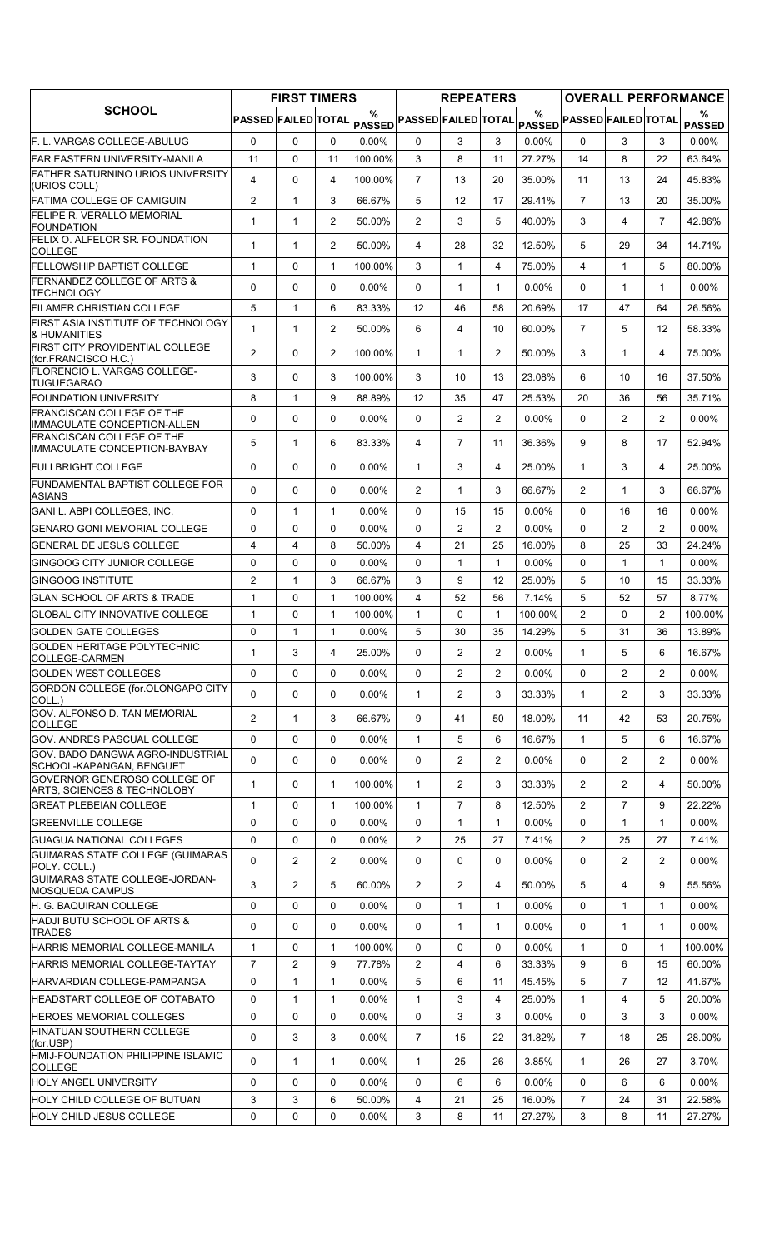|                                                                  |                     | <b>FIRST TIMERS</b> |                |             |                            | <b>REPEATERS</b> |                |          |                            |                |                | <b>OVERALL PERFORMANCE</b> |
|------------------------------------------------------------------|---------------------|---------------------|----------------|-------------|----------------------------|------------------|----------------|----------|----------------------------|----------------|----------------|----------------------------|
| <b>SCHOOL</b>                                                    | PASSED FAILED TOTAL |                     |                | %<br>PASSED | <b>PASSED FAILED TOTAL</b> |                  |                | $\%$     | PASSED PASSED FAILED TOTAL |                |                | %<br><b>PASSED</b>         |
| F. L. VARGAS COLLEGE-ABULUG                                      | 0                   | $\Omega$            | $\Omega$       | $0.00\%$    | 0                          | 3                | 3              | $0.00\%$ | $\Omega$                   | 3              | 3              | $0.00\%$                   |
| <b>FAR EASTERN UNIVERSITY-MANILA</b>                             | 11                  | 0                   | 11             | 100.00%     | 3                          | 8                | 11             | 27.27%   | 14                         | 8              | 22             | 63.64%                     |
| <b>FATHER SATURNINO URIOS UNIVERSITY</b><br>(URIOS COLL)         | 4                   | 0                   | 4              | 100.00%     | $\overline{7}$             | 13               | 20             | 35.00%   | 11                         | 13             | 24             | 45.83%                     |
| <b>FATIMA COLLEGE OF CAMIGUIN</b>                                | $\overline{c}$      | $\mathbf{1}$        | 3              | 66.67%      | 5                          | 12               | 17             | 29.41%   | $\overline{7}$             | 13             | 20             | 35.00%                     |
| <b>FELIPE R. VERALLO MEMORIAL</b><br>FOUNDATION                  | $\mathbf{1}$        | $\mathbf{1}$        | $\overline{2}$ | 50.00%      | $\overline{2}$             | 3                | 5              | 40.00%   | 3                          | 4              | $\overline{7}$ | 42.86%                     |
| FELIX O. ALFELOR SR. FOUNDATION<br><b>COLLEGE</b>                | 1                   | $\mathbf{1}$        | $\overline{2}$ | 50.00%      | 4                          | 28               | 32             | 12.50%   | 5                          | 29             | 34             | 14.71%                     |
| <b>FELLOWSHIP BAPTIST COLLEGE</b>                                | $\mathbf{1}$        | 0                   | $\mathbf{1}$   | 100.00%     | 3                          | $\mathbf{1}$     | 4              | 75.00%   | $\overline{4}$             | $\mathbf{1}$   | 5              | 80.00%                     |
| <b>FERNANDEZ COLLEGE OF ARTS &amp;</b><br><b>TECHNOLOGY</b>      | 0                   | 0                   | 0              | $0.00\%$    | 0                          | $\mathbf{1}$     | $\mathbf{1}$   | 0.00%    | 0                          | 1              | $\mathbf 1$    | $0.00\%$                   |
| <b>IFILAMER CHRISTIAN COLLEGE</b>                                | 5                   | $\mathbf{1}$        | 6              | 83.33%      | 12                         | 46               | 58             | 20.69%   | 17                         | 47             | 64             | 26.56%                     |
| <b>FIRST ASIA INSTITUTE OF TECHNOLOGY</b><br>& HUMANITIES        | 1                   | $\mathbf{1}$        | $\overline{2}$ | 50.00%      | 6                          | 4                | 10             | 60.00%   | $\overline{7}$             | 5              | 12             | 58.33%                     |
| FIRST CITY PROVIDENTIAL COLLEGE<br>(for.FRANCISCO H.C.)          | $\overline{2}$      | 0                   | $\overline{2}$ | 100.00%     | $\mathbf{1}$               | $\mathbf{1}$     | $\overline{2}$ | 50.00%   | 3                          | $\mathbf{1}$   | 4              | 75.00%                     |
| FLORENCIO L. VARGAS COLLEGE-<br><b>TUGUEGARAO</b>                | 3                   | $\mathbf 0$         | 3              | 100.00%     | 3                          | 10               | 13             | 23.08%   | 6                          | 10             | 16             | 37.50%                     |
| <b>FOUNDATION UNIVERSITY</b>                                     | 8                   | $\mathbf{1}$        | 9              | 88.89%      | 12                         | 35               | 47             | 25.53%   | 20                         | 36             | 56             | 35.71%                     |
| <b>FRANCISCAN COLLEGE OF THE</b><br>IMMACULATE CONCEPTION-ALLEN  | 0                   | 0                   | 0              | 0.00%       | 0                          | $\overline{2}$   | $\overline{2}$ | 0.00%    | $\Omega$                   | $\overline{2}$ | $\overline{2}$ | $0.00\%$                   |
| <b>FRANCISCAN COLLEGE OF THE</b><br>IMMACULATE CONCEPTION-BAYBAY | 5                   | $\mathbf{1}$        | 6              | 83.33%      | 4                          | $\overline{7}$   | 11             | 36.36%   | 9                          | 8              | 17             | 52.94%                     |
| <b>FULLBRIGHT COLLEGE</b>                                        | 0                   | 0                   | 0              | $0.00\%$    | $\mathbf{1}$               | 3                | 4              | 25.00%   | $\mathbf{1}$               | 3              | 4              | 25.00%                     |
| <b>FUNDAMENTAL BAPTIST COLLEGE FOR</b>                           | $\mathbf{0}$        | 0                   | $\mathbf{0}$   | $0.00\%$    | $\overline{2}$             | $\mathbf 1$      | 3              | 66.67%   | $\overline{2}$             | 1              | 3              | 66.67%                     |
| <b>ASIANS</b><br>GANI L. ABPI COLLEGES, INC.                     | 0                   | $\mathbf{1}$        | $\mathbf{1}$   | $0.00\%$    | $\Omega$                   | 15               | 15             | 0.00%    | $\Omega$                   | 16             | 16             | $0.00\%$                   |
| <b>GENARO GONI MEMORIAL COLLEGE</b>                              | 0                   | 0                   | $\Omega$       | $0.00\%$    | $\Omega$                   | $\overline{2}$   | $\overline{2}$ | $0.00\%$ | $\mathbf{0}$               | $\overline{2}$ | $\overline{2}$ | $0.00\%$                   |
| <b>GENERAL DE JESUS COLLEGE</b>                                  | 4                   | 4                   | 8              | 50.00%      | 4                          | 21               | 25             | 16.00%   | 8                          | 25             | 33             | 24.24%                     |
| <b>GINGOOG CITY JUNIOR COLLEGE</b>                               | 0                   | $\mathbf 0$         | $\Omega$       | 0.00%       | 0                          | $\mathbf{1}$     | $\mathbf{1}$   | 0.00%    | $\Omega$                   | $\mathbf{1}$   | $\mathbf{1}$   | $0.00\%$                   |
| <b>GINGOOG INSTITUTE</b>                                         | $\overline{2}$      | $\mathbf{1}$        | 3              | 66.67%      | 3                          | 9                | 12             | 25.00%   | 5                          | 10             | 15             | 33.33%                     |
| IGLAN SCHOOL OF ARTS & TRADE                                     | $\mathbf{1}$        | 0                   | $\mathbf{1}$   | 100.00%     | $\overline{4}$             | 52               | 56             | 7.14%    | 5                          | 52             | 57             | 8.77%                      |
| <b>IGLOBAL CITY INNOVATIVE COLLEGE</b>                           | $\mathbf{1}$        | $\mathbf 0$         | $\mathbf{1}$   | 100.00%     | $\mathbf{1}$               | $\Omega$         | $\mathbf{1}$   | 100.00%  | $\overline{2}$             | $\Omega$       | $\overline{2}$ | 100.00%                    |
| <b>GOLDEN GATE COLLEGES</b>                                      | 0                   | $\mathbf{1}$        | $\mathbf{1}$   | $0.00\%$    | 5                          | 30               | 35             | 14.29%   | 5                          | 31             | 36             | 13.89%                     |
| GOLDEN HERITAGE POLYTECHNIC<br>COLLEGE-CARMEN                    | 1                   | 3                   | 4              | 25.00%      | 0                          | $\overline{2}$   | $\overline{2}$ | 0.00%    | $\mathbf{1}$               | 5              | 6              | 16.67%                     |
| <b>GOLDEN WEST COLLEGES</b>                                      | 0                   | 0                   | $\Omega$       | $0.00\%$    | $\Omega$                   | $\overline{2}$   | $\overline{2}$ | $0.00\%$ | $\Omega$                   | $\overline{2}$ | $\overline{2}$ | $0.00\%$                   |
| GORDON COLLEGE (for OLONGAPO CITY<br>COLL.)                      | 0                   | 0                   | 0              | $0.00\%$    | 1                          | 2                | 3              | 33.33%   | $\mathbf{1}$               | $\overline{2}$ | 3              | 33.33%                     |
| <b>GOV. ALFONSO D. TAN MEMORIAL</b><br><b>COLLEGE</b>            | $\overline{2}$      | $\mathbf{1}$        | 3              | 66.67%      | 9                          | 41               | 50             | 18.00%   | 11                         | 42             | 53             | 20.75%                     |
| <b>GOV. ANDRES PASCUAL COLLEGE</b>                               | 0                   | 0                   | 0              | 0.00%       | $\mathbf{1}$               | 5                | 6              | 16.67%   | $\mathbf{1}$               | 5              | 6              | 16.67%                     |
| GOV. BADO DANGWA AGRO-INDUSTRIAL<br>SCHOOL-KAPANGAN, BENGUET     | 0                   | 0                   | 0              | $0.00\%$    | 0                          | $\overline{2}$   | 2              | 0.00%    | 0                          | $\overline{2}$ | $\overline{2}$ | $0.00\%$                   |
| GOVERNOR GENEROSO COLLEGE OF<br>ARTS, SCIENCES & TECHNOLOBY      | 1                   | 0                   | 1              | 100.00%     | $\mathbf{1}$               | $\overline{2}$   | 3              | 33.33%   | $\overline{2}$             | $\overline{2}$ | 4              | 50.00%                     |
| GREAT PLEBEIAN COLLEGE                                           | $\mathbf{1}$        | 0                   | $\mathbf{1}$   | 100.00%     | $\mathbf{1}$               | $\overline{7}$   | 8              | 12.50%   | $\overline{2}$             | $\overline{7}$ | 9              | 22.22%                     |
| <b>GREENVILLE COLLEGE</b>                                        | 0                   | 0                   | 0              | $0.00\%$    | 0                          | $\mathbf{1}$     | $\mathbf{1}$   | 0.00%    | 0                          | $\mathbf 1$    | $\mathbf{1}$   | $0.00\%$                   |
| <b>GUAGUA NATIONAL COLLEGES</b>                                  | 0                   | $\mathbf 0$         | $\Omega$       | $0.00\%$    | $\mathbf{2}^{\prime}$      | 25               | 27             | 7.41%    | $\overline{2}$             | 25             | 27             | 7.41%                      |
| GUIMARAS STATE COLLEGE (GUIMARAS                                 | 0                   | $\overline{2}$      | $\overline{2}$ | $0.00\%$    | 0                          | 0                | 0              | $0.00\%$ | 0                          | $\overline{2}$ | $\overline{2}$ | $0.00\%$                   |
| POLY. COLL.)<br>GUIMARAS STATE COLLEGE-JORDAN-                   | 3                   | 2                   | 5              | 60.00%      | $\overline{2}$             | $\overline{2}$   | 4              | 50.00%   | 5                          | 4              | 9              | 55.56%                     |
| <b>MOSQUEDA CAMPUS</b><br>H. G. BAQUIRAN COLLEGE                 | 0                   | $\mathbf 0$         | $\mathbf 0$    | $0.00\%$    | 0                          | $\mathbf{1}$     | $\mathbf{1}$   | $0.00\%$ | $\Omega$                   | $\mathbf{1}$   | $\mathbf{1}$   | $0.00\%$                   |
| HADJI BUTU SCHOOL OF ARTS &<br><b>TRADES</b>                     | 0                   | 0                   | 0              | $0.00\%$    | 0                          | $\mathbf{1}$     | $\mathbf{1}$   | $0.00\%$ | 0                          | $\mathbf{1}$   | $\mathbf{1}$   | $0.00\%$                   |
| HARRIS MEMORIAL COLLEGE-MANILA                                   | $\mathbf{1}$        | 0                   | 1              | 100.00%     | 0                          | 0                | 0              | $0.00\%$ | $\mathbf{1}$               | 0              | 1              | 100.00%                    |
| HARRIS MEMORIAL COLLEGE-TAYTAY                                   | $\overline{7}$      | 2                   | 9              | 77.78%      | $\overline{2}$             | 4                | 6              | 33.33%   | 9                          | 6              | 15             | 60.00%                     |
| HARVARDIAN COLLEGE-PAMPANGA                                      | 0                   | $\mathbf{1}$        | 1              | $0.00\%$    | 5                          | 6                | 11             | 45.45%   | 5                          | $\overline{7}$ | 12             | 41.67%                     |
| <b>HEADSTART COLLEGE OF COTABATO</b>                             | 0                   | $\mathbf{1}$        | 1              | $0.00\%$    | $\mathbf{1}$               | 3                | 4              | 25.00%   | $\mathbf{1}$               | 4              | 5              | 20.00%                     |
| <b>HEROES MEMORIAL COLLEGES</b>                                  | 0                   | $\mathbf 0$         | 0              | $0.00\%$    | 0                          | 3                | 3              | 0.00%    | $\mathbf 0$                | 3              | 3              | $0.00\%$                   |
| HINATUAN SOUTHERN COLLEGE<br>(for.USP)                           | 0                   | 3                   | 3              | $0.00\%$    | $\overline{7}$             | 15               | 22             | 31.82%   | $\overline{7}$             | 18             | 25             | 28.00%                     |
| HMIJ-FOUNDATION PHILIPPINE ISLAMIC<br><b>COLLEGE</b>             | 0                   | $\mathbf{1}$        | $\mathbf{1}$   | $0.00\%$    | $\mathbf{1}$               | 25               | 26             | 3.85%    | $\mathbf{1}$               | 26             | 27             | 3.70%                      |
| <b>HOLY ANGEL UNIVERSITY</b>                                     | 0                   | 0                   | 0              | $0.00\%$    | 0                          | 6                | 6              | 0.00%    | $\mathbf{0}$               | 6              | 6              | $0.00\%$                   |
| HOLY CHILD COLLEGE OF BUTUAN                                     | 3                   | 3                   | 6              | 50.00%      | 4                          | 21               | 25             | 16.00%   | $\overline{7}$             | 24             | 31             | 22.58%                     |
| <b>HOLY CHILD JESUS COLLEGE</b>                                  | 0                   | 0                   | 0              | $0.00\%$    | 3                          | 8                | 11             | 27.27%   | 3                          | 8              | 11             | 27.27%                     |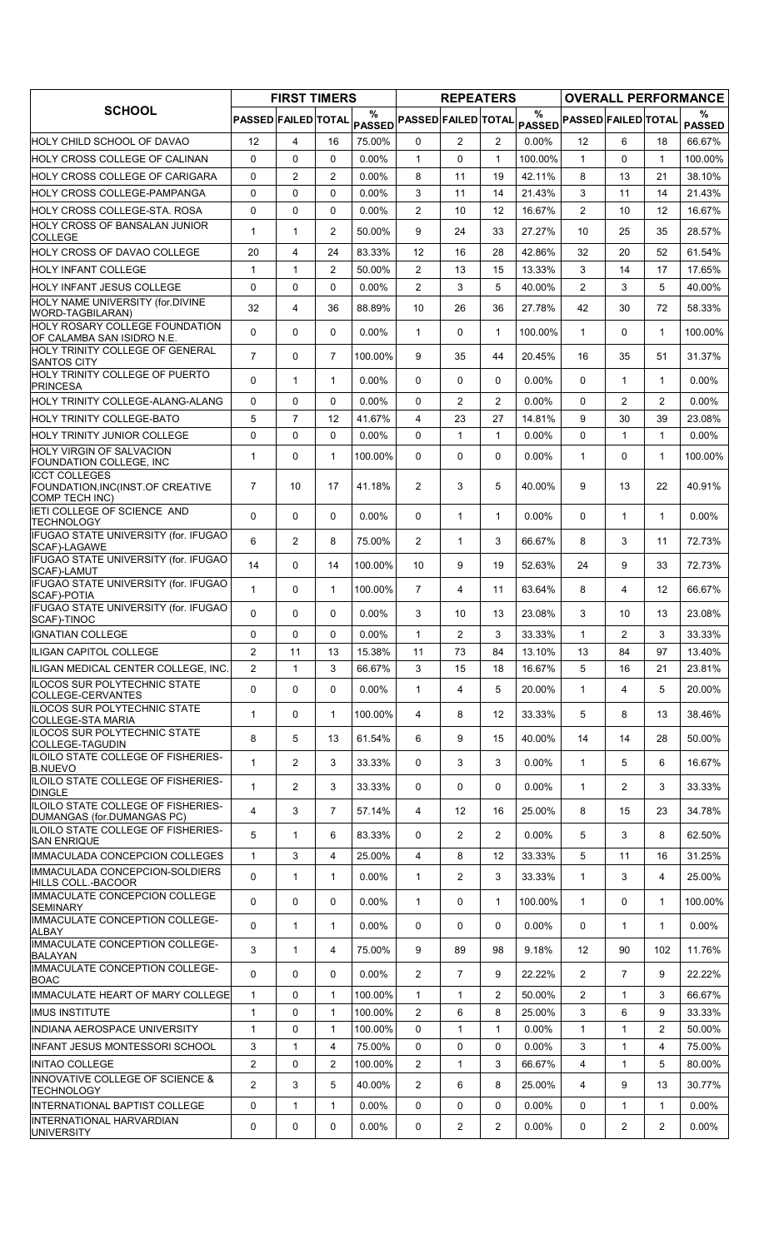|                                                                                   |                            | <b>FIRST TIMERS</b> |                |          |                                                                 | <b>REPEATERS</b> |                |               |                                        |                |                   | <b>OVERALL PERFORMANCE</b> |
|-----------------------------------------------------------------------------------|----------------------------|---------------------|----------------|----------|-----------------------------------------------------------------|------------------|----------------|---------------|----------------------------------------|----------------|-------------------|----------------------------|
| <b>SCHOOL</b>                                                                     | <b>PASSED FAILED TOTAL</b> |                     |                | %        | $\mathsf{PAS\overset{\circ}{\mathtt{SED}}}$ PASSED FAILED TOTAL |                  |                | $\frac{0}{0}$ | PASSED <sup> PASSED FAILED TOTAL</sup> |                |                   | %<br><b>PASSED</b>         |
| HOLY CHILD SCHOOL OF DAVAO                                                        | 12                         | 4                   | 16             | 75.00%   | 0                                                               | $\overline{2}$   | $\overline{2}$ | $0.00\%$      | $12 \overline{ }$                      | 6              | 18                | 66.67%                     |
| HOLY CROSS COLLEGE OF CALINAN                                                     | 0                          | 0                   | $\Omega$       | 0.00%    | $\mathbf{1}$                                                    | 0                | 1              | 100.00%       | $\mathbf{1}$                           | $\Omega$       | $\mathbf{1}$      | 100.00%                    |
| HOLY CROSS COLLEGE OF CARIGARA                                                    | 0                          | 2                   | 2              | $0.00\%$ | 8                                                               | 11               | 19             | 42.11%        | 8                                      | 13             | 21                | 38.10%                     |
| HOLY CROSS COLLEGE-PAMPANGA                                                       | 0                          | $\mathbf 0$         | $\Omega$       | $0.00\%$ | 3                                                               | 11               | 14             | 21.43%        | 3                                      | 11             | 14                | 21.43%                     |
| HOLY CROSS COLLEGE-STA. ROSA                                                      | 0                          | 0                   | 0              | $0.00\%$ | $\overline{2}$                                                  | 10               | 12             | 16.67%        | $\overline{2}$                         | 10             | 12                | 16.67%                     |
| HOLY CROSS OF BANSALAN JUNIOR<br>COLLEGE                                          | 1                          | 1                   | $\overline{2}$ | 50.00%   | 9                                                               | 24               | 33             | 27.27%        | 10                                     | 25             | 35                | 28.57%                     |
| HOLY CROSS OF DAVAO COLLEGE                                                       | 20                         | $\overline{4}$      | 24             | 83.33%   | 12                                                              | 16               | 28             | 42.86%        | 32                                     | 20             | 52                | 61.54%                     |
| HOLY INFANT COLLEGE                                                               | 1                          | $\mathbf{1}$        | 2              | 50.00%   | $\overline{2}$                                                  | 13               | 15             | 13.33%        | 3                                      | 14             | 17                | 17.65%                     |
| HOLY INFANT JESUS COLLEGE                                                         | $\Omega$                   | $\Omega$            | $\Omega$       | $0.00\%$ | $\overline{2}$                                                  | 3                | 5              | 40.00%        | $\overline{2}$                         | 3              | 5                 | 40.00%                     |
| HOLY NAME UNIVERSITY (for.DIVINE<br>WORD-TAGBILARAN)                              | 32                         | 4                   | 36             | 88.89%   | 10                                                              | 26               | 36             | 27.78%        | 42                                     | 30             | 72                | 58.33%                     |
| HOLY ROSARY COLLEGE FOUNDATION                                                    | 0                          | $\mathbf 0$         | $\Omega$       | 0.00%    | $\mathbf{1}$                                                    | 0                | $\mathbf{1}$   | 100.00%       | $\mathbf{1}$                           | $\Omega$       | $\mathbf{1}$      | 100.00%                    |
| OF CALAMBA SAN ISIDRO N.E.<br>HOLY TRINITY COLLEGE OF GENERAL                     | $\overline{7}$             | $\Omega$            | $\overline{7}$ |          | 9                                                               |                  |                |               |                                        |                |                   |                            |
| <b>SANTOS CITY</b><br>HOLY TRINITY COLLEGE OF PUERTO                              |                            |                     |                | 100.00%  |                                                                 | 35               | 44             | 20.45%        | 16                                     | 35             | 51                | 31.37%                     |
| <b>PRINCESA</b>                                                                   | $\Omega$                   | 1                   | 1              | 0.00%    | $\Omega$                                                        | 0                | 0              | 0.00%         | $\mathbf{0}$                           | $\mathbf{1}$   | $\mathbf{1}$      | $0.00\%$                   |
| HOLY TRINITY COLLEGE-ALANG-ALANG                                                  | 0                          | $\mathbf 0$         | $\Omega$       | $0.00\%$ | 0                                                               | 2                | $\overline{2}$ | 0.00%         | 0                                      | $\overline{2}$ | 2                 | $0.00\%$                   |
| HOLY TRINITY COLLEGE-BATO                                                         | 5                          | $\overline{7}$      | 12             | 41.67%   | 4                                                               | 23               | 27             | 14.81%        | 9                                      | 30             | 39                | 23.08%                     |
| <b>HOLY TRINITY JUNIOR COLLEGE</b>                                                | 0                          | $\Omega$            | $\Omega$       | $0.00\%$ | $\Omega$                                                        | $\mathbf{1}$     | $\mathbf{1}$   | $0.00\%$      | $\Omega$                               | $\mathbf{1}$   | $\mathbf{1}$      | $0.00\%$                   |
| <b>HOLY VIRGIN OF SALVACION</b><br>FOUNDATION COLLEGE, INC                        | $\mathbf{1}$               | $\Omega$            | $\mathbf{1}$   | 100.00%  | $\Omega$                                                        | 0                | 0              | 0.00%         | $\mathbf{1}$                           | $\Omega$       | $\mathbf{1}$      | 100.00%                    |
| <b>ICCT COLLEGES</b><br>FOUNDATION, INC(INST.OF CREATIVE<br><b>COMP TECH INC)</b> | $\overline{7}$             | 10                  | 17             | 41.18%   | $\overline{2}$                                                  | 3                | 5              | 40.00%        | 9                                      | 13             | 22                | 40.91%                     |
| IETI COLLEGE OF SCIENCE AND<br><b>TECHNOLOGY</b>                                  | $\Omega$                   | $\mathbf 0$         | $\Omega$       | $0.00\%$ | $\Omega$                                                        | $\mathbf{1}$     | $\mathbf{1}$   | 0.00%         | $\mathbf{0}$                           | $\mathbf{1}$   | $\mathbf{1}$      | $0.00\%$                   |
| IFUGAO STATE UNIVERSITY (for. IFUGAO<br>SCAF)-LAGAWE                              | 6                          | $\overline{2}$      | 8              | 75.00%   | $\overline{2}$                                                  | $\mathbf{1}$     | 3              | 66.67%        | 8                                      | 3              | 11                | 72.73%                     |
| IFUGAO STATE UNIVERSITY (for. IFUGAO<br>SCAF)-LAMUT                               | 14                         | 0                   | 14             | 100.00%  | 10                                                              | 9                | 19             | 52.63%        | 24                                     | 9              | 33                | 72.73%                     |
| IFUGAO STATE UNIVERSITY (for. IFUGAO<br>SCAF)-POTIA                               | $\mathbf{1}$               | 0                   | $\mathbf{1}$   | 100.00%  | $\overline{7}$                                                  | 4                | 11             | 63.64%        | 8                                      | 4              | $12 \overline{ }$ | 66.67%                     |
| IFUGAO STATE UNIVERSITY (for. IFUGAO<br>SCAF)-TINOC                               | 0                          | 0                   | $\Omega$       | $0.00\%$ | 3                                                               | 10               | 13             | 23.08%        | 3                                      | 10             | 13                | 23.08%                     |
| <b>IGNATIAN COLLEGE</b>                                                           | 0                          | 0                   | $\Omega$       | $0.00\%$ | $\mathbf{1}$                                                    | $\overline{2}$   | 3              | 33.33%        | $\mathbf{1}$                           | $\overline{2}$ | 3                 | 33.33%                     |
| <b>ILIGAN CAPITOL COLLEGE</b>                                                     | $\overline{2}$             | 11                  | 13             | 15.38%   | 11                                                              | 73               | 84             | 13.10%        | 13                                     | 84             | 97                | 13.40%                     |
| ILIGAN MEDICAL CENTER COLLEGE, INC.                                               | 2                          | 1                   | 3              | 66.67%   | 3                                                               | 15               | 18             | 16.67%        | 5                                      | 16             | 21                | 23.81%                     |
| ILOCOS SUR POLYTECHNIC STATE<br>COLLEGE-CERVANTES                                 | 0                          | $\Omega$            | $\mathbf{0}$   | $0.00\%$ | $\mathbf{1}$                                                    | 4                | 5              | 20.00%        | $\mathbf{1}$                           | 4              | 5                 | 20.00%                     |
| ILOCOS SUR POLYTECHNIC STATE<br>COLLEGE-STA MARIA                                 | $\mathbf{1}$               | 0                   | 1              | 100.00%  | 4                                                               | 8                | 12             | 33.33%        | 5                                      | 8              | 13                | 38.46%                     |
| ILOCOS SUR POLYTECHNIC STATE<br>COLLEGE-TAGUDIN                                   | 8                          | 5                   | 13             | 61.54%   | 6                                                               | 9                | 15             | 40.00%        | 14                                     | 14             | 28                | 50.00%                     |
| ILOILO STATE COLLEGE OF FISHERIES-<br><b>B.NUEVO</b>                              | $\mathbf{1}$               | $\overline{2}$      | 3              | 33.33%   | $\Omega$                                                        | 3                | 3              | $0.00\%$      | $\mathbf{1}$                           | 5              | 6                 | 16.67%                     |
| ILOILO STATE COLLEGE OF FISHERIES-<br><b>DINGLE</b>                               | 1                          | 2                   | 3              | 33.33%   | 0                                                               | 0                | 0              | $0.00\%$      | $\mathbf{1}$                           | $\overline{2}$ | 3                 | 33.33%                     |
| ILOILO STATE COLLEGE OF FISHERIES-<br>DUMANGAS (for.DUMANGAS PC)                  | 4                          | 3                   | 7              | 57.14%   | 4                                                               | 12               | 16             | 25.00%        | 8                                      | 15             | 23                | 34.78%                     |
| ILOILO STATE COLLEGE OF FISHERIES-<br><b>SAN ENRIQUE</b>                          | 5                          | 1                   | 6              | 83.33%   | 0                                                               | $\overline{2}$   | $\overline{2}$ | $0.00\%$      | 5                                      | 3              | 8                 | 62.50%                     |
| IMMACULADA CONCEPCION COLLEGES                                                    | $\mathbf{1}$               | 3                   | $\overline{4}$ | 25.00%   | 4                                                               | 8                | 12             | 33.33%        | 5                                      | 11             | 16                | 31.25%                     |
| IMMACULADA CONCEPCION-SOLDIERS                                                    | $\Omega$                   | $\mathbf{1}$        | 1              | $0.00\%$ | $\mathbf{1}$                                                    | 2                | 3              | 33.33%        | $\mathbf{1}$                           | 3              | 4                 | 25.00%                     |
| HILLS COLL.-BACOOR<br>IMMACULATE CONCEPCION COLLEGE                               | 0                          | 0                   | 0              | $0.00\%$ | 1                                                               | 0                | $\mathbf{1}$   | 100.00%       | $\mathbf{1}$                           | 0              | 1                 | 100.00%                    |
| <b>SEMINARY</b><br>IMMACULATE CONCEPTION COLLEGE-                                 | 0                          | 1                   | $\mathbf{1}$   | $0.00\%$ | 0                                                               | 0                | 0              | 0.00%         | $\mathbf 0$                            | $\mathbf{1}$   | $\mathbf{1}$      | $0.00\%$                   |
| <b>ALBAY</b><br>IMMACULATE CONCEPTION COLLEGE-                                    | 3                          | $\mathbf{1}$        | 4              | 75.00%   | 9                                                               | 89               | 98             | 9.18%         | $12 \overline{ }$                      | 90             | 102               | 11.76%                     |
| <b>BALAYAN</b><br>IMMACULATE CONCEPTION COLLEGE-                                  | 0                          | 0                   | 0              | $0.00\%$ | 2                                                               | $\overline{7}$   | 9              | 22.22%        | $\overline{2}$                         | $\overline{7}$ | 9                 | 22.22%                     |
| <b>BOAC</b><br>IMMACULATE HEART OF MARY COLLEGE                                   | $\mathbf{1}$               | $\mathbf{0}$        | 1              | 100.00%  |                                                                 | $\mathbf{1}$     | 2              | 50.00%        | $\overline{2}$                         | 1              | 3                 | 66.67%                     |
| <b>IMUS INSTITUTE</b>                                                             | 1                          | 0                   | $\mathbf{1}$   | 100.00%  | 1<br>2                                                          | 6                | 8              | 25.00%        | 3                                      | 6              | 9                 | 33.33%                     |
| INDIANA AEROSPACE UNIVERSITY                                                      | $\mathbf{1}$               | $\mathbf 0$         | 1              | 100.00%  | 0                                                               | $\mathbf{1}$     | $\mathbf{1}$   | 0.00%         | $\mathbf{1}$                           | $\mathbf{1}$   | 2                 | 50.00%                     |
| INFANT JESUS MONTESSORI SCHOOL                                                    | 3                          | $\mathbf{1}$        | 4              | 75.00%   | $\mathbf 0$                                                     | 0                | 0              | $0.00\%$      | 3                                      | $\mathbf{1}$   | $\overline{4}$    | 75.00%                     |
| <b>INITAO COLLEGE</b>                                                             | 2                          | $\mathbf 0$         | 2              | 100.00%  | 2                                                               | $\mathbf{1}$     | 3              | 66.67%        | 4                                      | 1              | 5                 | 80.00%                     |
| INNOVATIVE COLLEGE OF SCIENCE &<br><b>TECHNOLOGY</b>                              | $\overline{2}$             | 3                   | 5              | 40.00%   | $\overline{2}$                                                  | 6                | 8              | 25.00%        | 4                                      | 9              | 13                | 30.77%                     |
| INTERNATIONAL BAPTIST COLLEGE                                                     | 0                          | $\mathbf{1}$        | $\mathbf{1}$   | $0.00\%$ | 0                                                               | 0                | 0              | $0.00\%$      | 0                                      | $\mathbf{1}$   | $\mathbf{1}$      | $0.00\%$                   |
| INTERNATIONAL HARVARDIAN<br><b>UNIVERSITY</b>                                     | 0                          | 0                   | 0              | 0.00%    | 0                                                               | 2                | $\overline{2}$ | 0.00%         | 0                                      | $\mathbf{2}$   | $\overline{2}$    | $0.00\%$                   |
|                                                                                   |                            |                     |                |          |                                                                 |                  |                |               |                                        |                |                   |                            |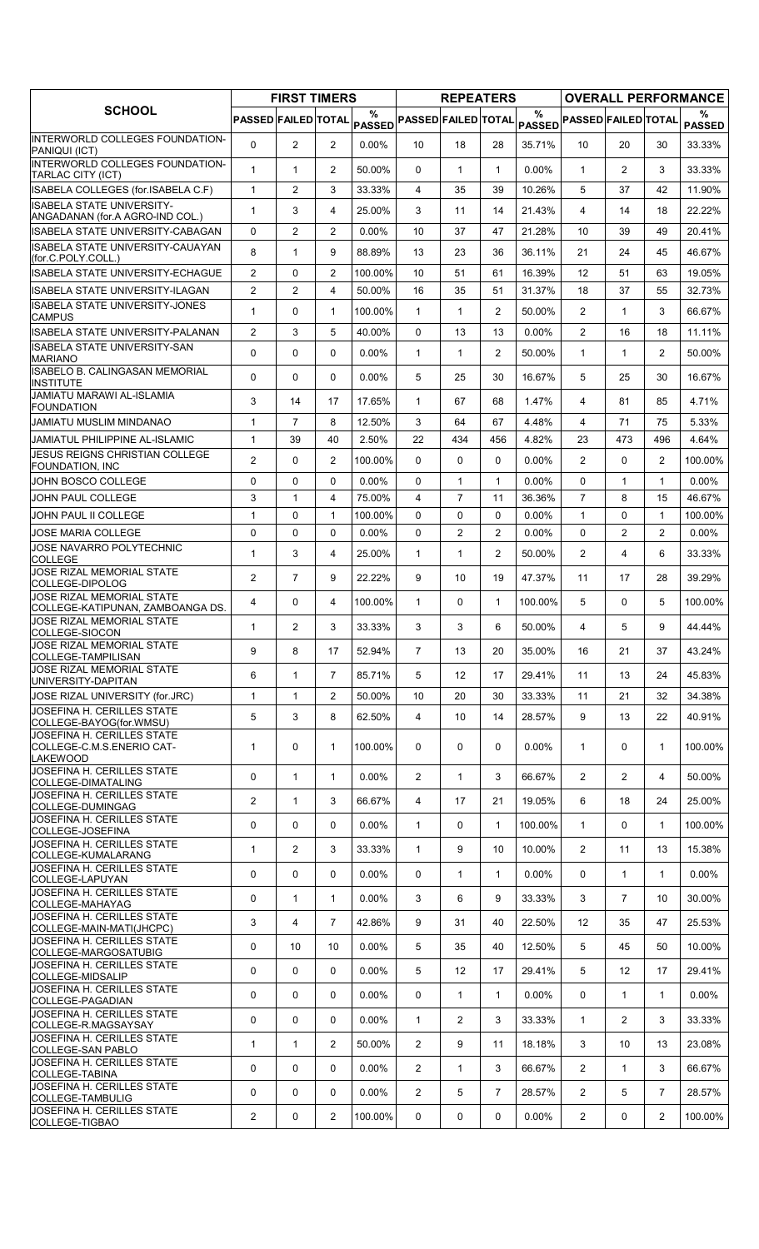|                                                                            |                       | <b>FIRST TIMERS</b> |                         |                |                            | <b>REPEATERS</b> |                |               |                            |                |                | <b>OVERALL PERFORMANCE</b> |
|----------------------------------------------------------------------------|-----------------------|---------------------|-------------------------|----------------|----------------------------|------------------|----------------|---------------|----------------------------|----------------|----------------|----------------------------|
| <b>SCHOOL</b>                                                              | PASSED FAILED TOTAL   |                     |                         | $\%$<br>PASSED | <b>PASSED FAILED TOTAL</b> |                  |                | $\frac{0}{0}$ | PASSED PASSED FAILED TOTAL |                |                | %<br><b>PASSED</b>         |
| <b>IINTERWORLD COLLEGES FOUNDATION-</b><br>PANIQUI (ICT)                   | $\Omega$              | 2                   | $\overline{2}$          | 0.00%          | 10 <sup>1</sup>            | 18               | 28             | 35.71%        | 10 <sup>°</sup>            | 20             | 30             | 33.33%                     |
| <b>INTERWORLD COLLEGES FOUNDATION-</b><br>TARLAC CITY (ICT)                | $\mathbf{1}$          | $\mathbf{1}$        | $\overline{2}$          | 50.00%         | $\Omega$                   | $\mathbf{1}$     | $\mathbf{1}$   | $0.00\%$      | $\mathbf{1}$               | $\overline{2}$ | 3              | 33.33%                     |
| ISABELA COLLEGES (for.ISABELA C.F)                                         | $\mathbf{1}$          | 2                   | 3                       | 33.33%         | 4                          | 35               | 39             | 10.26%        | 5                          | 37             | 42             | 11.90%                     |
| <b>ISABELA STATE UNIVERSITY-</b><br>ANGADANAN (for A AGRO-IND COL.)        | 1                     | 3                   | 4                       | 25.00%         | 3                          | 11               | 14             | 21.43%        | $\overline{4}$             | 14             | 18             | 22.22%                     |
| ISABELA STATE UNIVERSITY-CABAGAN                                           | 0                     | 2                   | $\overline{2}$          | $0.00\%$       | 10                         | 37               | 47             | 21.28%        | 10                         | 39             | 49             | 20.41%                     |
| ISABELA STATE UNIVERSITY-CAUAYAN<br>(for.C.POLY.COLL.)                     | 8                     | $\mathbf{1}$        | 9                       | 88.89%         | 13                         | 23               | 36             | 36.11%        | 21                         | 24             | 45             | 46.67%                     |
| <b>ISABELA STATE UNIVERSITY-ECHAGUE</b>                                    | $\overline{2}$        | $\Omega$            | $\overline{2}$          | 100.00%        | 10                         | 51               | 61             | 16.39%        | 12                         | 51             | 63             | 19.05%                     |
| lISABELA STATE UNIVERSITY-ILAGAN                                           | $\overline{2}$        | 2                   | 4                       | 50.00%         | 16                         | 35               | 51             | 31.37%        | 18                         | 37             | 55             | 32.73%                     |
| IISABELA STATE UNIVERSITY-JONES<br><b>CAMPUS</b>                           | $\mathbf 1$           | 0                   | $\mathbf{1}$            | 100.00%        | $\mathbf{1}$               | $\mathbf{1}$     | 2              | 50.00%        | $\overline{2}$             | $\mathbf 1$    | 3              | 66.67%                     |
| <b>ISABELA STATE UNIVERSITY-PALANAN</b>                                    | $\overline{2}$        | 3                   | 5                       | 40.00%         | 0                          | 13               | 13             | 0.00%         | $\overline{2}$             | 16             | 18             | 11.11%                     |
| <b>ISABELA STATE UNIVERSITY-SAN</b><br><b>MARIANO</b>                      | $\Omega$              | 0                   | $\Omega$                | 0.00%          | $\mathbf{1}$               | $\mathbf{1}$     | $\overline{2}$ | 50.00%        | $\mathbf{1}$               | $\mathbf{1}$   | $\overline{2}$ | 50.00%                     |
| <b>ISABELO B. CALINGASAN MEMORIAL</b><br><b>INSTITUTE</b>                  | 0                     | 0                   | $\Omega$                | 0.00%          | 5                          | 25               | 30             | 16.67%        | 5                          | 25             | 30             | 16.67%                     |
| <b>JAMIATU MARAWI AL-ISLAMIA</b><br><b>FOUNDATION</b>                      | 3                     | 14                  | 17                      | 17.65%         | $\mathbf 1$                | 67               | 68             | 1.47%         | 4                          | 81             | 85             | 4.71%                      |
| JAMIATU MUSLIM MINDANAO                                                    | $\mathbf{1}$          | $\overline{7}$      | 8                       | 12.50%         | 3                          | 64               | 67             | 4.48%         | 4                          | 71             | 75             | 5.33%                      |
| <b>JAMIATUL PHILIPPINE AL-ISLAMIC</b>                                      | 1                     | 39                  | 40                      | 2.50%          | 22                         | 434              | 456            | 4.82%         | 23                         | 473            | 496            | 4.64%                      |
| <b>JESUS REIGNS CHRISTIAN COLLEGE</b><br>FOUNDATION, INC                   | $\overline{2}$        | $\mathbf{0}$        | 2                       | 100.00%        | 0                          | 0                | 0              | $0.00\%$      | $\overline{2}$             | $\Omega$       | 2              | 100.00%                    |
| JOHN BOSCO COLLEGE                                                         | 0                     | $\Omega$            | $\mathbf{0}$            | $0.00\%$       | $\Omega$                   | $\mathbf{1}$     | $\mathbf{1}$   | 0.00%         | $\Omega$                   | $\mathbf{1}$   | $\mathbf{1}$   | $0.00\%$                   |
| JOHN PAUL COLLEGE                                                          | 3                     | $\mathbf{1}$        | $\overline{\mathbf{4}}$ | 75.00%         | 4                          | $\overline{7}$   | 11             | 36.36%        | $\overline{7}$             | 8              | 15             | 46.67%                     |
| JOHN PAUL II COLLEGE                                                       | $\mathbf{1}$          | 0                   | $\mathbf{1}$            | 100.00%        | $\Omega$                   | 0                | 0              | 0.00%         | $\mathbf{1}$               | $\Omega$       | $\mathbf{1}$   | 100.00%                    |
| <b>JOSE MARIA COLLEGE</b><br>JOSE NAVARRO POLYTECHNIC                      | 0                     | $\mathbf 0$         | $\Omega$                | $0.00\%$       | $\Omega$                   | $\overline{2}$   | $\overline{2}$ | $0.00\%$      | $\Omega$                   | 2              | 2              | $0.00\%$                   |
| <b>COLLEGE</b>                                                             | $\mathbf{1}$          | 3                   | 4                       | 25.00%         | $\mathbf{1}$               | 1                | $\overline{2}$ | 50.00%        | $\overline{2}$             | 4              | 6              | 33.33%                     |
| JOSE RIZAL MEMORIAL STATE<br>COLLEGE-DIPOLOG                               | $\overline{2}$        | $\overline{7}$      | 9                       | 22.22%         | 9                          | 10               | 19             | 47.37%        | 11                         | 17             | 28             | 39.29%                     |
| JOSE RIZAL MEMORIAL STATE<br>COLLEGE-KATIPUNAN, ZAMBOANGA DS.              | 4                     | 0                   | 4                       | 100.00%        | $\mathbf 1$                | 0                | $\mathbf{1}$   | 100.00%       | 5                          | $\Omega$       | 5              | 100.00%                    |
| JOSE RIZAL MEMORIAL STATE<br> COLLEGE-SIOCON                               | 1                     | $\overline{2}$      | 3                       | 33.33%         | 3                          | 3                | 6              | 50.00%        | $\overline{4}$             | 5              | 9              | 44.44%                     |
| JOSE RIZAL MEMORIAL STATE<br>COLLEGE-TAMPILISAN                            | 9                     | 8                   | 17                      | 52.94%         | $\overline{7}$             | 13               | 20             | 35.00%        | 16                         | 21             | 37             | 43.24%                     |
| JOSE RIZAL MEMORIAL STATE<br>UNIVERSITY-DAPITAN                            | 6                     | $\mathbf{1}$        | $\overline{7}$          | 85.71%         | 5                          | $12 \,$          | 17             | 29.41%        | 11                         | 13             | 24             | 45.83%                     |
| JOSE RIZAL UNIVERSITY (for.JRC)                                            | $\mathbf{1}$          | $\mathbf{1}$        | $\overline{2}$          | 50.00%         | 10                         | 20               | 30             | 33.33%        | 11                         | 21             | 32             | 34.38%                     |
| JOSEFINA H. CERILLES STATE<br>COLLEGE-BAYOG(for.WMSU)                      | 5                     | 3                   | 8                       | 62.50%         | 4                          | 10               | 14             | 28.57%        | 9                          | 13             | 22             | 40.91%                     |
| JOSEFINA H. CERILLES STATE<br>COLLEGE-C.M.S.ENERIO CAT-<br><b>LAKEWOOD</b> | 1                     | 0                   | $\mathbf{1}$            | 100.00%        | 0                          | 0                | 0              | 0.00%         | $\mathbf{1}$               | 0              | $\mathbf 1$    | 100.00%                    |
| JOSEFINA H. CERILLES STATE<br>COLLEGE-DIMATALING                           | 0                     | $\mathbf{1}$        | $\mathbf{1}$            | $0.00\%$       | $\overline{2}$             | $\mathbf{1}$     | 3              | 66.67%        | $\overline{2}$             | $\overline{2}$ | 4              | 50.00%                     |
| JOSEFINA H. CERILLES STATE<br>COLLEGE-DUMINGAG                             | $\overline{2}$        | $\mathbf{1}$        | 3                       | 66.67%         | 4                          | 17               | 21             | 19.05%        | 6                          | 18             | 24             | 25.00%                     |
| JOSEFINA H. CERILLES STATE<br>COLLEGE-JOSEFINA                             | 0                     | 0                   | $\Omega$                | $0.00\%$       | $\mathbf{1}$               | 0                | $\mathbf{1}$   | 100.00%       | $\mathbf{1}$               | 0              | $\mathbf{1}$   | 100.00%                    |
| JOSEFINA H. CERILLES STATE<br>COLLEGE-KUMALARANG                           | 1                     | $\overline{2}$      | 3                       | 33.33%         | 1                          | 9                | 10             | 10.00%        | $\overline{2}$             | 11             | 13             | 15.38%                     |
| JOSEFINA H. CERILLES STATE                                                 | 0                     | 0                   | 0                       | $0.00\%$       | 0                          | $\mathbf{1}$     | $\mathbf{1}$   | 0.00%         | 0                          | $\mathbf{1}$   | $\mathbf{1}$   | $0.00\%$                   |
| COLLEGE-LAPUYAN<br>JOSEFINA H. CERILLES STATE                              | 0                     | $\mathbf{1}$        | $\mathbf{1}$            | $0.00\%$       | 3                          | 6                | 9              | 33.33%        | 3                          | $\overline{7}$ | 10             | 30.00%                     |
| COLLEGE-MAHAYAG<br>JOSEFINA H. CERILLES STATE                              | 3                     | 4                   | $\overline{7}$          | 42.86%         | 9                          | 31               | 40             | 22.50%        | 12                         | 35             | 47             | 25.53%                     |
| COLLEGE-MAIN-MATI(JHCPC)<br>JOSEFINA H. CERILLES STATE                     | 0                     | 10                  | 10                      | $0.00\%$       | 5                          | 35               | 40             | 12.50%        | 5                          | 45             | 50             | 10.00%                     |
| COLLEGE-MARGOSATUBIG<br>JOSEFINA H. CERILLES STATE                         | 0                     | 0                   | 0                       |                | 5                          | 12               | 17             | 29.41%        | 5                          |                |                |                            |
| COLLEGE-MIDSALIP<br>JOSEFINA H. CERILLES STATE                             |                       |                     |                         | $0.00\%$       |                            |                  |                |               |                            | 12             | 17             | 29.41%                     |
| COLLEGE-PAGADIAN<br>JOSEFINA H. CERILLES STATE                             | 0                     | 0                   | 0                       | $0.00\%$       | 0                          | $\mathbf{1}$     | $\mathbf{1}$   | 0.00%         | 0                          | $\mathbf{1}$   | 1              | $0.00\%$                   |
| COLLEGE-R.MAGSAYSAY<br>JOSEFINA H. CERILLES STATE                          | 0                     | 0                   | 0                       | $0.00\%$       | $\mathbf{1}$               | 2                | 3              | 33.33%        | $\mathbf{1}$               | $\overline{2}$ | 3              | 33.33%                     |
| COLLEGE-SAN PABLO                                                          | 1                     | $\mathbf{1}$        | $\overline{2}$          | 50.00%         | $\overline{2}$             | 9                | 11             | 18.18%        | 3                          | 10             | 13             | 23.08%                     |
| JOSEFINA H. CERILLES STATE<br>COLLEGE-TABINA                               | 0                     | 0                   | 0                       | 0.00%          | $\overline{2}$             | 1                | 3              | 66.67%        | $\overline{2}$             | $\mathbf{1}$   | 3              | 66.67%                     |
| JOSEFINA H. CERILLES STATE<br>COLLEGE-TAMBULIG                             | $\mathbf 0$           | 0                   | $\mathbf{0}$            | $0.00\%$       | $\overline{2}$             | 5                | 7              | 28.57%        | $\overline{2}$             | 5              | $\overline{7}$ | 28.57%                     |
| JOSEFINA H. CERILLES STATE<br>COLLEGE-TIGBAO                               | $\mathbf{2}^{\prime}$ | 0                   | $\overline{2}$          | 100.00%        | 0                          | 0                | 0              | 0.00%         | $\overline{2}$             | 0              | $\mathbf{2}$   | 100.00%                    |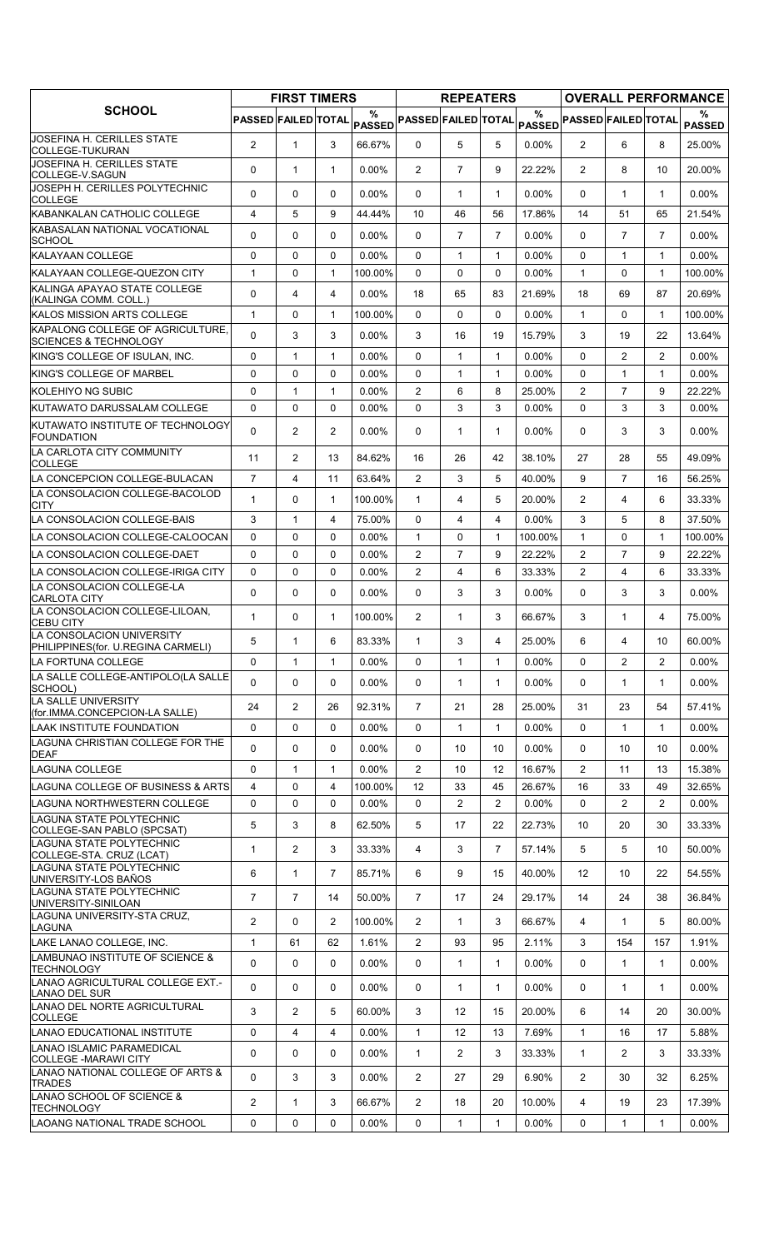| $\frac{0}{0}$<br>$\%$<br>%<br><b>PASSED FAILED TOTAL</b><br><b>PASSED FAILED TOTAL</b><br>PASSED PASSED FAILED TOTAL<br><b>PASSED</b><br><b>PASSED</b><br>JOSEFINA H. CERILLES STATE<br>$\overline{2}$<br>3<br>$\overline{2}$<br>6<br>$\mathbf{1}$<br>66.67%<br>$\Omega$<br>5<br>5<br>0.00%<br>8<br>25.00%<br>COLLEGE-TUKURAN<br>JOSEFINA H. CERILLES STATE<br>0<br>$\overline{7}$<br>9<br>$\overline{2}$<br>$\mathbf{1}$<br>$\mathbf{1}$<br>$0.00\%$<br>$\overline{2}$<br>22.22%<br>8<br>10<br>20.00%<br>COLLEGE-V.SAGUN<br>JOSEPH H. CERILLES POLYTECHNIC<br>0<br>0<br>0<br>$0.00\%$<br>0<br>$\mathbf 1$<br>$\mathbf{1}$<br>$0.00\%$<br>0<br>$\mathbf{1}$<br>$\mathbf{1}$<br>$0.00\%$<br><b>COLLEGE</b><br>KABANKALAN CATHOLIC COLLEGE<br>4<br>5<br>9<br>44.44%<br>10<br>46<br>56<br>17.86%<br>14<br>51<br>65<br>21.54%<br>KABASALAN NATIONAL VOCATIONAL<br>$\overline{7}$<br>$\Omega$<br>$\Omega$<br>$\Omega$<br>$0.00\%$<br>$\Omega$<br>$\overline{7}$<br>$\overline{7}$<br>0.00%<br>$\Omega$<br>$\overline{7}$<br>$0.00\%$<br>SCHOOL<br>0<br>0<br>0<br>$0.00\%$<br>0<br>$\mathbf{1}$<br>$\mathbf{1}$<br>0.00%<br>$\Omega$<br>$\mathbf{1}$<br>$\mathbf{1}$<br>$0.00\%$<br>$\mathbf{1}$<br>0<br>0<br>0<br>$\mathbf{1}$<br>$\Omega$<br>$\mathbf{1}$<br>100.00%<br>0<br>$0.00\%$<br>$\mathbf{1}$<br>100.00%<br>KALINGA APAYAO STATE COLLEGE<br>0<br>$0.00\%$<br>21.69%<br>4<br>4<br>18<br>65<br>83<br>18<br>69<br>87<br>20.69%<br>(KALINGA COMM. COLL.)<br>0<br>0<br>0<br>0.00%<br>$\mathbf{1}$<br>100.00%<br>$\mathbf{1}$<br>0<br>1<br>100.00%<br>$\Omega$<br>$\mathbf{1}$<br>$\mathbf 0$<br>3<br>22<br>3<br>3<br>0.00%<br>3<br>16<br>15.79%<br>19<br>13.64%<br>19<br><b>SCIENCES &amp; TECHNOLOGY</b><br>$\Omega$<br>$\overline{2}$<br>$\overline{2}$<br>0<br>$\mathbf{1}$<br>$\mathbf{1}$<br>$0.00\%$<br>$\Omega$<br>$\mathbf{1}$<br>$\mathbf{1}$<br>0.00%<br>$0.00\%$<br>0<br>$\mathbf 0$<br>0<br>0.00%<br>0<br>$\mathbf{1}$<br>$\mathbf{1}$<br>0.00%<br>$\Omega$<br>1<br>$0.00\%$<br>$\mathbf{1}$<br>$\Omega$<br>$\mathbf{1}$<br>0.00%<br>$\overline{2}$<br>6<br>8<br>25.00%<br>$\overline{2}$<br>$\overline{7}$<br>9<br>22.22%<br>$\mathbf{1}$<br>$\mathbf 0$<br>$\Omega$<br>3<br>3<br>3<br>0<br>0.00%<br>$\Omega$<br>3<br>0.00%<br>$\Omega$<br>$0.00\%$<br><b>KUTAWATO INSTITUTE OF TECHNOLOGY</b><br>0<br>2<br>$\overline{2}$<br>$\Omega$<br>3<br>3<br>$0.00\%$<br>0<br>$\mathbf{1}$<br>$\mathbf{1}$<br>$0.00\%$<br>$0.00\%$<br><b>FOUNDATION</b><br>LA CARLOTA CITY COMMUNITY<br>11<br>2<br>26<br>38.10%<br>27<br>13<br>84.62%<br>16<br>42<br>28<br>55<br>49.09%<br><b>COLLEGE</b><br>$\overline{7}$<br>63.64%<br>$\overline{2}$<br>3<br>5<br>40.00%<br>9<br>$\overline{7}$<br>56.25%<br>4<br>11<br>16<br>1<br>$\mathbf 0$<br>$\mathbf{1}$<br>5<br>20.00%<br>$\overline{2}$<br>4<br>6<br>33.33%<br>1<br>100.00%<br>4<br><b>CITY</b><br>LA CONSOLACION COLLEGE-BAIS<br>0.00%<br>3<br>5<br>8<br>3<br>$\mathbf{1}$<br>4<br>75.00%<br>$\Omega$<br>4<br>4<br>37.50%<br>0<br>$\mathbf 0$<br>0<br>0.00%<br>$\mathbf{1}$<br>0<br>$\mathbf{1}$<br>100.00%<br>$\mathbf{1}$<br>0<br>100.00%<br>$\mathbf{1}$<br>$\overline{7}$<br>$\overline{2}$<br>$\overline{7}$<br>ILA CONSOLACION COLLEGE-DAET<br>$\mathbf 0$<br>$\Omega$<br>0.00%<br>$\overline{2}$<br>9<br>22.22%<br>9<br>22.22%<br>0<br>$\overline{2}$<br>$\overline{2}$<br>0<br>$\mathbf 0$<br>$\Omega$<br>0.00%<br>4<br>6<br>33.33%<br>4<br>6<br>33.33%<br>LA CONSOLACION COLLEGE-LA<br>$\Omega$<br>$\Omega$<br>$\Omega$<br>0.00%<br>$\Omega$<br>3<br>3<br>0.00%<br>$\Omega$<br>3<br>3<br>$0.00\%$<br>LA CONSOLACION COLLEGE-LILOAN,<br>$\mathbf{1}$<br>$\overline{2}$<br>3<br>3<br>0<br>$\mathbf{1}$<br>100.00%<br>$\mathbf{1}$<br>66.67%<br>1<br>75.00%<br>4<br>5<br>83.33%<br>25.00%<br>60.00%<br>6<br>3<br>6<br>10<br>1<br>1<br>4<br>4<br>PHILIPPINES(for. U.REGINA CARMELI)<br>LA FORTUNA COLLEGE<br>0<br>$\mathbf{1}$<br>$0.00\%$<br>0<br>$\mathbf{1}$<br>$\mathbf{1}$<br>$0.00\%$<br>0<br>$\overline{2}$<br>$\overline{2}$<br>$0.00\%$<br>1<br>LA SALLE COLLEGE-ANTIPOLO(LA SALLE<br>0<br>0<br>0<br>$0.00\%$<br>0.00%<br>0<br>0<br>$\mathbf{1}$<br>$\mathbf{1}$<br>1<br>$0.00\%$<br>$\mathbf 1$<br>SCHOOL)<br>LA SALLE UNIVERSITY<br>$\overline{2}$<br>92.31%<br>24<br>26<br>7<br>21<br>28<br>25.00%<br>31<br>23<br>57.41%<br>54<br>(for.IMMA.CONCEPCION-LA SALLE)<br>0<br>0<br>$\mathbf 0$<br>$0.00\%$<br>0<br>$\mathbf{1}$<br>$\mathbf{1}$<br>$0.00\%$<br>0<br>$\mathbf{1}$<br>$\mathbf{1}$<br>$0.00\%$<br>0<br>$\mathbf 0$<br>0<br>$0.00\%$<br>0<br>0.00%<br>0<br>10<br>10<br>10<br>10<br>$0.00\%$<br><b>DEAF</b><br>$\overline{2}$<br>0<br>$\mathbf{1}$<br>$\mathbf{1}$<br>$\mathbf{2}^{\prime}$<br>11<br>$0.00\%$<br>10<br>12<br>16.67%<br>13<br>15.38%<br>$\overline{4}$<br>$\mathbf 0$<br>4<br>LAGUNA COLLEGE OF BUSINESS & ARTS<br>100.00%<br>12<br>26.67%<br>16<br>49<br>33<br>45<br>33<br>32.65%<br>0<br>0<br>$0.00\%$<br>$\overline{2}$<br>0.00%<br>0<br>$\overline{2}$<br>ILAGUNA NORTHWESTERN COLLEGE<br>0<br>0<br>2<br>$\overline{2}$<br>$0.00\%$<br>ILAGUNA STATE POLYTECHNIC<br>5<br>3<br>8<br>5<br>62.50%<br>17<br>22<br>22.73%<br>10<br>20<br>30<br>33.33%<br>COLLEGE-SAN PABLO (SPCSAT)<br>LAGUNA STATE POLYTECHNIC<br>$\overline{2}$<br>3<br>33.33%<br>$\overline{7}$<br>57.14%<br>5<br>5<br>50.00%<br>1<br>4<br>3<br>10<br>$\overline{7}$<br>6<br>$\mathbf{1}$<br>9<br>40.00%<br>85.71%<br>6<br>15<br>12<br>10<br>22<br>54.55%<br>$\overline{7}$<br>$\overline{7}$<br>50.00%<br>$\overline{7}$<br>29.17%<br>14<br>17<br>24<br>14<br>24<br>38<br>36.84%<br>$\overline{2}$<br>$\overline{2}$<br>66.67%<br>0<br>100.00%<br>$\overline{2}$<br>$\mathbf{1}$<br>3<br>4<br>1<br>5<br>80.00%<br>LAGUNA<br>$\mathbf{1}$<br>$\overline{2}$<br>3<br>61<br>62<br>2.11%<br>154<br>LAKE LANAO COLLEGE, INC.<br>1.61%<br>93<br>95<br>157<br>1.91%<br>0<br>0<br>0<br>$\mathbf{1}$<br>0<br>$0.00\%$<br>0<br>$\mathbf{1}$<br>$\mathbf{1}$<br>$0.00\%$<br>$\mathbf{1}$<br>$0.00\%$<br><b>TECHNOLOGY</b><br>0<br>$\Omega$<br>$\Omega$<br>$0.00\%$<br>$0.00\%$<br>$\Omega$<br>0<br>$\mathbf{1}$<br>$\mathbf{1}$<br>1<br>$\mathbf{1}$<br>$0.00\%$<br><b>LANAO DEL SUR</b><br>3<br>$\overline{2}$<br>5<br>3<br>6<br>60.00%<br>12<br>15<br>20.00%<br>14<br>20<br>30.00%<br><b>COLLEGE</b><br>0<br>$\mathbf{1}$<br>$\overline{4}$<br>$\overline{4}$<br>$0.00\%$<br>$\mathbf{1}$<br>7.69%<br>12<br>13<br>16<br>17<br>5.88%<br>0<br>0<br>0<br>$\overline{2}$<br>3<br>$\mathbf{1}$<br>$\overline{2}$<br>3<br>$0.00\%$<br>$\mathbf{1}$<br>33.33%<br>33.33%<br> COLLEGE -MARAWI CITY<br>0<br>3<br>3<br>6.90%<br>$\overline{2}$<br>$0.00\%$<br>$\overline{2}$<br>27<br>29<br>30<br>32<br>6.25%<br><b>TRADES</b><br>$\mathbf{2}^{\prime}$<br>3<br>66.67%<br>$\mathbf{1}$<br>2<br>18<br>20<br>10.00%<br>4<br>19<br>23<br>17.39%<br><b>TECHNOLOGY</b><br>LAOANG NATIONAL TRADE SCHOOL<br>0<br>0<br>0<br>$0.00\%$<br>0<br>1<br>$\mathbf{1}$<br>$0.00\%$<br>0<br>$0.00\%$<br>1<br>1 |                                                  | <b>FIRST TIMERS</b> |  | <b>REPEATERS</b> |  |  | <b>OVERALL PERFORMANCE</b> |
|------------------------------------------------------------------------------------------------------------------------------------------------------------------------------------------------------------------------------------------------------------------------------------------------------------------------------------------------------------------------------------------------------------------------------------------------------------------------------------------------------------------------------------------------------------------------------------------------------------------------------------------------------------------------------------------------------------------------------------------------------------------------------------------------------------------------------------------------------------------------------------------------------------------------------------------------------------------------------------------------------------------------------------------------------------------------------------------------------------------------------------------------------------------------------------------------------------------------------------------------------------------------------------------------------------------------------------------------------------------------------------------------------------------------------------------------------------------------------------------------------------------------------------------------------------------------------------------------------------------------------------------------------------------------------------------------------------------------------------------------------------------------------------------------------------------------------------------------------------------------------------------------------------------------------------------------------------------------------------------------------------------------------------------------------------------------------------------------------------------------------------------------------------------------------------------------------------------------------------------------------------------------------------------------------------------------------------------------------------------------------------------------------------------------------------------------------------------------------------------------------------------------------------------------------------------------------------------------------------------------------------------------------------------------------------------------------------------------------------------------------------------------------------------------------------------------------------------------------------------------------------------------------------------------------------------------------------------------------------------------------------------------------------------------------------------------------------------------------------------------------------------------------------------------------------------------------------------------------------------------------------------------------------------------------------------------------------------------------------------------------------------------------------------------------------------------------------------------------------------------------------------------------------------------------------------------------------------------------------------------------------------------------------------------------------------------------------------------------------------------------------------------------------------------------------------------------------------------------------------------------------------------------------------------------------------------------------------------------------------------------------------------------------------------------------------------------------------------------------------------------------------------------------------------------------------------------------------------------------------------------------------------------------------------------------------------------------------------------------------------------------------------------------------------------------------------------------------------------------------------------------------------------------------------------------------------------------------------------------------------------------------------------------------------------------------------------------------------------------------------------------------------------------------------------------------------------------------------------------------------------------------------------------------------------------------------------------------------------------------------------------------------------------------------------------------------------------------------------------------------------------------------------------------------------------------------------------------------------------------------------------------------------------------------------------------------------------------------------------------------------------------------------------------------------------------------------------------------------------------------------------------------------------------------------------------------------------------------------------------------------------------------------------------------------------------------------------------------------------------------------------------------------------------------------------------------------------------------------------------------------------------------------------------------------------------------------------------------------------------------------------------------------------------------------------------------------------------------------------------------------------------------------------------------------------------------------------------------------------------------------------------------------------------------------------------------------------------------------------------------------------------------------------------------------------------------------------------------------------------------------------------------------------------------------------------------------------------------------------------------------------------------------------------------------------------------------------------------------------------------------------------------------------------------------------------------------------------------------------------------------------------------------------------------------------|--------------------------------------------------|---------------------|--|------------------|--|--|----------------------------|
|                                                                                                                                                                                                                                                                                                                                                                                                                                                                                                                                                                                                                                                                                                                                                                                                                                                                                                                                                                                                                                                                                                                                                                                                                                                                                                                                                                                                                                                                                                                                                                                                                                                                                                                                                                                                                                                                                                                                                                                                                                                                                                                                                                                                                                                                                                                                                                                                                                                                                                                                                                                                                                                                                                                                                                                                                                                                                                                                                                                                                                                                                                                                                                                                                                                                                                                                                                                                                                                                                                                                                                                                                                                                                                                                                                                                                                                                                                                                                                                                                                                                                                                                                                                                                                                                                                                                                                                                                                                                                                                                                                                                                                                                                                                                                                                                                                                                                                                                                                                                                                                                                                                                                                                                                                                                                                                                                                                                                                                                                                                                                                                                                                                                                                                                                                                                                                                                                                                                                                                                                                                                                                                                                                                                                                                                                                                                                                                                                                                                                                                                                                                                                                                                                                                                                                                                                                                                                                                                    | <b>SCHOOL</b>                                    |                     |  |                  |  |  |                            |
|                                                                                                                                                                                                                                                                                                                                                                                                                                                                                                                                                                                                                                                                                                                                                                                                                                                                                                                                                                                                                                                                                                                                                                                                                                                                                                                                                                                                                                                                                                                                                                                                                                                                                                                                                                                                                                                                                                                                                                                                                                                                                                                                                                                                                                                                                                                                                                                                                                                                                                                                                                                                                                                                                                                                                                                                                                                                                                                                                                                                                                                                                                                                                                                                                                                                                                                                                                                                                                                                                                                                                                                                                                                                                                                                                                                                                                                                                                                                                                                                                                                                                                                                                                                                                                                                                                                                                                                                                                                                                                                                                                                                                                                                                                                                                                                                                                                                                                                                                                                                                                                                                                                                                                                                                                                                                                                                                                                                                                                                                                                                                                                                                                                                                                                                                                                                                                                                                                                                                                                                                                                                                                                                                                                                                                                                                                                                                                                                                                                                                                                                                                                                                                                                                                                                                                                                                                                                                                                                    |                                                  |                     |  |                  |  |  |                            |
|                                                                                                                                                                                                                                                                                                                                                                                                                                                                                                                                                                                                                                                                                                                                                                                                                                                                                                                                                                                                                                                                                                                                                                                                                                                                                                                                                                                                                                                                                                                                                                                                                                                                                                                                                                                                                                                                                                                                                                                                                                                                                                                                                                                                                                                                                                                                                                                                                                                                                                                                                                                                                                                                                                                                                                                                                                                                                                                                                                                                                                                                                                                                                                                                                                                                                                                                                                                                                                                                                                                                                                                                                                                                                                                                                                                                                                                                                                                                                                                                                                                                                                                                                                                                                                                                                                                                                                                                                                                                                                                                                                                                                                                                                                                                                                                                                                                                                                                                                                                                                                                                                                                                                                                                                                                                                                                                                                                                                                                                                                                                                                                                                                                                                                                                                                                                                                                                                                                                                                                                                                                                                                                                                                                                                                                                                                                                                                                                                                                                                                                                                                                                                                                                                                                                                                                                                                                                                                                                    |                                                  |                     |  |                  |  |  |                            |
|                                                                                                                                                                                                                                                                                                                                                                                                                                                                                                                                                                                                                                                                                                                                                                                                                                                                                                                                                                                                                                                                                                                                                                                                                                                                                                                                                                                                                                                                                                                                                                                                                                                                                                                                                                                                                                                                                                                                                                                                                                                                                                                                                                                                                                                                                                                                                                                                                                                                                                                                                                                                                                                                                                                                                                                                                                                                                                                                                                                                                                                                                                                                                                                                                                                                                                                                                                                                                                                                                                                                                                                                                                                                                                                                                                                                                                                                                                                                                                                                                                                                                                                                                                                                                                                                                                                                                                                                                                                                                                                                                                                                                                                                                                                                                                                                                                                                                                                                                                                                                                                                                                                                                                                                                                                                                                                                                                                                                                                                                                                                                                                                                                                                                                                                                                                                                                                                                                                                                                                                                                                                                                                                                                                                                                                                                                                                                                                                                                                                                                                                                                                                                                                                                                                                                                                                                                                                                                                                    |                                                  |                     |  |                  |  |  |                            |
|                                                                                                                                                                                                                                                                                                                                                                                                                                                                                                                                                                                                                                                                                                                                                                                                                                                                                                                                                                                                                                                                                                                                                                                                                                                                                                                                                                                                                                                                                                                                                                                                                                                                                                                                                                                                                                                                                                                                                                                                                                                                                                                                                                                                                                                                                                                                                                                                                                                                                                                                                                                                                                                                                                                                                                                                                                                                                                                                                                                                                                                                                                                                                                                                                                                                                                                                                                                                                                                                                                                                                                                                                                                                                                                                                                                                                                                                                                                                                                                                                                                                                                                                                                                                                                                                                                                                                                                                                                                                                                                                                                                                                                                                                                                                                                                                                                                                                                                                                                                                                                                                                                                                                                                                                                                                                                                                                                                                                                                                                                                                                                                                                                                                                                                                                                                                                                                                                                                                                                                                                                                                                                                                                                                                                                                                                                                                                                                                                                                                                                                                                                                                                                                                                                                                                                                                                                                                                                                                    |                                                  |                     |  |                  |  |  |                            |
|                                                                                                                                                                                                                                                                                                                                                                                                                                                                                                                                                                                                                                                                                                                                                                                                                                                                                                                                                                                                                                                                                                                                                                                                                                                                                                                                                                                                                                                                                                                                                                                                                                                                                                                                                                                                                                                                                                                                                                                                                                                                                                                                                                                                                                                                                                                                                                                                                                                                                                                                                                                                                                                                                                                                                                                                                                                                                                                                                                                                                                                                                                                                                                                                                                                                                                                                                                                                                                                                                                                                                                                                                                                                                                                                                                                                                                                                                                                                                                                                                                                                                                                                                                                                                                                                                                                                                                                                                                                                                                                                                                                                                                                                                                                                                                                                                                                                                                                                                                                                                                                                                                                                                                                                                                                                                                                                                                                                                                                                                                                                                                                                                                                                                                                                                                                                                                                                                                                                                                                                                                                                                                                                                                                                                                                                                                                                                                                                                                                                                                                                                                                                                                                                                                                                                                                                                                                                                                                                    |                                                  |                     |  |                  |  |  |                            |
|                                                                                                                                                                                                                                                                                                                                                                                                                                                                                                                                                                                                                                                                                                                                                                                                                                                                                                                                                                                                                                                                                                                                                                                                                                                                                                                                                                                                                                                                                                                                                                                                                                                                                                                                                                                                                                                                                                                                                                                                                                                                                                                                                                                                                                                                                                                                                                                                                                                                                                                                                                                                                                                                                                                                                                                                                                                                                                                                                                                                                                                                                                                                                                                                                                                                                                                                                                                                                                                                                                                                                                                                                                                                                                                                                                                                                                                                                                                                                                                                                                                                                                                                                                                                                                                                                                                                                                                                                                                                                                                                                                                                                                                                                                                                                                                                                                                                                                                                                                                                                                                                                                                                                                                                                                                                                                                                                                                                                                                                                                                                                                                                                                                                                                                                                                                                                                                                                                                                                                                                                                                                                                                                                                                                                                                                                                                                                                                                                                                                                                                                                                                                                                                                                                                                                                                                                                                                                                                                    | <b>KALAYAAN COLLEGE</b>                          |                     |  |                  |  |  |                            |
|                                                                                                                                                                                                                                                                                                                                                                                                                                                                                                                                                                                                                                                                                                                                                                                                                                                                                                                                                                                                                                                                                                                                                                                                                                                                                                                                                                                                                                                                                                                                                                                                                                                                                                                                                                                                                                                                                                                                                                                                                                                                                                                                                                                                                                                                                                                                                                                                                                                                                                                                                                                                                                                                                                                                                                                                                                                                                                                                                                                                                                                                                                                                                                                                                                                                                                                                                                                                                                                                                                                                                                                                                                                                                                                                                                                                                                                                                                                                                                                                                                                                                                                                                                                                                                                                                                                                                                                                                                                                                                                                                                                                                                                                                                                                                                                                                                                                                                                                                                                                                                                                                                                                                                                                                                                                                                                                                                                                                                                                                                                                                                                                                                                                                                                                                                                                                                                                                                                                                                                                                                                                                                                                                                                                                                                                                                                                                                                                                                                                                                                                                                                                                                                                                                                                                                                                                                                                                                                                    | KALAYAAN COLLEGE-QUEZON CITY                     |                     |  |                  |  |  |                            |
|                                                                                                                                                                                                                                                                                                                                                                                                                                                                                                                                                                                                                                                                                                                                                                                                                                                                                                                                                                                                                                                                                                                                                                                                                                                                                                                                                                                                                                                                                                                                                                                                                                                                                                                                                                                                                                                                                                                                                                                                                                                                                                                                                                                                                                                                                                                                                                                                                                                                                                                                                                                                                                                                                                                                                                                                                                                                                                                                                                                                                                                                                                                                                                                                                                                                                                                                                                                                                                                                                                                                                                                                                                                                                                                                                                                                                                                                                                                                                                                                                                                                                                                                                                                                                                                                                                                                                                                                                                                                                                                                                                                                                                                                                                                                                                                                                                                                                                                                                                                                                                                                                                                                                                                                                                                                                                                                                                                                                                                                                                                                                                                                                                                                                                                                                                                                                                                                                                                                                                                                                                                                                                                                                                                                                                                                                                                                                                                                                                                                                                                                                                                                                                                                                                                                                                                                                                                                                                                                    |                                                  |                     |  |                  |  |  |                            |
|                                                                                                                                                                                                                                                                                                                                                                                                                                                                                                                                                                                                                                                                                                                                                                                                                                                                                                                                                                                                                                                                                                                                                                                                                                                                                                                                                                                                                                                                                                                                                                                                                                                                                                                                                                                                                                                                                                                                                                                                                                                                                                                                                                                                                                                                                                                                                                                                                                                                                                                                                                                                                                                                                                                                                                                                                                                                                                                                                                                                                                                                                                                                                                                                                                                                                                                                                                                                                                                                                                                                                                                                                                                                                                                                                                                                                                                                                                                                                                                                                                                                                                                                                                                                                                                                                                                                                                                                                                                                                                                                                                                                                                                                                                                                                                                                                                                                                                                                                                                                                                                                                                                                                                                                                                                                                                                                                                                                                                                                                                                                                                                                                                                                                                                                                                                                                                                                                                                                                                                                                                                                                                                                                                                                                                                                                                                                                                                                                                                                                                                                                                                                                                                                                                                                                                                                                                                                                                                                    | <b>KALOS MISSION ARTS COLLEGE</b>                |                     |  |                  |  |  |                            |
|                                                                                                                                                                                                                                                                                                                                                                                                                                                                                                                                                                                                                                                                                                                                                                                                                                                                                                                                                                                                                                                                                                                                                                                                                                                                                                                                                                                                                                                                                                                                                                                                                                                                                                                                                                                                                                                                                                                                                                                                                                                                                                                                                                                                                                                                                                                                                                                                                                                                                                                                                                                                                                                                                                                                                                                                                                                                                                                                                                                                                                                                                                                                                                                                                                                                                                                                                                                                                                                                                                                                                                                                                                                                                                                                                                                                                                                                                                                                                                                                                                                                                                                                                                                                                                                                                                                                                                                                                                                                                                                                                                                                                                                                                                                                                                                                                                                                                                                                                                                                                                                                                                                                                                                                                                                                                                                                                                                                                                                                                                                                                                                                                                                                                                                                                                                                                                                                                                                                                                                                                                                                                                                                                                                                                                                                                                                                                                                                                                                                                                                                                                                                                                                                                                                                                                                                                                                                                                                                    | KAPALONG COLLEGE OF AGRICULTURE.                 |                     |  |                  |  |  |                            |
|                                                                                                                                                                                                                                                                                                                                                                                                                                                                                                                                                                                                                                                                                                                                                                                                                                                                                                                                                                                                                                                                                                                                                                                                                                                                                                                                                                                                                                                                                                                                                                                                                                                                                                                                                                                                                                                                                                                                                                                                                                                                                                                                                                                                                                                                                                                                                                                                                                                                                                                                                                                                                                                                                                                                                                                                                                                                                                                                                                                                                                                                                                                                                                                                                                                                                                                                                                                                                                                                                                                                                                                                                                                                                                                                                                                                                                                                                                                                                                                                                                                                                                                                                                                                                                                                                                                                                                                                                                                                                                                                                                                                                                                                                                                                                                                                                                                                                                                                                                                                                                                                                                                                                                                                                                                                                                                                                                                                                                                                                                                                                                                                                                                                                                                                                                                                                                                                                                                                                                                                                                                                                                                                                                                                                                                                                                                                                                                                                                                                                                                                                                                                                                                                                                                                                                                                                                                                                                                                    | KING'S COLLEGE OF ISULAN, INC.                   |                     |  |                  |  |  |                            |
|                                                                                                                                                                                                                                                                                                                                                                                                                                                                                                                                                                                                                                                                                                                                                                                                                                                                                                                                                                                                                                                                                                                                                                                                                                                                                                                                                                                                                                                                                                                                                                                                                                                                                                                                                                                                                                                                                                                                                                                                                                                                                                                                                                                                                                                                                                                                                                                                                                                                                                                                                                                                                                                                                                                                                                                                                                                                                                                                                                                                                                                                                                                                                                                                                                                                                                                                                                                                                                                                                                                                                                                                                                                                                                                                                                                                                                                                                                                                                                                                                                                                                                                                                                                                                                                                                                                                                                                                                                                                                                                                                                                                                                                                                                                                                                                                                                                                                                                                                                                                                                                                                                                                                                                                                                                                                                                                                                                                                                                                                                                                                                                                                                                                                                                                                                                                                                                                                                                                                                                                                                                                                                                                                                                                                                                                                                                                                                                                                                                                                                                                                                                                                                                                                                                                                                                                                                                                                                                                    | <b>KING'S COLLEGE OF MARBEL</b>                  |                     |  |                  |  |  |                            |
|                                                                                                                                                                                                                                                                                                                                                                                                                                                                                                                                                                                                                                                                                                                                                                                                                                                                                                                                                                                                                                                                                                                                                                                                                                                                                                                                                                                                                                                                                                                                                                                                                                                                                                                                                                                                                                                                                                                                                                                                                                                                                                                                                                                                                                                                                                                                                                                                                                                                                                                                                                                                                                                                                                                                                                                                                                                                                                                                                                                                                                                                                                                                                                                                                                                                                                                                                                                                                                                                                                                                                                                                                                                                                                                                                                                                                                                                                                                                                                                                                                                                                                                                                                                                                                                                                                                                                                                                                                                                                                                                                                                                                                                                                                                                                                                                                                                                                                                                                                                                                                                                                                                                                                                                                                                                                                                                                                                                                                                                                                                                                                                                                                                                                                                                                                                                                                                                                                                                                                                                                                                                                                                                                                                                                                                                                                                                                                                                                                                                                                                                                                                                                                                                                                                                                                                                                                                                                                                                    | <b>KOLEHIYO NG SUBIC</b>                         |                     |  |                  |  |  |                            |
|                                                                                                                                                                                                                                                                                                                                                                                                                                                                                                                                                                                                                                                                                                                                                                                                                                                                                                                                                                                                                                                                                                                                                                                                                                                                                                                                                                                                                                                                                                                                                                                                                                                                                                                                                                                                                                                                                                                                                                                                                                                                                                                                                                                                                                                                                                                                                                                                                                                                                                                                                                                                                                                                                                                                                                                                                                                                                                                                                                                                                                                                                                                                                                                                                                                                                                                                                                                                                                                                                                                                                                                                                                                                                                                                                                                                                                                                                                                                                                                                                                                                                                                                                                                                                                                                                                                                                                                                                                                                                                                                                                                                                                                                                                                                                                                                                                                                                                                                                                                                                                                                                                                                                                                                                                                                                                                                                                                                                                                                                                                                                                                                                                                                                                                                                                                                                                                                                                                                                                                                                                                                                                                                                                                                                                                                                                                                                                                                                                                                                                                                                                                                                                                                                                                                                                                                                                                                                                                                    | KUTAWATO DARUSSALAM COLLEGE                      |                     |  |                  |  |  |                            |
|                                                                                                                                                                                                                                                                                                                                                                                                                                                                                                                                                                                                                                                                                                                                                                                                                                                                                                                                                                                                                                                                                                                                                                                                                                                                                                                                                                                                                                                                                                                                                                                                                                                                                                                                                                                                                                                                                                                                                                                                                                                                                                                                                                                                                                                                                                                                                                                                                                                                                                                                                                                                                                                                                                                                                                                                                                                                                                                                                                                                                                                                                                                                                                                                                                                                                                                                                                                                                                                                                                                                                                                                                                                                                                                                                                                                                                                                                                                                                                                                                                                                                                                                                                                                                                                                                                                                                                                                                                                                                                                                                                                                                                                                                                                                                                                                                                                                                                                                                                                                                                                                                                                                                                                                                                                                                                                                                                                                                                                                                                                                                                                                                                                                                                                                                                                                                                                                                                                                                                                                                                                                                                                                                                                                                                                                                                                                                                                                                                                                                                                                                                                                                                                                                                                                                                                                                                                                                                                                    |                                                  |                     |  |                  |  |  |                            |
|                                                                                                                                                                                                                                                                                                                                                                                                                                                                                                                                                                                                                                                                                                                                                                                                                                                                                                                                                                                                                                                                                                                                                                                                                                                                                                                                                                                                                                                                                                                                                                                                                                                                                                                                                                                                                                                                                                                                                                                                                                                                                                                                                                                                                                                                                                                                                                                                                                                                                                                                                                                                                                                                                                                                                                                                                                                                                                                                                                                                                                                                                                                                                                                                                                                                                                                                                                                                                                                                                                                                                                                                                                                                                                                                                                                                                                                                                                                                                                                                                                                                                                                                                                                                                                                                                                                                                                                                                                                                                                                                                                                                                                                                                                                                                                                                                                                                                                                                                                                                                                                                                                                                                                                                                                                                                                                                                                                                                                                                                                                                                                                                                                                                                                                                                                                                                                                                                                                                                                                                                                                                                                                                                                                                                                                                                                                                                                                                                                                                                                                                                                                                                                                                                                                                                                                                                                                                                                                                    |                                                  |                     |  |                  |  |  |                            |
|                                                                                                                                                                                                                                                                                                                                                                                                                                                                                                                                                                                                                                                                                                                                                                                                                                                                                                                                                                                                                                                                                                                                                                                                                                                                                                                                                                                                                                                                                                                                                                                                                                                                                                                                                                                                                                                                                                                                                                                                                                                                                                                                                                                                                                                                                                                                                                                                                                                                                                                                                                                                                                                                                                                                                                                                                                                                                                                                                                                                                                                                                                                                                                                                                                                                                                                                                                                                                                                                                                                                                                                                                                                                                                                                                                                                                                                                                                                                                                                                                                                                                                                                                                                                                                                                                                                                                                                                                                                                                                                                                                                                                                                                                                                                                                                                                                                                                                                                                                                                                                                                                                                                                                                                                                                                                                                                                                                                                                                                                                                                                                                                                                                                                                                                                                                                                                                                                                                                                                                                                                                                                                                                                                                                                                                                                                                                                                                                                                                                                                                                                                                                                                                                                                                                                                                                                                                                                                                                    | <b>LA CONCEPCION COLLEGE-BULACAN</b>             |                     |  |                  |  |  |                            |
|                                                                                                                                                                                                                                                                                                                                                                                                                                                                                                                                                                                                                                                                                                                                                                                                                                                                                                                                                                                                                                                                                                                                                                                                                                                                                                                                                                                                                                                                                                                                                                                                                                                                                                                                                                                                                                                                                                                                                                                                                                                                                                                                                                                                                                                                                                                                                                                                                                                                                                                                                                                                                                                                                                                                                                                                                                                                                                                                                                                                                                                                                                                                                                                                                                                                                                                                                                                                                                                                                                                                                                                                                                                                                                                                                                                                                                                                                                                                                                                                                                                                                                                                                                                                                                                                                                                                                                                                                                                                                                                                                                                                                                                                                                                                                                                                                                                                                                                                                                                                                                                                                                                                                                                                                                                                                                                                                                                                                                                                                                                                                                                                                                                                                                                                                                                                                                                                                                                                                                                                                                                                                                                                                                                                                                                                                                                                                                                                                                                                                                                                                                                                                                                                                                                                                                                                                                                                                                                                    | LA CONSOLACION COLLEGE-BACOLOD                   |                     |  |                  |  |  |                            |
|                                                                                                                                                                                                                                                                                                                                                                                                                                                                                                                                                                                                                                                                                                                                                                                                                                                                                                                                                                                                                                                                                                                                                                                                                                                                                                                                                                                                                                                                                                                                                                                                                                                                                                                                                                                                                                                                                                                                                                                                                                                                                                                                                                                                                                                                                                                                                                                                                                                                                                                                                                                                                                                                                                                                                                                                                                                                                                                                                                                                                                                                                                                                                                                                                                                                                                                                                                                                                                                                                                                                                                                                                                                                                                                                                                                                                                                                                                                                                                                                                                                                                                                                                                                                                                                                                                                                                                                                                                                                                                                                                                                                                                                                                                                                                                                                                                                                                                                                                                                                                                                                                                                                                                                                                                                                                                                                                                                                                                                                                                                                                                                                                                                                                                                                                                                                                                                                                                                                                                                                                                                                                                                                                                                                                                                                                                                                                                                                                                                                                                                                                                                                                                                                                                                                                                                                                                                                                                                                    |                                                  |                     |  |                  |  |  |                            |
|                                                                                                                                                                                                                                                                                                                                                                                                                                                                                                                                                                                                                                                                                                                                                                                                                                                                                                                                                                                                                                                                                                                                                                                                                                                                                                                                                                                                                                                                                                                                                                                                                                                                                                                                                                                                                                                                                                                                                                                                                                                                                                                                                                                                                                                                                                                                                                                                                                                                                                                                                                                                                                                                                                                                                                                                                                                                                                                                                                                                                                                                                                                                                                                                                                                                                                                                                                                                                                                                                                                                                                                                                                                                                                                                                                                                                                                                                                                                                                                                                                                                                                                                                                                                                                                                                                                                                                                                                                                                                                                                                                                                                                                                                                                                                                                                                                                                                                                                                                                                                                                                                                                                                                                                                                                                                                                                                                                                                                                                                                                                                                                                                                                                                                                                                                                                                                                                                                                                                                                                                                                                                                                                                                                                                                                                                                                                                                                                                                                                                                                                                                                                                                                                                                                                                                                                                                                                                                                                    | LA CONSOLACION COLLEGE-CALOOCAN                  |                     |  |                  |  |  |                            |
|                                                                                                                                                                                                                                                                                                                                                                                                                                                                                                                                                                                                                                                                                                                                                                                                                                                                                                                                                                                                                                                                                                                                                                                                                                                                                                                                                                                                                                                                                                                                                                                                                                                                                                                                                                                                                                                                                                                                                                                                                                                                                                                                                                                                                                                                                                                                                                                                                                                                                                                                                                                                                                                                                                                                                                                                                                                                                                                                                                                                                                                                                                                                                                                                                                                                                                                                                                                                                                                                                                                                                                                                                                                                                                                                                                                                                                                                                                                                                                                                                                                                                                                                                                                                                                                                                                                                                                                                                                                                                                                                                                                                                                                                                                                                                                                                                                                                                                                                                                                                                                                                                                                                                                                                                                                                                                                                                                                                                                                                                                                                                                                                                                                                                                                                                                                                                                                                                                                                                                                                                                                                                                                                                                                                                                                                                                                                                                                                                                                                                                                                                                                                                                                                                                                                                                                                                                                                                                                                    |                                                  |                     |  |                  |  |  |                            |
|                                                                                                                                                                                                                                                                                                                                                                                                                                                                                                                                                                                                                                                                                                                                                                                                                                                                                                                                                                                                                                                                                                                                                                                                                                                                                                                                                                                                                                                                                                                                                                                                                                                                                                                                                                                                                                                                                                                                                                                                                                                                                                                                                                                                                                                                                                                                                                                                                                                                                                                                                                                                                                                                                                                                                                                                                                                                                                                                                                                                                                                                                                                                                                                                                                                                                                                                                                                                                                                                                                                                                                                                                                                                                                                                                                                                                                                                                                                                                                                                                                                                                                                                                                                                                                                                                                                                                                                                                                                                                                                                                                                                                                                                                                                                                                                                                                                                                                                                                                                                                                                                                                                                                                                                                                                                                                                                                                                                                                                                                                                                                                                                                                                                                                                                                                                                                                                                                                                                                                                                                                                                                                                                                                                                                                                                                                                                                                                                                                                                                                                                                                                                                                                                                                                                                                                                                                                                                                                                    | LA CONSOLACION COLLEGE-IRIGA CITY                |                     |  |                  |  |  |                            |
|                                                                                                                                                                                                                                                                                                                                                                                                                                                                                                                                                                                                                                                                                                                                                                                                                                                                                                                                                                                                                                                                                                                                                                                                                                                                                                                                                                                                                                                                                                                                                                                                                                                                                                                                                                                                                                                                                                                                                                                                                                                                                                                                                                                                                                                                                                                                                                                                                                                                                                                                                                                                                                                                                                                                                                                                                                                                                                                                                                                                                                                                                                                                                                                                                                                                                                                                                                                                                                                                                                                                                                                                                                                                                                                                                                                                                                                                                                                                                                                                                                                                                                                                                                                                                                                                                                                                                                                                                                                                                                                                                                                                                                                                                                                                                                                                                                                                                                                                                                                                                                                                                                                                                                                                                                                                                                                                                                                                                                                                                                                                                                                                                                                                                                                                                                                                                                                                                                                                                                                                                                                                                                                                                                                                                                                                                                                                                                                                                                                                                                                                                                                                                                                                                                                                                                                                                                                                                                                                    | <b>CARLOTA CITY</b>                              |                     |  |                  |  |  |                            |
|                                                                                                                                                                                                                                                                                                                                                                                                                                                                                                                                                                                                                                                                                                                                                                                                                                                                                                                                                                                                                                                                                                                                                                                                                                                                                                                                                                                                                                                                                                                                                                                                                                                                                                                                                                                                                                                                                                                                                                                                                                                                                                                                                                                                                                                                                                                                                                                                                                                                                                                                                                                                                                                                                                                                                                                                                                                                                                                                                                                                                                                                                                                                                                                                                                                                                                                                                                                                                                                                                                                                                                                                                                                                                                                                                                                                                                                                                                                                                                                                                                                                                                                                                                                                                                                                                                                                                                                                                                                                                                                                                                                                                                                                                                                                                                                                                                                                                                                                                                                                                                                                                                                                                                                                                                                                                                                                                                                                                                                                                                                                                                                                                                                                                                                                                                                                                                                                                                                                                                                                                                                                                                                                                                                                                                                                                                                                                                                                                                                                                                                                                                                                                                                                                                                                                                                                                                                                                                                                    | <b>CEBU CITY</b>                                 |                     |  |                  |  |  |                            |
|                                                                                                                                                                                                                                                                                                                                                                                                                                                                                                                                                                                                                                                                                                                                                                                                                                                                                                                                                                                                                                                                                                                                                                                                                                                                                                                                                                                                                                                                                                                                                                                                                                                                                                                                                                                                                                                                                                                                                                                                                                                                                                                                                                                                                                                                                                                                                                                                                                                                                                                                                                                                                                                                                                                                                                                                                                                                                                                                                                                                                                                                                                                                                                                                                                                                                                                                                                                                                                                                                                                                                                                                                                                                                                                                                                                                                                                                                                                                                                                                                                                                                                                                                                                                                                                                                                                                                                                                                                                                                                                                                                                                                                                                                                                                                                                                                                                                                                                                                                                                                                                                                                                                                                                                                                                                                                                                                                                                                                                                                                                                                                                                                                                                                                                                                                                                                                                                                                                                                                                                                                                                                                                                                                                                                                                                                                                                                                                                                                                                                                                                                                                                                                                                                                                                                                                                                                                                                                                                    | LA CONSOLACION UNIVERSITY                        |                     |  |                  |  |  |                            |
|                                                                                                                                                                                                                                                                                                                                                                                                                                                                                                                                                                                                                                                                                                                                                                                                                                                                                                                                                                                                                                                                                                                                                                                                                                                                                                                                                                                                                                                                                                                                                                                                                                                                                                                                                                                                                                                                                                                                                                                                                                                                                                                                                                                                                                                                                                                                                                                                                                                                                                                                                                                                                                                                                                                                                                                                                                                                                                                                                                                                                                                                                                                                                                                                                                                                                                                                                                                                                                                                                                                                                                                                                                                                                                                                                                                                                                                                                                                                                                                                                                                                                                                                                                                                                                                                                                                                                                                                                                                                                                                                                                                                                                                                                                                                                                                                                                                                                                                                                                                                                                                                                                                                                                                                                                                                                                                                                                                                                                                                                                                                                                                                                                                                                                                                                                                                                                                                                                                                                                                                                                                                                                                                                                                                                                                                                                                                                                                                                                                                                                                                                                                                                                                                                                                                                                                                                                                                                                                                    |                                                  |                     |  |                  |  |  |                            |
|                                                                                                                                                                                                                                                                                                                                                                                                                                                                                                                                                                                                                                                                                                                                                                                                                                                                                                                                                                                                                                                                                                                                                                                                                                                                                                                                                                                                                                                                                                                                                                                                                                                                                                                                                                                                                                                                                                                                                                                                                                                                                                                                                                                                                                                                                                                                                                                                                                                                                                                                                                                                                                                                                                                                                                                                                                                                                                                                                                                                                                                                                                                                                                                                                                                                                                                                                                                                                                                                                                                                                                                                                                                                                                                                                                                                                                                                                                                                                                                                                                                                                                                                                                                                                                                                                                                                                                                                                                                                                                                                                                                                                                                                                                                                                                                                                                                                                                                                                                                                                                                                                                                                                                                                                                                                                                                                                                                                                                                                                                                                                                                                                                                                                                                                                                                                                                                                                                                                                                                                                                                                                                                                                                                                                                                                                                                                                                                                                                                                                                                                                                                                                                                                                                                                                                                                                                                                                                                                    |                                                  |                     |  |                  |  |  |                            |
|                                                                                                                                                                                                                                                                                                                                                                                                                                                                                                                                                                                                                                                                                                                                                                                                                                                                                                                                                                                                                                                                                                                                                                                                                                                                                                                                                                                                                                                                                                                                                                                                                                                                                                                                                                                                                                                                                                                                                                                                                                                                                                                                                                                                                                                                                                                                                                                                                                                                                                                                                                                                                                                                                                                                                                                                                                                                                                                                                                                                                                                                                                                                                                                                                                                                                                                                                                                                                                                                                                                                                                                                                                                                                                                                                                                                                                                                                                                                                                                                                                                                                                                                                                                                                                                                                                                                                                                                                                                                                                                                                                                                                                                                                                                                                                                                                                                                                                                                                                                                                                                                                                                                                                                                                                                                                                                                                                                                                                                                                                                                                                                                                                                                                                                                                                                                                                                                                                                                                                                                                                                                                                                                                                                                                                                                                                                                                                                                                                                                                                                                                                                                                                                                                                                                                                                                                                                                                                                                    |                                                  |                     |  |                  |  |  |                            |
|                                                                                                                                                                                                                                                                                                                                                                                                                                                                                                                                                                                                                                                                                                                                                                                                                                                                                                                                                                                                                                                                                                                                                                                                                                                                                                                                                                                                                                                                                                                                                                                                                                                                                                                                                                                                                                                                                                                                                                                                                                                                                                                                                                                                                                                                                                                                                                                                                                                                                                                                                                                                                                                                                                                                                                                                                                                                                                                                                                                                                                                                                                                                                                                                                                                                                                                                                                                                                                                                                                                                                                                                                                                                                                                                                                                                                                                                                                                                                                                                                                                                                                                                                                                                                                                                                                                                                                                                                                                                                                                                                                                                                                                                                                                                                                                                                                                                                                                                                                                                                                                                                                                                                                                                                                                                                                                                                                                                                                                                                                                                                                                                                                                                                                                                                                                                                                                                                                                                                                                                                                                                                                                                                                                                                                                                                                                                                                                                                                                                                                                                                                                                                                                                                                                                                                                                                                                                                                                                    | LAAK INSTITUTE FOUNDATION                        |                     |  |                  |  |  |                            |
|                                                                                                                                                                                                                                                                                                                                                                                                                                                                                                                                                                                                                                                                                                                                                                                                                                                                                                                                                                                                                                                                                                                                                                                                                                                                                                                                                                                                                                                                                                                                                                                                                                                                                                                                                                                                                                                                                                                                                                                                                                                                                                                                                                                                                                                                                                                                                                                                                                                                                                                                                                                                                                                                                                                                                                                                                                                                                                                                                                                                                                                                                                                                                                                                                                                                                                                                                                                                                                                                                                                                                                                                                                                                                                                                                                                                                                                                                                                                                                                                                                                                                                                                                                                                                                                                                                                                                                                                                                                                                                                                                                                                                                                                                                                                                                                                                                                                                                                                                                                                                                                                                                                                                                                                                                                                                                                                                                                                                                                                                                                                                                                                                                                                                                                                                                                                                                                                                                                                                                                                                                                                                                                                                                                                                                                                                                                                                                                                                                                                                                                                                                                                                                                                                                                                                                                                                                                                                                                                    | LAGUNA CHRISTIAN COLLEGE FOR THE                 |                     |  |                  |  |  |                            |
|                                                                                                                                                                                                                                                                                                                                                                                                                                                                                                                                                                                                                                                                                                                                                                                                                                                                                                                                                                                                                                                                                                                                                                                                                                                                                                                                                                                                                                                                                                                                                                                                                                                                                                                                                                                                                                                                                                                                                                                                                                                                                                                                                                                                                                                                                                                                                                                                                                                                                                                                                                                                                                                                                                                                                                                                                                                                                                                                                                                                                                                                                                                                                                                                                                                                                                                                                                                                                                                                                                                                                                                                                                                                                                                                                                                                                                                                                                                                                                                                                                                                                                                                                                                                                                                                                                                                                                                                                                                                                                                                                                                                                                                                                                                                                                                                                                                                                                                                                                                                                                                                                                                                                                                                                                                                                                                                                                                                                                                                                                                                                                                                                                                                                                                                                                                                                                                                                                                                                                                                                                                                                                                                                                                                                                                                                                                                                                                                                                                                                                                                                                                                                                                                                                                                                                                                                                                                                                                                    | <b>LAGUNA COLLEGE</b>                            |                     |  |                  |  |  |                            |
|                                                                                                                                                                                                                                                                                                                                                                                                                                                                                                                                                                                                                                                                                                                                                                                                                                                                                                                                                                                                                                                                                                                                                                                                                                                                                                                                                                                                                                                                                                                                                                                                                                                                                                                                                                                                                                                                                                                                                                                                                                                                                                                                                                                                                                                                                                                                                                                                                                                                                                                                                                                                                                                                                                                                                                                                                                                                                                                                                                                                                                                                                                                                                                                                                                                                                                                                                                                                                                                                                                                                                                                                                                                                                                                                                                                                                                                                                                                                                                                                                                                                                                                                                                                                                                                                                                                                                                                                                                                                                                                                                                                                                                                                                                                                                                                                                                                                                                                                                                                                                                                                                                                                                                                                                                                                                                                                                                                                                                                                                                                                                                                                                                                                                                                                                                                                                                                                                                                                                                                                                                                                                                                                                                                                                                                                                                                                                                                                                                                                                                                                                                                                                                                                                                                                                                                                                                                                                                                                    |                                                  |                     |  |                  |  |  |                            |
|                                                                                                                                                                                                                                                                                                                                                                                                                                                                                                                                                                                                                                                                                                                                                                                                                                                                                                                                                                                                                                                                                                                                                                                                                                                                                                                                                                                                                                                                                                                                                                                                                                                                                                                                                                                                                                                                                                                                                                                                                                                                                                                                                                                                                                                                                                                                                                                                                                                                                                                                                                                                                                                                                                                                                                                                                                                                                                                                                                                                                                                                                                                                                                                                                                                                                                                                                                                                                                                                                                                                                                                                                                                                                                                                                                                                                                                                                                                                                                                                                                                                                                                                                                                                                                                                                                                                                                                                                                                                                                                                                                                                                                                                                                                                                                                                                                                                                                                                                                                                                                                                                                                                                                                                                                                                                                                                                                                                                                                                                                                                                                                                                                                                                                                                                                                                                                                                                                                                                                                                                                                                                                                                                                                                                                                                                                                                                                                                                                                                                                                                                                                                                                                                                                                                                                                                                                                                                                                                    |                                                  |                     |  |                  |  |  |                            |
|                                                                                                                                                                                                                                                                                                                                                                                                                                                                                                                                                                                                                                                                                                                                                                                                                                                                                                                                                                                                                                                                                                                                                                                                                                                                                                                                                                                                                                                                                                                                                                                                                                                                                                                                                                                                                                                                                                                                                                                                                                                                                                                                                                                                                                                                                                                                                                                                                                                                                                                                                                                                                                                                                                                                                                                                                                                                                                                                                                                                                                                                                                                                                                                                                                                                                                                                                                                                                                                                                                                                                                                                                                                                                                                                                                                                                                                                                                                                                                                                                                                                                                                                                                                                                                                                                                                                                                                                                                                                                                                                                                                                                                                                                                                                                                                                                                                                                                                                                                                                                                                                                                                                                                                                                                                                                                                                                                                                                                                                                                                                                                                                                                                                                                                                                                                                                                                                                                                                                                                                                                                                                                                                                                                                                                                                                                                                                                                                                                                                                                                                                                                                                                                                                                                                                                                                                                                                                                                                    |                                                  |                     |  |                  |  |  |                            |
|                                                                                                                                                                                                                                                                                                                                                                                                                                                                                                                                                                                                                                                                                                                                                                                                                                                                                                                                                                                                                                                                                                                                                                                                                                                                                                                                                                                                                                                                                                                                                                                                                                                                                                                                                                                                                                                                                                                                                                                                                                                                                                                                                                                                                                                                                                                                                                                                                                                                                                                                                                                                                                                                                                                                                                                                                                                                                                                                                                                                                                                                                                                                                                                                                                                                                                                                                                                                                                                                                                                                                                                                                                                                                                                                                                                                                                                                                                                                                                                                                                                                                                                                                                                                                                                                                                                                                                                                                                                                                                                                                                                                                                                                                                                                                                                                                                                                                                                                                                                                                                                                                                                                                                                                                                                                                                                                                                                                                                                                                                                                                                                                                                                                                                                                                                                                                                                                                                                                                                                                                                                                                                                                                                                                                                                                                                                                                                                                                                                                                                                                                                                                                                                                                                                                                                                                                                                                                                                                    | COLLEGE-STA. CRUZ (LCAT)                         |                     |  |                  |  |  |                            |
|                                                                                                                                                                                                                                                                                                                                                                                                                                                                                                                                                                                                                                                                                                                                                                                                                                                                                                                                                                                                                                                                                                                                                                                                                                                                                                                                                                                                                                                                                                                                                                                                                                                                                                                                                                                                                                                                                                                                                                                                                                                                                                                                                                                                                                                                                                                                                                                                                                                                                                                                                                                                                                                                                                                                                                                                                                                                                                                                                                                                                                                                                                                                                                                                                                                                                                                                                                                                                                                                                                                                                                                                                                                                                                                                                                                                                                                                                                                                                                                                                                                                                                                                                                                                                                                                                                                                                                                                                                                                                                                                                                                                                                                                                                                                                                                                                                                                                                                                                                                                                                                                                                                                                                                                                                                                                                                                                                                                                                                                                                                                                                                                                                                                                                                                                                                                                                                                                                                                                                                                                                                                                                                                                                                                                                                                                                                                                                                                                                                                                                                                                                                                                                                                                                                                                                                                                                                                                                                                    | LAGUNA STATE POLYTECHNIC<br>UNIVERSITY-LOS BAÑOS |                     |  |                  |  |  |                            |
|                                                                                                                                                                                                                                                                                                                                                                                                                                                                                                                                                                                                                                                                                                                                                                                                                                                                                                                                                                                                                                                                                                                                                                                                                                                                                                                                                                                                                                                                                                                                                                                                                                                                                                                                                                                                                                                                                                                                                                                                                                                                                                                                                                                                                                                                                                                                                                                                                                                                                                                                                                                                                                                                                                                                                                                                                                                                                                                                                                                                                                                                                                                                                                                                                                                                                                                                                                                                                                                                                                                                                                                                                                                                                                                                                                                                                                                                                                                                                                                                                                                                                                                                                                                                                                                                                                                                                                                                                                                                                                                                                                                                                                                                                                                                                                                                                                                                                                                                                                                                                                                                                                                                                                                                                                                                                                                                                                                                                                                                                                                                                                                                                                                                                                                                                                                                                                                                                                                                                                                                                                                                                                                                                                                                                                                                                                                                                                                                                                                                                                                                                                                                                                                                                                                                                                                                                                                                                                                                    | LAGUNA STATE POLYTECHNIC<br>UNIVERSITY-SINILOAN  |                     |  |                  |  |  |                            |
|                                                                                                                                                                                                                                                                                                                                                                                                                                                                                                                                                                                                                                                                                                                                                                                                                                                                                                                                                                                                                                                                                                                                                                                                                                                                                                                                                                                                                                                                                                                                                                                                                                                                                                                                                                                                                                                                                                                                                                                                                                                                                                                                                                                                                                                                                                                                                                                                                                                                                                                                                                                                                                                                                                                                                                                                                                                                                                                                                                                                                                                                                                                                                                                                                                                                                                                                                                                                                                                                                                                                                                                                                                                                                                                                                                                                                                                                                                                                                                                                                                                                                                                                                                                                                                                                                                                                                                                                                                                                                                                                                                                                                                                                                                                                                                                                                                                                                                                                                                                                                                                                                                                                                                                                                                                                                                                                                                                                                                                                                                                                                                                                                                                                                                                                                                                                                                                                                                                                                                                                                                                                                                                                                                                                                                                                                                                                                                                                                                                                                                                                                                                                                                                                                                                                                                                                                                                                                                                                    | LAGUNA UNIVERSITY-STA CRUZ,                      |                     |  |                  |  |  |                            |
|                                                                                                                                                                                                                                                                                                                                                                                                                                                                                                                                                                                                                                                                                                                                                                                                                                                                                                                                                                                                                                                                                                                                                                                                                                                                                                                                                                                                                                                                                                                                                                                                                                                                                                                                                                                                                                                                                                                                                                                                                                                                                                                                                                                                                                                                                                                                                                                                                                                                                                                                                                                                                                                                                                                                                                                                                                                                                                                                                                                                                                                                                                                                                                                                                                                                                                                                                                                                                                                                                                                                                                                                                                                                                                                                                                                                                                                                                                                                                                                                                                                                                                                                                                                                                                                                                                                                                                                                                                                                                                                                                                                                                                                                                                                                                                                                                                                                                                                                                                                                                                                                                                                                                                                                                                                                                                                                                                                                                                                                                                                                                                                                                                                                                                                                                                                                                                                                                                                                                                                                                                                                                                                                                                                                                                                                                                                                                                                                                                                                                                                                                                                                                                                                                                                                                                                                                                                                                                                                    |                                                  |                     |  |                  |  |  |                            |
|                                                                                                                                                                                                                                                                                                                                                                                                                                                                                                                                                                                                                                                                                                                                                                                                                                                                                                                                                                                                                                                                                                                                                                                                                                                                                                                                                                                                                                                                                                                                                                                                                                                                                                                                                                                                                                                                                                                                                                                                                                                                                                                                                                                                                                                                                                                                                                                                                                                                                                                                                                                                                                                                                                                                                                                                                                                                                                                                                                                                                                                                                                                                                                                                                                                                                                                                                                                                                                                                                                                                                                                                                                                                                                                                                                                                                                                                                                                                                                                                                                                                                                                                                                                                                                                                                                                                                                                                                                                                                                                                                                                                                                                                                                                                                                                                                                                                                                                                                                                                                                                                                                                                                                                                                                                                                                                                                                                                                                                                                                                                                                                                                                                                                                                                                                                                                                                                                                                                                                                                                                                                                                                                                                                                                                                                                                                                                                                                                                                                                                                                                                                                                                                                                                                                                                                                                                                                                                                                    | LAMBUNAO INSTITUTE OF SCIENCE &                  |                     |  |                  |  |  |                            |
|                                                                                                                                                                                                                                                                                                                                                                                                                                                                                                                                                                                                                                                                                                                                                                                                                                                                                                                                                                                                                                                                                                                                                                                                                                                                                                                                                                                                                                                                                                                                                                                                                                                                                                                                                                                                                                                                                                                                                                                                                                                                                                                                                                                                                                                                                                                                                                                                                                                                                                                                                                                                                                                                                                                                                                                                                                                                                                                                                                                                                                                                                                                                                                                                                                                                                                                                                                                                                                                                                                                                                                                                                                                                                                                                                                                                                                                                                                                                                                                                                                                                                                                                                                                                                                                                                                                                                                                                                                                                                                                                                                                                                                                                                                                                                                                                                                                                                                                                                                                                                                                                                                                                                                                                                                                                                                                                                                                                                                                                                                                                                                                                                                                                                                                                                                                                                                                                                                                                                                                                                                                                                                                                                                                                                                                                                                                                                                                                                                                                                                                                                                                                                                                                                                                                                                                                                                                                                                                                    | LANAO AGRICULTURAL COLLEGE EXT.-                 |                     |  |                  |  |  |                            |
|                                                                                                                                                                                                                                                                                                                                                                                                                                                                                                                                                                                                                                                                                                                                                                                                                                                                                                                                                                                                                                                                                                                                                                                                                                                                                                                                                                                                                                                                                                                                                                                                                                                                                                                                                                                                                                                                                                                                                                                                                                                                                                                                                                                                                                                                                                                                                                                                                                                                                                                                                                                                                                                                                                                                                                                                                                                                                                                                                                                                                                                                                                                                                                                                                                                                                                                                                                                                                                                                                                                                                                                                                                                                                                                                                                                                                                                                                                                                                                                                                                                                                                                                                                                                                                                                                                                                                                                                                                                                                                                                                                                                                                                                                                                                                                                                                                                                                                                                                                                                                                                                                                                                                                                                                                                                                                                                                                                                                                                                                                                                                                                                                                                                                                                                                                                                                                                                                                                                                                                                                                                                                                                                                                                                                                                                                                                                                                                                                                                                                                                                                                                                                                                                                                                                                                                                                                                                                                                                    | LANAO DEL NORTE AGRICULTURAL                     |                     |  |                  |  |  |                            |
|                                                                                                                                                                                                                                                                                                                                                                                                                                                                                                                                                                                                                                                                                                                                                                                                                                                                                                                                                                                                                                                                                                                                                                                                                                                                                                                                                                                                                                                                                                                                                                                                                                                                                                                                                                                                                                                                                                                                                                                                                                                                                                                                                                                                                                                                                                                                                                                                                                                                                                                                                                                                                                                                                                                                                                                                                                                                                                                                                                                                                                                                                                                                                                                                                                                                                                                                                                                                                                                                                                                                                                                                                                                                                                                                                                                                                                                                                                                                                                                                                                                                                                                                                                                                                                                                                                                                                                                                                                                                                                                                                                                                                                                                                                                                                                                                                                                                                                                                                                                                                                                                                                                                                                                                                                                                                                                                                                                                                                                                                                                                                                                                                                                                                                                                                                                                                                                                                                                                                                                                                                                                                                                                                                                                                                                                                                                                                                                                                                                                                                                                                                                                                                                                                                                                                                                                                                                                                                                                    | LANAO EDUCATIONAL INSTITUTE                      |                     |  |                  |  |  |                            |
|                                                                                                                                                                                                                                                                                                                                                                                                                                                                                                                                                                                                                                                                                                                                                                                                                                                                                                                                                                                                                                                                                                                                                                                                                                                                                                                                                                                                                                                                                                                                                                                                                                                                                                                                                                                                                                                                                                                                                                                                                                                                                                                                                                                                                                                                                                                                                                                                                                                                                                                                                                                                                                                                                                                                                                                                                                                                                                                                                                                                                                                                                                                                                                                                                                                                                                                                                                                                                                                                                                                                                                                                                                                                                                                                                                                                                                                                                                                                                                                                                                                                                                                                                                                                                                                                                                                                                                                                                                                                                                                                                                                                                                                                                                                                                                                                                                                                                                                                                                                                                                                                                                                                                                                                                                                                                                                                                                                                                                                                                                                                                                                                                                                                                                                                                                                                                                                                                                                                                                                                                                                                                                                                                                                                                                                                                                                                                                                                                                                                                                                                                                                                                                                                                                                                                                                                                                                                                                                                    | LANAO ISLAMIC PARAMEDICAL                        |                     |  |                  |  |  |                            |
|                                                                                                                                                                                                                                                                                                                                                                                                                                                                                                                                                                                                                                                                                                                                                                                                                                                                                                                                                                                                                                                                                                                                                                                                                                                                                                                                                                                                                                                                                                                                                                                                                                                                                                                                                                                                                                                                                                                                                                                                                                                                                                                                                                                                                                                                                                                                                                                                                                                                                                                                                                                                                                                                                                                                                                                                                                                                                                                                                                                                                                                                                                                                                                                                                                                                                                                                                                                                                                                                                                                                                                                                                                                                                                                                                                                                                                                                                                                                                                                                                                                                                                                                                                                                                                                                                                                                                                                                                                                                                                                                                                                                                                                                                                                                                                                                                                                                                                                                                                                                                                                                                                                                                                                                                                                                                                                                                                                                                                                                                                                                                                                                                                                                                                                                                                                                                                                                                                                                                                                                                                                                                                                                                                                                                                                                                                                                                                                                                                                                                                                                                                                                                                                                                                                                                                                                                                                                                                                                    | LANAO NATIONAL COLLEGE OF ARTS &                 |                     |  |                  |  |  |                            |
|                                                                                                                                                                                                                                                                                                                                                                                                                                                                                                                                                                                                                                                                                                                                                                                                                                                                                                                                                                                                                                                                                                                                                                                                                                                                                                                                                                                                                                                                                                                                                                                                                                                                                                                                                                                                                                                                                                                                                                                                                                                                                                                                                                                                                                                                                                                                                                                                                                                                                                                                                                                                                                                                                                                                                                                                                                                                                                                                                                                                                                                                                                                                                                                                                                                                                                                                                                                                                                                                                                                                                                                                                                                                                                                                                                                                                                                                                                                                                                                                                                                                                                                                                                                                                                                                                                                                                                                                                                                                                                                                                                                                                                                                                                                                                                                                                                                                                                                                                                                                                                                                                                                                                                                                                                                                                                                                                                                                                                                                                                                                                                                                                                                                                                                                                                                                                                                                                                                                                                                                                                                                                                                                                                                                                                                                                                                                                                                                                                                                                                                                                                                                                                                                                                                                                                                                                                                                                                                                    | LANAO SCHOOL OF SCIENCE &                        |                     |  |                  |  |  |                            |
|                                                                                                                                                                                                                                                                                                                                                                                                                                                                                                                                                                                                                                                                                                                                                                                                                                                                                                                                                                                                                                                                                                                                                                                                                                                                                                                                                                                                                                                                                                                                                                                                                                                                                                                                                                                                                                                                                                                                                                                                                                                                                                                                                                                                                                                                                                                                                                                                                                                                                                                                                                                                                                                                                                                                                                                                                                                                                                                                                                                                                                                                                                                                                                                                                                                                                                                                                                                                                                                                                                                                                                                                                                                                                                                                                                                                                                                                                                                                                                                                                                                                                                                                                                                                                                                                                                                                                                                                                                                                                                                                                                                                                                                                                                                                                                                                                                                                                                                                                                                                                                                                                                                                                                                                                                                                                                                                                                                                                                                                                                                                                                                                                                                                                                                                                                                                                                                                                                                                                                                                                                                                                                                                                                                                                                                                                                                                                                                                                                                                                                                                                                                                                                                                                                                                                                                                                                                                                                                                    |                                                  |                     |  |                  |  |  |                            |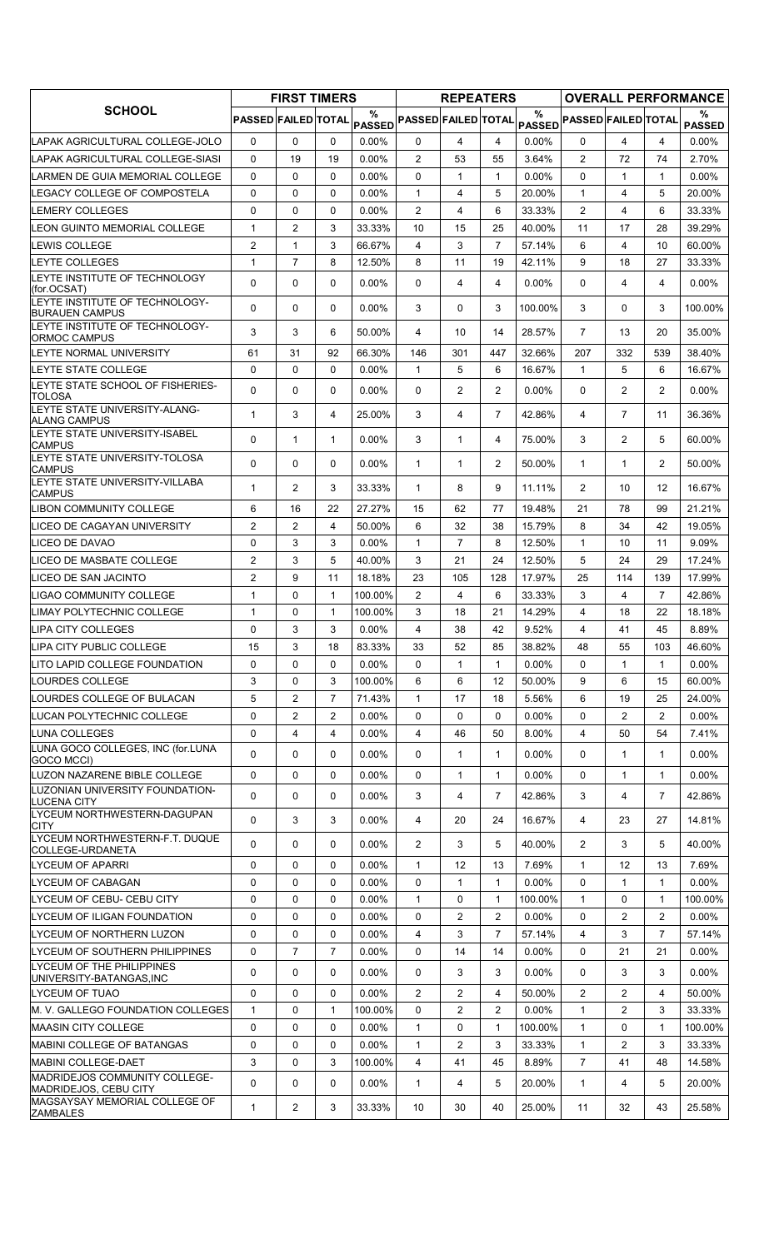|                                                                |                            | <b>FIRST TIMERS</b> |                |                    |                            | <b>REPEATERS</b> |                |               |                            |                |                | <b>OVERALL PERFORMANCE</b> |
|----------------------------------------------------------------|----------------------------|---------------------|----------------|--------------------|----------------------------|------------------|----------------|---------------|----------------------------|----------------|----------------|----------------------------|
| <b>SCHOOL</b>                                                  | <b>PASSED FAILED TOTAL</b> |                     |                | %<br><b>PASSED</b> | <b>PASSED FAILED TOTAL</b> |                  |                | $\frac{0}{0}$ | PASSED PASSED FAILED TOTAL |                |                | %<br><b>PASSED</b>         |
| LAPAK AGRICULTURAL COLLEGE-JOLO                                | 0                          | 0                   | $\Omega$       | $0.00\%$           | 0                          | 4                | 4              | $0.00\%$      | $\Omega$                   | 4              | 4              | $0.00\%$                   |
| LAPAK AGRICULTURAL COLLEGE-SIASI                               | 0                          | 19                  | 19             | $0.00\%$           | $\overline{2}$             | 53               | 55             | 3.64%         | $\overline{2}$             | 72             | 74             | 2.70%                      |
| LARMEN DE GUIA MEMORIAL COLLEGE                                | $\Omega$                   | $\mathbf{0}$        | $\Omega$       | 0.00%              | $\Omega$                   | $\mathbf{1}$     | $\mathbf{1}$   | $0.00\%$      | $\Omega$                   | 1              | $\mathbf{1}$   | $0.00\%$                   |
| LEGACY COLLEGE OF COMPOSTELA                                   | 0                          | 0                   | $\Omega$       | 0.00%              | $\mathbf{1}$               | 4                | 5              | 20.00%        | $\mathbf{1}$               | 4              | 5              | 20.00%                     |
| <b>LEMERY COLLEGES</b>                                         | 0                          | 0                   | $\mathbf 0$    | 0.00%              | $\overline{2}$             | 4                | 6              | 33.33%        | $\overline{2}$             | 4              | 6              | 33.33%                     |
| LEON GUINTO MEMORIAL COLLEGE                                   | 1                          | $\overline{2}$      | 3              | 33.33%             | 10                         | 15               | 25             | 40.00%        | 11                         | 17             | 28             | 39.29%                     |
| LEWIS COLLEGE                                                  | $\overline{2}$             | $\mathbf{1}$        | 3              | 66.67%             | 4                          | 3                | $\overline{7}$ | 57.14%        | 6                          | 4              | 10             | 60.00%                     |
| <b>LEYTE COLLEGES</b>                                          | $\mathbf{1}$               | $\overline{7}$      | 8              | 12.50%             | 8                          | 11               | 19             | 42.11%        | 9                          | 18             | 27             | 33.33%                     |
| LEYTE INSTITUTE OF TECHNOLOGY<br>(for.OCSAT)                   | 0                          | $\mathbf 0$         | $\mathbf{0}$   | $0.00\%$           | $\Omega$                   | 4                | 4              | $0.00\%$      | 0                          | 4              | 4              | $0.00\%$                   |
| <b>LEYTE INSTITUTE OF TECHNOLOGY-</b><br><b>BURAUEN CAMPUS</b> | 0                          | $\mathbf 0$         | $\Omega$       | $0.00\%$           | 3                          | 0                | 3              | 100.00%       | 3                          | $\Omega$       | 3              | 100.00%                    |
| LEYTE INSTITUTE OF TECHNOLOGY-<br>ORMOC CAMPUS                 | 3                          | 3                   | 6              | 50.00%             | 4                          | 10               | 14             | 28.57%        | $\overline{7}$             | 13             | 20             | 35.00%                     |
| LEYTE NORMAL UNIVERSITY                                        | 61                         | 31                  | 92             | 66.30%             | 146                        | 301              | 447            | 32.66%        | 207                        | 332            | 539            | 38.40%                     |
| LEYTE STATE COLLEGE                                            | 0                          | $\mathbf 0$         | $\mathbf 0$    | $0.00\%$           | $\mathbf{1}$               | 5                | 6              | 16.67%        | $\mathbf{1}$               | 5              | 6              | 16.67%                     |
| LEYTE STATE SCHOOL OF FISHERIES-<br><b>TOLOSA</b>              | 0                          | $\mathbf 0$         | $\mathbf 0$    | $0.00\%$           | 0                          | $\overline{2}$   | $\overline{2}$ | $0.00\%$      | $\mathbf{0}$               | $\overline{2}$ | $\overline{2}$ | $0.00\%$                   |
| LEYTE STATE UNIVERSITY-ALANG-<br><b>ALANG CAMPUS</b>           | 1                          | 3                   | 4              | 25.00%             | 3                          | 4                | $\overline{7}$ | 42.86%        | 4                          | $\overline{7}$ | 11             | 36.36%                     |
| LEYTE STATE UNIVERSITY-ISABEL<br><b>CAMPUS</b>                 | $\Omega$                   | $\mathbf{1}$        | 1              | $0.00\%$           | 3                          | $\mathbf{1}$     | 4              | 75.00%        | 3                          | $\overline{2}$ | 5              | 60.00%                     |
| LEYTE STATE UNIVERSITY-TOLOSA<br><b>CAMPUS</b>                 | 0                          | $\mathbf 0$         | $\Omega$       | $0.00\%$           | $\mathbf{1}$               | $\mathbf{1}$     | $\overline{2}$ | 50.00%        | $\mathbf{1}$               | 1              | $\overline{2}$ | 50.00%                     |
| LEYTE STATE UNIVERSITY-VILLABA<br><b>CAMPUS</b>                | 1                          | 2                   | 3              | 33.33%             | $\mathbf{1}$               | 8                | 9              | 11.11%        | $\overline{2}$             | 10             | 12             | 16.67%                     |
| <b>LIBON COMMUNITY COLLEGE</b>                                 | 6                          | 16                  | 22             | 27.27%             | 15                         | 62               | 77             | 19.48%        | 21                         | 78             | 99             | 21.21%                     |
| LICEO DE CAGAYAN UNIVERSITY                                    | $\overline{2}$             | 2                   | $\overline{4}$ | 50.00%             | 6                          | 32               | 38             | 15.79%        | 8                          | 34             | 42             | 19.05%                     |
| LICEO DE DAVAO                                                 | 0                          | 3                   | 3              | $0.00\%$           | $\mathbf{1}$               | $\overline{7}$   | 8              | 12.50%        | $\mathbf{1}$               | 10             | 11             | 9.09%                      |
| LICEO DE MASBATE COLLEGE                                       | $\overline{2}$             | 3                   | 5              | 40.00%             | 3                          | 21               | 24             | 12.50%        | 5                          | 24             | 29             | 17.24%                     |
| LICEO DE SAN JACINTO                                           | 2                          | 9                   | 11             | 18.18%             | 23                         | 105              | 128            | 17.97%        | 25                         | 114            | 139            | 17.99%                     |
| <b>LIGAO COMMUNITY COLLEGE</b>                                 | 1                          | 0                   | $\mathbf{1}$   | 100.00%            | 2                          | 4                | 6              | 33.33%        | 3                          | 4              | $\overline{7}$ | 42.86%                     |
| LIMAY POLYTECHNIC COLLEGE                                      | 1                          | 0                   | 1              | 100.00%            | 3                          | 18               | 21             | 14.29%        | 4                          | 18             | 22             | 18.18%                     |
| <b>LIPA CITY COLLEGES</b>                                      | $\Omega$                   | 3                   | 3              | $0.00\%$           | 4                          | 38               | 42             | 9.52%         | $\overline{4}$             | 41             | 45             | 8.89%                      |
| LIPA CITY PUBLIC COLLEGE                                       | 15                         | 3                   | 18             | 83.33%             | 33                         | 52               | 85             | 38.82%        | 48                         | 55             | 103            | 46.60%                     |
| LITO LAPID COLLEGE FOUNDATION                                  | 0                          | 0                   | 0              | $0.00\%$           | 0                          | $\mathbf{1}$     | $\mathbf{1}$   | $0.00\%$      | 0                          | 1              | $\mathbf{1}$   | $0.00\%$                   |
| <b>LOURDES COLLEGE</b>                                         | 3                          | $\Omega$            | 3              | 100.00%            | 6                          | 6                | 12             | 50.00%        | 9                          | 6              | 15             | 60.00%                     |
| LOURDES COLLEGE OF BULACAN                                     | 5                          | $\overline{2}$      | $\overline{7}$ | 71.43%             | $\mathbf{1}$               | 17               | 18             | 5.56%         | 6                          | 19             | 25             | 24.00%                     |
| LUCAN POLYTECHNIC COLLEGE                                      | 0                          | 2                   | 2              | 0.00%              | 0                          | 0                | 0              | $0.00\%$      | 0                          | 2              | $\overline{2}$ | $0.00\%$                   |
| LUNA COLLEGES                                                  | 0                          | $\overline{4}$      | 4              | $0.00\%$           | $\overline{4}$             | 46               | 50             | 8.00%         | 4                          | 50             | 54             | 7.41%                      |
| LUNA GOCO COLLEGES, INC (for.LUNA<br>GOCO MCCI)                | 0                          | $\mathbf 0$         | $\mathbf 0$    | $0.00\%$           | 0                          | $\mathbf{1}$     | $\mathbf{1}$   | 0.00%         | $\Omega$                   | 1              | $\mathbf{1}$   | 0.00%                      |
| LUZON NAZARENE BIBLE COLLEGE                                   | 0                          | 0                   | $\mathbf 0$    | $0.00\%$           | 0                          | 1                | 1              | $0.00\%$      | 0                          | 1              | 1              | $0.00\%$                   |
| LUZONIAN UNIVERSITY FOUNDATION-<br><b>LUCENA CITY</b>          | 0                          | 0                   | $\Omega$       | $0.00\%$           | 3                          | 4                | $\overline{7}$ | 42.86%        | 3                          | 4              | $\overline{7}$ | 42.86%                     |
| LYCEUM NORTHWESTERN-DAGUPAN<br><b>CITY</b>                     | 0                          | 3                   | 3              | $0.00\%$           | 4                          | 20               | 24             | 16.67%        | 4                          | 23             | 27             | 14.81%                     |
| LYCEUM NORTHWESTERN-F.T. DUQUE<br>COLLEGE-URDANETA             | 0                          | 0                   | $\mathbf 0$    | $0.00\%$           | $\overline{2}$             | 3                | 5              | 40.00%        | $\overline{2}$             | 3              | 5              | 40.00%                     |
| <b>LYCEUM OF APARRI</b>                                        | 0                          | 0                   | 0              | $0.00\%$           | $\mathbf{1}$               | 12               | 13             | 7.69%         | $\mathbf{1}$               | 12             | 13             | 7.69%                      |
| <b>LYCEUM OF CABAGAN</b>                                       | 0                          | $\mathbf{0}$        | $\Omega$       | 0.00%              | 0                          | $\mathbf{1}$     | $\mathbf{1}$   | 0.00%         | $\Omega$                   | 1              | $\mathbf{1}$   | $0.00\%$                   |
| LYCEUM OF CEBU- CEBU CITY                                      | 0                          | 0                   | 0              | $0.00\%$           | $\mathbf{1}$               | 0                | 1              | 100.00%       | $\mathbf{1}$               | 0              | 1              | 100.00%                    |
| LYCEUM OF ILIGAN FOUNDATION                                    | 0                          | 0                   | 0              | $0.00\%$           | 0                          | 2                | 2              | $0.00\%$      | 0                          | 2              | $\overline{2}$ | $0.00\%$                   |
| LYCEUM OF NORTHERN LUZON                                       | 0                          | $\mathbf{0}$        | $\Omega$       | $0.00\%$           | $\overline{4}$             | 3                | $\overline{7}$ | 57.14%        | $\overline{4}$             | 3              | $\overline{7}$ | 57.14%                     |
| LYCEUM OF SOUTHERN PHILIPPINES                                 | 0                          | $\overline{7}$      | $\overline{7}$ | $0.00\%$           | 0                          | 14               | 14             | $0.00\%$      | 0                          | 21             | 21             | $0.00\%$                   |
| LYCEUM OF THE PHILIPPINES<br>UNIVERSITY-BATANGAS, INC          | 0                          | $\mathbf{0}$        | $\Omega$       | $0.00\%$           | 0                          | 3                | 3              | $0.00\%$      | 0                          | 3              | 3              | $0.00\%$                   |
| ILYCEUM OF TUAO                                                | 0                          | 0                   | $\Omega$       | $0.00\%$           | $\overline{2}$             | $\overline{2}$   | 4              | 50.00%        | $\overline{2}$             | 2              | 4              | 50.00%                     |
| M. V. GALLEGO FOUNDATION COLLEGES                              | 1                          | $\mathbf{0}$        | $\mathbf{1}$   | 100.00%            | 0                          | $\overline{2}$   | $\overline{c}$ | $0.00\%$      | $\mathbf{1}$               | 2              | 3              | 33.33%                     |
| MAASIN CITY COLLEGE                                            | 0                          | $\mathbf 0$         | $\mathbf 0$    | 0.00%              | 1                          | 0                | $\mathbf{1}$   | 100.00%       | $\mathbf{1}$               | 0              | 1              | 100.00%                    |
| <b>MABINI COLLEGE OF BATANGAS</b>                              | 0                          | $\mathbf 0$         | $\Omega$       | $0.00\%$           | $\mathbf{1}$               | $\overline{2}$   | 3              | 33.33%        | $\mathbf{1}$               | 2              | 3              | 33.33%                     |
| <b>MABINI COLLEGE-DAET</b>                                     | 3                          | 0                   | 3              | 100.00%            | 4                          | 41               | 45             | 8.89%         | $\overline{7}$             | 41             | 48             | 14.58%                     |
| MADRIDEJOS COMMUNITY COLLEGE-<br><b>MADRIDEJOS, CEBU CITY</b>  | 0                          | $\mathbf 0$         | $\mathbf 0$    | $0.00\%$           | $\mathbf{1}$               | 4                | 5              | 20.00%        | $\mathbf{1}$               | 4              | 5              | 20.00%                     |
| MAGSAYSAY MEMORIAL COLLEGE OF<br>ZAMBALES                      | 1                          | $\overline{2}$      | 3              | 33.33%             | 10                         | 30               | 40             | 25.00%        | 11                         | 32             | 43             | 25.58%                     |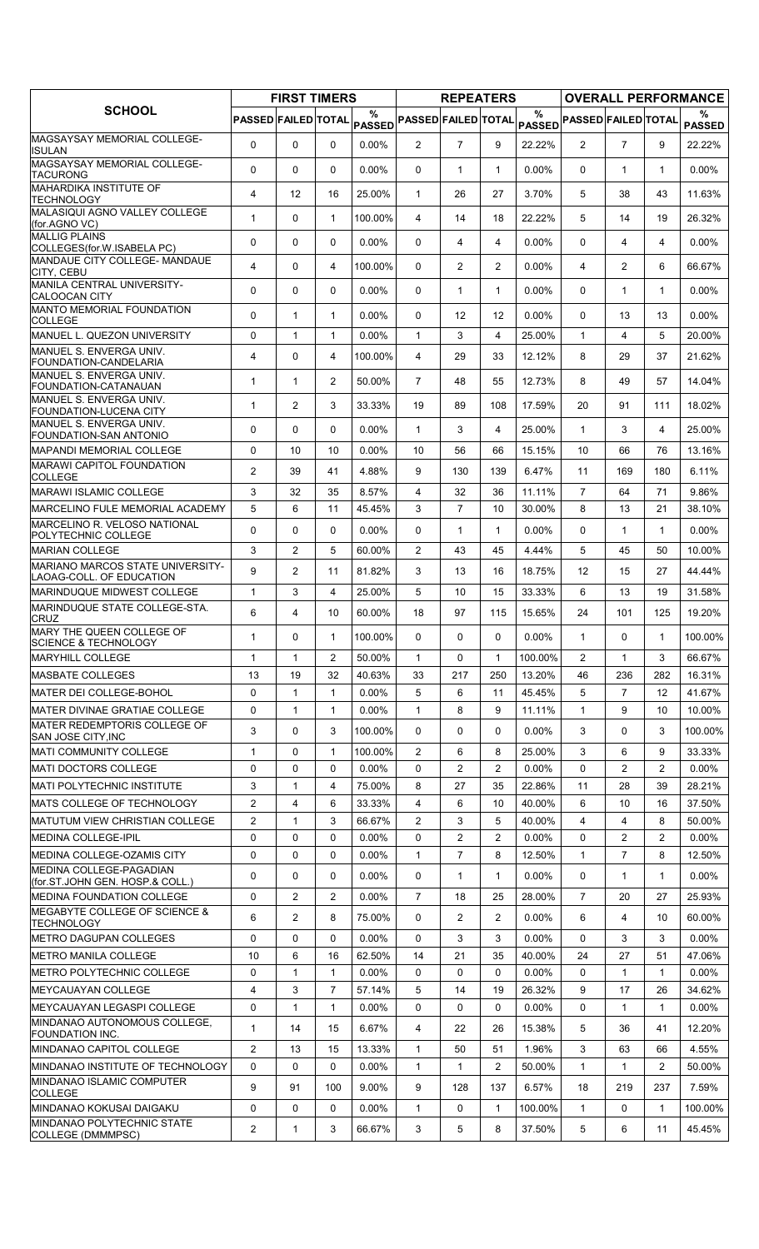|                                                                       |                            | <b>FIRST TIMERS</b> |                |                    |                            | <b>REPEATERS</b> |                |               |                            |                |                | <b>OVERALL PERFORMANCE</b> |
|-----------------------------------------------------------------------|----------------------------|---------------------|----------------|--------------------|----------------------------|------------------|----------------|---------------|----------------------------|----------------|----------------|----------------------------|
| <b>SCHOOL</b>                                                         | <b>PASSED FAILED TOTAL</b> |                     |                | %<br><b>PASSED</b> | <b>PASSED FAILED TOTAL</b> |                  |                | $\frac{0}{0}$ | PASSED PASSED FAILED TOTAL |                |                | %<br><b>PASSED</b>         |
| <b>MAGSAYSAY MEMORIAL COLLEGE-</b><br><b>ISULAN</b>                   | $\Omega$                   | $\Omega$            | $\mathbf{0}$   | $0.00\%$           | $\overline{2}$             | $\overline{7}$   | 9              | 22.22%        | $\overline{2}$             | $\overline{7}$ | 9              | 22.22%                     |
| MAGSAYSAY MEMORIAL COLLEGE-<br><b>TACURONG</b>                        | 0                          | 0                   | $\mathbf{0}$   | 0.00%              | $\Omega$                   | $\mathbf{1}$     | $\mathbf{1}$   | 0.00%         | $\Omega$                   | $\mathbf{1}$   | $\mathbf{1}$   | $0.00\%$                   |
| <b>MAHARDIKA INSTITUTE OF</b><br>TECHNOLOGY                           | 4                          | 12                  | 16             | 25.00%             | $\mathbf{1}$               | 26               | 27             | 3.70%         | 5                          | 38             | 43             | 11.63%                     |
| MALASIQUI AGNO VALLEY COLLEGE<br>(for.AGNO VC)                        | $\mathbf{1}$               | 0                   | $\mathbf{1}$   | 100.00%            | 4                          | 14               | 18             | 22.22%        | 5                          | 14             | 19             | 26.32%                     |
| <b>MALLIG PLAINS</b><br>COLLEGES(for.W.ISABELA PC)                    | 0                          | 0                   | $\mathbf 0$    | $0.00\%$           | $\mathbf{0}$               | 4                | 4              | $0.00\%$      | $\Omega$                   | 4              | 4              | $0.00\%$                   |
| <b>MANDAUE CITY COLLEGE- MANDAUE</b><br>CITY, CEBU                    | $\overline{4}$             | 0                   | 4              | 100.00%            | $\mathbf{0}$               | $\overline{2}$   | $\overline{2}$ | $0.00\%$      | $\overline{4}$             | $\overline{2}$ | 6              | 66.67%                     |
| <b>MANILA CENTRAL UNIVERSITY-</b><br><b>CALOOCAN CITY</b>             | 0                          | 0                   | 0              | $0.00\%$           | $\mathbf{0}$               | $\mathbf{1}$     | $\mathbf{1}$   | $0.00\%$      | 0                          | 1              | $\mathbf{1}$   | $0.00\%$                   |
| MANTO MEMORIAL FOUNDATION<br><b>COLLEGE</b>                           | 0                          | $\mathbf{1}$        | $\mathbf{1}$   | $0.00\%$           | $\mathbf{0}$               | 12               | 12             | $0.00\%$      | $\Omega$                   | 13             | 13             | $0.00\%$                   |
| MANUEL L. QUEZON UNIVERSITY                                           | 0                          | $\mathbf{1}$        | 1              | $0.00\%$           | $\mathbf{1}$               | 3                | 4              | 25.00%        | $\mathbf{1}$               | 4              | 5              | 20.00%                     |
| MANUEL S. ENVERGA UNIV.<br>FOUNDATION-CANDELARIA                      | $\overline{4}$             | 0                   | 4              | 100.00%            | 4                          | 29               | 33             | 12.12%        | 8                          | 29             | 37             | 21.62%                     |
| MANUEL S. ENVERGA UNIV.<br>FOUNDATION-CATANAUAN                       | $\mathbf{1}$               | $\mathbf{1}$        | $\overline{2}$ | 50.00%             | $\overline{7}$             | 48               | 55             | 12.73%        | 8                          | 49             | 57             | 14.04%                     |
| MANUEL S. ENVERGA UNIV.<br>FOUNDATION-LUCENA CITY                     | $\mathbf{1}$               | $\overline{2}$      | 3              | 33.33%             | 19                         | 89               | 108            | 17.59%        | 20                         | 91             | 111            | 18.02%                     |
| MANUEL S. ENVERGA UNIV.<br>FOUNDATION-SAN ANTONIO                     | 0                          | $\Omega$            | $\Omega$       | $0.00\%$           | $\mathbf{1}$               | 3                | 4              | 25.00%        | $\mathbf{1}$               | 3              | 4              | 25.00%                     |
| MAPANDI MEMORIAL COLLEGE                                              | 0                          | 10                  | 10             | 0.00%              | 10                         | 56               | 66             | 15.15%        | 10                         | 66             | 76             | 13.16%                     |
| <b>MARAWI CAPITOL FOUNDATION</b><br><b>COLLEGE</b>                    | $\overline{2}$             | 39                  | 41             | 4.88%              | 9                          | 130              | 139            | 6.47%         | 11                         | 169            | 180            | 6.11%                      |
| <b>MARAWI ISLAMIC COLLEGE</b>                                         | 3                          | 32                  | 35             | 8.57%              | 4                          | 32               | 36             | 11.11%        | $\overline{7}$             | 64             | 71             | 9.86%                      |
| MARCELINO FULE MEMORIAL ACADEMY<br>MARCELINO R. VELOSO NATIONAL       | 5                          | 6                   | 11             | 45.45%             | 3                          | $\overline{7}$   | 10             | 30.00%        | 8                          | 13             | 21             | 38.10%                     |
| POLYTECHNIC COLLEGE                                                   | 0                          | 0                   | $\mathbf 0$    | $0.00\%$           | 0                          | $\mathbf{1}$     | $\mathbf{1}$   | 0.00%         | $\Omega$                   | $\mathbf{1}$   | $\mathbf 1$    | $0.00\%$                   |
| <b>MARIAN COLLEGE</b>                                                 | 3                          | $\overline{2}$      | 5              | 60.00%             | $\overline{2}$             | 43               | 45             | 4.44%         | 5                          | 45             | 50             | 10.00%                     |
| <b>MARIANO MARCOS STATE UNIVERSITY-</b><br>LAOAG-COLL. OF EDUCATION   | 9                          | $\overline{2}$      | 11             | 81.82%             | 3                          | 13               | 16             | 18.75%        | 12                         | 15             | 27             | 44.44%                     |
| MARINDUQUE MIDWEST COLLEGE                                            | $\mathbf{1}$               | 3                   | $\overline{4}$ | 25.00%             | 5                          | 10               | 15             | 33.33%        | 6                          | 13             | 19             | 31.58%                     |
| MARINDUQUE STATE COLLEGE-STA.<br><b>CRUZ</b>                          | 6                          | 4                   | 10             | 60.00%             | 18                         | 97               | 115            | 15.65%        | 24                         | 101            | 125            | 19.20%                     |
| MARY THE QUEEN COLLEGE OF<br><b>SCIENCE &amp; TECHNOLOGY</b>          | $\mathbf{1}$               | 0                   | $\mathbf{1}$   | 100.00%            | 0                          | 0                | $\Omega$       | $0.00\%$      | $\mathbf{1}$               | $\Omega$       | $\mathbf{1}$   | 100.00%                    |
| <b>MARYHILL COLLEGE</b>                                               | $\mathbf{1}$               | $\mathbf{1}$        | $\overline{2}$ | 50.00%             | $\mathbf{1}$               | 0                | $\mathbf{1}$   | 100.00%       | 2                          | $\mathbf{1}$   | 3              | 66.67%                     |
| <b>MASBATE COLLEGES</b>                                               | 13                         | 19                  | 32             | 40.63%             | 33                         | 217              | 250            | 13.20%        | 46                         | 236            | 282            | 16.31%                     |
| <b>MATER DEI COLLEGE-BOHOL</b>                                        | 0                          | 1                   | 1              | $0.00\%$           | 5                          | 6                | 11             | 45.45%        | 5                          | 7              | 12             | 41.67%                     |
| <b>MATER DIVINAE GRATIAE COLLEGE</b>                                  | $\mathbf 0$                | $\mathbf{1}$        | $\mathbf{1}$   | $0.00\%$           | $\mathbf{1}$               | 8                | 9              | 11.11%        | $\mathbf{1}$               | 9              | 10             | 10.00%                     |
| MATER REDEMPTORIS COLLEGE OF<br><b>SAN JOSE CITY, INC</b>             | 3                          | 0                   | 3              | 100.00%            | 0                          | 0                | 0              | $0.00\%$      | 3                          | 0              | 3              | 100.00%                    |
| <b>MATI COMMUNITY COLLEGE</b>                                         | 1                          | 0                   | 1              | 100.00%            | 2                          | 6                | 8              | 25.00%        | 3                          | 6              | 9              | 33.33%                     |
| <b>MATI DOCTORS COLLEGE</b>                                           | 0                          | 0                   | 0              | $0.00\%$           | 0                          | $\overline{2}$   | $\overline{2}$ | 0.00%         | 0                          | 2              | $\overline{2}$ | $0.00\%$                   |
| <b>MATI POLYTECHNIC INSTITUTE</b>                                     | 3                          | $\mathbf{1}$        | $\overline{4}$ | 75.00%             | 8                          | 27               | 35             | 22.86%        | 11                         | 28             | 39             | 28.21%                     |
| MATS COLLEGE OF TECHNOLOGY                                            | $\overline{c}$             | 4                   | 6              | 33.33%             | 4                          | 6                | 10             | 40.00%        | 6                          | 10             | 16             | 37.50%                     |
| MATUTUM VIEW CHRISTIAN COLLEGE                                        | $\overline{2}$             | 1                   | 3              | 66.67%             | 2                          | 3                | 5              | 40.00%        | 4                          | 4              | 8              | 50.00%                     |
| <b>MEDINA COLLEGE-IPIL</b>                                            | 0                          | 0                   | $\Omega$       | $0.00\%$           | $\Omega$                   | $\overline{c}$   | $\overline{2}$ | $0.00\%$      | $\Omega$                   | $\overline{c}$ | $\overline{2}$ | $0.00\%$                   |
| MEDINA COLLEGE-OZAMIS CITY<br>MEDINA COLLEGE-PAGADIAN                 | 0                          | 0                   | $\mathbf 0$    | $0.00\%$           | 1                          | 7                | 8              | 12.50%        | $\mathbf{1}$               | $\overline{7}$ | 8              | 12.50%                     |
| (for ST JOHN GEN. HOSP & COLL.)                                       | 0                          | 0                   | 0              | $0.00\%$           | 0                          | $\mathbf{1}$     | $\mathbf{1}$   | $0.00\%$      | 0                          | $\mathbf{1}$   | $\mathbf 1$    | $0.00\%$                   |
| IMEDINA FOUNDATION COLLEGE<br>MEGABYTE COLLEGE OF SCIENCE &           | 0                          | $\overline{c}$      | $\overline{2}$ | $0.00\%$           | $\overline{7}$             | 18               | 25             | 28.00%        | $\overline{7}$             | 20             | 27             | 25.93%                     |
| <b>TECHNOLOGY</b>                                                     | 6                          | $\overline{c}$      | 8              | 75.00%             | 0                          | $\overline{2}$   | 2              | $0.00\%$      | 6                          | 4              | 10             | 60.00%                     |
| <b>METRO DAGUPAN COLLEGES</b>                                         | 0                          | 0                   | $\Omega$       | $0.00\%$           | 0                          | 3                | 3              | $0.00\%$      | 0                          | 3              | 3              | $0.00\%$                   |
| <b>METRO MANILA COLLEGE</b>                                           | 10                         | 6                   | 16             | 62.50%             | 14                         | 21               | 35             | 40.00%        | 24                         | 27             | 51             | 47.06%                     |
| METRO POLYTECHNIC COLLEGE                                             | 0                          | $\mathbf{1}$        | $\mathbf{1}$   | $0.00\%$           | 0                          | 0                | $\Omega$       | $0.00\%$      | $\Omega$                   | 1              | $\mathbf{1}$   | $0.00\%$                   |
| <b>MEYCAUAYAN COLLEGE</b>                                             | 4                          | 3                   | 7              | 57.14%             | 5                          | 14               | 19             | 26.32%        | 9                          | 17             | 26             | 34.62%                     |
| <b>MEYCAUAYAN LEGASPI COLLEGE</b><br>MINDANAO AUTONOMOUS COLLEGE,     | $\mathbf 0$                | $\mathbf{1}$        | $\mathbf{1}$   | $0.00\%$           | $\Omega$                   | 0                | 0              | 0.00%         | $\Omega$                   | $\mathbf{1}$   | $\mathbf{1}$   | $0.00\%$                   |
| FOUNDATION INC.                                                       | 1                          | 14                  | 15             | 6.67%              | 4                          | 22               | 26             | 15.38%        | 5                          | 36             | 41             | 12.20%                     |
| MINDANAO CAPITOL COLLEGE                                              | 2                          | 13                  | 15             | 13.33%             | 1                          | 50               | 51             | 1.96%         | 3                          | 63             | 66             | 4.55%                      |
| <b>IMINDANAO INSTITUTE OF TECHNOLOGY</b><br>MINDANAO ISLAMIC COMPUTER | $\mathbf 0$                | 0                   | 0              | $0.00\%$           | $\mathbf{1}$               | 1                | $\overline{2}$ | 50.00%        | $\mathbf{1}$               | 1              | $\overline{2}$ | 50.00%                     |
| <b>COLLEGE</b>                                                        | 9                          | 91                  | 100            | 9.00%              | 9                          | 128              | 137            | 6.57%         | 18                         | 219            | 237            | 7.59%                      |
| MINDANAO KOKUSAI DAIGAKU<br>MINDANAO POLYTECHNIC STATE                | 0                          | 0                   | $\mathbf{0}$   | $0.00\%$           | $\mathbf{1}$               | 0                | $\mathbf{1}$   | 100.00%       | $\mathbf{1}$               | 0              | 1              | 100.00%                    |
| COLLEGE (DMMMPSC)                                                     | $\overline{2}$             | $\mathbf{1}$        | 3              | 66.67%             | 3                          | 5                | 8              | 37.50%        | 5                          | 6              | 11             | 45.45%                     |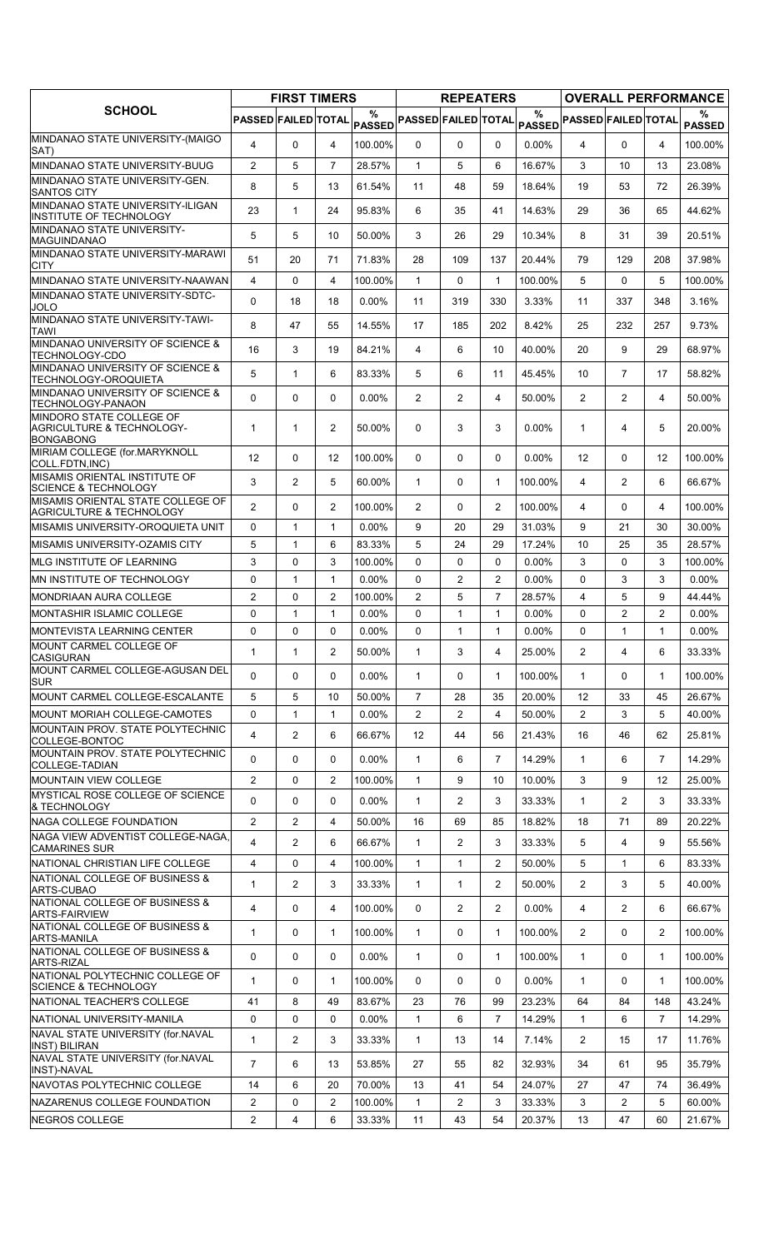|                                                                          |                            | <b>FIRST TIMERS</b> |                   |                    |                            | <b>REPEATERS</b> |                |                    |                            |                |                   | <b>OVERALL PERFORMANCE</b> |
|--------------------------------------------------------------------------|----------------------------|---------------------|-------------------|--------------------|----------------------------|------------------|----------------|--------------------|----------------------------|----------------|-------------------|----------------------------|
| <b>SCHOOL</b>                                                            | <b>PASSED FAILED TOTAL</b> |                     |                   | %<br><b>PASSED</b> | <b>PASSED FAILED TOTAL</b> |                  |                | %<br><b>PASSED</b> | <b>PASSED FAILED TOTAL</b> |                |                   | ℅<br><b>PASSED</b>         |
| MINDANAO STATE UNIVERSITY-(MAIGO<br>SAT)                                 | $\overline{4}$             | $\Omega$            | $\overline{4}$    | 100.00%            | 0                          | 0                | 0              | $0.00\%$           | $\overline{4}$             | $\Omega$       | 4                 | 100.00%                    |
| MINDANAO STATE UNIVERSITY-BUUG                                           | 2                          | 5                   | $\overline{7}$    | 28.57%             | 1                          | 5                | 6              | 16.67%             | 3                          | 10             | 13                | 23.08%                     |
| MINDANAO STATE UNIVERSITY-GEN.<br><b>SANTOS CITY</b>                     | 8                          | 5                   | 13                | 61.54%             | 11                         | 48               | 59             | 18.64%             | 19                         | 53             | 72                | 26.39%                     |
| MINDANAO STATE UNIVERSITY-ILIGAN                                         | 23                         | $\mathbf{1}$        | 24                | 95.83%             | 6                          | 35               | 41             | 14.63%             | 29                         | 36             | 65                | 44.62%                     |
| INSTITUTE OF TECHNOLOGY<br>MINDANAO STATE UNIVERSITY-<br>MAGUINDANAO     | 5                          | 5                   | 10                | 50.00%             | 3                          | 26               | 29             | 10.34%             | 8                          | 31             | 39                | 20.51%                     |
| MINDANAO STATE UNIVERSITY-MARAWI<br><b>CITY</b>                          | 51                         | 20                  | 71                | 71.83%             | 28                         | 109              | 137            | 20.44%             | 79                         | 129            | 208               | 37.98%                     |
| MINDANAO STATE UNIVERSITY-NAAWAN                                         | $\overline{4}$             | 0                   | $\overline{4}$    | 100.00%            | $\mathbf{1}$               | $\Omega$         | $\mathbf{1}$   | 100.00%            | 5                          | $\Omega$       | 5                 | 100.00%                    |
| MINDANAO STATE UNIVERSITY-SDTC-<br>JOLO                                  | 0                          | 18                  | 18                | $0.00\%$           | 11                         | 319              | 330            | 3.33%              | 11                         | 337            | 348               | 3.16%                      |
| MINDANAO STATE UNIVERSITY-TAWI-<br><b>TAWI</b>                           | 8                          | 47                  | 55                | 14.55%             | 17                         | 185              | 202            | 8.42%              | 25                         | 232            | 257               | 9.73%                      |
| MINDANAO UNIVERSITY OF SCIENCE &<br>TECHNOLOGY-CDO                       | 16                         | 3                   | 19                | 84.21%             | 4                          | 6                | 10             | 40.00%             | 20                         | 9              | 29                | 68.97%                     |
| MINDANAO UNIVERSITY OF SCIENCE &<br>TECHNOLOGY-OROQUIETA                 | 5                          | $\mathbf{1}$        | 6                 | 83.33%             | 5                          | 6                | 11             | 45.45%             | 10                         | $\overline{7}$ | 17                | 58.82%                     |
| MINDANAO UNIVERSITY OF SCIENCE &<br>TECHNOLOGY-PANAON                    | 0                          | 0                   | $\mathbf{0}$      | $0.00\%$           | $\overline{2}$             | $\overline{2}$   | 4              | 50.00%             | $\overline{2}$             | $\overline{2}$ | 4                 | 50.00%                     |
| MINDORO STATE COLLEGE OF<br>AGRICULTURE & TECHNOLOGY-                    | $\mathbf{1}$               | $\mathbf{1}$        | $\overline{2}$    | 50.00%             | $\Omega$                   | 3                | 3              | 0.00%              | $\mathbf{1}$               | $\overline{4}$ | 5                 | 20.00%                     |
| <b>BONGABONG</b><br>MIRIAM COLLEGE (for.MARYKNOLL                        |                            |                     |                   |                    |                            |                  |                |                    |                            |                |                   |                            |
| COLL.FDTN, INC)<br>MISAMIS ORIENTAL INSTITUTE OF                         | 12                         | 0                   | $12 \overline{ }$ | 100.00%            | $\Omega$                   | 0                | $\Omega$       | 0.00%              | 12                         | $\Omega$       | $12 \overline{ }$ | 100.00%                    |
| <b>SCIENCE &amp; TECHNOLOGY</b>                                          | 3                          | $\overline{2}$      | 5                 | 60.00%             | $\mathbf{1}$               | 0                | $\mathbf{1}$   | 100.00%            | 4                          | $\overline{2}$ | 6                 | 66.67%                     |
| MISAMIS ORIENTAL STATE COLLEGE OF<br><b>AGRICULTURE &amp; TECHNOLOGY</b> | $\overline{2}$             | 0                   | $\overline{2}$    | 100.00%            | $\overline{2}$             | 0                | $\overline{2}$ | 100.00%            | 4                          | 0              | 4                 | 100.00%                    |
| MISAMIS UNIVERSITY-OROQUIETA UNIT                                        | $\mathbf 0$                | $\mathbf{1}$        | $\mathbf{1}$      | $0.00\%$           | 9                          | 20               | 29             | 31.03%             | 9                          | 21             | 30                | 30.00%                     |
| MISAMIS UNIVERSITY-OZAMIS CITY                                           | 5                          | $\mathbf{1}$        | 6                 | 83.33%             | 5                          | 24               | 29             | 17.24%             | 10                         | 25             | 35                | 28.57%                     |
| MLG INSTITUTE OF LEARNING                                                | 3                          | 0                   | 3                 | 100.00%            | $\Omega$                   | 0                | 0              | 0.00%              | 3                          | $\Omega$       | 3                 | 100.00%                    |
| MN INSTITUTE OF TECHNOLOGY                                               | 0                          | $\mathbf{1}$        | $\mathbf{1}$      | 0.00%              | $\Omega$                   | 2                | $\overline{2}$ | 0.00%              | $\Omega$                   | 3              | 3                 | $0.00\%$                   |
| <b>MONDRIAAN AURA COLLEGE</b>                                            | 2                          | 0                   | $\overline{2}$    | 100.00%            | $\overline{2}$             | 5                | $\overline{7}$ | 28.57%             | 4                          | 5              | 9                 | 44.44%                     |
| <b>MONTASHIR ISLAMIC COLLEGE</b>                                         | $\mathbf 0$                | 1                   | $\mathbf{1}$      | 0.00%              | 0                          | $\mathbf{1}$     | $\mathbf{1}$   | 0.00%              | 0                          | $\overline{2}$ | $\overline{2}$    | $0.00\%$                   |
| <b>MONTEVISTA LEARNING CENTER</b><br>MOUNT CARMEL COLLEGE OF             | 0                          | 0                   | $\mathbf 0$       | $0.00\%$           | 0                          | $\mathbf{1}$     | $\mathbf{1}$   | 0.00%              | $\Omega$                   | $\mathbf{1}$   | $\mathbf{1}$      | $0.00\%$                   |
| <b>CASIGURAN</b>                                                         | $\mathbf{1}$               | $\mathbf{1}$        | $\overline{2}$    | 50.00%             | $\mathbf{1}$               | 3                | 4              | 25.00%             | $\overline{2}$             | 4              | 6                 | 33.33%                     |
| MOUNT CARMEL COLLEGE-AGUSAN DEL<br><b>SUR</b>                            | $\Omega$                   | 0                   | $\mathbf{0}$      | $0.00\%$           | $\mathbf{1}$               | 0                | $\mathbf{1}$   | 100.00%            | $\mathbf{1}$               | 0              | 1                 | 100.00%                    |
| MOUNT CARMEL COLLEGE-ESCALANTE                                           | 5                          | 5                   | 10                | 50.00%             | $\overline{7}$             | 28               | 35             | 20.00%             | 12                         | 33             | 45                | 26.67%                     |
| MOUNT MORIAH COLLEGE-CAMOTES                                             | 0                          | $\mathbf{1}$        | $\mathbf{1}$      | $0.00\%$           | $\overline{2}$             | $\overline{2}$   | 4              | 50.00%             | $\overline{2}$             | 3              | 5                 | 40.00%                     |
| MOUNTAIN PROV. STATE POLYTECHNIC<br>COLLEGE-BONTOC                       | 4                          | $\overline{c}$      | 6                 | 66.67%             | 12                         | 44               | 56             | 21.43%             | 16                         | 46             | 62                | 25.81%                     |
| MOUNTAIN PROV. STATE POLYTECHNIC<br>COLLEGE-TADIAN                       | $\Omega$                   | 0                   | $\mathbf{0}$      | $0.00\%$           | $\mathbf{1}$               | 6                | $\overline{7}$ | 14.29%             | $\mathbf{1}$               | 6              | $\overline{7}$    | 14.29%                     |
| <b>MOUNTAIN VIEW COLLEGE</b>                                             | $\overline{2}$             | 0                   | 2                 | 100.00%            | $\mathbf{1}$               | 9                | 10             | 10.00%             | 3                          | 9              | 12                | 25.00%                     |
| <b>MYSTICAL ROSE COLLEGE OF SCIENCE</b><br>& TECHNOLOGY                  | 0                          | 0                   | $\mathbf 0$       | $0.00\%$           | $\mathbf{1}$               | $\overline{2}$   | 3              | 33.33%             | $\mathbf{1}$               | $\overline{2}$ | 3                 | 33.33%                     |
| NAGA COLLEGE FOUNDATION                                                  | $\overline{2}$             | $\overline{2}$      | 4                 | 50.00%             | 16                         | 69               | 85             | 18.82%             | 18                         | 71             | 89                | 20.22%                     |
| NAGA VIEW ADVENTIST COLLEGE-NAGA,<br><b>CAMARINES SUR</b>                | 4                          | $\overline{2}$      | 6                 | 66.67%             | $\mathbf{1}$               | $\overline{2}$   | 3              | 33.33%             | 5                          | 4              | 9                 | 55.56%                     |
| NATIONAL CHRISTIAN LIFE COLLEGE                                          | 4                          | 0                   | $\overline{4}$    | 100.00%            | $\mathbf{1}$               | 1                | $\overline{2}$ | 50.00%             | 5                          | 1              | 6                 | 83.33%                     |
| NATIONAL COLLEGE OF BUSINESS &<br>ARTS-CUBAO                             | $\mathbf{1}$               | $\overline{2}$      | 3                 | 33.33%             | $\mathbf{1}$               | $\mathbf{1}$     | $\overline{2}$ | 50.00%             | $\overline{2}$             | 3              | 5                 | 40.00%                     |
| NATIONAL COLLEGE OF BUSINESS &<br><b>ARTS-FAIRVIEW</b>                   | $\overline{4}$             | 0                   | 4                 | 100.00%            | 0                          | $\overline{2}$   | 2              | 0.00%              | 4                          | $\overline{2}$ | 6                 | 66.67%                     |
| NATIONAL COLLEGE OF BUSINESS &<br><b>ARTS-MANILA</b>                     | 1                          | 0                   | $\mathbf{1}$      | 100.00%            | $\mathbf{1}$               | 0                | $\mathbf{1}$   | 100.00%            | $\overline{2}$             | 0              | 2                 | 100.00%                    |
| NATIONAL COLLEGE OF BUSINESS &<br><b>ARTS-RIZAL</b>                      | 0                          | 0                   | $\mathbf 0$       | $0.00\%$           | $\mathbf{1}$               | 0                | $\mathbf{1}$   | 100.00%            | $\mathbf{1}$               | $\Omega$       | $\mathbf{1}$      | 100.00%                    |
| NATIONAL POLYTECHNIC COLLEGE OF<br><b>SCIENCE &amp; TECHNOLOGY</b>       | 1                          | 0                   | $\mathbf{1}$      | 100.00%            | $\mathbf{0}$               | 0                | 0              | $0.00\%$           | $\mathbf{1}$               | 0              | 1                 | 100.00%                    |
| NATIONAL TEACHER'S COLLEGE                                               | 41                         | 8                   | 49                | 83.67%             | 23                         | 76               | 99             | 23.23%             | 64                         | 84             | 148               | 43.24%                     |
| NATIONAL UNIVERSITY-MANILA                                               | 0                          | 0                   | 0                 | $0.00\%$           | $\mathbf{1}$               | 6                | $\overline{7}$ | 14.29%             | $\mathbf{1}$               | 6              | $\overline{7}$    | 14.29%                     |
| NAVAL STATE UNIVERSITY (for.NAVAL<br><b>INST) BILIRAN</b>                | $\mathbf{1}$               | $\overline{c}$      | 3                 | 33.33%             | $\mathbf{1}$               | 13               | 14             | 7.14%              | $\overline{2}$             | 15             | 17                | 11.76%                     |
| NAVAL STATE UNIVERSITY (for.NAVAL<br><b>INST)-NAVAL</b>                  | $\overline{7}$             | 6                   | 13                | 53.85%             | 27                         | 55               | 82             | 32.93%             | 34                         | 61             | 95                | 35.79%                     |
| NAVOTAS POLYTECHNIC COLLEGE                                              | 14                         | 6                   | 20                | 70.00%             | 13                         | 41               | 54             | 24.07%             | 27                         | 47             | 74                | 36.49%                     |
| NAZARENUS COLLEGE FOUNDATION                                             | 2                          | 0                   | $\overline{2}$    | 100.00%            | 1                          | 2                | 3              | 33.33%             | 3                          | 2              | 5                 | 60.00%                     |
| NEGROS COLLEGE                                                           | $\overline{2}$             | 4                   | 6                 | 33.33%             | 11                         | 43               | 54             | 20.37%             | 13                         | 47             | 60                | 21.67%                     |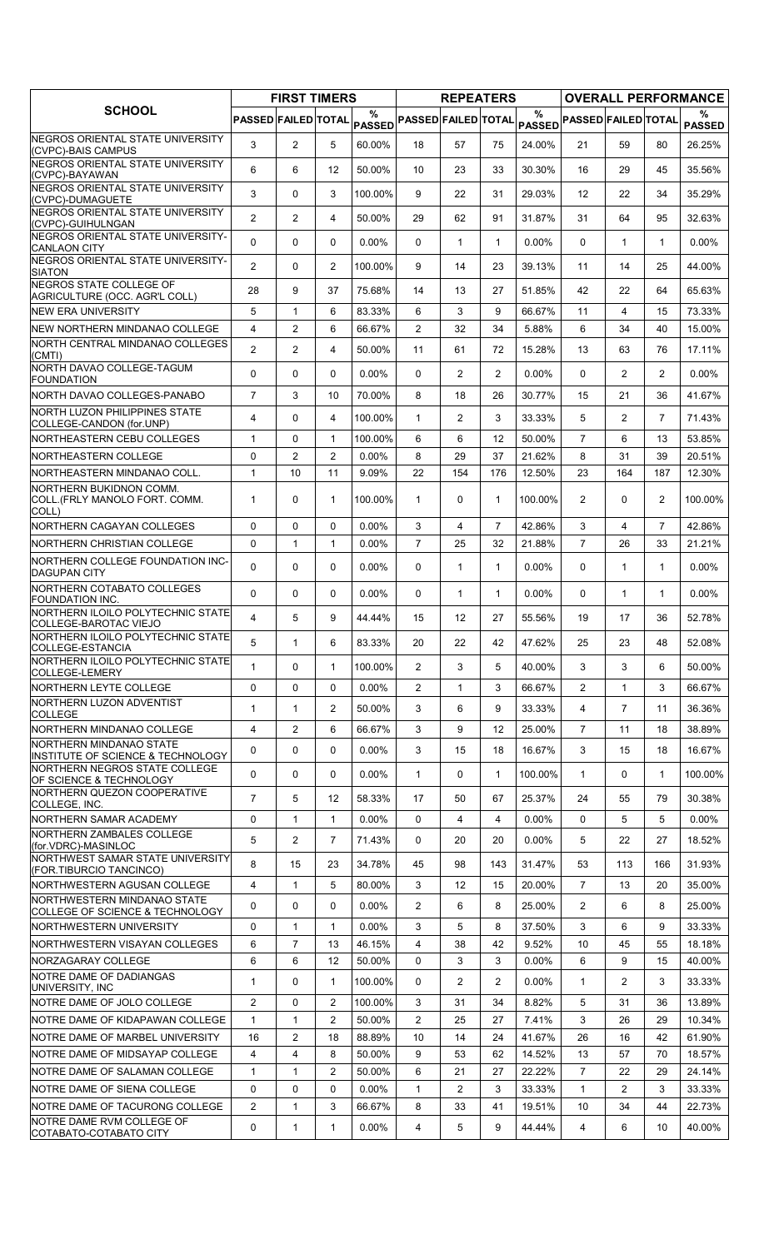|                                                                    |                            | <b>FIRST TIMERS</b> |                   |             |                            | <b>REPEATERS</b>  |                |          |                            |                |                | <b>OVERALL PERFORMANCE</b> |
|--------------------------------------------------------------------|----------------------------|---------------------|-------------------|-------------|----------------------------|-------------------|----------------|----------|----------------------------|----------------|----------------|----------------------------|
| <b>SCHOOL</b>                                                      | <b>PASSED FAILED TOTAL</b> |                     |                   | %<br>PASSED | <b>PASSED FAILED TOTAL</b> |                   |                | $\%$     | PASSED PASSED FAILED TOTAL |                |                | %<br><b>PASSED</b>         |
| INEGROS ORIENTAL STATE UNIVERSITY<br>(CVPC)-BAIS CAMPUS            | 3                          | 2                   | 5                 | 60.00%      | 18                         | 57                | 75             | 24.00%   | 21                         | 59             | 80             | 26.25%                     |
| <b>INEGROS ORIENTAL STATE UNIVERSITY</b><br>(CVPC)-BAYAWAN         | 6                          | 6                   | 12                | 50.00%      | 10                         | 23                | 33             | 30.30%   | 16                         | 29             | 45             | 35.56%                     |
| NEGROS ORIENTAL STATE UNIVERSITY<br>(CVPC)-DUMAGUETE               | 3                          | $\mathbf 0$         | 3                 | 100.00%     | 9                          | 22                | 31             | 29.03%   | 12                         | 22             | 34             | 35.29%                     |
| NEGROS ORIENTAL STATE UNIVERSITY<br>(CVPC)-GUIHULNGAN              | $\overline{2}$             | 2                   | 4                 | 50.00%      | 29                         | 62                | 91             | 31.87%   | 31                         | 64             | 95             | 32.63%                     |
| NEGROS ORIENTAL STATE UNIVERSITY-<br><b>CANLAON CITY</b>           | 0                          | 0                   | $\Omega$          | 0.00%       | 0                          | $\mathbf{1}$      | $\mathbf{1}$   | 0.00%    | $\Omega$                   | $\mathbf{1}$   | $\mathbf{1}$   | $0.00\%$                   |
| NEGROS ORIENTAL STATE UNIVERSITY-<br><b>SIATON</b>                 | $\overline{2}$             | 0                   | $\overline{2}$    | 100.00%     | 9                          | 14                | 23             | 39.13%   | 11                         | 14             | 25             | 44.00%                     |
| NEGROS STATE COLLEGE OF                                            | 28                         | 9                   | 37                | 75.68%      | 14                         | 13                | 27             | 51.85%   | 42                         | 22             | 64             | 65.63%                     |
| AGRICULTURE (OCC. AGR'L COLL)<br><b>INEW ERA UNIVERSITY</b>        | 5                          | $\mathbf{1}$        | 6                 | 83.33%      | 6                          | 3                 | 9              | 66.67%   | 11                         | 4              | 15             | 73.33%                     |
| NEW NORTHERN MINDANAO COLLEGE                                      | 4                          | 2                   | 6                 | 66.67%      | $\mathbf{2}^{\prime}$      | 32                | 34             | 5.88%    | 6                          | 34             | 40             | 15.00%                     |
| NORTH CENTRAL MINDANAO COLLEGES                                    |                            |                     |                   |             |                            |                   |                |          |                            |                |                |                            |
| (CMTI)                                                             | $\overline{2}$             | $\overline{2}$      | 4                 | 50.00%      | 11                         | 61                | 72             | 15.28%   | 13                         | 63             | 76             | 17.11%                     |
| NORTH DAVAO COLLEGE-TAGUM<br><b>FOUNDATION</b>                     | 0                          | 0                   | $\Omega$          | 0.00%       | 0                          | $\overline{2}$    | $\overline{2}$ | 0.00%    | $\Omega$                   | $\overline{2}$ | $\overline{2}$ | $0.00\%$                   |
| NORTH DAVAO COLLEGES-PANABO                                        | $\overline{7}$             | 3                   | 10                | 70.00%      | 8                          | 18                | 26             | 30.77%   | 15                         | 21             | 36             | 41.67%                     |
| NORTH LUZON PHILIPPINES STATE<br>COLLEGE-CANDON (for.UNP)          | 4                          | $\Omega$            | 4                 | 100.00%     | $\mathbf{1}$               | $\overline{2}$    | 3              | 33.33%   | 5                          | $\overline{2}$ | $\overline{7}$ | 71.43%                     |
| NORTHEASTERN CEBU COLLEGES                                         | $\mathbf{1}$               | $\Omega$            | $\mathbf{1}$      | 100.00%     | 6                          | 6                 | 12             | 50.00%   | $\overline{7}$             | 6              | 13             | 53.85%                     |
| NORTHEASTERN COLLEGE                                               | 0                          | $\overline{2}$      | $\overline{2}$    | 0.00%       | 8                          | 29                | 37             | 21.62%   | 8                          | 31             | 39             | 20.51%                     |
| NORTHEASTERN MINDANAO COLL.                                        | 1                          | 10                  | 11                | 9.09%       | 22                         | 154               | 176            | 12.50%   | 23                         | 164            | 187            | 12.30%                     |
| INORTHERN BUKIDNON COMM.<br>COLL (FRLY MANOLO FORT. COMM.<br>COLL) | 1                          | 0                   | $\mathbf{1}$      | 100.00%     | $\mathbf{1}$               | 0                 | $\mathbf{1}$   | 100.00%  | $\overline{2}$             | $\Omega$       | $\overline{2}$ | 100.00%                    |
| <b>NORTHERN CAGAYAN COLLEGES</b>                                   | $\Omega$                   | $\Omega$            | $\Omega$          | $0.00\%$    | 3                          | 4                 | $\overline{7}$ | 42.86%   | 3                          | 4              | $\overline{7}$ | 42.86%                     |
| NORTHERN CHRISTIAN COLLEGE                                         | 0                          | $\mathbf{1}$        | $\mathbf{1}$      | $0.00\%$    | $\overline{7}$             | 25                | 32             | 21.88%   | $\overline{7}$             | 26             | 33             | 21.21%                     |
| NORTHERN COLLEGE FOUNDATION INC-<br><b>DAGUPAN CITY</b>            | 0                          | $\mathbf 0$         | 0                 | $0.00\%$    | 0                          | $\mathbf{1}$      | $\mathbf{1}$   | 0.00%    | $\Omega$                   | 1              | $\mathbf{1}$   | $0.00\%$                   |
| NORTHERN COTABATO COLLEGES<br><b>FOUNDATION INC.</b>               | $\mathbf 0$                | 0                   | $\Omega$          | $0.00\%$    | 0                          | $\mathbf{1}$      | $\mathbf{1}$   | $0.00\%$ | $\Omega$                   | $\mathbf{1}$   | $\mathbf{1}$   | $0.00\%$                   |
| NORTHERN ILOILO POLYTECHNIC STATE<br>COLLEGE-BAROTAC VIEJO         | 4                          | 5                   | 9                 | 44.44%      | 15                         | $12 \overline{ }$ | 27             | 55.56%   | 19                         | 17             | 36             | 52.78%                     |
| NORTHERN ILOILO POLYTECHNIC STATE<br>COLLEGE-ESTANCIA              | 5                          | 1                   | 6                 | 83.33%      | 20                         | 22                | 42             | 47.62%   | 25                         | 23             | 48             | 52.08%                     |
| NORTHERN ILOILO POLYTECHNIC STATE<br>COLLEGE-LEMERY                | 1                          | $\Omega$            | 1                 | 100.00%     | $\overline{2}$             | 3                 | 5              | 40.00%   | 3                          | 3              | 6              | 50.00%                     |
| NORTHERN LEYTE COLLEGE                                             | 0                          | 0                   | $\Omega$          | 0.00%       | $\mathbf{2}^{\prime}$      | $\mathbf{1}$      | 3              | 66.67%   | $\overline{2}$             | $\mathbf{1}$   | 3              | 66.67%                     |
| NORTHERN LUZON ADVENTIST                                           | 1                          | $\mathbf{1}$        | 2                 | 50.00%      | 3                          | 6                 | 9              | 33.33%   | 4                          | 7              | 11             | 36.36%                     |
| <b>COLLEGE</b><br>NORTHERN MINDANAO COLLEGE                        | 4                          | $\overline{2}$      | 6                 | 66.67%      | 3                          | 9                 | 12             | 25.00%   | $\overline{7}$             | 11             | 18             | 38.89%                     |
| INORTHERN MINDANAO STATE                                           |                            |                     |                   |             |                            |                   |                |          |                            |                |                |                            |
| INSTITUTE OF SCIENCE & TECHNOLOGY<br>NORTHERN NEGROS STATE COLLEGE | 0                          | 0                   | $\mathbf{0}$<br>0 | $0.00\%$    | 3                          | 15                | 18             | 16.67%   | 3                          | 15<br>$\Omega$ | 18             | 16.67%                     |
| OF SCIENCE & TECHNOLOGY<br>NORTHERN QUEZON COOPERATIVE             | 0                          | 0                   |                   | $0.00\%$    | 1                          | 0                 | $\mathbf{1}$   | 100.00%  | $\mathbf{1}$               |                | 1              | 100.00%                    |
| COLLEGE, INC.                                                      | $\overline{7}$             | 5                   | $12 \overline{ }$ | 58.33%      | 17                         | 50                | 67             | 25.37%   | 24                         | 55             | 79             | 30.38%                     |
| NORTHERN SAMAR ACADEMY                                             | 0                          | $\mathbf{1}$        | 1                 | $0.00\%$    | 0                          | 4                 | 4              | $0.00\%$ | $\mathbf{0}$               | 5              | 5              | $0.00\%$                   |
| NORTHERN ZAMBALES COLLEGE<br>(for.VDRC)-MASINLOC                   | 5                          | 2                   | $\overline{7}$    | 71.43%      | 0                          | 20                | 20             | 0.00%    | 5                          | 22             | 27             | 18.52%                     |
| INORTHWEST SAMAR STATE UNIVERSITY<br>(FOR.TIBURCIO TANCINCO)       | 8                          | 15                  | 23                | 34.78%      | 45                         | 98                | 143            | 31.47%   | 53                         | 113            | 166            | 31.93%                     |
| NORTHWESTERN AGUSAN COLLEGE                                        | 4                          | $\mathbf{1}$        | 5                 | 80.00%      | 3                          | 12                | 15             | 20.00%   | $\overline{7}$             | 13             | 20             | 35.00%                     |
| NORTHWESTERN MINDANAO STATE<br>COLLEGE OF SCIENCE & TECHNOLOGY     | 0                          | 0                   | $\mathbf{0}$      | $0.00\%$    | $\overline{2}$             | 6                 | 8              | 25.00%   | $\overline{2}$             | 6              | 8              | 25.00%                     |
| NORTHWESTERN UNIVERSITY                                            | 0                          | $\mathbf{1}$        | $\mathbf{1}$      | $0.00\%$    | 3                          | 5                 | 8              | 37.50%   | 3                          | 6              | 9              | 33.33%                     |
| INORTHWESTERN VISAYAN COLLEGES                                     | 6                          | $\overline{7}$      | 13                | 46.15%      | 4                          | 38                | 42             | 9.52%    | 10                         | 45             | 55             | 18.18%                     |
| NORZAGARAY COLLEGE                                                 | 6                          | 6                   | 12                | 50.00%      | 0                          | 3                 | 3              | $0.00\%$ | 6                          | 9              | 15             | 40.00%                     |
| <b>INOTRE DAME OF DADIANGAS</b><br>UNIVERSITY, INC                 | 1                          | 0                   | 1                 | 100.00%     | 0                          | 2                 | $\overline{2}$ | $0.00\%$ | $\mathbf{1}$               | 2              | 3              | 33.33%                     |
| <b>INOTRE DAME OF JOLO COLLEGE</b>                                 | $\overline{2}$             | 0                   | 2                 | 100.00%     | 3                          | 31                | 34             | 8.82%    | 5                          | 31             | 36             | 13.89%                     |
| NOTRE DAME OF KIDAPAWAN COLLEGE                                    | $\mathbf{1}$               | 1                   | $\overline{c}$    | 50.00%      | $\overline{c}$             | 25                | 27             | 7.41%    | 3                          | 26             | 29             | 10.34%                     |
| <b>INOTRE DAME OF MARBEL UNIVERSITY</b>                            | 16                         | 2                   | 18                | 88.89%      | 10                         | 14                | 24             | 41.67%   | 26                         | 16             | 42             | 61.90%                     |
| NOTRE DAME OF MIDSAYAP COLLEGE                                     | 4                          | 4                   | 8                 | 50.00%      | 9                          | 53                | 62             | 14.52%   | 13                         | 57             | 70             | 18.57%                     |
| NOTRE DAME OF SALAMAN COLLEGE                                      | $\mathbf{1}$               | $\mathbf{1}$        | $\overline{c}$    | 50.00%      | 6                          | 21                | 27             | 22.22%   | $\overline{7}$             | 22             | 29             | 24.14%                     |
| NOTRE DAME OF SIENA COLLEGE                                        | 0                          | 0                   | 0                 | 0.00%       | 1                          | $\overline{2}$    | 3              | 33.33%   | $\mathbf{1}$               | $\overline{2}$ | 3              | 33.33%                     |
| NOTRE DAME OF TACURONG COLLEGE                                     | $\overline{2}$             | $\mathbf{1}$        | 3                 | 66.67%      | 8                          | 33                | 41             | 19.51%   | 10                         | 34             | 44             | 22.73%                     |
| INOTRE DAME RVM COLLEGE OF<br>COTABATO-COTABATO CITY               | 0                          | $\mathbf{1}$        | 1                 | $0.00\%$    | 4                          | 5                 | 9              | 44.44%   | 4                          | 6              | 10             | 40.00%                     |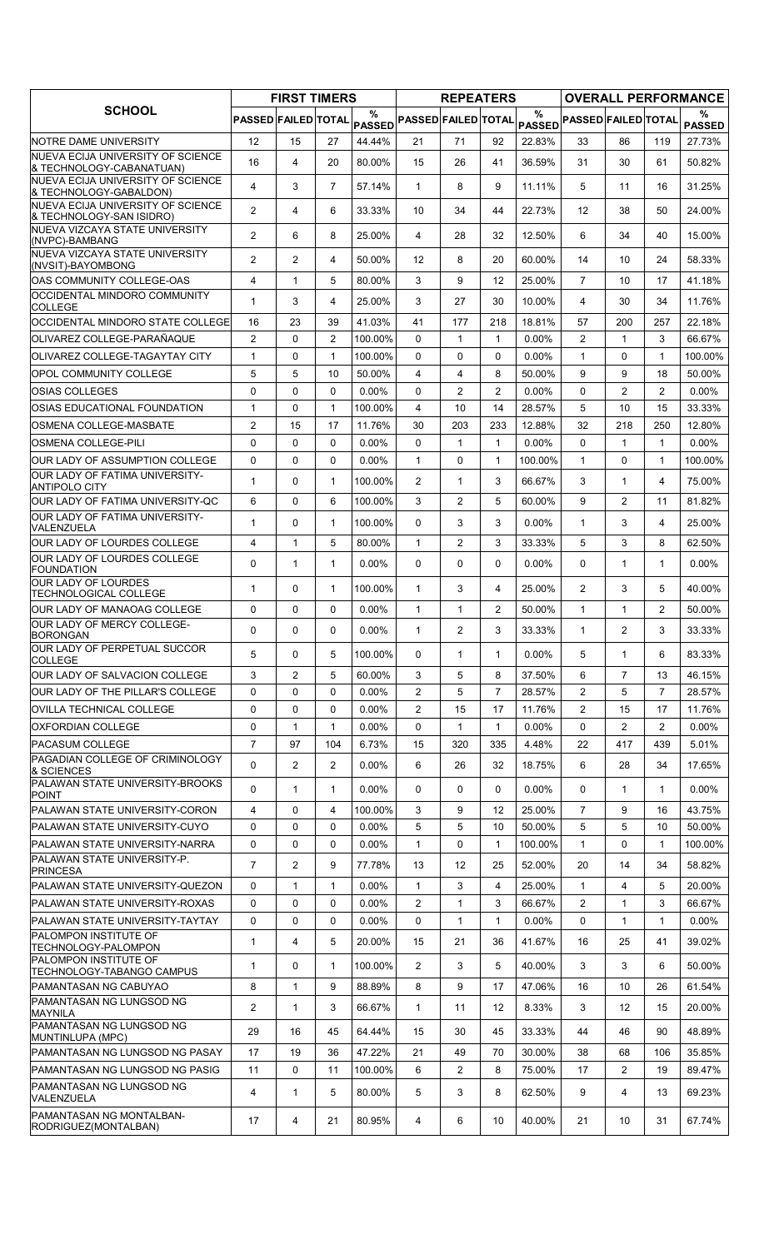|                                                                       |                     | <b>FIRST TIMERS</b> |                |                    |                            | <b>REPEATERS</b> |                |               |                            |                |                | <b>OVERALL PERFORMANCE</b> |
|-----------------------------------------------------------------------|---------------------|---------------------|----------------|--------------------|----------------------------|------------------|----------------|---------------|----------------------------|----------------|----------------|----------------------------|
| <b>SCHOOL</b>                                                         | PASSED FAILED TOTAL |                     |                | %<br><b>PASSED</b> | <b>PASSED FAILED TOTAL</b> |                  |                | $\frac{0}{0}$ | PASSED PASSED FAILED TOTAL |                |                | %<br><b>PASSED</b>         |
| NOTRE DAME UNIVERSITY                                                 | 12                  | 15                  | 27             | 44.44%             | 21                         | 71               | 92             | 22.83%        | 33                         | 86             | 119            | 27.73%                     |
| <b>INUEVA ECIJA UNIVERSITY OF SCIENCE</b><br>& TECHNOLOGY-CABANATUAN) | 16                  | 4                   | 20             | 80.00%             | 15                         | 26               | 41             | 36.59%        | 31                         | 30             | 61             | 50.82%                     |
| NUEVA ECIJA UNIVERSITY OF SCIENCE<br>& TECHNOLOGY-GABALDON)           | 4                   | 3                   | $\overline{7}$ | 57.14%             | $\mathbf{1}$               | 8                | 9              | 11.11%        | 5                          | 11             | 16             | 31.25%                     |
| <b>INUEVA ECIJA UNIVERSITY OF SCIENCE</b><br>& TECHNOLOGY-SAN ISIDRO) | $\overline{c}$      | 4                   | 6              | 33.33%             | 10                         | 34               | 44             | 22.73%        | $12 \overline{ }$          | 38             | 50             | 24.00%                     |
| <b>INUEVA VIZCAYA STATE UNIVERSITY</b><br>(NVPC)-BAMBANG              | $\overline{c}$      | 6                   | 8              | 25.00%             | 4                          | 28               | 32             | 12.50%        | 6                          | 34             | 40             | 15.00%                     |
| INUEVA VIZCAYA STATE UNIVERSITY<br>(NVSIT)-BAYOMBONG                  | 2                   | $\overline{2}$      | 4              | 50.00%             | 12                         | 8                | 20             | 60.00%        | 14                         | 10             | 24             | 58.33%                     |
| OAS COMMUNITY COLLEGE-OAS                                             | $\overline{4}$      | $\mathbf{1}$        | 5              | 80.00%             | 3                          | 9                | 12             | 25.00%        | $\overline{7}$             | 10             | 17             | 41.18%                     |
| OCCIDENTAL MINDORO COMMUNITY<br><b>COLLEGE</b>                        | 1                   | 3                   | 4              | 25.00%             | 3                          | 27               | 30             | 10.00%        | 4                          | 30             | 34             | 11.76%                     |
| OCCIDENTAL MINDORO STATE COLLEGE                                      | 16                  | 23                  | 39             | 41.03%             | 41                         | 177              | 218            | 18.81%        | 57                         | 200            | 257            | 22.18%                     |
| lOLIVAREZ COLLEGE-PARAÑAQUE                                           | $\overline{2}$      | 0                   | $\overline{c}$ | 100.00%            | $\Omega$                   | $\mathbf{1}$     | $\mathbf{1}$   | $0.00\%$      | 2                          | $\mathbf{1}$   | 3              | 66.67%                     |
| OLIVAREZ COLLEGE-TAGAYTAY CITY                                        | 1                   | 0                   | 1              | 100.00%            | 0                          | 0                | 0              | $0.00\%$      | $\mathbf{1}$               | $\Omega$       | $\mathbf{1}$   | 100.00%                    |
| OPOL COMMUNITY COLLEGE                                                | 5                   | 5                   | 10             | 50.00%             | 4                          | 4                | 8              | 50.00%        | 9                          | 9              | 18             | 50.00%                     |
| <b>IOSIAS COLLEGES</b>                                                | 0                   | 0                   | $\Omega$       | $0.00\%$           | $\Omega$                   | $\overline{2}$   | $\overline{2}$ | $0.00\%$      | $\mathbf{0}$               | $\overline{2}$ | $\overline{2}$ | $0.00\%$                   |
| OSIAS EDUCATIONAL FOUNDATION                                          | 1                   | $\Omega$            | $\mathbf{1}$   | 100.00%            | 4                          | 10               | 14             | 28.57%        | 5                          | 10             | 15             | 33.33%                     |
| OSMENA COLLEGE-MASBATE                                                | 2                   | 15                  | 17             | 11.76%             | 30                         | 203              | 233            | 12.88%        | 32                         | 218            | 250            | 12.80%                     |
| OSMENA COLLEGE-PILI                                                   | 0                   | 0                   | $\mathbf 0$    | 0.00%              | $\Omega$                   | $\mathbf{1}$     | $\mathbf{1}$   | 0.00%         | $\Omega$                   | $\mathbf{1}$   | $\mathbf{1}$   | $0.00\%$                   |
| IOUR LADY OF ASSUMPTION COLLEGE                                       | 0                   | 0                   | $\Omega$       | $0.00\%$           | $\mathbf{1}$               | 0                | $\mathbf{1}$   | 100.00%       | $\mathbf{1}$               | $\Omega$       | $\mathbf{1}$   | 100.00%                    |
| OUR LADY OF FATIMA UNIVERSITY-<br><b>ANTIPOLO CITY</b>                | 1                   | $\Omega$            | $\mathbf{1}$   | 100.00%            | $\overline{2}$             | $\mathbf{1}$     | 3              | 66.67%        | 3                          | $\mathbf{1}$   | 4              | 75.00%                     |
| OUR LADY OF FATIMA UNIVERSITY-QC                                      | 6                   | 0                   | 6              | 100.00%            | 3                          | $\overline{2}$   | 5              | 60.00%        | 9                          | $\overline{2}$ | 11             | 81.82%                     |
| OUR LADY OF FATIMA UNIVERSITY-<br>VALENZUELA                          | 1                   | 0                   | 1              | 100.00%            | 0                          | 3                | 3              | $0.00\%$      | 1                          | 3              | 4              | 25.00%                     |
| OUR LADY OF LOURDES COLLEGE                                           | 4                   | $\mathbf{1}$        | 5              | 80.00%             | $\mathbf{1}$               | $\overline{2}$   | 3              | 33.33%        | 5                          | 3              | 8              | 62.50%                     |
| OUR LADY OF LOURDES COLLEGE<br>FOUNDATION                             | 0                   | $\mathbf{1}$        | 1              | $0.00\%$           | 0                          | 0                | $\Omega$       | $0.00\%$      | $\mathbf{0}$               | $\mathbf{1}$   | $\mathbf{1}$   | $0.00\%$                   |
| <b>OUR LADY OF LOURDES</b><br><b>TECHNOLOGICAL COLLEGE</b>            | 1                   | 0                   | $\mathbf{1}$   | 100.00%            | $\mathbf{1}$               | 3                | 4              | 25.00%        | $\overline{2}$             | 3              | 5              | 40.00%                     |
| OUR LADY OF MANAOAG COLLEGE                                           | 0                   | 0                   | $\mathbf{0}$   | $0.00\%$           | $\mathbf{1}$               | $\mathbf{1}$     | $\overline{2}$ | 50.00%        | $\mathbf{1}$               | 1              | $\overline{2}$ | 50.00%                     |
| OUR LADY OF MERCY COLLEGE-<br><b>BORONGAN</b>                         | $\Omega$            | $\Omega$            | $\mathbf{0}$   | $0.00\%$           | $\mathbf{1}$               | $\overline{2}$   | 3              | 33.33%        | $\mathbf{1}$               | $\overline{2}$ | 3              | 33.33%                     |
| OUR LADY OF PERPETUAL SUCCOR<br><b>ICOLLEGE</b>                       | 5                   | $\mathbf 0$         | 5              | 100.00%            | 0                          | $\mathbf 1$      | $\mathbf{1}$   | 0.00%         | 5                          | 1              | 6              | 83.33%                     |
| OUR LADY OF SALVACION COLLEGE                                         | 3                   | 2                   | 5              | 60.00%             | 3                          | 5                | 8              | 37.50%        | 6                          | $\overline{7}$ | 13             | 46.15%                     |
| OUR LADY OF THE PILLAR'S COLLEGE                                      | 0                   | 0                   | $\Omega$       | $0.00\%$           | 2                          | 5                | 7              | 28.57%        | $\mathbf{2}$               | 5              | $\overline{7}$ | 28.57%                     |
| <b>OVILLA TECHNICAL COLLEGE</b>                                       | 0                   | 0                   | 0              | $0.00\%$           | 2                          | 15               | 17             | 11.76%        | $\overline{2}$             | 15             | 17             | 11.76%                     |
| <b>OXFORDIAN COLLEGE</b>                                              | 0                   | $\mathbf{1}$        | 1              | $0.00\%$           | $\Omega$                   | $\mathbf{1}$     | $\mathbf{1}$   | $0.00\%$      | $\Omega$                   | $\overline{2}$ | $\overline{2}$ | $0.00\%$                   |
| <b>PACASUM COLLEGE</b>                                                | $\overline{7}$      | 97                  | 104            | 6.73%              | 15                         | 320              | 335            | 4.48%         | 22                         | 417            | 439            | 5.01%                      |
| PAGADIAN COLLEGE OF CRIMINOLOGY<br>& SCIENCES                         | 0                   | $\overline{2}$      | 2              | $0.00\%$           | 6                          | 26               | 32             | 18.75%        | 6                          | 28             | 34             | 17.65%                     |
| PALAWAN STATE UNIVERSITY-BROOKS<br><b>POINT</b>                       | 0                   | 1                   | 1              | $0.00\%$           | 0                          | 0                | 0              | $0.00\%$      | 0                          | $\mathbf{1}$   | $\mathbf{1}$   | $0.00\%$                   |
| IPALAWAN STATE UNIVERSITY-CORON                                       | 4                   | 0                   | 4              | 100.00%            | 3                          | 9                | 12             | 25.00%        | $\overline{7}$             | 9              | 16             | 43.75%                     |
| IPALAWAN STATE UNIVERSITY-CUYO                                        | 0                   | $\mathbf 0$         | $\mathbf 0$    | $0.00\%$           | 5                          | 5                | 10             | 50.00%        | 5                          | 5              | 10             | 50.00%                     |
| <b>PALAWAN STATE UNIVERSITY-NARRA</b>                                 | 0                   | 0                   | $\mathbf 0$    | $0.00\%$           | $\mathbf{1}$               | 0                | $\mathbf{1}$   | 100.00%       | $\mathbf{1}$               | $\Omega$       | $\mathbf{1}$   | 100.00%                    |
| PALAWAN STATE UNIVERSITY-P.<br><b>PRINCESA</b>                        | $\overline{7}$      | $\overline{2}$      | 9              | 77.78%             | 13                         | 12               | 25             | 52.00%        | 20                         | 14             | 34             | 58.82%                     |
| PALAWAN STATE UNIVERSITY-QUEZON                                       | 0                   | 1                   | 1              | $0.00\%$           | 1                          | 3                | 4              | 25.00%        | $\mathbf{1}$               | 4              | 5              | 20.00%                     |
| PALAWAN STATE UNIVERSITY-ROXAS                                        | 0                   | 0                   | $\mathbf 0$    | $0.00\%$           | $\overline{2}$             | $\mathbf{1}$     | 3              | 66.67%        | $\overline{2}$             | 1              | 3              | 66.67%                     |
| PALAWAN STATE UNIVERSITY-TAYTAY                                       | 0                   | 0                   | $\mathbf 0$    | $0.00\%$           | 0                          | $\mathbf{1}$     | $\mathbf{1}$   | 0.00%         | 0                          | $\mathbf{1}$   | $\mathbf{1}$   | $0.00\%$                   |
| PALOMPON INSTITUTE OF<br>TECHNOLOGY-PALOMPON                          | 1                   | 4                   | 5              | 20.00%             | 15                         | 21               | 36             | 41.67%        | 16                         | 25             | 41             | 39.02%                     |
| PALOMPON INSTITUTE OF                                                 | 1                   | 0                   | $\mathbf{1}$   | 100.00%            | $\overline{2}$             | 3                | 5              | 40.00%        | 3                          | 3              | 6              | 50.00%                     |
| TECHNOLOGY-TABANGO CAMPUS<br>PAMANTASAN NG CABUYAO                    | 8                   | 1                   | 9              | 88.89%             | 8                          | 9                | 17             | 47.06%        | 16                         | 10             | 26             | 61.54%                     |
| PAMANTASAN NG LUNGSOD NG                                              | $\overline{2}$      | $\mathbf{1}$        | 3              | 66.67%             | $\mathbf{1}$               | 11               | 12             | 8.33%         | 3                          | 12             | 15             | 20.00%                     |
| <b>MAYNILA</b><br>PAMANTASAN NG LUNGSOD NG                            | 29                  | 16                  | 45             | 64.44%             | 15                         | 30               | 45             | 33.33%        | 44                         | 46             | 90             | 48.89%                     |
| MUNTINLUPA (MPC)                                                      |                     |                     |                |                    |                            |                  |                |               |                            |                |                |                            |
| PAMANTASAN NG LUNGSOD NG PASAY                                        | 17                  | 19                  | 36             | 47.22%             | 21                         | 49               | 70             | 30.00%        | 38                         | 68             | 106            | 35.85%                     |
| IPAMANTASAN NG LUNGSOD NG PASIG<br>IPAMANTASAN NG LUNGSOD NG          | 11                  | 0                   | 11             | 100.00%            | 6                          | $\overline{2}$   | 8              | 75.00%        | 17                         | $\overline{2}$ | 19             | 89.47%                     |
| VALENZUELA<br>PAMANTASAN NG MONTALBAN-                                | 4                   | $\mathbf{1}$        | 5              | 80.00%             | 5                          | 3                | 8              | 62.50%        | 9                          | 4              | 13             | 69.23%                     |
| RODRIGUEZ(MONTALBAN)                                                  | 17                  | 4                   | 21             | 80.95%             | 4                          | 6                | 10             | 40.00%        | 21                         | 10             | 31             | 67.74%                     |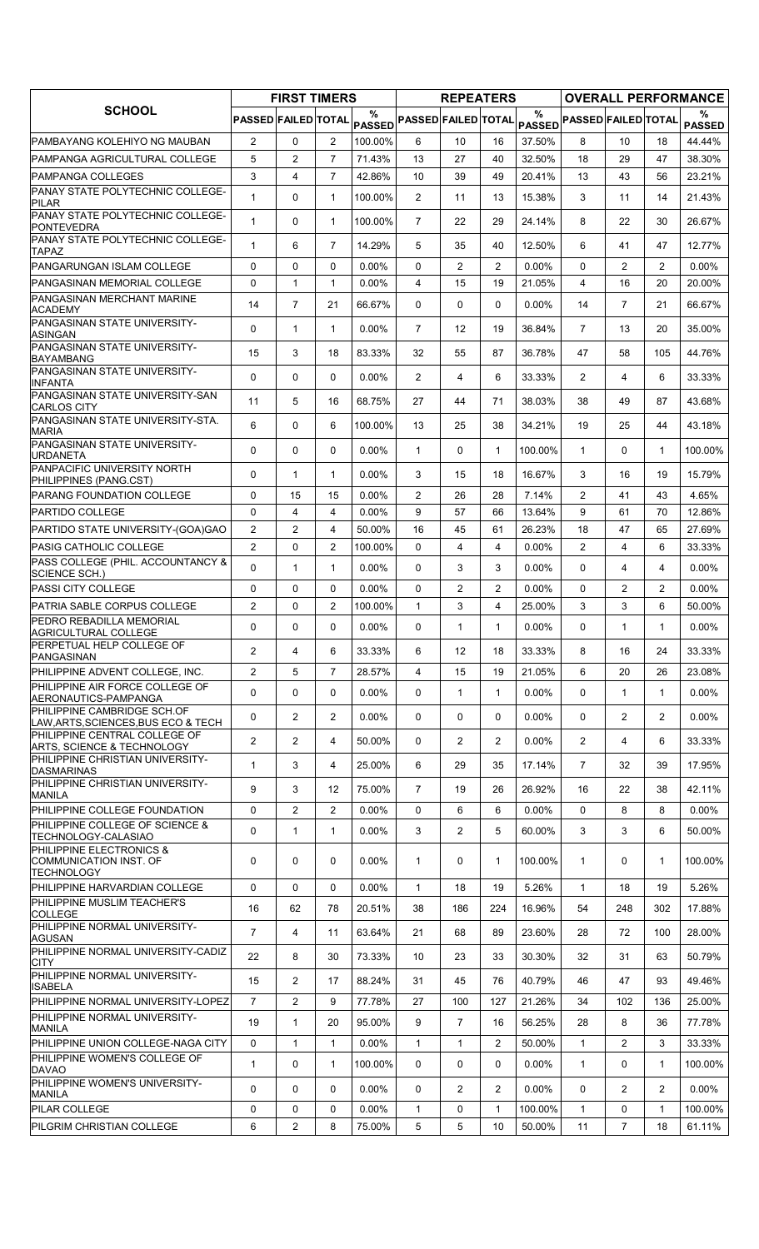|                                                                         |                            | <b>FIRST TIMERS</b> |                |          |                                                                      | <b>REPEATERS</b> |                |          |                            |                |                | <b>OVERALL PERFORMANCE</b> |
|-------------------------------------------------------------------------|----------------------------|---------------------|----------------|----------|----------------------------------------------------------------------|------------------|----------------|----------|----------------------------|----------------|----------------|----------------------------|
| <b>SCHOOL</b>                                                           | <b>PASSED FAILED TOTAL</b> |                     |                | %        | $ {\sf pas}^{\circ}_{\sf SED} ^{\sf PASSED} $ failed $ {\sf total} $ |                  |                | %        | PASSED PASSED FAILED TOTAL |                |                | %<br><b>PASSED</b>         |
| PAMBAYANG KOLEHIYO NG MAUBAN                                            | $\overline{2}$             | 0                   | $\overline{2}$ | 100.00%  | 6                                                                    | 10               | 16             | 37.50%   | 8                          | 10             | 18             | 44.44%                     |
| PAMPANGA AGRICULTURAL COLLEGE                                           | 5                          | $\overline{c}$      | $\overline{7}$ | 71.43%   | 13                                                                   | 27               | 40             | 32.50%   | 18                         | 29             | 47             | 38.30%                     |
| PAMPANGA COLLEGES                                                       | 3                          | $\overline{4}$      | $\overline{7}$ | 42.86%   | 10                                                                   | 39               | 49             | 20.41%   | 13                         | 43             | 56             | 23.21%                     |
| PANAY STATE POLYTECHNIC COLLEGE-<br><b>PILAR</b>                        | $\mathbf{1}$               | 0                   | $\mathbf{1}$   | 100.00%  | $\overline{2}$                                                       | 11               | 13             | 15.38%   | 3                          | 11             | 14             | 21.43%                     |
| PANAY STATE POLYTECHNIC COLLEGE-<br><b>PONTEVEDRA</b>                   | $\mathbf{1}$               | 0                   | $\mathbf{1}$   | 100.00%  | $\overline{7}$                                                       | 22               | 29             | 24.14%   | 8                          | 22             | 30             | 26.67%                     |
| PANAY STATE POLYTECHNIC COLLEGE-<br><b>TAPAZ</b>                        | $\mathbf{1}$               | 6                   | $\overline{7}$ | 14.29%   | 5                                                                    | 35               | 40             | 12.50%   | 6                          | 41             | 47             | 12.77%                     |
| PANGARUNGAN ISLAM COLLEGE                                               | 0                          | 0                   | $\mathbf{0}$   | $0.00\%$ | $\Omega$                                                             | $\overline{2}$   | $\overline{2}$ | $0.00\%$ | $\Omega$                   | $\overline{c}$ | $\overline{2}$ | $0.00\%$                   |
| PANGASINAN MEMORIAL COLLEGE                                             | 0                          | $\mathbf{1}$        | $\mathbf{1}$   | $0.00\%$ | 4                                                                    | 15               | 19             | 21.05%   | 4                          | 16             | 20             | 20.00%                     |
| PANGASINAN MERCHANT MARINE<br><b>ACADEMY</b>                            | 14                         | $\overline{7}$      | 21             | 66.67%   | $\Omega$                                                             | 0                | $\Omega$       | 0.00%    | 14                         | $\overline{7}$ | 21             | 66.67%                     |
| PANGASINAN STATE UNIVERSITY-<br>ASINGAN                                 | $\Omega$                   | $\mathbf{1}$        | 1              | 0.00%    | $\overline{7}$                                                       | 12               | 19             | 36.84%   | $\overline{7}$             | 13             | 20             | 35.00%                     |
| PANGASINAN STATE UNIVERSITY-<br><b>BAYAMBANG</b>                        | 15                         | 3                   | 18             | 83.33%   | 32                                                                   | 55               | 87             | 36.78%   | 47                         | 58             | 105            | 44.76%                     |
| PANGASINAN STATE UNIVERSITY-<br><b>INFANTA</b>                          | 0                          | 0                   | $\Omega$       | $0.00\%$ | $\overline{2}$                                                       | 4                | 6              | 33.33%   | $\overline{2}$             | 4              | 6              | 33.33%                     |
| PANGASINAN STATE UNIVERSITY-SAN<br><b>CARLOS CITY</b>                   | 11                         | 5                   | 16             | 68.75%   | 27                                                                   | 44               | 71             | 38.03%   | 38                         | 49             | 87             | 43.68%                     |
| PANGASINAN STATE UNIVERSITY-STA.<br><b>MARIA</b>                        | 6                          | 0                   | 6              | 100.00%  | 13                                                                   | 25               | 38             | 34.21%   | 19                         | 25             | 44             | 43.18%                     |
| PANGASINAN STATE UNIVERSITY-<br><b>URDANETA</b>                         | 0                          | 0                   | $\mathbf 0$    | 0.00%    | $\mathbf{1}$                                                         | 0                | $\mathbf{1}$   | 100.00%  | $\mathbf{1}$               | 0              | $\mathbf{1}$   | 100.00%                    |
| PANPACIFIC UNIVERSITY NORTH<br>PHILIPPINES (PANG.CST)                   | 0                          | $\mathbf{1}$        | $\mathbf{1}$   | $0.00\%$ | 3                                                                    | 15               | 18             | 16.67%   | 3                          | 16             | 19             | 15.79%                     |
| <b>PARANG FOUNDATION COLLEGE</b>                                        | $\Omega$                   | 15                  | 15             | $0.00\%$ | $\overline{2}$                                                       | 26               | 28             | 7.14%    | $\overline{2}$             | 41             | 43             | 4.65%                      |
| <b>PARTIDO COLLEGE</b>                                                  | $\mathbf 0$                | $\overline{4}$      | $\overline{4}$ | $0.00\%$ | 9                                                                    | 57               | 66             | 13.64%   | 9                          | 61             | 70             | 12.86%                     |
| PARTIDO STATE UNIVERSITY-(GOA)GAO                                       | $\overline{2}$             | $\overline{2}$      | $\overline{4}$ | 50.00%   | 16                                                                   | 45               | 61             | 26.23%   | 18                         | 47             | 65             | 27.69%                     |
| PASIG CATHOLIC COLLEGE                                                  | $\overline{2}$             | 0                   | $\overline{2}$ | 100.00%  | $\mathbf{0}$                                                         | 4                | 4              | $0.00\%$ | $\overline{2}$             | 4              | 6              | 33.33%                     |
| PASS COLLEGE (PHIL. ACCOUNTANCY &<br>SCIENCE SCH.)                      | $\Omega$                   | $\mathbf{1}$        | $\mathbf{1}$   | $0.00\%$ | 0                                                                    | 3                | 3              | 0.00%    | 0                          | 4              | 4              | $0.00\%$                   |
| <b>PASSI CITY COLLEGE</b>                                               | 0                          | 0                   | $\Omega$       | $0.00\%$ | $\Omega$                                                             | 2                | $\overline{2}$ | 0.00%    | $\Omega$                   | $\overline{2}$ | $\overline{2}$ | $0.00\%$                   |
| PATRIA SABLE CORPUS COLLEGE                                             | $\overline{2}$             | 0                   | $\overline{2}$ | 100.00%  | $\mathbf{1}$                                                         | 3                | 4              | 25.00%   | 3                          | 3              | 6              | 50.00%                     |
| PEDRO REBADILLA MEMORIAL<br>AGRICULTURAL COLLEGE                        | 0                          | 0                   | $\mathbf 0$    | $0.00\%$ | 0                                                                    | $\mathbf{1}$     | $\mathbf{1}$   | $0.00\%$ | 0                          | $\mathbf{1}$   | $\mathbf 1$    | $0.00\%$                   |
| PERPETUAL HELP COLLEGE OF<br>PANGASINAN                                 | $\overline{2}$             | 4                   | 6              | 33.33%   | 6                                                                    | 12               | 18             | 33.33%   | 8                          | 16             | 24             | 33.33%                     |
| PHILIPPINE ADVENT COLLEGE, INC.                                         | $\overline{2}$             | 5                   | $\overline{7}$ | 28.57%   | 4                                                                    | 15               | 19             | 21.05%   | 6                          | 20             | 26             | 23.08%                     |
| PHILIPPINE AIR FORCE COLLEGE OF<br>AERONAUTICS-PAMPANGA                 | 0                          | 0                   | $\mathbf{0}$   | $0.00\%$ | 0                                                                    | 1                | $\mathbf{1}$   | $0.00\%$ | 0                          | $\mathbf{1}$   | $\mathbf{1}$   | $0.00\%$                   |
| PHILIPPINE CAMBRIDGE SCH.OF<br>LAW, ARTS, SCIENCES, BUS ECO & TECH      | 0                          | $\overline{2}$      | $\overline{2}$ | $0.00\%$ | $\mathbf{0}$                                                         | 0                | 0              | 0.00%    | $\Omega$                   | $\overline{2}$ | $\overline{2}$ | $0.00\%$                   |
| PHILIPPINE CENTRAL COLLEGE OF<br>ARTS, SCIENCE & TECHNOLOGY             | $\overline{2}$             | $\overline{2}$      | 4              | 50.00%   | 0                                                                    | $\overline{2}$   | $\overline{2}$ | $0.00\%$ | $\overline{2}$             | 4              | 6              | 33.33%                     |
| PHILIPPINE CHRISTIAN UNIVERSITY-<br><b>DASMARINAS</b>                   | $\mathbf{1}$               | 3                   | 4              | 25.00%   | 6                                                                    | 29               | 35             | 17.14%   | $\overline{7}$             | 32             | 39             | 17.95%                     |
| PHILIPPINE CHRISTIAN UNIVERSITY-<br>MANILA                              | 9                          | 3                   | 12             | 75.00%   | $\overline{7}$                                                       | 19               | 26             | 26.92%   | 16                         | 22             | 38             | 42.11%                     |
| PHILIPPINE COLLEGE FOUNDATION                                           | 0                          | $\overline{2}$      | $\overline{2}$ | $0.00\%$ | 0                                                                    | 6                | 6              | $0.00\%$ | 0                          | 8              | 8              | $0.00\%$                   |
| PHILIPPINE COLLEGE OF SCIENCE &<br>TECHNOLOGY-CALASIAO                  | 0                          | $\mathbf{1}$        | $\mathbf{1}$   | $0.00\%$ | 3                                                                    | $\overline{2}$   | 5              | 60.00%   | 3                          | 3              | 6              | 50.00%                     |
| PHILIPPINE ELECTRONICS &<br>COMMUNICATION INST. OF<br><b>TECHNOLOGY</b> | 0                          | 0                   | 0              | $0.00\%$ | $\mathbf{1}$                                                         | 0                | $\mathbf{1}$   | 100.00%  | $\mathbf{1}$               | 0              | 1              | 100.00%                    |
| PHILIPPINE HARVARDIAN COLLEGE                                           | 0                          | 0                   | 0              | $0.00\%$ | $\mathbf{1}$                                                         | 18               | 19             | 5.26%    | $\mathbf{1}$               | 18             | 19             | 5.26%                      |
| PHILIPPINE MUSLIM TEACHER'S<br><b>COLLEGE</b>                           | 16                         | 62                  | 78             | 20.51%   | 38                                                                   | 186              | 224            | 16.96%   | 54                         | 248            | 302            | 17.88%                     |
| PHILIPPINE NORMAL UNIVERSITY-<br>AGUSAN                                 | $\overline{7}$             | 4                   | 11             | 63.64%   | 21                                                                   | 68               | 89             | 23.60%   | 28                         | 72             | 100            | 28.00%                     |
| PHILIPPINE NORMAL UNIVERSITY-CADIZ<br>CITY                              | 22                         | 8                   | 30             | 73.33%   | 10                                                                   | 23               | 33             | 30.30%   | 32                         | 31             | 63             | 50.79%                     |
| PHILIPPINE NORMAL UNIVERSITY-<br><b>ISABELA</b>                         | 15                         | $\overline{2}$      | 17             | 88.24%   | 31                                                                   | 45               | 76             | 40.79%   | 46                         | 47             | 93             | 49.46%                     |
| PHILIPPINE NORMAL UNIVERSITY-LOPEZ                                      | $\overline{7}$             | $\overline{2}$      | 9              | 77.78%   | 27                                                                   | 100              | 127            | 21.26%   | 34                         | 102            | 136            | 25.00%                     |
| PHILIPPINE NORMAL UNIVERSITY-<br><b>MANILA</b>                          | 19                         | 1                   | 20             | 95.00%   | 9                                                                    | $\overline{7}$   | 16             | 56.25%   | 28                         | 8              | 36             | 77.78%                     |
| PHILIPPINE UNION COLLEGE-NAGA CITY                                      | 0                          | $\mathbf{1}$        | $\mathbf{1}$   | $0.00\%$ | $\mathbf{1}$                                                         | $\mathbf{1}$     | $\overline{2}$ | 50.00%   | $\mathbf{1}$               | $\overline{2}$ | 3              | 33.33%                     |
| PHILIPPINE WOMEN'S COLLEGE OF<br><b>DAVAO</b>                           | $\mathbf{1}$               | 0                   | $\mathbf{1}$   | 100.00%  | 0                                                                    | 0                | 0              | $0.00\%$ | $\mathbf{1}$               | 0              | $\mathbf{1}$   | 100.00%                    |
| PHILIPPINE WOMEN'S UNIVERSITY-<br>MANILA                                | 0                          | 0                   | $\mathbf{0}$   | $0.00\%$ | 0                                                                    | $\overline{2}$   | $\overline{2}$ | 0.00%    | $\Omega$                   | $\overline{2}$ | $\overline{2}$ | $0.00\%$                   |
| PILAR COLLEGE                                                           | 0                          | 0                   | $\mathbf 0$    | $0.00\%$ | $\mathbf{1}$                                                         | 0                | $\mathbf{1}$   | 100.00%  | $\mathbf{1}$               | 0              | 1              | 100.00%                    |
| PILGRIM CHRISTIAN COLLEGE                                               | 6                          | $\overline{2}$      | 8              | 75.00%   | 5                                                                    | 5                | 10             | 50.00%   | 11                         | 7              | 18             | 61.11%                     |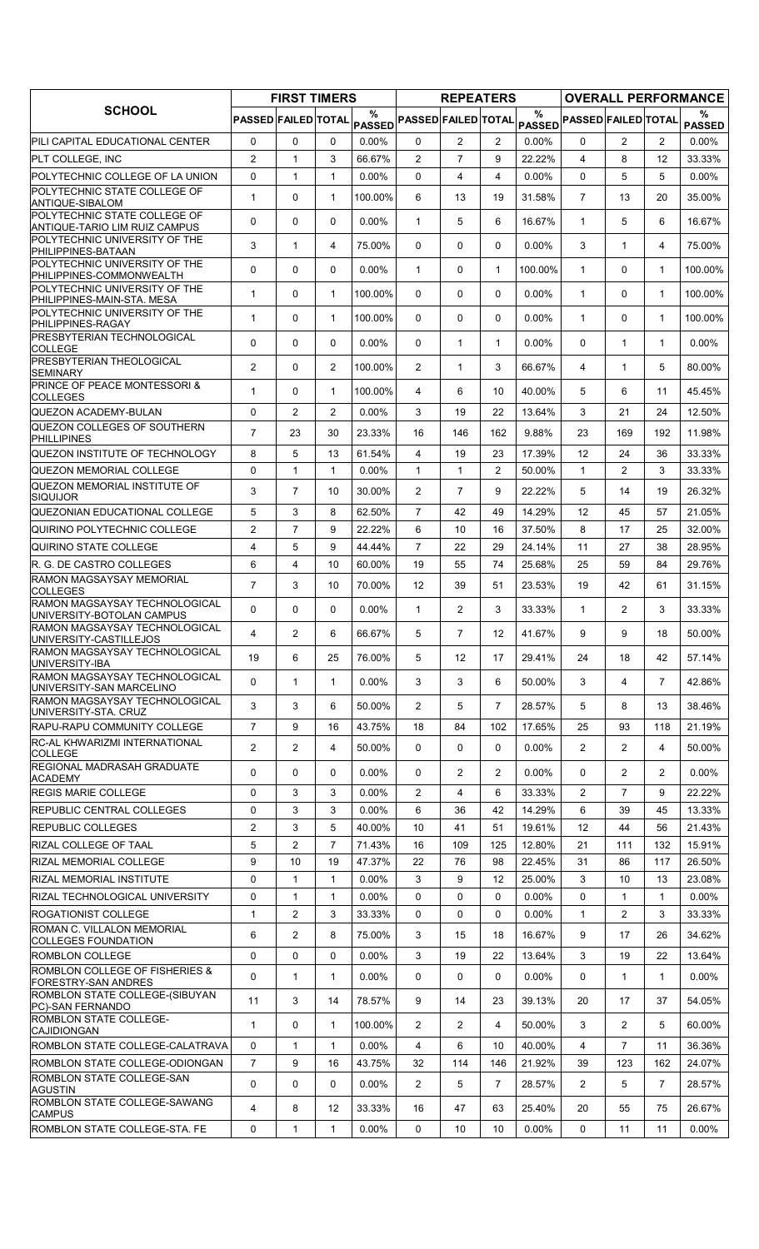|                                                               |                     | <b>FIRST TIMERS</b> |                   |                    |                            | <b>REPEATERS</b> |                       |                  |                                                                                     |                |                       | <b>OVERALL PERFORMANCE</b> |
|---------------------------------------------------------------|---------------------|---------------------|-------------------|--------------------|----------------------------|------------------|-----------------------|------------------|-------------------------------------------------------------------------------------|----------------|-----------------------|----------------------------|
| <b>SCHOOL</b>                                                 | PASSED FAILED TOTAL |                     |                   | %<br><b>PASSED</b> | <b>PASSED FAILED TOTAL</b> |                  |                       | $\frac{0}{0}$    | $\mathsf{PAS\overset{\circ}{\mathtt{SED}}}$ PASSED $\mathsf{FALED} \mathsf{TOTAL} $ |                |                       | %<br><b>PASSED</b>         |
| PILI CAPITAL EDUCATIONAL CENTER                               | $\mathbf 0$         | $\Omega$            | $\mathbf{0}$      | $0.00\%$           | 0                          | $\overline{2}$   | $\overline{2}$        | $0.00\%$         | 0                                                                                   | $\overline{2}$ | $\overline{2}$        | $0.00\%$                   |
| <b>PLT COLLEGE, INC</b>                                       | $\overline{2}$      | $\mathbf{1}$        | 3                 | 66.67%             | $\overline{2}$             | $\overline{7}$   | 9                     | 22.22%           | 4                                                                                   | 8              | 12                    | 33.33%                     |
| POLYTECHNIC COLLEGE OF LA UNION                               | $\Omega$            | $\mathbf{1}$        | $\mathbf{1}$      | 0.00%              | $\Omega$                   | 4                | 4                     | $0.00\%$         | $\Omega$                                                                            | 5              | 5                     | $0.00\%$                   |
| POLYTECHNIC STATE COLLEGE OF<br>ANTIQUE-SIBALOM               | $\mathbf{1}$        | $\mathbf 0$         | $\mathbf{1}$      | 100.00%            | 6                          | 13               | 19                    | 31.58%           | $\overline{7}$                                                                      | 13             | 20                    | 35.00%                     |
| POLYTECHNIC STATE COLLEGE OF<br>ANTIQUE-TARIO LIM RUIZ CAMPUS | $\Omega$            | 0                   | $\mathbf{0}$      | $0.00\%$           | $\mathbf{1}$               | 5                | 6                     | 16.67%           | $\mathbf{1}$                                                                        | 5              | 6                     | 16.67%                     |
| POLYTECHNIC UNIVERSITY OF THE<br>PHILIPPINES-BATAAN           | 3                   | $\mathbf{1}$        | 4                 | 75.00%             | $\mathbf{0}$               | 0                | $\Omega$              | 0.00%            | 3                                                                                   | $\mathbf{1}$   | 4                     | 75.00%                     |
| POLYTECHNIC UNIVERSITY OF THE<br>PHILIPPINES-COMMONWEALTH     | 0                   | $\mathbf 0$         | 0                 | 0.00%              | $\mathbf{1}$               | 0                | 1                     | 100.00%          | $\mathbf{1}$                                                                        | 0              | $\mathbf 1$           | 100.00%                    |
| POLYTECHNIC UNIVERSITY OF THE<br>PHILIPPINES-MAIN-STA. MESA   | $\mathbf{1}$        | $\mathbf 0$         | $\mathbf{1}$      | 100.00%            | $\Omega$                   | $\mathbf 0$      | $\Omega$              | 0.00%            | $\mathbf{1}$                                                                        | $\Omega$       | $\mathbf{1}$          | 100.00%                    |
| POLYTECHNIC UNIVERSITY OF THE<br>PHILIPPINES-RAGAY            | 1                   | 0                   | $\mathbf{1}$      | 100.00%            | $\mathbf{0}$               | $\mathbf 0$      | 0                     | $0.00\%$         | $\mathbf{1}$                                                                        | $\Omega$       | $\mathbf{1}$          | 100.00%                    |
| PRESBYTERIAN TECHNOLOGICAL<br><b>COLLEGE</b>                  | $\Omega$            | 0                   | $\mathbf{0}$      | $0.00\%$           | $\mathbf{0}$               | $\mathbf{1}$     | $\mathbf{1}$          | $0.00\%$         | $\Omega$                                                                            | $\mathbf{1}$   | $\mathbf 1$           | $0.00\%$                   |
| <b>PRESBYTERIAN THEOLOGICAL</b><br><b>SEMINARY</b>            | $\overline{2}$      | 0                   | $\overline{2}$    | 100.00%            | $\overline{2}$             | $\mathbf{1}$     | 3                     | 66.67%           | 4                                                                                   | $\mathbf{1}$   | 5                     | 80.00%                     |
| <b>PRINCE OF PEACE MONTESSORI &amp;</b><br><b>COLLEGES</b>    | $\mathbf{1}$        | 0                   | $\mathbf{1}$      | 100.00%            | 4                          | 6                | 10                    | 40.00%           | 5                                                                                   | 6              | 11                    | 45.45%                     |
| QUEZON ACADEMY-BULAN                                          | $\mathbf 0$         | $\overline{2}$      | $\overline{2}$    | 0.00%              | 3                          | 19               | 22                    | 13.64%           | 3                                                                                   | 21             | 24                    | 12.50%                     |
| <b>QUEZON COLLEGES OF SOUTHERN</b><br><b>PHILLIPINES</b>      | $\overline{7}$      | 23                  | 30                | 23.33%             | 16                         | 146              | 162                   | 9.88%            | 23                                                                                  | 169            | 192                   | 11.98%                     |
| QUEZON INSTITUTE OF TECHNOLOGY                                | 8                   | 5                   | 13                | 61.54%             | 4                          | 19               | 23                    | 17.39%           | 12                                                                                  | 24             | 36                    | 33.33%                     |
| <b>QUEZON MEMORIAL COLLEGE</b>                                | $\mathbf 0$         | $\mathbf{1}$        | $\mathbf{1}$      | $0.00\%$           | $\mathbf{1}$               | $\mathbf{1}$     | $\overline{2}$        | 50.00%           | $\mathbf{1}$                                                                        | $\overline{2}$ | 3                     | 33.33%                     |
| QUEZON MEMORIAL INSTITUTE OF<br><b>SIQUIJOR</b>               | 3                   | $\overline{7}$      | 10                | 30.00%             | $\overline{2}$             | $\overline{7}$   | 9                     | 22.22%           | 5                                                                                   | 14             | 19                    | 26.32%                     |
| QUEZONIAN EDUCATIONAL COLLEGE                                 | 5                   | 3                   | 8                 | 62.50%             | $\overline{7}$             | 42               | 49                    | 14.29%           | 12                                                                                  | 45             | 57                    | 21.05%                     |
| QUIRINO POLYTECHNIC COLLEGE                                   | $\overline{2}$      | $\overline{7}$      | 9                 | 22.22%             | 6                          | 10               | 16                    | 37.50%           | 8                                                                                   | 17             | 25                    | 32.00%                     |
| QUIRINO STATE COLLEGE                                         | 4                   | 5                   | 9                 | 44.44%             | $\overline{7}$             | 22               | 29                    | 24.14%           | 11                                                                                  | 27             | 38                    | 28.95%                     |
| IR. G. DE CASTRO COLLEGES                                     | 6                   | $\overline{4}$      | 10                | 60.00%             | 19                         | 55               | 74                    | 25.68%           | 25                                                                                  | 59             | 84                    | 29.76%                     |
| RAMON MAGSAYSAY MEMORIAL<br><b>COLLEGES</b>                   | $\overline{7}$      | 3                   | 10                | 70.00%             | 12                         | 39               | 51                    | 23.53%           | 19                                                                                  | 42             | 61                    | 31.15%                     |
| RAMON MAGSAYSAY TECHNOLOGICAL<br>UNIVERSITY-BOTOLAN CAMPUS    | $\Omega$            | $\Omega$            | $\mathbf{0}$      | $0.00\%$           | $\mathbf{1}$               | $\overline{2}$   | 3                     | 33.33%           | $\mathbf 1$                                                                         | $\overline{2}$ | 3                     | 33.33%                     |
| RAMON MAGSAYSAY TECHNOLOGICAL<br>UNIVERSITY-CASTILLEJOS       | 4                   | 2                   | 6                 | 66.67%             | 5                          | $\overline{7}$   | 12 <sup>2</sup>       | 41.67%           | 9                                                                                   | 9              | 18                    | 50.00%                     |
| RAMON MAGSAYSAY TECHNOLOGICAL<br>UNIVERSITY-IBA               | 19                  | 6                   | 25                | 76.00%             | 5                          | 12               | 17                    | 29.41%           | 24                                                                                  | 18             | 42                    | 57.14%                     |
| RAMON MAGSAYSAY TECHNOLOGICAL<br>UNIVERSITY-SAN MARCELINO     | 0                   | $\mathbf{1}$        | $\mathbf{1}$      | 0.00%              | 3                          | 3                | 6                     | 50.00%           | 3                                                                                   | 4              | $\overline{7}$        | 42.86%                     |
| <b>RAMON MAGSAYSAY TECHNOLOGICAL</b><br>UNIVERSITY-STA. CRUZ  | 3                   | 3                   | 6                 | 50.00%             | $\overline{2}$             | 5                | 7                     | 28.57%           | 5                                                                                   | 8              | 13                    | 38.46%                     |
| <b>RAPU-RAPU COMMUNITY COLLEGE</b>                            | $\overline{7}$      | 9                   | 16                | 43.75%             | 18                         | 84               | 102                   | 17.65%           | 25                                                                                  | 93             | 118                   | 21.19%                     |
| <b>RC-AL KHWARIZMI INTERNATIONAL</b><br><b>COLLEGE</b>        | $\overline{2}$      | $\overline{2}$      | 4                 | 50.00%             | 0                          | 0                | 0                     | $0.00\%$         | $\overline{2}$                                                                      | $\overline{2}$ | 4                     | 50.00%                     |
| <b>REGIONAL MADRASAH GRADUATE</b><br><b>ACADEMY</b>           | 0                   | 0                   | 0                 | $0.00\%$           | 0                          | 2                | $\overline{2}$        | $0.00\%$         | 0                                                                                   | $\overline{2}$ | 2                     | $0.00\%$                   |
| <b>REGIS MARIE COLLEGE</b>                                    | 0                   | 3                   | 3                 | $0.00\%$           | 2                          | 4                | 6                     | 33.33%           | $\overline{2}$                                                                      | $\overline{7}$ | 9                     | 22.22%                     |
| <b>REPUBLIC CENTRAL COLLEGES</b>                              | 0                   | 3                   | 3                 | $0.00\%$           | 6                          | 36               | 42                    | 14.29%           | 6                                                                                   | 39             | 45                    | 13.33%                     |
| <b>REPUBLIC COLLEGES</b>                                      | $\overline{2}$      | 3                   | 5                 | 40.00%             | 10                         | 41               | 51                    | 19.61%           | 12                                                                                  | 44             | 56                    | 21.43%                     |
| RIZAL COLLEGE OF TAAL                                         | 5                   | 2                   | $\overline{7}$    | 71.43%             | 16                         | 109              | 125                   | 12.80%           | 21                                                                                  | 111            | 132                   | 15.91%                     |
| RIZAL MEMORIAL COLLEGE                                        | 9                   | 10                  | 19                | 47.37%             | 22                         | 76               | 98                    | 22.45%           | 31                                                                                  | 86             | 117                   | 26.50%                     |
| <b>RIZAL MEMORIAL INSTITUTE</b>                               | 0                   | $\mathbf{1}$        | $\mathbf{1}$      | $0.00\%$           | 3                          | 9                | 12                    | 25.00%           | 3                                                                                   | 10             | 13                    | 23.08%                     |
| RIZAL TECHNOLOGICAL UNIVERSITY                                | 0                   | $\mathbf{1}$        | $\mathbf{1}$      | $0.00\%$           | 0                          | 0                | 0                     | 0.00%            | $\Omega$                                                                            | $\mathbf{1}$   | $\mathbf{1}$          | $0.00\%$                   |
| <b>ROGATIONIST COLLEGE</b><br>ROMAN C. VILLALON MEMORIAL      | $\mathbf{1}$        | $\overline{2}$      | 3                 | 33.33%             | 0                          | $\mathbf 0$      | 0                     | $0.00\%$         | $\mathbf{1}$                                                                        | $\overline{2}$ | 3                     | 33.33%                     |
| <b>COLLEGES FOUNDATION</b>                                    | 6                   | $\overline{2}$      | 8                 | 75.00%             | 3                          | 15               | 18                    | 16.67%           | 9                                                                                   | 17             | 26                    | 34.62%                     |
| <b>ROMBLON COLLEGE</b><br>ROMBLON COLLEGE OF FISHERIES &      | $\mathbf 0$         | $\mathbf 0$         | $\mathbf 0$       | $0.00\%$           | 3                          | 19               | 22                    | 13.64%           | 3                                                                                   | 19             | 22                    | 13.64%                     |
| <b>FORESTRY-SAN ANDRES</b><br>ROMBLON STATE COLLEGE-(SIBUYAN  | 0                   | $\mathbf{1}$        | $\mathbf{1}$      | $0.00\%$           | 0                          | 0                | 0                     | $0.00\%$         | 0                                                                                   | 1              | 1                     | $0.00\%$                   |
| PC)-SAN FERNANDO<br><b>ROMBLON STATE COLLEGE-</b>             | 11                  | 3                   | 14                | 78.57%             | 9                          | 14               | 23                    | 39.13%           | 20                                                                                  | 17             | 37                    | 54.05%                     |
| CAJIDIONGAN                                                   | $\mathbf{1}$        | 0                   | $\mathbf{1}$      | 100.00%            | 2                          | $\overline{2}$   | 4                     | 50.00%           | 3                                                                                   | $\overline{2}$ | 5                     | 60.00%                     |
| ROMBLON STATE COLLEGE-CALATRAVA                               | 0                   | $\mathbf{1}$        | $\mathbf{1}$      | $0.00\%$           | 4                          | 6                | 10                    | 40.00%           | 4                                                                                   | $\overline{7}$ | 11                    | 36.36%                     |
| ROMBLON STATE COLLEGE-ODIONGAN<br>ROMBLON STATE COLLEGE-SAN   | $\overline{7}$<br>0 | 9<br>$\mathbf 0$    | 16<br>0           | 43.75%<br>$0.00\%$ | 32<br>$\overline{2}$       | 114<br>5         | 146<br>$\overline{7}$ | 21.92%<br>28.57% | 39<br>$\overline{2}$                                                                | 123<br>5       | 162<br>$\overline{7}$ | 24.07%<br>28.57%           |
| <b>AGUSTIN</b><br>ROMBLON STATE COLLEGE-SAWANG                | 4                   | 8                   | $12 \overline{ }$ | 33.33%             | 16                         | 47               | 63                    | 25.40%           | 20                                                                                  | 55             | 75                    | 26.67%                     |
| <b>CAMPUS</b><br>ROMBLON STATE COLLEGE-STA. FE                | $\mathbf 0$         | $\mathbf{1}$        | $\mathbf{1}$      | $0.00\%$           | 0                          | 10               | 10                    | 0.00%            | 0                                                                                   | 11             | 11                    | $0.00\%$                   |
|                                                               |                     |                     |                   |                    |                            |                  |                       |                  |                                                                                     |                |                       |                            |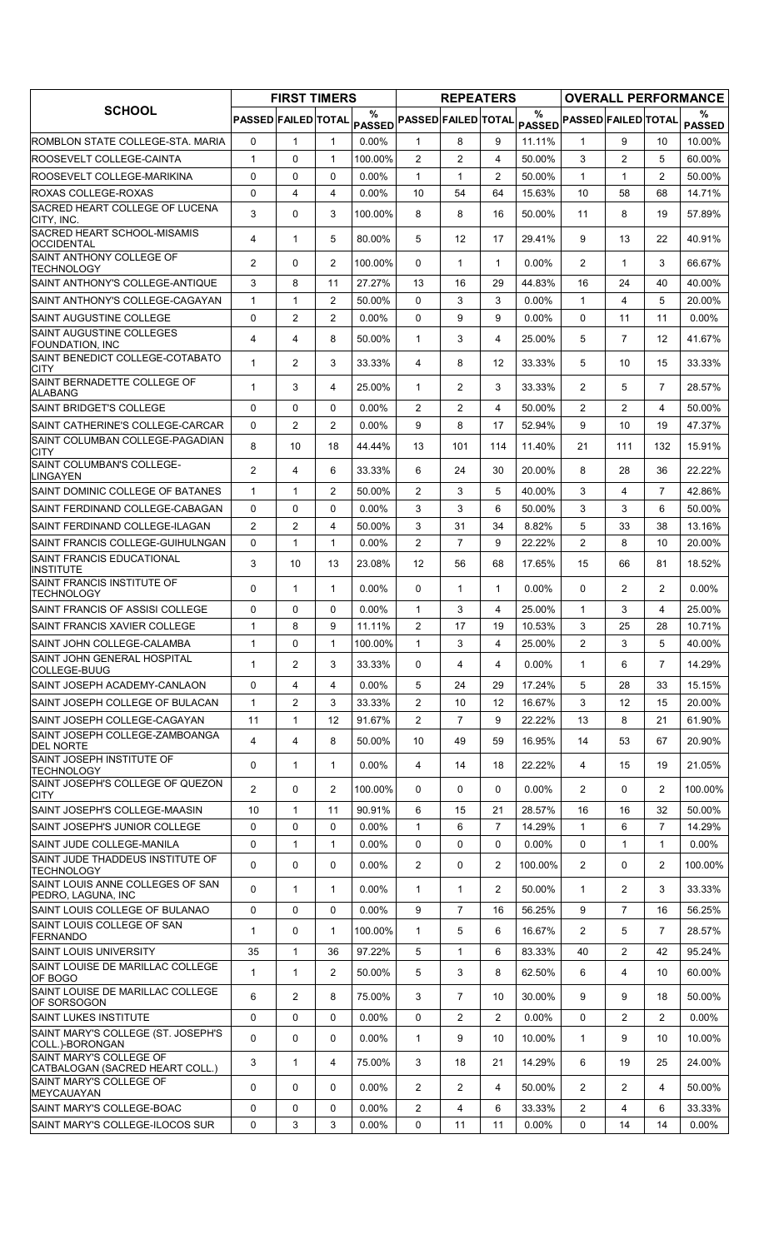|                                                            |                     | <b>FIRST TIMERS</b> |                |                    |                            | <b>REPEATERS</b> |                |          |                            |                |                | <b>OVERALL PERFORMANCE</b> |
|------------------------------------------------------------|---------------------|---------------------|----------------|--------------------|----------------------------|------------------|----------------|----------|----------------------------|----------------|----------------|----------------------------|
| <b>SCHOOL</b>                                              | PASSED FAILED TOTAL |                     |                | %<br><b>PASSED</b> | <b>PASSED FAILED TOTAL</b> |                  |                | $\%$     | PASSED PASSED FAILED TOTAL |                |                | %<br><b>PASSED</b>         |
| ROMBLON STATE COLLEGE-STA, MARIA                           | $\mathbf 0$         | $\mathbf{1}$        | $\mathbf{1}$   | $0.00\%$           | $\mathbf{1}$               | 8                | 9              | 11.11%   | 1                          | 9              | 10             | 10.00%                     |
| ROOSEVELT COLLEGE-CAINTA                                   | $\mathbf{1}$        | 0                   | $\mathbf{1}$   | 100.00%            | $\overline{2}$             | $\overline{c}$   | 4              | 50.00%   | 3                          | $\overline{2}$ | 5              | 60.00%                     |
| ROOSEVELT COLLEGE-MARIKINA                                 | $\Omega$            | 0                   | $\Omega$       | $0.00\%$           | $\mathbf{1}$               | $\mathbf{1}$     | $\overline{2}$ | 50.00%   | $\mathbf{1}$               | $\mathbf{1}$   | $\overline{2}$ | 50.00%                     |
| ROXAS COLLEGE-ROXAS                                        | 0                   | $\overline{4}$      | $\overline{4}$ | $0.00\%$           | 10                         | 54               | 64             | 15.63%   | 10                         | 58             | 68             | 14.71%                     |
| SACRED HEART COLLEGE OF LUCENA<br>CITY, INC.               | 3                   | 0                   | 3              | 100.00%            | 8                          | 8                | 16             | 50.00%   | 11                         | 8              | 19             | 57.89%                     |
| SACRED HEART SCHOOL-MISAMIS<br><b>OCCIDENTAL</b>           | 4                   | $\mathbf{1}$        | 5              | 80.00%             | 5                          | 12               | 17             | 29.41%   | 9                          | 13             | 22             | 40.91%                     |
| SAINT ANTHONY COLLEGE OF<br><b>TECHNOLOGY</b>              | $\overline{2}$      | 0                   | 2              | 100.00%            | 0                          | 1                | $\mathbf{1}$   | 0.00%    | $\overline{2}$             | $\mathbf{1}$   | 3              | 66.67%                     |
| SAINT ANTHONY'S COLLEGE-ANTIQUE                            | 3                   | 8                   | 11             | 27.27%             | 13                         | 16               | 29             | 44.83%   | 16                         | 24             | 40             | 40.00%                     |
| SAINT ANTHONY'S COLLEGE-CAGAYAN                            | $\mathbf{1}$        | $\mathbf{1}$        | $\overline{2}$ | 50.00%             | $\Omega$                   | 3                | 3              | 0.00%    | $\mathbf{1}$               | 4              | 5              | 20.00%                     |
| SAINT AUGUSTINE COLLEGE                                    | $\Omega$            | $\overline{c}$      | 2              | 0.00%              | $\Omega$                   | 9                | 9              | 0.00%    | $\Omega$                   | 11             | 11             | $0.00\%$                   |
| SAINT AUGUSTINE COLLEGES<br><b>FOUNDATION, INC</b>         | 4                   | $\overline{4}$      | 8              | 50.00%             | $\mathbf{1}$               | 3                | 4              | 25.00%   | 5                          | $\overline{7}$ | 12             | 41.67%                     |
| SAINT BENEDICT COLLEGE-COTABATO<br>CITY                    | $\mathbf 1$         | 2                   | 3              | 33.33%             | 4                          | 8                | 12             | 33.33%   | 5                          | 10             | 15             | 33.33%                     |
| SAINT BERNADETTE COLLEGE OF<br>ALABANG                     | $\mathbf{1}$        | 3                   | 4              | 25.00%             | $\mathbf{1}$               | 2                | 3              | 33.33%   | $\overline{2}$             | 5              | $\overline{7}$ | 28.57%                     |
| <b>SAINT BRIDGET'S COLLEGE</b>                             | $\Omega$            | 0                   | $\mathbf{0}$   | $0.00\%$           | $\overline{2}$             | $\overline{2}$   | $\overline{4}$ | 50.00%   | 2                          | $\overline{2}$ | 4              | 50.00%                     |
| SAINT CATHERINE'S COLLEGE-CARCAR                           | 0                   | $\overline{c}$      | $\overline{2}$ | $0.00\%$           | 9                          | 8                | 17             | 52.94%   | 9                          | 10             | 19             | 47.37%                     |
| SAINT COLUMBAN COLLEGE-PAGADIAN<br><b>CITY</b>             | 8                   | 10                  | 18             | 44.44%             | 13                         | 101              | 114            | 11.40%   | 21                         | 111            | 132            | 15.91%                     |
| SAINT COLUMBAN'S COLLEGE-<br>LINGAYEN                      | 2                   | 4                   | 6              | 33.33%             | 6                          | 24               | 30             | 20.00%   | 8                          | 28             | 36             | 22.22%                     |
| SAINT DOMINIC COLLEGE OF BATANES                           | $\mathbf 1$         | $\mathbf{1}$        | 2              | 50.00%             | $\overline{2}$             | 3                | 5              | 40.00%   | 3                          | 4              | $\overline{7}$ | 42.86%                     |
| SAINT FERDINAND COLLEGE-CABAGAN                            | 0                   | 0                   | $\Omega$       | $0.00\%$           | 3                          | 3                | 6              | 50.00%   | 3                          | 3              | 6              | 50.00%                     |
| SAINT FERDINAND COLLEGE-ILAGAN                             | $\overline{2}$      | $\overline{2}$      | $\overline{4}$ | 50.00%             | 3                          | 31               | 34             | 8.82%    | 5                          | 33             | 38             | 13.16%                     |
| SAINT FRANCIS COLLEGE-GUIHULNGAN                           | 0                   | $\mathbf{1}$        | $\mathbf{1}$   | 0.00%              | $\overline{2}$             | $\overline{7}$   | 9              | 22.22%   | $\overline{2}$             | 8              | 10             | 20.00%                     |
| SAINT FRANCIS EDUCATIONAL<br><b>INSTITUTE</b>              | 3                   | 10                  | 13             | 23.08%             | 12                         | 56               | 68             | 17.65%   | 15                         | 66             | 81             | 18.52%                     |
| SAINT FRANCIS INSTITUTE OF<br><b>TECHNOLOGY</b>            | $\Omega$            | $\mathbf{1}$        | $\mathbf{1}$   | $0.00\%$           | $\mathbf{0}$               | $\mathbf{1}$     | $\mathbf{1}$   | 0.00%    | $\Omega$                   | $\overline{2}$ | $\overline{2}$ | $0.00\%$                   |
| SAINT FRANCIS OF ASSISI COLLEGE                            | $\Omega$            | $\Omega$            | $\mathbf{0}$   | $0.00\%$           | $\mathbf{1}$               | 3                | 4              | 25.00%   | $\mathbf{1}$               | 3              | 4              | 25.00%                     |
| SAINT FRANCIS XAVIER COLLEGE                               | $\mathbf{1}$        | 8                   | 9              | 11.11%             | 2                          | 17               | 19             | 10.53%   | 3                          | 25             | 28             | 10.71%                     |
| SAINT JOHN COLLEGE-CALAMBA                                 | $\mathbf{1}$        | 0                   | $\mathbf{1}$   | 100.00%            | $\mathbf{1}$               | 3                | 4              | 25.00%   | $\overline{a}$             | 3              | 5              | 40.00%                     |
| SAINT JOHN GENERAL HOSPITAL<br>COLLEGE-BUUG                | 1                   | $\overline{c}$      | 3              | 33.33%             | 0                          | 4                | 4              | $0.00\%$ | $\mathbf{1}$               | 6              | 7              | 14.29%                     |
| SAINT JOSEPH ACADEMY-CANLAON                               | 0                   | 4                   | 4              | $0.00\%$           | 5                          | 24               | 29             | 17.24%   | 5                          | 28             | 33             | 15.15%                     |
| SAINT JOSEPH COLLEGE OF BULACAN                            | $\mathbf{1}$        | $\overline{c}$      | 3              | 33.33%             | $\mathbf{2}^{\prime}$      | 10               | 12             | 16.67%   | 3                          | 12             | 15             | 20.00%                     |
| SAINT JOSEPH COLLEGE-CAGAYAN                               | 11                  | $\mathbf{1}$        | 12             | 91.67%             | $\overline{2}$             | $\overline{7}$   | 9              | 22.22%   | 13                         | 8              | 21             | 61.90%                     |
| SAINT JOSEPH COLLEGE-ZAMBOANGA<br><b>DEL NORTE</b>         | 4                   | $\overline{4}$      | 8              | 50.00%             | 10                         | 49               | 59             | 16.95%   | 14                         | 53             | 67             | 20.90%                     |
| SAINT JOSEPH INSTITUTE OF<br><b>TECHNOLOGY</b>             | 0                   | $\mathbf{1}$        | $\mathbf{1}$   | $0.00\%$           | 4                          | 14               | 18             | 22.22%   | 4                          | 15             | 19             | 21.05%                     |
| SAINT JOSEPH'S COLLEGE OF QUEZON<br>CITY                   | 2                   | 0                   | 2              | 100.00%            | 0                          | 0                | 0              | 0.00%    | $\overline{2}$             | 0              | $\overline{2}$ | 100.00%                    |
| SAINT JOSEPH'S COLLEGE-MAASIN                              | 10                  | $\mathbf{1}$        | 11             | 90.91%             | 6                          | 15               | 21             | 28.57%   | 16                         | 16             | 32             | 50.00%                     |
| SAINT JOSEPH'S JUNIOR COLLEGE                              | 0                   | 0                   | 0              | $0.00\%$           | 1                          | 6                | 7              | 14.29%   | $\mathbf{1}$               | 6              | 7              | 14.29%                     |
| SAINT JUDE COLLEGE-MANILA                                  | $\mathbf 0$         | $\mathbf{1}$        | $\mathbf{1}$   | 0.00%              | 0                          | 0                | 0              | 0.00%    | 0                          | 1              | $\mathbf{1}$   | $0.00\%$                   |
| SAINT JUDE THADDEUS INSTITUTE OF<br><b>TECHNOLOGY</b>      | 0                   | 0                   | $\mathbf 0$    | $0.00\%$           | 2                          | 0                | $\overline{2}$ | 100.00%  | $\overline{2}$             | 0              | 2              | 100.00%                    |
| SAINT LOUIS ANNE COLLEGES OF SAN<br>PEDRO, LAGUNA, INC     | 0                   | $\mathbf{1}$        | $\mathbf{1}$   | $0.00\%$           | $\mathbf{1}$               | 1                | $\overline{2}$ | 50.00%   | $\mathbf{1}$               | $\overline{2}$ | 3              | 33.33%                     |
| SAINT LOUIS COLLEGE OF BULANAO                             | 0                   | 0                   | 0              | $0.00\%$           | 9                          | $\overline{7}$   | 16             | 56.25%   | 9                          | $\overline{7}$ | 16             | 56.25%                     |
| SAINT LOUIS COLLEGE OF SAN<br><b>FERNANDO</b>              | $\mathbf{1}$        | 0                   | 1              | 100.00%            | $\mathbf{1}$               | 5                | 6              | 16.67%   | 2                          | 5              | $\overline{7}$ | 28.57%                     |
| <b>SAINT LOUIS UNIVERSITY</b>                              | 35                  | $\mathbf{1}$        | 36             | 97.22%             | 5                          | 1                | 6              | 83.33%   | 40                         | $\overline{2}$ | 42             | 95.24%                     |
| SAINT LOUISE DE MARILLAC COLLEGE<br>OF BOGO                | $\mathbf{1}$        | $\mathbf{1}$        | 2              | 50.00%             | 5                          | 3                | 8              | 62.50%   | 6                          | 4              | 10             | 60.00%                     |
| SAINT LOUISE DE MARILLAC COLLEGE<br>OF SORSOGON            | 6                   | $\overline{c}$      | 8              | 75.00%             | 3                          | $\overline{7}$   | 10             | 30.00%   | 9                          | 9              | 18             | 50.00%                     |
| <b>SAINT LUKES INSTITUTE</b>                               | 0                   | 0                   | $\mathbf{0}$   | $0.00\%$           | $\Omega$                   | $\overline{2}$   | 2              | $0.00\%$ | $\Omega$                   | $\overline{2}$ | $\overline{2}$ | $0.00\%$                   |
| SAINT MARY'S COLLEGE (ST. JOSEPH'S<br>COLL.)-BORONGAN      | 0                   | 0                   | 0              | $0.00\%$           | $\mathbf{1}$               | 9                | 10             | 10.00%   | $\mathbf{1}$               | 9              | 10             | 10.00%                     |
| SAINT MARY'S COLLEGE OF<br>CATBALOGAN (SACRED HEART COLL.) | 3                   | $\mathbf{1}$        | 4              | 75.00%             | 3                          | 18               | 21             | 14.29%   | 6                          | 19             | 25             | 24.00%                     |
| SAINT MARY'S COLLEGE OF<br><b>MEYCAUAYAN</b>               | 0                   | 0                   | 0              | $0.00\%$           | $\overline{2}$             | 2                | 4              | 50.00%   | 2                          | $\overline{2}$ | 4              | 50.00%                     |
| SAINT MARY'S COLLEGE-BOAC                                  | 0                   | 0                   | $\mathbf 0$    | $0.00\%$           | $\overline{2}$             | 4                | 6              | 33.33%   | 2                          | 4              | 6              | 33.33%                     |
| SAINT MARY'S COLLEGE-ILOCOS SUR                            | 0                   | 3                   | 3              | $0.00\%$           | 0                          | 11               | 11             | $0.00\%$ | 0                          | 14             | 14             | $0.00\%$                   |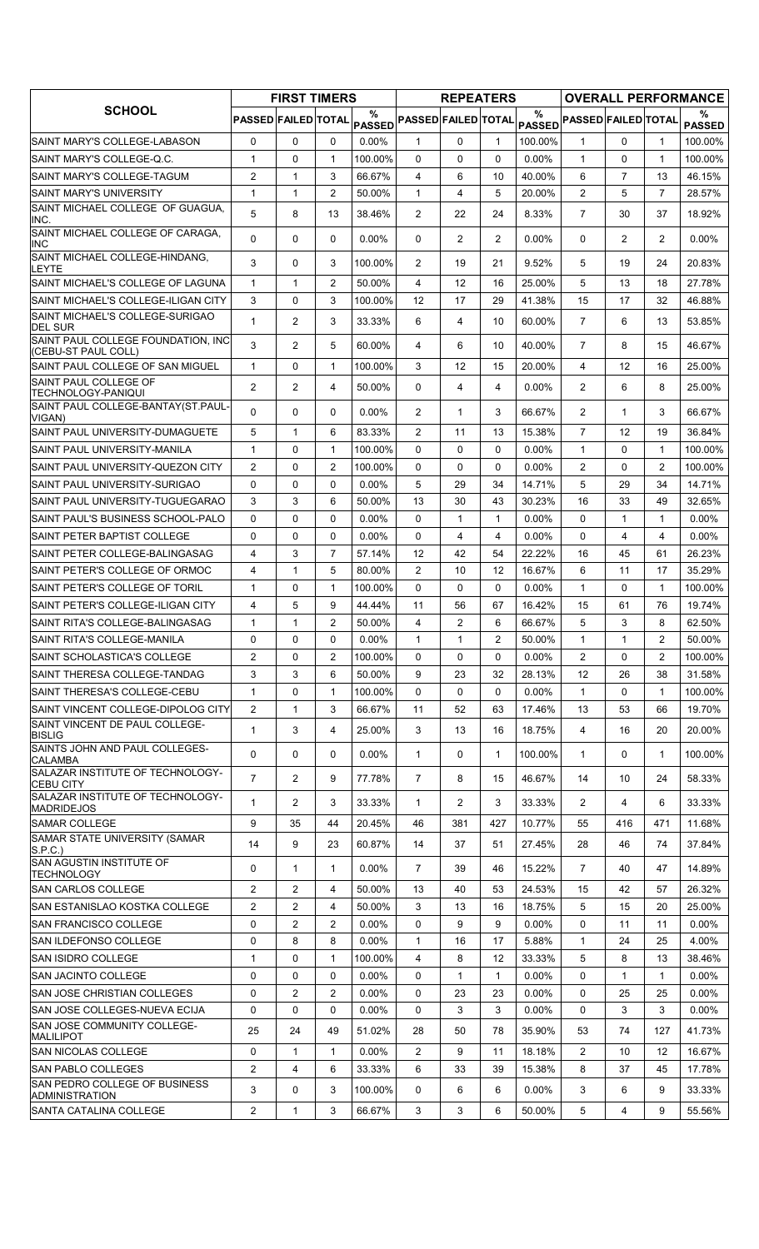|                                                           |                     | <b>FIRST TIMERS</b> |                |                    |                            | <b>REPEATERS</b> |                |          |                            |                |                | <b>OVERALL PERFORMANCE</b> |
|-----------------------------------------------------------|---------------------|---------------------|----------------|--------------------|----------------------------|------------------|----------------|----------|----------------------------|----------------|----------------|----------------------------|
| <b>SCHOOL</b>                                             | PASSED FAILED TOTAL |                     |                | %<br><b>PASSED</b> | <b>PASSED FAILED TOTAL</b> |                  |                | %        | PASSED PASSED FAILED TOTAL |                |                | %<br><b>PASSED</b>         |
| SAINT MARY'S COLLEGE-LABASON                              | 0                   | $\mathbf{0}$        | 0              | $0.00\%$           | 1                          | 0                | $\mathbf{1}$   | 100.00%  | 1                          | $\Omega$       | 1              | 100.00%                    |
| ISAINT MARY'S COLLEGE-Q.C.                                | $\mathbf{1}$        | 0                   | $\mathbf{1}$   | 100.00%            | $\Omega$                   | 0                | $\Omega$       | $0.00\%$ | $\mathbf{1}$               | $\Omega$       | $\mathbf{1}$   | 100.00%                    |
| ISAINT MARY'S COLLEGE-TAGUM                               | $\overline{2}$      | $\mathbf{1}$        | 3              | 66.67%             | 4                          | 6                | 10             | 40.00%   | 6                          | $\overline{7}$ | 13             | 46.15%                     |
| <b>SAINT MARY'S UNIVERSITY</b>                            | 1                   | $\mathbf{1}$        | 2              | 50.00%             | 1                          | 4                | 5              | 20.00%   | 2                          | 5              | $\overline{7}$ | 28.57%                     |
| SAINT MICHAEL COLLEGE OF GUAGUA,<br>INC.                  | 5                   | 8                   | 13             | 38.46%             | $\overline{2}$             | 22               | 24             | 8.33%    | $\overline{7}$             | 30             | 37             | 18.92%                     |
| SAINT MICHAEL COLLEGE OF CARAGA,<br><b>INC</b>            | 0                   | 0                   | $\mathbf{0}$   | $0.00\%$           | 0                          | $\overline{2}$   | 2              | $0.00\%$ | 0                          | $\overline{2}$ | $\overline{2}$ | $0.00\%$                   |
| SAINT MICHAEL COLLEGE-HINDANG,<br>LEYTE                   | 3                   | 0                   | 3              | 100.00%            | $\overline{2}$             | 19               | 21             | 9.52%    | 5                          | 19             | 24             | 20.83%                     |
| SAINT MICHAEL'S COLLEGE OF LAGUNA                         | 1                   | 1                   | 2              | 50.00%             | 4                          | 12               | 16             | 25.00%   | 5                          | 13             | 18             | 27.78%                     |
| SAINT MICHAEL'S COLLEGE-ILIGAN CITY                       | 3                   | 0                   | 3              | 100.00%            | 12                         | 17               | 29             | 41.38%   | 15                         | 17             | 32             | 46.88%                     |
| SAINT MICHAEL'S COLLEGE-SURIGAO<br><b>DEL SUR</b>         | $\mathbf{1}$        | 2                   | 3              | 33.33%             | 6                          | 4                | 10             | 60.00%   | $\overline{7}$             | 6              | 13             | 53.85%                     |
| SAINT PAUL COLLEGE FOUNDATION, INC<br>(CEBU-ST PAUL COLL) | 3                   | 2                   | 5              | 60.00%             | 4                          | 6                | 10             | 40.00%   | $\overline{7}$             | 8              | 15             | 46.67%                     |
| SAINT PAUL COLLEGE OF SAN MIGUEL                          | $\mathbf{1}$        | 0                   | 1              | 100.00%            | 3                          | 12               | 15             | 20.00%   | $\overline{4}$             | 12             | 16             | 25.00%                     |
| SAINT PAUL COLLEGE OF<br>TECHNOLOGY-PANIQUI               | $\overline{2}$      | 2                   | 4              | 50.00%             | 0                          | 4                | 4              | $0.00\%$ | $\overline{2}$             | 6              | 8              | 25.00%                     |
| SAINT PAUL COLLEGE-BANTAY(ST.PAUL-<br>VIGAN)              | 0                   | 0                   | $\mathbf{0}$   | $0.00\%$           | 2                          | 1                | 3              | 66.67%   | $\overline{2}$             | $\mathbf{1}$   | 3              | 66.67%                     |
| SAINT PAUL UNIVERSITY-DUMAGUETE                           | 5                   | $\mathbf{1}$        | 6              | 83.33%             | 2                          | 11               | 13             | 15.38%   | $\overline{7}$             | 12             | 19             | 36.84%                     |
| ISAINT PAUL UNIVERSITY-MANILA                             | $\mathbf{1}$        | 0                   | $\mathbf{1}$   | 100.00%            | $\Omega$                   | 0                | 0              | 0.00%    | $\mathbf{1}$               | $\Omega$       | $\mathbf{1}$   | 100.00%                    |
| SAINT PAUL UNIVERSITY-QUEZON CITY                         | $\overline{2}$      | 0                   | $\overline{2}$ | 100.00%            | $\Omega$                   | 0                | 0              | $0.00\%$ | 2                          | $\Omega$       | 2              | 100.00%                    |
| SAINT PAUL UNIVERSITY-SURIGAO                             | 0                   | $\Omega$            | $\Omega$       | $0.00\%$           | 5                          | 29               | 34             | 14.71%   | 5                          | 29             | 34             | 14.71%                     |
| SAINT PAUL UNIVERSITY-TUGUEGARAO                          | 3                   | 3                   | 6              | 50.00%             | 13                         | 30               | 43             | 30.23%   | 16                         | 33             | 49             | 32.65%                     |
| SAINT PAUL'S BUSINESS SCHOOL-PALO                         | 0                   | $\mathbf 0$         | 0              | $0.00\%$           | 0                          | $\mathbf{1}$     | $\mathbf{1}$   | 0.00%    | $\Omega$                   | 1              | $\mathbf{1}$   | $0.00\%$                   |
| ISAINT PETER BAPTIST COLLEGE                              | 0                   | 0                   | $\Omega$       | $0.00\%$           | 0                          | 4                | 4              | $0.00\%$ | $\Omega$                   | 4              | 4              | $0.00\%$                   |
| ISAINT PETER COLLEGE-BALINGASAG                           | 4                   | 3                   | $\overline{7}$ | 57.14%             | 12                         | 42               | 54             | 22.22%   | 16                         | 45             | 61             | 26.23%                     |
| SAINT PETER'S COLLEGE OF ORMOC                            | 4                   | $\mathbf{1}$        | 5              | 80.00%             | 2                          | 10               | 12             | 16.67%   | 6                          | 11             | 17             | 35.29%                     |
| ISAINT PETER'S COLLEGE OF TORIL                           | 1                   | 0                   | 1              | 100.00%            | 0                          | 0                | 0              | $0.00\%$ | $\mathbf{1}$               | $\Omega$       | 1              | 100.00%                    |
| ISAINT PETER'S COLLEGE-ILIGAN CITY                        | 4                   | 5                   | 9              | 44.44%             | 11                         | 56               | 67             | 16.42%   | 15                         | 61             | 76             | 19.74%                     |
| SAINT RITA'S COLLEGE-BALINGASAG                           | $\mathbf{1}$        | $\mathbf{1}$        | $\overline{2}$ | 50.00%             | 4                          | $\overline{2}$   | 6              | 66.67%   | 5                          | 3              | 8              | 62.50%                     |
| SAINT RITA'S COLLEGE-MANILA                               | 0                   | $\Omega$            | $\Omega$       | $0.00\%$           | 1                          | $\mathbf 1$      | $\overline{c}$ | 50.00%   | $\mathbf{1}$               | 1              | 2              | 50.00%                     |
| SAINT SCHOLASTICA'S COLLEGE                               | $\overline{2}$      | 0                   | 2              | 100.00%            | 0                          | 0                | 0              | 0.00%    | $\overline{2}$             | $\Omega$       | $\overline{2}$ | 100.00%                    |
| SAINT THERESA COLLEGE-TANDAG                              | 3                   | 3                   | 6              | 50.00%             | 9                          | 23               | 32             | 28.13%   | 12                         | 26             | 38             | 31.58%                     |
| SAINT THERESA'S COLLEGE-CEBU                              | 1                   | 0                   | 1              | 100.00%            | 0                          | 0                | 0              | 0.00%    | $\mathbf{1}$               | 0              | 1              | 100.00%                    |
| SAINT VINCENT COLLEGE-DIPOLOG CITY                        | $\mathbf{2}$        | $\mathbf{1}$        | 3              | 66.67%             | 11                         | 52               | 63             | 17.46%   | 13                         | 53             | 66             | 19.70%                     |
| SAINT VINCENT DE PAUL COLLEGE-<br><b>BISLIG</b>           | 1                   | 3                   | 4              | 25.00%             | 3                          | 13               | 16             | 18.75%   | 4                          | 16             | 20             | 20.00%                     |
| SAINTS JOHN AND PAUL COLLEGES-<br><b>CALAMBA</b>          | 0                   | 0                   | 0              | $0.00\%$           | 1                          | 0                | $\mathbf{1}$   | 100.00%  | $\mathbf{1}$               | 0              | 1              | 100.00%                    |
| SALAZAR INSTITUTE OF TECHNOLOGY-<br><b>CEBU CITY</b>      | $\overline{7}$      | 2                   | 9              | 77.78%             | $\overline{7}$             | 8                | 15             | 46.67%   | 14                         | 10             | 24             | 58.33%                     |
| ISALAZAR INSTITUTE OF TECHNOLOGY-<br><b>MADRIDEJOS</b>    | 1                   | 2                   | 3              | 33.33%             | $\mathbf 1$                | 2                | 3              | 33.33%   | $\overline{2}$             | 4              | 6              | 33.33%                     |
| SAMAR COLLEGE                                             | 9                   | 35                  | 44             | 20.45%             | 46                         | 381              | 427            | 10.77%   | 55                         | 416            | 471            | 11.68%                     |
| SAMAR STATE UNIVERSITY (SAMAR<br>S.P.C.)                  | 14                  | 9                   | 23             | 60.87%             | 14                         | 37               | 51             | 27.45%   | 28                         | 46             | 74             | 37.84%                     |
| SAN AGUSTIN INSTITUTE OF<br><b>TECHNOLOGY</b>             | 0                   | $\mathbf{1}$        | $\mathbf{1}$   | $0.00\%$           | $\overline{7}$             | 39               | 46             | 15.22%   | $\overline{7}$             | 40             | 47             | 14.89%                     |
| <b>SAN CARLOS COLLEGE</b>                                 | $\overline{2}$      | 2                   | 4              | 50.00%             | 13                         | 40               | 53             | 24.53%   | 15                         | 42             | 57             | 26.32%                     |
| SAN ESTANISLAO KOSTKA COLLEGE                             | $\overline{2}$      | 2                   | 4              | 50.00%             | 3                          | 13               | 16             | 18.75%   | 5                          | 15             | 20             | 25.00%                     |
| <b>SAN FRANCISCO COLLEGE</b>                              | 0                   | $\overline{2}$      | 2              | $0.00\%$           | $\Omega$                   | 9                | 9              | 0.00%    | 0                          | 11             | 11             | $0.00\%$                   |
| SAN ILDEFONSO COLLEGE                                     | 0                   | 8                   | 8              | $0.00\%$           | $\mathbf{1}$               | 16               | 17             | 5.88%    | $\mathbf{1}$               | 24             | 25             | 4.00%                      |
| SAN ISIDRO COLLEGE                                        | 1                   | $\mathbf 0$         | $\mathbf{1}$   | 100.00%            | 4                          | 8                | 12             | 33.33%   | 5                          | 8              | 13             | 38.46%                     |
| <b>SAN JACINTO COLLEGE</b>                                | 0                   | $\mathbf 0$         | 0              | 0.00%              | 0                          | $\mathbf{1}$     | $\mathbf{1}$   | 0.00%    | 0                          | 1              | $\mathbf{1}$   | $0.00\%$                   |
| SAN JOSE CHRISTIAN COLLEGES                               | 0                   | $\overline{2}$      | $\overline{2}$ | $0.00\%$           | 0                          | 23               | 23             | 0.00%    | 0                          | 25             | 25             | $0.00\%$                   |
| SAN JOSE COLLEGES-NUEVA ECIJA                             | 0                   | 0                   | 0              | $0.00\%$           | 0                          | 3                | 3              | $0.00\%$ | $\Omega$                   | 3              | 3              | $0.00\%$                   |
| SAN JOSE COMMUNITY COLLEGE-<br><b>MALILIPOT</b>           | 25                  | 24                  | 49             | 51.02%             | 28                         | 50               | 78             | 35.90%   | 53                         | 74             | 127            | 41.73%                     |
| <b>SAN NICOLAS COLLEGE</b>                                | 0                   | $\mathbf{1}$        | $\mathbf{1}$   | 0.00%              | $\mathbf{2}^{\prime}$      | 9                | 11             | 18.18%   | $\overline{2}$             | 10             | 12             | 16.67%                     |
| <b>ISAN PABLO COLLEGES</b>                                | $\overline{c}$      | $\overline{4}$      | 6              | 33.33%             | 6                          | 33               | 39             | 15.38%   | 8                          | 37             | 45             | 17.78%                     |
| SAN PEDRO COLLEGE OF BUSINESS<br><b>ADMINISTRATION</b>    | 3                   | 0                   | 3              | 100.00%            | 0                          | 6                | 6              | $0.00\%$ | 3                          | 6              | 9              | 33.33%                     |
| <b>SANTA CATALINA COLLEGE</b>                             | $\overline{2}$      | 1                   | 3              | 66.67%             | 3                          | 3                | 6              | 50.00%   | 5                          | 4              | 9              | 55.56%                     |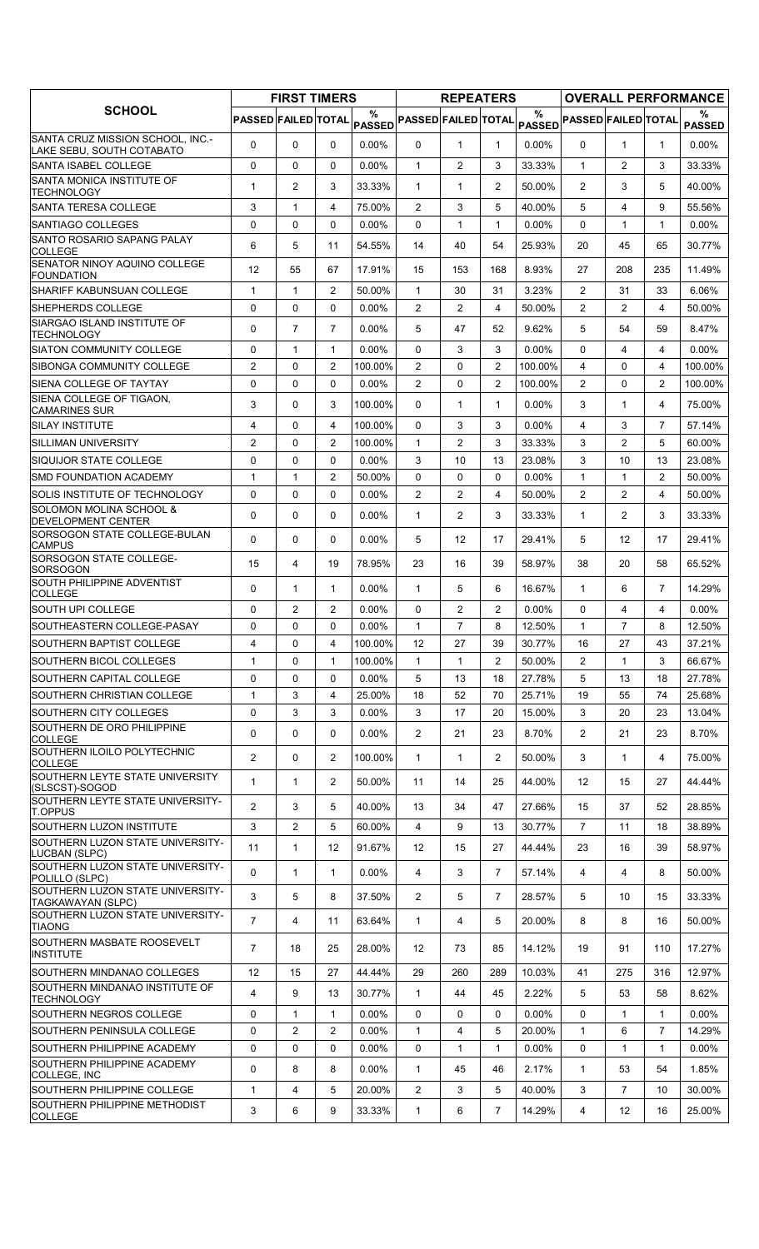|                                                               |                     | <b>FIRST TIMERS</b> |                            |                    |                            | <b>REPEATERS</b> |                |                    |                            |                |                | <b>OVERALL PERFORMANCE</b> |
|---------------------------------------------------------------|---------------------|---------------------|----------------------------|--------------------|----------------------------|------------------|----------------|--------------------|----------------------------|----------------|----------------|----------------------------|
| <b>SCHOOL</b>                                                 | PASSED FAILED TOTAL |                     |                            | %<br><b>PASSED</b> | <b>PASSED FAILED TOTAL</b> |                  |                | $\%$               | PASSED PASSED FAILED TOTAL |                |                | %<br><b>PASSED</b>         |
| SANTA CRUZ MISSION SCHOOL, INC.-<br>LAKE SEBU, SOUTH COTABATO | $\Omega$            | $\Omega$            | $\mathbf{0}$               | $0.00\%$           | $\Omega$                   | $\mathbf{1}$     | $\mathbf{1}$   | 0.00%              | $\Omega$                   | $\mathbf{1}$   | $\mathbf{1}$   | $0.00\%$                   |
| SANTA ISABEL COLLEGE                                          | 0                   | 0                   | $\Omega$                   | $0.00\%$           | $\mathbf{1}$               | $\overline{2}$   | 3              | 33.33%             | $\mathbf{1}$               | $\overline{2}$ | 3              | 33.33%                     |
| SANTA MONICA INSTITUTE OF<br><b>TECHNOLOGY</b>                | $\mathbf{1}$        | 2                   | 3                          | 33.33%             | $\mathbf{1}$               | 1                | $\overline{2}$ | 50.00%             | $\overline{2}$             | 3              | 5              | 40.00%                     |
| <b>SANTA TERESA COLLEGE</b>                                   | 3                   | $\mathbf{1}$        | 4                          | 75.00%             | $\overline{2}$             | 3                | 5              | 40.00%             | 5                          | 4              | 9              | 55.56%                     |
| SANTIAGO COLLEGES                                             | 0                   | 0                   | $\Omega$                   | $0.00\%$           | 0                          | 1                | $\mathbf{1}$   | 0.00%              | $\Omega$                   | 1              | $\mathbf{1}$   | $0.00\%$                   |
| SANTO ROSARIO SAPANG PALAY<br><b>COLLEGE</b>                  | 6                   | 5                   | 11                         | 54.55%             | 14                         | 40               | 54             | 25.93%             | 20                         | 45             | 65             | 30.77%                     |
| SENATOR NINOY AQUINO COLLEGE<br><b>FOUNDATION</b>             | 12                  | 55                  | 67                         | 17.91%             | 15                         | 153              | 168            | 8.93%              | 27                         | 208            | 235            | 11.49%                     |
| SHARIFF KABUNSUAN COLLEGE                                     | $\mathbf{1}$        | $\mathbf{1}$        | $\overline{2}$             | 50.00%             | $\mathbf{1}$               | 30               | 31             | 3.23%              | $\overline{2}$             | 31             | 33             | 6.06%                      |
| SHEPHERDS COLLEGE                                             | 0                   | 0                   | $\mathbf 0$                | 0.00%              | $\overline{2}$             | $\overline{2}$   | 4              | 50.00%             | $\overline{2}$             | $\overline{2}$ | 4              | 50.00%                     |
| SIARGAO ISLAND INSTITUTE OF<br><b>TECHNOLOGY</b>              | $\Omega$            | $\overline{7}$      | $\overline{7}$             | $0.00\%$           | 5                          | 47               | 52             | 9.62%              | 5                          | 54             | 59             | 8.47%                      |
| <b>SIATON COMMUNITY COLLEGE</b>                               | 0                   | $\mathbf{1}$        | $\mathbf{1}$               | $0.00\%$           | $\Omega$                   | 3                | 3              | $0.00\%$           | $\Omega$                   | 4              | 4              | $0.00\%$                   |
| SIBONGA COMMUNITY COLLEGE                                     | $\overline{2}$      | 0                   | 2                          | 100.00%            | $\overline{2}$             | 0                | 2              | 100.00%            | $\overline{4}$             | $\Omega$       | 4              | 100.00%                    |
| SIENA COLLEGE OF TAYTAY<br>SIENA COLLEGE OF TIGAON,           | 0                   | 0                   | $\mathbf 0$                | 0.00%              | $\overline{2}$             | 0                | $\overline{2}$ | 100.00%            | $\overline{2}$             | $\Omega$       | $\overline{2}$ | 100.00%                    |
| <b>CAMARINES SUR</b>                                          | 3                   | 0                   | 3                          | 100.00%            | $\Omega$                   | $\mathbf{1}$     | $\mathbf{1}$   | 0.00%              | 3                          | $\mathbf 1$    | 4              | 75.00%                     |
| <b>SILAY INSTITUTE</b>                                        | $\overline{4}$      | 0                   | 4                          | 100.00%            | $\Omega$                   | 3                | 3              | 0.00%              | 4                          | 3              | $\overline{7}$ | 57.14%                     |
| <b>SILLIMAN UNIVERSITY</b>                                    | $\overline{2}$      | 0                   | $\overline{2}$             | 100.00%            | $\mathbf{1}$               | $\overline{c}$   | 3              | 33.33%             | 3                          | $\overline{2}$ | 5              | 60.00%                     |
| SIQUIJOR STATE COLLEGE<br><b>SMD FOUNDATION ACADEMY</b>       | 0<br>$\mathbf{1}$   | 0<br>$\mathbf{1}$   | $\Omega$<br>$\overline{2}$ | $0.00\%$<br>50.00% | 3<br>$\Omega$              | 10<br>0          | 13<br>0        | 23.08%<br>$0.00\%$ | 3<br>$\mathbf{1}$          | 10<br>1        | 13<br>2        | 23.08%<br>50.00%           |
| SOLIS INSTITUTE OF TECHNOLOGY                                 | 0                   | 0                   | $\mathbf 0$                | 0.00%              | $\overline{2}$             | $\overline{2}$   | 4              | 50.00%             | $\overline{2}$             | $\overline{2}$ | 4              | 50.00%                     |
| <b>SOLOMON MOLINA SCHOOL &amp;</b>                            | 0                   | 0                   | $\Omega$                   | $0.00\%$           | $\mathbf{1}$               | $\overline{2}$   | 3              | 33.33%             | $\mathbf{1}$               | $\overline{2}$ | 3              | 33.33%                     |
| <b>DEVELOPMENT CENTER</b><br>SORSOGON STATE COLLEGE-BULAN     | 0                   | 0                   | $\mathbf 0$                | 0.00%              | 5                          | 12               | 17             | 29.41%             | 5                          | 12             | 17             | 29.41%                     |
| <b>CAMPUS</b><br>SORSOGON STATE COLLEGE-                      | 15                  | 4                   | 19                         | 78.95%             | 23                         | 16               | 39             | 58.97%             | 38                         | 20             | 58             | 65.52%                     |
| SORSOGON<br><b>SOUTH PHILIPPINE ADVENTIST</b>                 | 0                   | $\mathbf{1}$        | $\mathbf{1}$               | $0.00\%$           | $\mathbf{1}$               | 5                | 6              | 16.67%             | $\mathbf{1}$               | 6              | $\overline{7}$ | 14.29%                     |
| <b>COLLEGE</b><br>SOUTH UPI COLLEGE                           | $\Omega$            | $\overline{2}$      | 2                          | $0.00\%$           | $\Omega$                   | $\overline{2}$   | $\overline{2}$ | $0.00\%$           | $\Omega$                   | 4              | 4              | $0.00\%$                   |
| SOUTHEASTERN COLLEGE-PASAY                                    | 0                   | 0                   | $\mathbf 0$                | $0.00\%$           | 1                          | 7                | 8              | 12.50%             | $\mathbf{1}$               | $\overline{7}$ | 8              | 12.50%                     |
| SOUTHERN BAPTIST COLLEGE                                      | 4                   | 0                   | 4                          | 100.00%            | 12                         | 27               | 39             | 30.77%             | 16                         | 27             | 43             | 37.21%                     |
| SOUTHERN BICOL COLLEGES                                       | $\mathbf{1}$        | 0                   | $\mathbf{1}$               | 100.00%            | $\mathbf{1}$               | $\mathbf 1$      | $\overline{2}$ | 50.00%             | $\overline{2}$             | 1              | 3              | 66.67%                     |
| SOUTHERN CAPITAL COLLEGE                                      | 0                   | 0                   | $\mathbf 0$                | $0.00\%$           | 5                          | 13               | 18             | 27.78%             | 5                          | 13             | 18             | 27.78%                     |
| SOUTHERN CHRISTIAN COLLEGE                                    | $\mathbf{1}$        | 3                   | $\overline{4}$             | 25.00%             | 18                         | 52               | 70             | 25.71%             | 19                         | 55             | 74             | 25.68%                     |
| SOUTHERN CITY COLLEGES                                        | $\mathbf 0$         | 3                   | 3                          | $0.00\%$           | 3                          | 17               | 20             | 15.00%             | 3                          | 20             | 23             | 13.04%                     |
| SOUTHERN DE ORO PHILIPPINE<br><b>COLLEGE</b>                  | 0                   | 0                   | $\mathbf{0}$               | $0.00\%$           | $\overline{2}$             | 21               | 23             | 8.70%              | $\overline{2}$             | 21             | 23             | 8.70%                      |
| SOUTHERN ILOILO POLYTECHNIC<br><b>COLLEGE</b>                 | $\overline{2}$      | 0                   | $\overline{2}$             | 100.00%            | $\mathbf{1}$               | $\mathbf{1}$     | $\overline{2}$ | 50.00%             | 3                          | $\mathbf{1}$   | 4              | 75.00%                     |
| SOUTHERN LEYTE STATE UNIVERSITY<br>(SLSCST)-SOGOD             | $\mathbf{1}$        | $\mathbf{1}$        | $\overline{2}$             | 50.00%             | 11                         | 14               | 25             | 44.00%             | $12 \overline{ }$          | 15             | 27             | 44.44%                     |
| SOUTHERN LEYTE STATE UNIVERSITY-<br><b>T.OPPUS</b>            | $\overline{2}$      | 3                   | 5                          | 40.00%             | 13                         | 34               | 47             | 27.66%             | 15                         | 37             | 52             | 28.85%                     |
| SOUTHERN LUZON INSTITUTE                                      | 3                   | $\overline{c}$      | 5                          | 60.00%             | 4                          | 9                | 13             | 30.77%             | $\overline{7}$             | 11             | 18             | 38.89%                     |
| SOUTHERN LUZON STATE UNIVERSITY-<br>LUCBAN (SLPC)             | 11                  | 1                   | 12                         | 91.67%             | 12                         | 15               | 27             | 44.44%             | 23                         | 16             | 39             | 58.97%                     |
| SOUTHERN LUZON STATE UNIVERSITY-<br>POLILLO (SLPC)            | 0                   | $\mathbf{1}$        | $\mathbf{1}$               | $0.00\%$           | 4                          | 3                | $\overline{7}$ | 57.14%             | 4                          | 4              | 8              | 50.00%                     |
| SOUTHERN LUZON STATE UNIVERSITY-<br><b>TAGKAWAYAN (SLPC)</b>  | 3                   | 5                   | 8                          | 37.50%             | $\overline{2}$             | 5                | $\overline{7}$ | 28.57%             | 5                          | 10             | 15             | 33.33%                     |
| SOUTHERN LUZON STATE UNIVERSITY-<br><b>TIAONG</b>             | $\overline{7}$      | 4                   | 11                         | 63.64%             | 1                          | 4                | 5              | 20.00%             | 8                          | 8              | 16             | 50.00%                     |
| SOUTHERN MASBATE ROOSEVELT<br><b>INSTITUTE</b>                | $\overline{7}$      | 18                  | 25                         | 28.00%             | 12                         | 73               | 85             | 14.12%             | 19                         | 91             | 110            | 17.27%                     |
| SOUTHERN MINDANAO COLLEGES                                    | 12                  | 15                  | 27                         | 44.44%             | 29                         | 260              | 289            | 10.03%             | 41                         | 275            | 316            | 12.97%                     |
| SOUTHERN MINDANAO INSTITUTE OF<br><b>TECHNOLOGY</b>           | 4                   | 9                   | 13                         | 30.77%             | $\mathbf{1}$               | 44               | 45             | 2.22%              | 5                          | 53             | 58             | 8.62%                      |
| SOUTHERN NEGROS COLLEGE                                       | 0                   | $\mathbf{1}$        | $\mathbf{1}$               | $0.00\%$           | 0                          | 0                | 0              | $0.00\%$           | 0                          | 1              | 1              | $0.00\%$                   |
| SOUTHERN PENINSULA COLLEGE                                    | 0                   | $\overline{2}$      | $\overline{2}$             | $0.00\%$           | $\mathbf{1}$               | 4                | 5              | 20.00%             | $\mathbf{1}$               | 6              | $\overline{7}$ | 14.29%                     |
| SOUTHERN PHILIPPINE ACADEMY                                   | 0                   | 0                   | 0                          | $0.00\%$           | 0                          | 1                | $\mathbf{1}$   | $0.00\%$           | 0                          | 1              | 1              | $0.00\%$                   |
| SOUTHERN PHILIPPINE ACADEMY<br><b>COLLEGE, INC</b>            | 0                   | 8                   | 8                          | $0.00\%$           | $\mathbf{1}$               | 45               | 46             | 2.17%              | $\mathbf{1}$               | 53             | 54             | 1.85%                      |
| SOUTHERN PHILIPPINE COLLEGE                                   | $\mathbf{1}$        | 4                   | 5                          | 20.00%             | $\overline{2}$             | 3                | 5              | 40.00%             | 3                          | $\overline{7}$ | 10             | 30.00%                     |
| SOUTHERN PHILIPPINE METHODIST<br><b>COLLEGE</b>               | 3                   | 6                   | 9                          | 33.33%             | 1                          | 6                | $\overline{7}$ | 14.29%             | 4                          | 12             | 16             | 25.00%                     |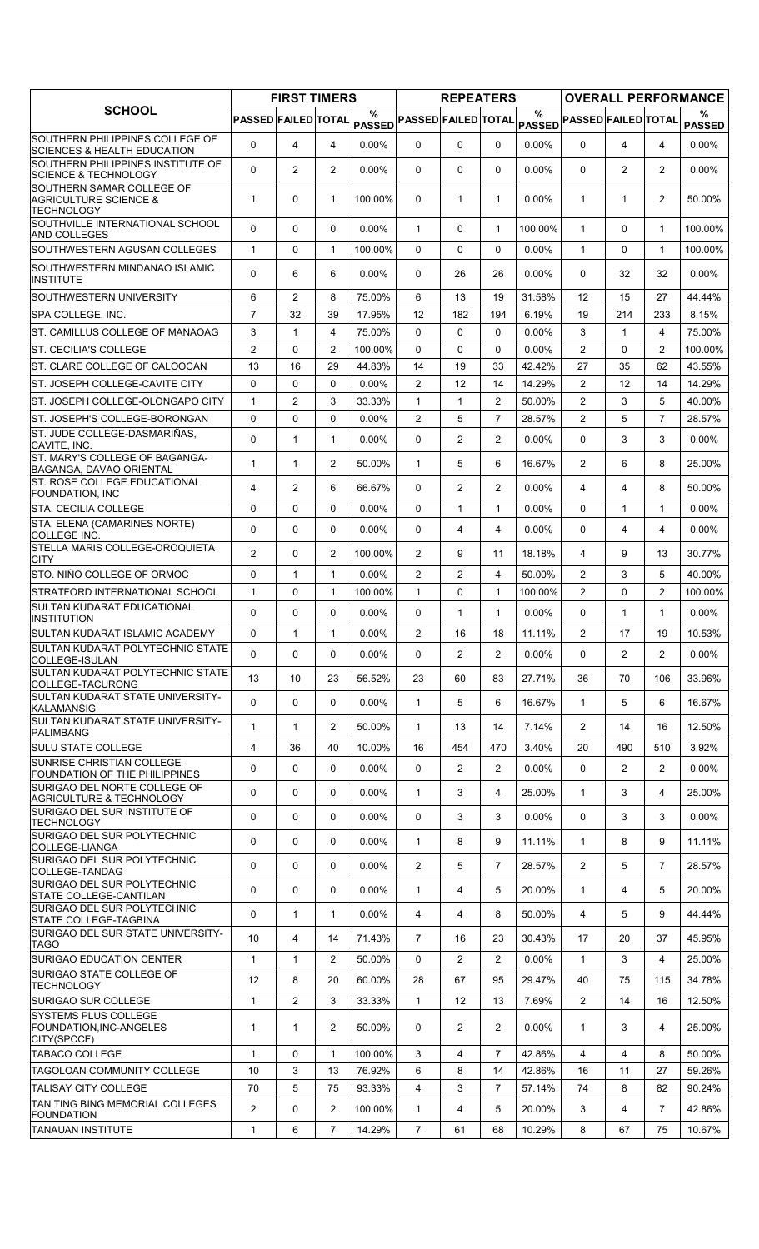|                                                                                    |                            | <b>FIRST TIMERS</b> |                |                    |                            | <b>REPEATERS</b> |                |          |                            |                |                | <b>OVERALL PERFORMANCE</b> |
|------------------------------------------------------------------------------------|----------------------------|---------------------|----------------|--------------------|----------------------------|------------------|----------------|----------|----------------------------|----------------|----------------|----------------------------|
| <b>SCHOOL</b>                                                                      | <b>PASSED FAILED TOTAL</b> |                     |                | %<br><b>PASSED</b> | <b>PASSED FAILED TOTAL</b> |                  |                | $\%$     | PASSED PASSED FAILED TOTAL |                |                | %<br><b>PASSED</b>         |
| SOUTHERN PHILIPPINES COLLEGE OF<br><b>SCIENCES &amp; HEALTH EDUCATION</b>          | $\mathbf 0$                | 4                   | $\overline{4}$ | $0.00\%$           | $\mathbf{0}$               | $\Omega$         | $\mathbf{0}$   | $0.00\%$ | $\Omega$                   | 4              | 4              | $0.00\%$                   |
| SOUTHERN PHILIPPINES INSTITUTE OF<br><b>SCIENCE &amp; TECHNOLOGY</b>               | $\Omega$                   | $\overline{2}$      | $\overline{2}$ | $0.00\%$           | $\mathbf{0}$               | 0                | 0              | $0.00\%$ | $\Omega$                   | $\overline{2}$ | $\overline{2}$ | $0.00\%$                   |
| SOUTHERN SAMAR COLLEGE OF<br><b>AGRICULTURE SCIENCE &amp;</b><br><b>TECHNOLOGY</b> | $\mathbf 1$                | 0                   | $\mathbf{1}$   | 100.00%            | $\mathbf{0}$               | 1                | $\mathbf{1}$   | $0.00\%$ | $\mathbf{1}$               | $\mathbf{1}$   | $\overline{2}$ | 50.00%                     |
| SOUTHVILLE INTERNATIONAL SCHOOL<br><b>AND COLLEGES</b>                             | $\Omega$                   | $\Omega$            | $\Omega$       | 0.00%              | $\mathbf{1}$               | $\Omega$         | $\mathbf{1}$   | 100.00%  | $\mathbf 1$                | $\mathbf{0}$   | $\mathbf 1$    | 100.00%                    |
| SOUTHWESTERN AGUSAN COLLEGES                                                       | $\mathbf{1}$               | 0                   | $\mathbf{1}$   | 100.00%            | $\Omega$                   | $\Omega$         | 0              | $0.00\%$ | $\mathbf{1}$               | $\Omega$       | $\mathbf{1}$   | 100.00%                    |
| SOUTHWESTERN MINDANAO ISLAMIC<br><b>INSTITUTE</b>                                  | $\Omega$                   | 6                   | 6              | 0.00%              | $\mathbf{0}$               | 26               | 26             | 0.00%    | 0                          | 32             | 32             | 0.00%                      |
| SOUTHWESTERN UNIVERSITY                                                            | 6                          | 2                   | 8              | 75.00%             | 6                          | 13               | 19             | 31.58%   | 12                         | 15             | 27             | 44.44%                     |
| SPA COLLEGE, INC.                                                                  | $\overline{7}$             | 32                  | 39             | 17.95%             | 12                         | 182              | 194            | 6.19%    | 19                         | 214            | 233            | 8.15%                      |
| ST. CAMILLUS COLLEGE OF MANAOAG                                                    | 3                          | $\mathbf{1}$        | 4              | 75.00%             | $\Omega$                   | 0                | $\Omega$       | 0.00%    | 3                          | $\mathbf{1}$   | $\overline{4}$ | 75.00%                     |
| <b>ST. CECILIA'S COLLEGE</b>                                                       | 2                          | 0                   | $\overline{2}$ | 100.00%            | $\Omega$                   | 0                | 0              | $0.00\%$ | $\overline{2}$             | $\Omega$       | $\overline{2}$ | 100.00%                    |
| ST. CLARE COLLEGE OF CALOOCAN                                                      | 13                         | 16                  | 29             | 44.83%             | 14                         | 19               | 33             | 42.42%   | 27                         | 35             | 62             | 43.55%                     |
| ST. JOSEPH COLLEGE-CAVITE CITY                                                     | $\Omega$                   | 0                   | $\Omega$       | 0.00%              | 2                          | 12               | 14             | 14.29%   | $\overline{2}$             | 12             | 14             | 14.29%                     |
| ST. JOSEPH COLLEGE-OLONGAPO CITY                                                   | $\mathbf{1}$               | 2                   | 3              | 33.33%             | $\mathbf{1}$               | 1                | $\overline{2}$ | 50.00%   | $\overline{2}$             | 3              | 5              | 40.00%                     |
| ST. JOSEPH'S COLLEGE-BORONGAN                                                      | 0                          | 0                   | 0              | $0.00\%$           | $\overline{2}$             | 5                | $\overline{7}$ | 28.57%   | $\overline{2}$             | 5              | $\overline{7}$ | 28.57%                     |
| ST. JUDE COLLEGE-DASMARIÑAS,<br>CAVITE, INC.                                       | 0                          | 1                   | $\mathbf{1}$   | 0.00%              | 0                          | $\overline{2}$   | $\overline{2}$ | 0.00%    | $\Omega$                   | 3              | 3              | 0.00%                      |
| ST. MARY'S COLLEGE OF BAGANGA-<br>BAGANGA, DAVAO ORIENTAL                          | $\mathbf{1}$               | $\mathbf{1}$        | $\overline{2}$ | 50.00%             | $\mathbf{1}$               | 5                | 6              | 16.67%   | $\overline{2}$             | 6              | 8              | 25.00%                     |
| <b>ST. ROSE COLLEGE EDUCATIONAL</b><br><b>FOUNDATION, INC</b>                      | 4                          | 2                   | 6              | 66.67%             | $\mathbf{0}$               | $\overline{2}$   | $\overline{2}$ | 0.00%    | 4                          | 4              | 8              | 50.00%                     |
| STA. CECILIA COLLEGE                                                               | $\Omega$                   | 0                   | $\Omega$       | 0.00%              | $\mathbf{0}$               | $\mathbf{1}$     | $\mathbf{1}$   | $0.00\%$ | $\Omega$                   | $\mathbf{1}$   | $\mathbf{1}$   | 0.00%                      |
| STA. ELENA (CAMARINES NORTE)<br><b>COLLEGE INC.</b>                                | 0                          | 0                   | 0              | $0.00\%$           | $\Omega$                   | 4                | 4              | $0.00\%$ | $\Omega$                   | $\overline{4}$ | 4              | $0.00\%$                   |
| STELLA MARIS COLLEGE-OROQUIETA<br>CITY                                             | $\overline{2}$             | 0                   | $\overline{2}$ | 100.00%            | $\overline{2}$             | 9                | 11             | 18.18%   | 4                          | 9              | 13             | 30.77%                     |
| STO. NIÑO COLLEGE OF ORMOC                                                         | 0                          | $\mathbf{1}$        | $\mathbf{1}$   | 0.00%              | $\overline{2}$             | $\overline{2}$   | 4              | 50.00%   | $\overline{2}$             | 3              | 5              | 40.00%                     |
| STRATFORD INTERNATIONAL SCHOOL                                                     | $\mathbf{1}$               | 0                   | $\mathbf{1}$   | 100.00%            | $\mathbf{1}$               | 0                | $\mathbf{1}$   | 100.00%  | $\overline{2}$             | $\Omega$       | $\overline{2}$ | 100.00%                    |
| SULTAN KUDARAT EDUCATIONAL<br><b>INSTITUTION</b>                                   | 0                          | 0                   | $\mathbf 0$    | 0.00%              | $\mathbf{0}$               | $\mathbf{1}$     | $\mathbf{1}$   | 0.00%    | 0                          | $\mathbf{1}$   | $\mathbf{1}$   | 0.00%                      |
| SULTAN KUDARAT ISLAMIC ACADEMY                                                     | $\Omega$                   | $\mathbf{1}$        | $\mathbf{1}$   | $0.00\%$           | 2                          | 16               | 18             | 11.11%   | $\overline{2}$             | 17             | 19             | 10.53%                     |
| SULTAN KUDARAT POLYTECHNIC STATE<br>COLLEGE-ISULAN                                 | 0                          | 0                   | 0              | 0.00%              | 0                          | $\overline{2}$   | 2              | 0.00%    | $\Omega$                   | $\overline{2}$ | $\overline{2}$ | 0.00%                      |
| <b>SULTAN KUDARAT POLYTECHNIC STATE</b><br>COLLEGE-TACURONG                        | 13                         | 10                  | 23             | 56.52%             | 23                         | 60               | 83             | 27.71%   | 36                         | 70             | 106            | 33.96%                     |
| SULTAN KUDARAT STATE UNIVERSITY-<br><b>KALAMANSIG</b>                              | 0                          | 0                   | 0              | $0.00\%$           | $\mathbf{1}$               | 5                | 6              | 16.67%   | $\mathbf{1}$               | 5              | 6              | 16.67%                     |
| SULTAN KUDARAT STATE UNIVERSITY-<br><b>PALIMBANG</b>                               | 1                          | $\mathbf{1}$        | $\overline{2}$ | 50.00%             | $\mathbf{1}$               | 13               | 14             | 7.14%    | $\overline{2}$             | 14             | 16             | 12.50%                     |
| <b>SULU STATE COLLEGE</b>                                                          | 4                          | 36                  | 40             | 10.00%             | 16                         | 454              | 470            | 3.40%    | 20                         | 490            | 510            | 3.92%                      |
| SUNRISE CHRISTIAN COLLEGE<br><b>FOUNDATION OF THE PHILIPPINES</b>                  | 0                          | 0                   | 0              | $0.00\%$           | 0                          | $\overline{2}$   | $\overline{2}$ | 0.00%    | 0                          | $\overline{2}$ | $\overline{2}$ | $0.00\%$                   |
| SURIGAO DEL NORTE COLLEGE OF<br><b>AGRICULTURE &amp; TECHNOLOGY</b>                | $\mathbf 0$                | 0                   | 0              | $0.00\%$           | $\mathbf{1}$               | 3                | 4              | 25.00%   | $\mathbf 1$                | 3              | 4              | 25.00%                     |
| SURIGAO DEL SUR INSTITUTE OF<br><b>TECHNOLOGY</b>                                  | 0                          | 0                   | 0              | $0.00\%$           | 0                          | 3                | 3              | 0.00%    | 0                          | 3              | 3              | $0.00\%$                   |
| SURIGAO DEL SUR POLYTECHNIC<br>COLLEGE-LIANGA                                      | 0                          | 0                   | 0              | $0.00\%$           | $\mathbf{1}$               | 8                | 9              | 11.11%   | $\mathbf{1}$               | 8              | 9              | 11.11%                     |
| SURIGAO DEL SUR POLYTECHNIC<br>COLLEGE-TANDAG                                      | 0                          | 0                   | 0              | $0.00\%$           | $\overline{2}$             | 5                | $\overline{7}$ | 28.57%   | $\overline{2}$             | 5              | $\overline{7}$ | 28.57%                     |
| SURIGAO DEL SUR POLYTECHNIC<br><b>STATE COLLEGE-CANTILAN</b>                       | 0                          | 0                   | 0              | $0.00\%$           | $\mathbf{1}$               | 4                | 5              | 20.00%   | $\mathbf{1}$               | 4              | 5              | 20.00%                     |
| SURIGAO DEL SUR POLYTECHNIC<br>STATE COLLEGE-TAGBINA                               | 0                          | $\mathbf{1}$        | $\mathbf{1}$   | $0.00\%$           | 4                          | 4                | 8              | 50.00%   | 4                          | 5              | 9              | 44.44%                     |
| SURIGAO DEL SUR STATE UNIVERSITY-<br><b>TAGO</b>                                   | 10                         | 4                   | 14             | 71.43%             | $\overline{7}$             | 16               | 23             | 30.43%   | 17                         | 20             | 37             | 45.95%                     |
| SURIGAO EDUCATION CENTER                                                           | $\mathbf{1}$               | 1                   | $\overline{2}$ | 50.00%             | 0                          | $\overline{c}$   | $\overline{2}$ | 0.00%    | $\mathbf{1}$               | 3              | 4              | 25.00%                     |
| SURIGAO STATE COLLEGE OF<br><b>TECHNOLOGY</b>                                      | 12                         | 8                   | 20             | 60.00%             | 28                         | 67               | 95             | 29.47%   | 40                         | 75             | 115            | 34.78%                     |
| <b>SURIGAO SUR COLLEGE</b>                                                         | $\mathbf{1}$               | $\overline{2}$      | 3              | 33.33%             | $\mathbf{1}$               | $12 \,$          | 13             | 7.69%    | $\overline{2}$             | 14             | 16             | 12.50%                     |
| <b>SYSTEMS PLUS COLLEGE</b><br>FOUNDATION, INC-ANGELES<br>CITY(SPCCF)              | $\mathbf{1}$               | $\mathbf{1}$        | $\overline{2}$ | 50.00%             | 0                          | $\overline{2}$   | 2              | $0.00\%$ | $\mathbf{1}$               | 3              | 4              | 25.00%                     |
| <b>TABACO COLLEGE</b>                                                              | $\mathbf{1}$               | 0                   | $\mathbf{1}$   | 100.00%            | 3                          | 4                | $\overline{7}$ | 42.86%   | 4                          | $\overline{4}$ | 8              | 50.00%                     |
| TAGOLOAN COMMUNITY COLLEGE                                                         | 10                         | 3                   | 13             | 76.92%             | 6                          | 8                | 14             | 42.86%   | 16                         | 11             | 27             | 59.26%                     |
| <b>TALISAY CITY COLLEGE</b>                                                        | 70                         | 5                   | 75             | 93.33%             | 4                          | 3                | $\overline{7}$ | 57.14%   | 74                         | 8              | 82             | 90.24%                     |
| TAN TING BING MEMORIAL COLLEGES<br><b>FOUNDATION</b>                               | $\overline{2}$             | 0                   | $\overline{2}$ | 100.00%            | $\mathbf{1}$               | 4                | 5              | 20.00%   | 3                          | 4              | $\overline{7}$ | 42.86%                     |
| <b>TANAUAN INSTITUTE</b>                                                           | 1                          | 6                   | $\overline{7}$ | 14.29%             | 7                          | 61               | 68             | 10.29%   | 8                          | 67             | 75             | 10.67%                     |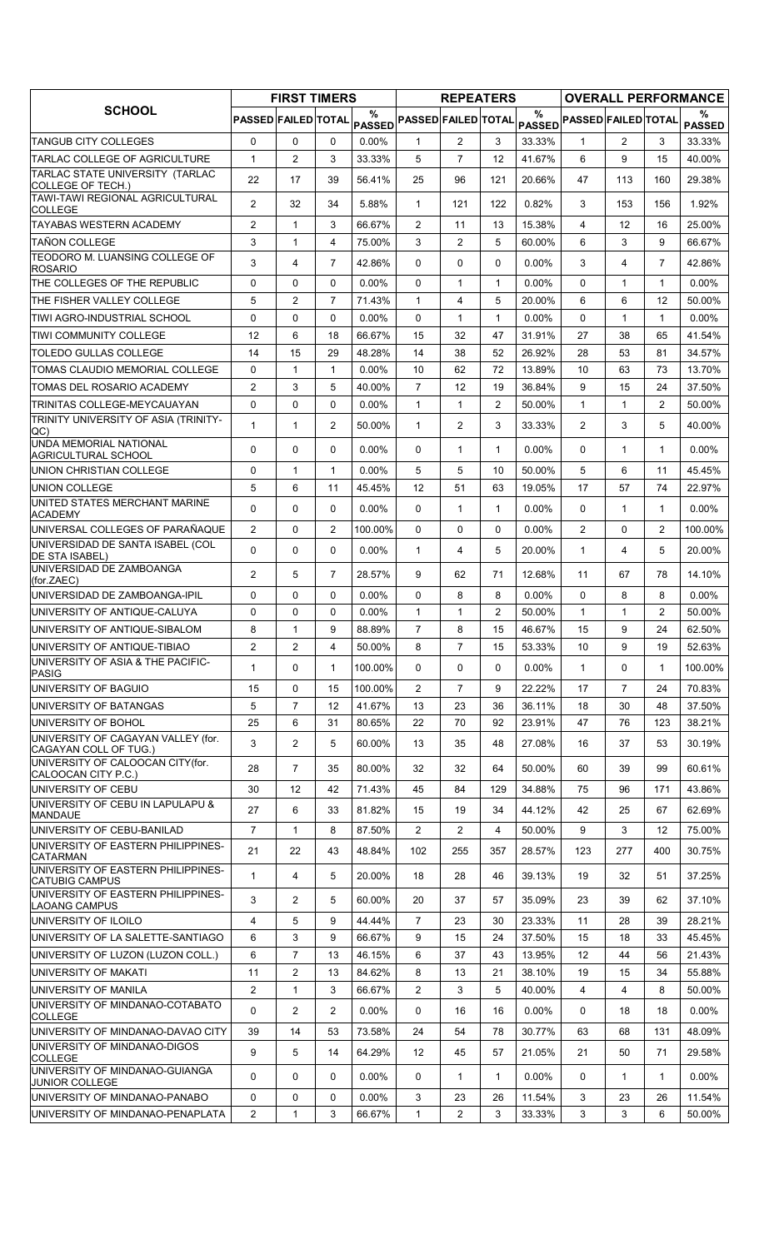|                                                             |                     | <b>FIRST TIMERS</b> |                |                    |                            | <b>REPEATERS</b> |                  |                       |                            |                |                   | <b>OVERALL PERFORMANCE</b> |
|-------------------------------------------------------------|---------------------|---------------------|----------------|--------------------|----------------------------|------------------|------------------|-----------------------|----------------------------|----------------|-------------------|----------------------------|
| <b>SCHOOL</b>                                               | PASSED FAILED TOTAL |                     |                | %<br><b>PASSED</b> | <b>PASSED FAILED TOTAL</b> |                  |                  | $\%$<br><b>PASSED</b> | <b>PASSED FAILED TOTAL</b> |                |                   | %<br><b>PASSED</b>         |
| TANGUB CITY COLLEGES                                        | $\mathbf 0$         | $\mathbf{0}$        | $\mathbf{0}$   | $0.00\%$           | $\mathbf{1}$               | $\mathbf{2}$     | 3                | 33.33%                | $\mathbf{1}$               | $\overline{2}$ | 3                 | 33.33%                     |
| TARLAC COLLEGE OF AGRICULTURE                               | 1                   | $\overline{2}$      | 3              | 33.33%             | 5                          | $\overline{7}$   | 12               | 41.67%                | 6                          | 9              | 15                | 40.00%                     |
| TARLAC STATE UNIVERSITY (TARLAC<br><b>COLLEGE OF TECH.)</b> | 22                  | 17                  | 39             | 56.41%             | 25                         | 96               | 121              | 20.66%                | 47                         | 113            | 160               | 29.38%                     |
| TAWI-TAWI REGIONAL AGRICULTURAL<br><b>COLLEGE</b>           | $\overline{c}$      | 32                  | 34             | 5.88%              | $\mathbf{1}$               | 121              | 122              | 0.82%                 | 3                          | 153            | 156               | 1.92%                      |
| <b>TAYABAS WESTERN ACADEMY</b>                              | 2                   | 1                   | 3              | 66.67%             | $\overline{c}$             | 11               | 13               | 15.38%                | $\overline{4}$             | 12             | 16                | 25.00%                     |
| <b>TAÑON COLLEGE</b>                                        | 3                   | $\mathbf{1}$        | 4              | 75.00%             | 3                          | $\overline{2}$   | 5                | 60.00%                | 6                          | 3              | 9                 | 66.67%                     |
| TEODORO M. LUANSING COLLEGE OF<br><b>ROSARIO</b>            | 3                   | 4                   | $\overline{7}$ | 42.86%             | 0                          | 0                | 0                | 0.00%                 | 3                          | 4              | $\overline{7}$    | 42.86%                     |
| THE COLLEGES OF THE REPUBLIC                                | 0                   | 0                   | $\Omega$       | 0.00%              | 0                          | $\mathbf{1}$     | $\mathbf{1}$     | 0.00%                 | $\Omega$                   | 1              | $\mathbf 1$       | $0.00\%$                   |
| THE FISHER VALLEY COLLEGE                                   | 5                   | $\overline{2}$      | $\overline{7}$ | 71.43%             | $\mathbf{1}$               | 4                | 5                | 20.00%                | 6                          | 6              | 12                | 50.00%                     |
| TIWI AGRO-INDUSTRIAL SCHOOL                                 | $\Omega$            | $\mathbf 0$         | $\Omega$       | $0.00\%$           | $\Omega$                   | $\mathbf{1}$     | $\mathbf{1}$     | 0.00%                 | $\Omega$                   | $\mathbf{1}$   | $\mathbf{1}$      | $0.00\%$                   |
| TIWI COMMUNITY COLLEGE                                      | 12                  | 6                   | 18             | 66.67%             | 15                         | 32               | 47               | 31.91%                | 27                         | 38             | 65                | 41.54%                     |
| TOLEDO GULLAS COLLEGE                                       | 14                  | 15                  | 29             | 48.28%             | 14                         | 38               | 52               | 26.92%                | 28                         | 53             | 81                | 34.57%                     |
| TOMAS CLAUDIO MEMORIAL COLLEGE                              | $\mathbf 0$         | $\mathbf{1}$        | 1              | $0.00\%$           | 10                         | 62               | 72               | 13.89%                | 10                         | 63             | 73                | 13.70%                     |
| TOMAS DEL ROSARIO ACADEMY                                   | $\overline{2}$      | 3                   | 5              | 40.00%             | $\overline{7}$             | 12               | 19               | 36.84%                | 9                          | 15             | 24                | 37.50%                     |
| TRINITAS COLLEGE-MEYCAUAYAN                                 | 0                   | $\mathbf 0$         | $\mathbf 0$    | 0.00%              | $\mathbf{1}$               | $\mathbf{1}$     | $\overline{2}$   | 50.00%                | $\mathbf{1}$               | 1              | $\overline{2}$    | 50.00%                     |
| TRINITY UNIVERSITY OF ASIA (TRINITY-<br>QC)                 | 1                   | $\mathbf{1}$        | 2              | 50.00%             | $\mathbf{1}$               | $\overline{2}$   | 3                | 33.33%                | $\overline{2}$             | 3              | 5                 | 40.00%                     |
| <b>UNDA MEMORIAL NATIONAL</b><br><b>AGRICULTURAL SCHOOL</b> | 0                   | $\mathbf{0}$        | $\Omega$       | $0.00\%$           | 0                          | $\mathbf{1}$     | $\mathbf{1}$     | $0.00\%$              | $\Omega$                   | $\mathbf 1$    | $\mathbf{1}$      | $0.00\%$                   |
| UNION CHRISTIAN COLLEGE                                     | 0                   | $\mathbf{1}$        | 1              | $0.00\%$           | 5                          | 5                | 10               | 50.00%                | 5                          | 6              | 11                | 45.45%                     |
| <b>UNION COLLEGE</b>                                        | 5                   | 6                   | 11             | 45.45%             | 12                         | 51               | 63               | 19.05%                | 17                         | 57             | 74                | 22.97%                     |
| UNITED STATES MERCHANT MARINE<br><b>ACADEMY</b>             | 0                   | $\mathbf 0$         | 0              | $0.00\%$           | 0                          | $\mathbf{1}$     | $\mathbf{1}$     | 0.00%                 | 0                          | 1              | $\mathbf 1$       | $0.00\%$                   |
| UNIVERSAL COLLEGES OF PARAÑAQUE                             | $\overline{2}$      | 0                   | $\overline{2}$ | 100.00%            | 0                          | 0                | 0                | 0.00%                 | $\overline{2}$             | 0              | $\overline{2}$    | 100.00%                    |
| UNIVERSIDAD DE SANTA ISABEL (COL<br>DE STA ISABEL)          | $\Omega$            | $\Omega$            | $\Omega$       | $0.00\%$           | $\mathbf{1}$               | 4                | 5                | 20.00%                | $\mathbf{1}$               | 4              | 5                 | 20.00%                     |
| UNIVERSIDAD DE ZAMBOANGA<br>(for.ZAEC)                      | $\overline{2}$      | 5                   | $\overline{7}$ | 28.57%             | 9                          | 62               | 71               | 12.68%                | 11                         | 67             | 78                | 14.10%                     |
| UNIVERSIDAD DE ZAMBOANGA-IPIL                               | 0                   | $\mathbf{0}$        | $\Omega$       | 0.00%              | $\Omega$                   | 8                | 8                | 0.00%                 | $\Omega$                   | 8              | 8                 | $0.00\%$                   |
| UNIVERSITY OF ANTIQUE-CALUYA                                | 0                   | 0                   | $\mathbf 0$    | 0.00%              | $\mathbf{1}$               | $\mathbf{1}$     | $\overline{c}$   | 50.00%                | $\mathbf{1}$               | 1              | $\overline{2}$    | 50.00%                     |
| UNIVERSITY OF ANTIQUE-SIBALOM                               | 8                   | $\mathbf{1}$        | 9              | 88.89%             | $\overline{7}$             | 8                | 15               | 46.67%                | 15                         | 9              | 24                | 62.50%                     |
| UNIVERSITY OF ANTIQUE-TIBIAO                                | 2                   | $\overline{c}$      | 4              | 50.00%             | 8                          | 7                | 15 <sub>15</sub> | 53.33%                | 10                         | 9              | 19                | 52.63%                     |
| UNIVERSITY OF ASIA & THE PACIFIC-<br><b>PASIG</b>           | 1                   | $\Omega$            | 1              | 100.00%            | $\mathbf{0}$               | 0                | 0                | $0.00\%$              | $\mathbf{1}$               | $\Omega$       | $\mathbf{1}$      | 100.00%                    |
| UNIVERSITY OF BAGUIO                                        | 15                  | $\mathbf 0$         | 15             | 100.00%            | $\overline{2}$             | $\overline{7}$   | 9                | 22.22%                | 17                         | $\overline{7}$ | 24                | 70.83%                     |
| UNIVERSITY OF BATANGAS                                      | 5                   | $\overline{7}$      | 12             | 41.67%             | 13                         | 23               | 36               | 36.11%                | 18                         | 30             | 48                | 37.50%                     |
| UNIVERSITY OF BOHOL                                         | 25                  | 6                   | 31             | 80.65%             | 22                         | 70               | 92               | 23.91%                | 47                         | 76             | 123               | 38.21%                     |
| UNIVERSITY OF CAGAYAN VALLEY (for.<br>CAGAYAN COLL OF TUG.) | 3                   | $\overline{2}$      | 5              | 60.00%             | 13                         | 35               | 48               | 27.08%                | 16                         | 37             | 53                | 30.19%                     |
| UNIVERSITY OF CALOOCAN CITY(for.<br>CALOOCAN CITY P.C.)     | 28                  | $\overline{7}$      | 35             | 80.00%             | 32                         | 32               | 64               | 50.00%                | 60                         | 39             | 99                | 60.61%                     |
| UNIVERSITY OF CEBU                                          | 30                  | 12                  | 42             | 71.43%             | 45                         | 84               | 129              | 34.88%                | 75                         | 96             | 171               | 43.86%                     |
| UNIVERSITY OF CEBU IN LAPULAPU &<br><b>MANDAUE</b>          | 27                  | 6                   | 33             | 81.82%             | 15                         | 19               | 34               | 44.12%                | 42                         | 25             | 67                | 62.69%                     |
| UNIVERSITY OF CEBU-BANILAD                                  | $\overline{7}$      | $\mathbf{1}$        | 8              | 87.50%             | $\overline{2}$             | $\mathbf{2}$     | 4                | 50.00%                | 9                          | 3              | $12 \overline{ }$ | 75.00%                     |
| UNIVERSITY OF EASTERN PHILIPPINES-<br>CATARMAN              | 21                  | 22                  | 43             | 48.84%             | 102                        | 255              | 357              | 28.57%                | 123                        | 277            | 400               | 30.75%                     |
| UNIVERSITY OF EASTERN PHILIPPINES-<br><b>CATUBIG CAMPUS</b> | 1                   | 4                   | 5              | 20.00%             | 18                         | 28               | 46               | 39.13%                | 19                         | 32             | 51                | 37.25%                     |
| UNIVERSITY OF EASTERN PHILIPPINES-<br><b>LAOANG CAMPUS</b>  | 3                   | $\overline{2}$      | 5              | 60.00%             | 20                         | 37               | 57               | 35.09%                | 23                         | 39             | 62                | 37.10%                     |
| UNIVERSITY OF ILOILO                                        | 4                   | 5                   | 9              | 44.44%             | $\overline{7}$             | 23               | 30               | 23.33%                | 11                         | 28             | 39                | 28.21%                     |
| UNIVERSITY OF LA SALETTE-SANTIAGO                           | 6                   | 3                   | 9              | 66.67%             | 9                          | 15               | 24               | 37.50%                | 15                         | 18             | 33                | 45.45%                     |
| UNIVERSITY OF LUZON (LUZON COLL.)                           | 6                   | $\overline{7}$      | 13             | 46.15%             | 6                          | 37               | 43               | 13.95%                | 12                         | 44             | 56                | 21.43%                     |
| UNIVERSITY OF MAKATI                                        | 11                  | $\overline{2}$      | 13             | 84.62%             | 8                          | 13               | 21               | 38.10%                | 19                         | 15             | 34                | 55.88%                     |
| UNIVERSITY OF MANILA                                        | $\overline{2}$      | $\mathbf{1}$        | 3              | 66.67%             | 2                          | 3                | 5                | 40.00%                | 4                          | 4              | 8                 | 50.00%                     |
| UNIVERSITY OF MINDANAO-COTABATO<br><b>COLLEGE</b>           | 0                   | $\overline{2}$      | 2              | $0.00\%$           | 0                          | 16               | 16               | $0.00\%$              | 0                          | 18             | 18                | $0.00\%$                   |
| UNIVERSITY OF MINDANAO-DAVAO CITY                           | 39                  | 14                  | 53             | 73.58%             | 24                         | 54               | 78               | 30.77%                | 63                         | 68             | 131               | 48.09%                     |
| UNIVERSITY OF MINDANAO-DIGOS<br><b>COLLEGE</b>              | 9                   | 5                   | 14             | 64.29%             | 12                         | 45               | 57               | 21.05%                | 21                         | 50             | 71                | 29.58%                     |
| UNIVERSITY OF MINDANAO-GUIANGA<br>JUNIOR COLLEGE            | 0                   | 0                   | $\mathbf{0}$   | $0.00\%$           | 0                          | $\mathbf{1}$     | $\mathbf{1}$     | 0.00%                 | $\Omega$                   | $\mathbf{1}$   | $\mathbf{1}$      | $0.00\%$                   |
| UNIVERSITY OF MINDANAO-PANABO                               | 0                   | $\mathbf 0$         | $\mathbf 0$    | $0.00\%$           | 3                          | 23               | 26               | 11.54%                | 3                          | 23             | 26                | 11.54%                     |
| UNIVERSITY OF MINDANAO-PENAPLATA                            | $\overline{2}$      | 1                   | 3              | 66.67%             | $\mathbf{1}$               | $\overline{2}$   | 3                | 33.33%                | 3                          | 3              | 6                 | 50.00%                     |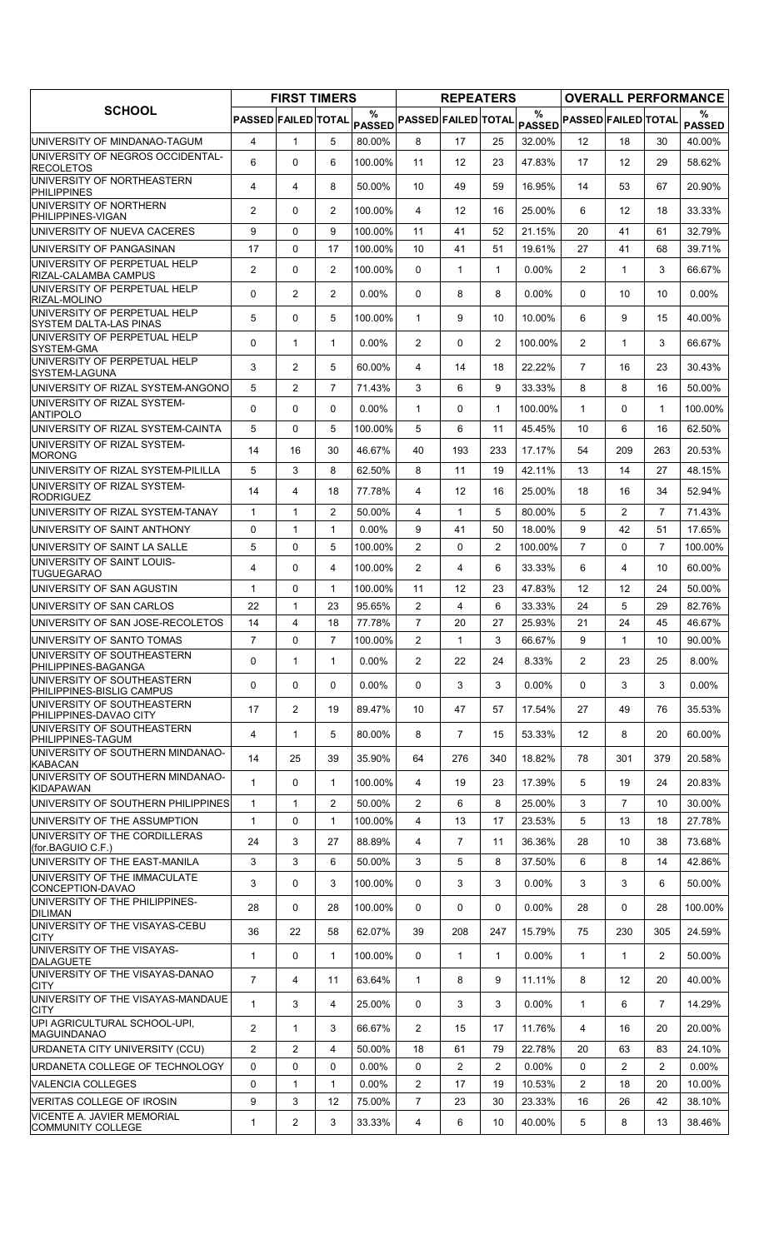| $\frac{0}{0}$<br>%<br>%<br>PASSED FAILED TOTAL<br>PASSED PASSED FAILED TOTAL<br>PASSED PASSED FAILED TOTAL<br><b>PASSED</b><br>$\overline{4}$<br>5<br>8<br>40.00%<br>$\mathbf{1}$<br>80.00%<br>17<br>25<br>32.00%<br>12<br>18<br>30<br>6<br>47.83%<br>17<br>0<br>6<br>100.00%<br>11<br>12<br>23<br>12<br>29<br>58.62%<br>4<br>4<br>8<br>50.00%<br>10<br>49<br>59<br>16.95%<br>14<br>53<br>67<br>20.90%<br>2<br>$\overline{2}$<br>0<br>100.00%<br>4<br>12<br>16<br>25.00%<br>6<br>$12 \overline{ }$<br>18<br>33.33%<br>9<br>0<br>9<br>100.00%<br>32.79%<br>11<br>41<br>52<br>21.15%<br>20<br>41<br>61<br>17<br>0<br>17<br>100.00%<br>10<br>41<br>51<br>19.61%<br>27<br>41<br>68<br>39.71%<br>$\overline{2}$<br>0<br>$\overline{2}$<br>100.00%<br>$\overline{2}$<br>3<br>0<br>1<br>$\mathbf{1}$<br>$0.00\%$<br>1<br>66.67%<br>2<br>2<br>0<br>$0.00\%$<br>$\Omega$<br>8<br>8<br>0.00%<br>$\Omega$<br>$0.00\%$<br>10<br>10<br>5<br>0<br>5<br>100.00%<br>6<br>9<br>$\mathbf{1}$<br>9<br>10<br>10.00%<br>15<br>40.00%<br>$\mathbf{1}$<br>$\overline{2}$<br>$\overline{2}$<br>$\Omega$<br>$\mathbf{1}$<br>$0.00\%$<br>2<br>0<br>100.00%<br>1<br>3<br>66.67%<br>UNIVERSITY OF PERPETUAL HELP<br>3<br>$\overline{2}$<br>60.00%<br>22.22%<br>5<br>4<br>14<br>18<br>$\overline{7}$<br>16<br>23<br>30.43%<br>5<br>$\overline{c}$<br>$\overline{7}$<br>9<br>71.43%<br>3<br>6<br>33.33%<br>8<br>8<br>16<br>50.00%<br>$\Omega$<br>$\Omega$<br>$\mathbf{0}$<br>$0.00\%$<br>$\mathbf{1}$<br>0<br>$\mathbf{1}$<br>100.00%<br>$\mathbf{1}$<br>0<br>$\mathbf{1}$<br>100.00%<br>5<br>5<br>$\Omega$<br>100.00%<br>5<br>6<br>11<br>45.45%<br>10<br>6<br>62.50%<br>16<br>30<br>46.67%<br>263<br>14<br>16<br>40<br>193<br>233<br>17.17%<br>54<br>209<br>20.53%<br>5<br>3<br>8<br>62.50%<br>8<br>42.11%<br>13<br>14<br>48.15%<br>11<br>19<br>27<br>52.94%<br>14<br>4<br>18<br>77.78%<br>4<br>12<br>16<br>25.00%<br>18<br>16<br>34<br>$\mathbf{1}$<br>$\overline{2}$<br>50.00%<br>5<br>80.00%<br>5<br>$\overline{2}$<br>71.43%<br>$\mathbf{1}$<br>4<br>$\mathbf{1}$<br>7<br>0<br>$\mathbf{1}$<br>$\mathbf{1}$<br>$0.00\%$<br>9<br>41<br>18.00%<br>9<br>42<br>51<br>17.65%<br>50<br>$\overline{7}$<br>$\overline{7}$<br>5<br>0<br>5<br>100.00%<br>$\overline{2}$<br>$\overline{2}$<br>100.00%<br>$\Omega$<br>100.00%<br>$\mathbf{0}$<br>$\overline{4}$<br>4<br>0<br>100.00%<br>$\overline{2}$<br>4<br>6<br>33.33%<br>6<br>4<br>10<br>60.00%<br>0<br>$\mathbf{1}$<br>$\mathbf{1}$<br>100.00%<br>11<br>12<br>23<br>47.83%<br>12<br>12<br>24<br>50.00%<br>5<br>22<br>$\mathbf{1}$<br>23<br>95.65%<br>$\mathbf{2}^{\prime}$<br>4<br>6<br>33.33%<br>29<br>82.76%<br>24<br>$\overline{4}$<br>$\overline{7}$<br>14<br>18<br>77.78%<br>20<br>27<br>25.93%<br>21<br>24<br>45<br>46.67%<br>$\overline{7}$<br>7<br>100.00%<br>$\overline{c}$<br>66.67%<br>0<br>3<br>9<br>10<br>90.00%<br>1<br>1<br>0<br>$\mathbf{1}$<br>$0.00\%$<br>2<br>8.00%<br>$\mathbf{1}$<br>$\overline{2}$<br>22<br>24<br>8.33%<br>23<br>25<br>PHILIPPINES-BAGANGA<br>0<br>0<br>$\Omega$<br>$0.00\%$<br>0<br>3<br>3<br>0.00%<br>0<br>3<br>3<br>$0.00\%$<br>17<br>$\overline{2}$<br>19<br>89.47%<br>47<br>57<br>17.54%<br>27<br>49<br>76<br>35.53%<br>10<br>$\overline{4}$<br>$\mathbf{1}$<br>5<br>80.00%<br>8<br>$\overline{7}$<br>53.33%<br>12<br>8<br>15<br>20<br>60.00%<br>14<br>25<br>39<br>35.90%<br>340<br>18.82%<br>78<br>20.58%<br>64<br>276<br>301<br>379<br>0<br>5<br>$\mathbf{1}$<br>100.00%<br>4<br>19<br>23<br>17.39%<br>19<br>24<br>20.83%<br>1<br>UNIVERSITY OF SOUTHERN PHILIPPINES<br>$\overline{2}$<br>25.00%<br>3<br>$\overline{7}$<br>1<br>50.00%<br>2<br>6<br>8<br>30.00%<br>$\mathbf 1$<br>10<br>5<br>$\mathbf{1}$<br>0<br>$\mathbf{1}$<br>100.00%<br>4<br>13<br>17<br>23.53%<br>13<br>27.78%<br>18<br>3<br>27<br>88.89%<br>24<br>4<br>$\overline{7}$<br>11<br>36.36%<br>28<br>10<br>38<br>73.68%<br>3<br>3<br>6<br>50.00%<br>3<br>5<br>8<br>37.50%<br>6<br>8<br>14<br>42.86%<br>3<br>0<br>3<br>3<br>3<br>3<br>6<br>100.00%<br>0<br>3<br>$0.00\%$<br>50.00%<br>0<br>28<br>28<br>100.00%<br>0<br>0<br>0<br>$0.00\%$<br>28<br>0<br>100.00%<br>28<br>22<br>62.07%<br>36<br>58<br>39<br>208<br>247<br>15.79%<br>75<br>230<br>305<br>24.59%<br>$\mathbf{1}$<br>0<br>$\mathbf{1}$<br>100.00%<br>$\mathbf{1}$<br>$\mathbf{1}$<br>0.00%<br>$\mathbf{1}$<br>$\mathbf{1}$<br>$\overline{2}$<br>0<br>50.00%<br>$\overline{7}$<br>9<br>8<br>4<br>11<br>63.64%<br>$\mathbf{1}$<br>8<br>11.11%<br>12<br>20<br>40.00%<br>$\mathbf{1}$<br>$\mathbf{1}$<br>3<br>4<br>25.00%<br>$\mathbf{0}$<br>3<br>3<br>$0.00\%$<br>6<br>$\overline{7}$<br>14.29%<br>$\overline{2}$<br>$\mathbf{1}$<br>3<br>66.67%<br>$\overline{2}$<br>15<br>17<br>11.76%<br>4<br>16<br>20<br>20.00%<br>$\overline{2}$<br>$\overline{c}$<br>4<br>50.00%<br>18<br>61<br>79<br>22.78%<br>20<br>63<br>83<br>24.10%<br>$\mathbf 0$<br>0<br>$\mathbf 0$<br>$0.00\%$<br>0<br>$\overline{2}$<br>$\overline{2}$<br>0.00%<br>0<br>$\overline{2}$<br>$\overline{2}$<br>$0.00\%$<br>$\mathbf{1}$<br>$\overline{2}$<br>$\overline{2}$<br>0<br>$\mathbf{1}$<br>$0.00\%$<br>17<br>19<br>18<br>20<br>10.53%<br>10.00%<br>9<br>$\overline{7}$<br>3<br>12<br>75.00%<br>23<br>30<br>23.33%<br>16<br>26<br>42<br>38.10%<br>$\overline{c}$<br>3<br>40.00%<br>5<br>$\mathbf{1}$<br>33.33%<br>4<br>6<br>10<br>8<br>13<br>38.46% |                                                               | <b>FIRST TIMERS</b> |  | <b>REPEATERS</b> |  |  | <b>OVERALL PERFORMANCE</b> |
|-----------------------------------------------------------------------------------------------------------------------------------------------------------------------------------------------------------------------------------------------------------------------------------------------------------------------------------------------------------------------------------------------------------------------------------------------------------------------------------------------------------------------------------------------------------------------------------------------------------------------------------------------------------------------------------------------------------------------------------------------------------------------------------------------------------------------------------------------------------------------------------------------------------------------------------------------------------------------------------------------------------------------------------------------------------------------------------------------------------------------------------------------------------------------------------------------------------------------------------------------------------------------------------------------------------------------------------------------------------------------------------------------------------------------------------------------------------------------------------------------------------------------------------------------------------------------------------------------------------------------------------------------------------------------------------------------------------------------------------------------------------------------------------------------------------------------------------------------------------------------------------------------------------------------------------------------------------------------------------------------------------------------------------------------------------------------------------------------------------------------------------------------------------------------------------------------------------------------------------------------------------------------------------------------------------------------------------------------------------------------------------------------------------------------------------------------------------------------------------------------------------------------------------------------------------------------------------------------------------------------------------------------------------------------------------------------------------------------------------------------------------------------------------------------------------------------------------------------------------------------------------------------------------------------------------------------------------------------------------------------------------------------------------------------------------------------------------------------------------------------------------------------------------------------------------------------------------------------------------------------------------------------------------------------------------------------------------------------------------------------------------------------------------------------------------------------------------------------------------------------------------------------------------------------------------------------------------------------------------------------------------------------------------------------------------------------------------------------------------------------------------------------------------------------------------------------------------------------------------------------------------------------------------------------------------------------------------------------------------------------------------------------------------------------------------------------------------------------------------------------------------------------------------------------------------------------------------------------------------------------------------------------------------------------------------------------------------------------------------------------------------------------------------------------------------------------------------------------------------------------------------------------------------------------------------------------------------------------------------------------------------------------------------------------------------------------------------------------------------------------------------------------------------------------------------------------------------------------------------------------------------------------------------------------------------------------------------------------------------------------------------------------------------------------------------------------------------------------------------------------------------------------------------------------------------------------------------------------------------------------------------------------------------------------------------------|---------------------------------------------------------------|---------------------|--|------------------|--|--|----------------------------|
|                                                                                                                                                                                                                                                                                                                                                                                                                                                                                                                                                                                                                                                                                                                                                                                                                                                                                                                                                                                                                                                                                                                                                                                                                                                                                                                                                                                                                                                                                                                                                                                                                                                                                                                                                                                                                                                                                                                                                                                                                                                                                                                                                                                                                                                                                                                                                                                                                                                                                                                                                                                                                                                                                                                                                                                                                                                                                                                                                                                                                                                                                                                                                                                                                                                                                                                                                                                                                                                                                                                                                                                                                                                                                                                                                                                                                                                                                                                                                                                                                                                                                                                                                                                                                                                                                                                                                                                                                                                                                                                                                                                                                                                                                                                                                                                                                                                                                                                                                                                                                                                                                                                                                                                                                                                                                                                 | <b>SCHOOL</b>                                                 |                     |  |                  |  |  |                            |
|                                                                                                                                                                                                                                                                                                                                                                                                                                                                                                                                                                                                                                                                                                                                                                                                                                                                                                                                                                                                                                                                                                                                                                                                                                                                                                                                                                                                                                                                                                                                                                                                                                                                                                                                                                                                                                                                                                                                                                                                                                                                                                                                                                                                                                                                                                                                                                                                                                                                                                                                                                                                                                                                                                                                                                                                                                                                                                                                                                                                                                                                                                                                                                                                                                                                                                                                                                                                                                                                                                                                                                                                                                                                                                                                                                                                                                                                                                                                                                                                                                                                                                                                                                                                                                                                                                                                                                                                                                                                                                                                                                                                                                                                                                                                                                                                                                                                                                                                                                                                                                                                                                                                                                                                                                                                                                                 | UNIVERSITY OF MINDANAO-TAGUM                                  |                     |  |                  |  |  |                            |
|                                                                                                                                                                                                                                                                                                                                                                                                                                                                                                                                                                                                                                                                                                                                                                                                                                                                                                                                                                                                                                                                                                                                                                                                                                                                                                                                                                                                                                                                                                                                                                                                                                                                                                                                                                                                                                                                                                                                                                                                                                                                                                                                                                                                                                                                                                                                                                                                                                                                                                                                                                                                                                                                                                                                                                                                                                                                                                                                                                                                                                                                                                                                                                                                                                                                                                                                                                                                                                                                                                                                                                                                                                                                                                                                                                                                                                                                                                                                                                                                                                                                                                                                                                                                                                                                                                                                                                                                                                                                                                                                                                                                                                                                                                                                                                                                                                                                                                                                                                                                                                                                                                                                                                                                                                                                                                                 | UNIVERSITY OF NEGROS OCCIDENTAL-<br><b>RECOLETOS</b>          |                     |  |                  |  |  |                            |
|                                                                                                                                                                                                                                                                                                                                                                                                                                                                                                                                                                                                                                                                                                                                                                                                                                                                                                                                                                                                                                                                                                                                                                                                                                                                                                                                                                                                                                                                                                                                                                                                                                                                                                                                                                                                                                                                                                                                                                                                                                                                                                                                                                                                                                                                                                                                                                                                                                                                                                                                                                                                                                                                                                                                                                                                                                                                                                                                                                                                                                                                                                                                                                                                                                                                                                                                                                                                                                                                                                                                                                                                                                                                                                                                                                                                                                                                                                                                                                                                                                                                                                                                                                                                                                                                                                                                                                                                                                                                                                                                                                                                                                                                                                                                                                                                                                                                                                                                                                                                                                                                                                                                                                                                                                                                                                                 | UNIVERSITY OF NORTHEASTERN<br><b>PHILIPPINES</b>              |                     |  |                  |  |  |                            |
|                                                                                                                                                                                                                                                                                                                                                                                                                                                                                                                                                                                                                                                                                                                                                                                                                                                                                                                                                                                                                                                                                                                                                                                                                                                                                                                                                                                                                                                                                                                                                                                                                                                                                                                                                                                                                                                                                                                                                                                                                                                                                                                                                                                                                                                                                                                                                                                                                                                                                                                                                                                                                                                                                                                                                                                                                                                                                                                                                                                                                                                                                                                                                                                                                                                                                                                                                                                                                                                                                                                                                                                                                                                                                                                                                                                                                                                                                                                                                                                                                                                                                                                                                                                                                                                                                                                                                                                                                                                                                                                                                                                                                                                                                                                                                                                                                                                                                                                                                                                                                                                                                                                                                                                                                                                                                                                 | UNIVERSITY OF NORTHERN<br>PHILIPPINES-VIGAN                   |                     |  |                  |  |  |                            |
|                                                                                                                                                                                                                                                                                                                                                                                                                                                                                                                                                                                                                                                                                                                                                                                                                                                                                                                                                                                                                                                                                                                                                                                                                                                                                                                                                                                                                                                                                                                                                                                                                                                                                                                                                                                                                                                                                                                                                                                                                                                                                                                                                                                                                                                                                                                                                                                                                                                                                                                                                                                                                                                                                                                                                                                                                                                                                                                                                                                                                                                                                                                                                                                                                                                                                                                                                                                                                                                                                                                                                                                                                                                                                                                                                                                                                                                                                                                                                                                                                                                                                                                                                                                                                                                                                                                                                                                                                                                                                                                                                                                                                                                                                                                                                                                                                                                                                                                                                                                                                                                                                                                                                                                                                                                                                                                 | UNIVERSITY OF NUEVA CACERES                                   |                     |  |                  |  |  |                            |
|                                                                                                                                                                                                                                                                                                                                                                                                                                                                                                                                                                                                                                                                                                                                                                                                                                                                                                                                                                                                                                                                                                                                                                                                                                                                                                                                                                                                                                                                                                                                                                                                                                                                                                                                                                                                                                                                                                                                                                                                                                                                                                                                                                                                                                                                                                                                                                                                                                                                                                                                                                                                                                                                                                                                                                                                                                                                                                                                                                                                                                                                                                                                                                                                                                                                                                                                                                                                                                                                                                                                                                                                                                                                                                                                                                                                                                                                                                                                                                                                                                                                                                                                                                                                                                                                                                                                                                                                                                                                                                                                                                                                                                                                                                                                                                                                                                                                                                                                                                                                                                                                                                                                                                                                                                                                                                                 | UNIVERSITY OF PANGASINAN                                      |                     |  |                  |  |  |                            |
|                                                                                                                                                                                                                                                                                                                                                                                                                                                                                                                                                                                                                                                                                                                                                                                                                                                                                                                                                                                                                                                                                                                                                                                                                                                                                                                                                                                                                                                                                                                                                                                                                                                                                                                                                                                                                                                                                                                                                                                                                                                                                                                                                                                                                                                                                                                                                                                                                                                                                                                                                                                                                                                                                                                                                                                                                                                                                                                                                                                                                                                                                                                                                                                                                                                                                                                                                                                                                                                                                                                                                                                                                                                                                                                                                                                                                                                                                                                                                                                                                                                                                                                                                                                                                                                                                                                                                                                                                                                                                                                                                                                                                                                                                                                                                                                                                                                                                                                                                                                                                                                                                                                                                                                                                                                                                                                 | UNIVERSITY OF PERPETUAL HELP<br>RIZAL-CALAMBA CAMPUS          |                     |  |                  |  |  |                            |
|                                                                                                                                                                                                                                                                                                                                                                                                                                                                                                                                                                                                                                                                                                                                                                                                                                                                                                                                                                                                                                                                                                                                                                                                                                                                                                                                                                                                                                                                                                                                                                                                                                                                                                                                                                                                                                                                                                                                                                                                                                                                                                                                                                                                                                                                                                                                                                                                                                                                                                                                                                                                                                                                                                                                                                                                                                                                                                                                                                                                                                                                                                                                                                                                                                                                                                                                                                                                                                                                                                                                                                                                                                                                                                                                                                                                                                                                                                                                                                                                                                                                                                                                                                                                                                                                                                                                                                                                                                                                                                                                                                                                                                                                                                                                                                                                                                                                                                                                                                                                                                                                                                                                                                                                                                                                                                                 | UNIVERSITY OF PERPETUAL HELP<br>RIZAL-MOLINO                  |                     |  |                  |  |  |                            |
|                                                                                                                                                                                                                                                                                                                                                                                                                                                                                                                                                                                                                                                                                                                                                                                                                                                                                                                                                                                                                                                                                                                                                                                                                                                                                                                                                                                                                                                                                                                                                                                                                                                                                                                                                                                                                                                                                                                                                                                                                                                                                                                                                                                                                                                                                                                                                                                                                                                                                                                                                                                                                                                                                                                                                                                                                                                                                                                                                                                                                                                                                                                                                                                                                                                                                                                                                                                                                                                                                                                                                                                                                                                                                                                                                                                                                                                                                                                                                                                                                                                                                                                                                                                                                                                                                                                                                                                                                                                                                                                                                                                                                                                                                                                                                                                                                                                                                                                                                                                                                                                                                                                                                                                                                                                                                                                 | UNIVERSITY OF PERPETUAL HELP<br><b>SYSTEM DALTA-LAS PINAS</b> |                     |  |                  |  |  |                            |
|                                                                                                                                                                                                                                                                                                                                                                                                                                                                                                                                                                                                                                                                                                                                                                                                                                                                                                                                                                                                                                                                                                                                                                                                                                                                                                                                                                                                                                                                                                                                                                                                                                                                                                                                                                                                                                                                                                                                                                                                                                                                                                                                                                                                                                                                                                                                                                                                                                                                                                                                                                                                                                                                                                                                                                                                                                                                                                                                                                                                                                                                                                                                                                                                                                                                                                                                                                                                                                                                                                                                                                                                                                                                                                                                                                                                                                                                                                                                                                                                                                                                                                                                                                                                                                                                                                                                                                                                                                                                                                                                                                                                                                                                                                                                                                                                                                                                                                                                                                                                                                                                                                                                                                                                                                                                                                                 | UNIVERSITY OF PERPETUAL HELP<br>SYSTEM-GMA                    |                     |  |                  |  |  |                            |
|                                                                                                                                                                                                                                                                                                                                                                                                                                                                                                                                                                                                                                                                                                                                                                                                                                                                                                                                                                                                                                                                                                                                                                                                                                                                                                                                                                                                                                                                                                                                                                                                                                                                                                                                                                                                                                                                                                                                                                                                                                                                                                                                                                                                                                                                                                                                                                                                                                                                                                                                                                                                                                                                                                                                                                                                                                                                                                                                                                                                                                                                                                                                                                                                                                                                                                                                                                                                                                                                                                                                                                                                                                                                                                                                                                                                                                                                                                                                                                                                                                                                                                                                                                                                                                                                                                                                                                                                                                                                                                                                                                                                                                                                                                                                                                                                                                                                                                                                                                                                                                                                                                                                                                                                                                                                                                                 | SYSTEM-LAGUNA                                                 |                     |  |                  |  |  |                            |
|                                                                                                                                                                                                                                                                                                                                                                                                                                                                                                                                                                                                                                                                                                                                                                                                                                                                                                                                                                                                                                                                                                                                                                                                                                                                                                                                                                                                                                                                                                                                                                                                                                                                                                                                                                                                                                                                                                                                                                                                                                                                                                                                                                                                                                                                                                                                                                                                                                                                                                                                                                                                                                                                                                                                                                                                                                                                                                                                                                                                                                                                                                                                                                                                                                                                                                                                                                                                                                                                                                                                                                                                                                                                                                                                                                                                                                                                                                                                                                                                                                                                                                                                                                                                                                                                                                                                                                                                                                                                                                                                                                                                                                                                                                                                                                                                                                                                                                                                                                                                                                                                                                                                                                                                                                                                                                                 | UNIVERSITY OF RIZAL SYSTEM-ANGONO                             |                     |  |                  |  |  |                            |
|                                                                                                                                                                                                                                                                                                                                                                                                                                                                                                                                                                                                                                                                                                                                                                                                                                                                                                                                                                                                                                                                                                                                                                                                                                                                                                                                                                                                                                                                                                                                                                                                                                                                                                                                                                                                                                                                                                                                                                                                                                                                                                                                                                                                                                                                                                                                                                                                                                                                                                                                                                                                                                                                                                                                                                                                                                                                                                                                                                                                                                                                                                                                                                                                                                                                                                                                                                                                                                                                                                                                                                                                                                                                                                                                                                                                                                                                                                                                                                                                                                                                                                                                                                                                                                                                                                                                                                                                                                                                                                                                                                                                                                                                                                                                                                                                                                                                                                                                                                                                                                                                                                                                                                                                                                                                                                                 | UNIVERSITY OF RIZAL SYSTEM-<br><b>ANTIPOLO</b>                |                     |  |                  |  |  |                            |
|                                                                                                                                                                                                                                                                                                                                                                                                                                                                                                                                                                                                                                                                                                                                                                                                                                                                                                                                                                                                                                                                                                                                                                                                                                                                                                                                                                                                                                                                                                                                                                                                                                                                                                                                                                                                                                                                                                                                                                                                                                                                                                                                                                                                                                                                                                                                                                                                                                                                                                                                                                                                                                                                                                                                                                                                                                                                                                                                                                                                                                                                                                                                                                                                                                                                                                                                                                                                                                                                                                                                                                                                                                                                                                                                                                                                                                                                                                                                                                                                                                                                                                                                                                                                                                                                                                                                                                                                                                                                                                                                                                                                                                                                                                                                                                                                                                                                                                                                                                                                                                                                                                                                                                                                                                                                                                                 | UNIVERSITY OF RIZAL SYSTEM-CAINTA                             |                     |  |                  |  |  |                            |
|                                                                                                                                                                                                                                                                                                                                                                                                                                                                                                                                                                                                                                                                                                                                                                                                                                                                                                                                                                                                                                                                                                                                                                                                                                                                                                                                                                                                                                                                                                                                                                                                                                                                                                                                                                                                                                                                                                                                                                                                                                                                                                                                                                                                                                                                                                                                                                                                                                                                                                                                                                                                                                                                                                                                                                                                                                                                                                                                                                                                                                                                                                                                                                                                                                                                                                                                                                                                                                                                                                                                                                                                                                                                                                                                                                                                                                                                                                                                                                                                                                                                                                                                                                                                                                                                                                                                                                                                                                                                                                                                                                                                                                                                                                                                                                                                                                                                                                                                                                                                                                                                                                                                                                                                                                                                                                                 | UNIVERSITY OF RIZAL SYSTEM-<br><b>MORONG</b>                  |                     |  |                  |  |  |                            |
|                                                                                                                                                                                                                                                                                                                                                                                                                                                                                                                                                                                                                                                                                                                                                                                                                                                                                                                                                                                                                                                                                                                                                                                                                                                                                                                                                                                                                                                                                                                                                                                                                                                                                                                                                                                                                                                                                                                                                                                                                                                                                                                                                                                                                                                                                                                                                                                                                                                                                                                                                                                                                                                                                                                                                                                                                                                                                                                                                                                                                                                                                                                                                                                                                                                                                                                                                                                                                                                                                                                                                                                                                                                                                                                                                                                                                                                                                                                                                                                                                                                                                                                                                                                                                                                                                                                                                                                                                                                                                                                                                                                                                                                                                                                                                                                                                                                                                                                                                                                                                                                                                                                                                                                                                                                                                                                 | UNIVERSITY OF RIZAL SYSTEM-PILILLA                            |                     |  |                  |  |  |                            |
|                                                                                                                                                                                                                                                                                                                                                                                                                                                                                                                                                                                                                                                                                                                                                                                                                                                                                                                                                                                                                                                                                                                                                                                                                                                                                                                                                                                                                                                                                                                                                                                                                                                                                                                                                                                                                                                                                                                                                                                                                                                                                                                                                                                                                                                                                                                                                                                                                                                                                                                                                                                                                                                                                                                                                                                                                                                                                                                                                                                                                                                                                                                                                                                                                                                                                                                                                                                                                                                                                                                                                                                                                                                                                                                                                                                                                                                                                                                                                                                                                                                                                                                                                                                                                                                                                                                                                                                                                                                                                                                                                                                                                                                                                                                                                                                                                                                                                                                                                                                                                                                                                                                                                                                                                                                                                                                 | UNIVERSITY OF RIZAL SYSTEM-<br><b>RODRIGUEZ</b>               |                     |  |                  |  |  |                            |
|                                                                                                                                                                                                                                                                                                                                                                                                                                                                                                                                                                                                                                                                                                                                                                                                                                                                                                                                                                                                                                                                                                                                                                                                                                                                                                                                                                                                                                                                                                                                                                                                                                                                                                                                                                                                                                                                                                                                                                                                                                                                                                                                                                                                                                                                                                                                                                                                                                                                                                                                                                                                                                                                                                                                                                                                                                                                                                                                                                                                                                                                                                                                                                                                                                                                                                                                                                                                                                                                                                                                                                                                                                                                                                                                                                                                                                                                                                                                                                                                                                                                                                                                                                                                                                                                                                                                                                                                                                                                                                                                                                                                                                                                                                                                                                                                                                                                                                                                                                                                                                                                                                                                                                                                                                                                                                                 | UNIVERSITY OF RIZAL SYSTEM-TANAY                              |                     |  |                  |  |  |                            |
|                                                                                                                                                                                                                                                                                                                                                                                                                                                                                                                                                                                                                                                                                                                                                                                                                                                                                                                                                                                                                                                                                                                                                                                                                                                                                                                                                                                                                                                                                                                                                                                                                                                                                                                                                                                                                                                                                                                                                                                                                                                                                                                                                                                                                                                                                                                                                                                                                                                                                                                                                                                                                                                                                                                                                                                                                                                                                                                                                                                                                                                                                                                                                                                                                                                                                                                                                                                                                                                                                                                                                                                                                                                                                                                                                                                                                                                                                                                                                                                                                                                                                                                                                                                                                                                                                                                                                                                                                                                                                                                                                                                                                                                                                                                                                                                                                                                                                                                                                                                                                                                                                                                                                                                                                                                                                                                 | UNIVERSITY OF SAINT ANTHONY                                   |                     |  |                  |  |  |                            |
|                                                                                                                                                                                                                                                                                                                                                                                                                                                                                                                                                                                                                                                                                                                                                                                                                                                                                                                                                                                                                                                                                                                                                                                                                                                                                                                                                                                                                                                                                                                                                                                                                                                                                                                                                                                                                                                                                                                                                                                                                                                                                                                                                                                                                                                                                                                                                                                                                                                                                                                                                                                                                                                                                                                                                                                                                                                                                                                                                                                                                                                                                                                                                                                                                                                                                                                                                                                                                                                                                                                                                                                                                                                                                                                                                                                                                                                                                                                                                                                                                                                                                                                                                                                                                                                                                                                                                                                                                                                                                                                                                                                                                                                                                                                                                                                                                                                                                                                                                                                                                                                                                                                                                                                                                                                                                                                 | UNIVERSITY OF SAINT LA SALLE                                  |                     |  |                  |  |  |                            |
|                                                                                                                                                                                                                                                                                                                                                                                                                                                                                                                                                                                                                                                                                                                                                                                                                                                                                                                                                                                                                                                                                                                                                                                                                                                                                                                                                                                                                                                                                                                                                                                                                                                                                                                                                                                                                                                                                                                                                                                                                                                                                                                                                                                                                                                                                                                                                                                                                                                                                                                                                                                                                                                                                                                                                                                                                                                                                                                                                                                                                                                                                                                                                                                                                                                                                                                                                                                                                                                                                                                                                                                                                                                                                                                                                                                                                                                                                                                                                                                                                                                                                                                                                                                                                                                                                                                                                                                                                                                                                                                                                                                                                                                                                                                                                                                                                                                                                                                                                                                                                                                                                                                                                                                                                                                                                                                 | UNIVERSITY OF SAINT LOUIS-<br><b>TUGUEGARAO</b>               |                     |  |                  |  |  |                            |
|                                                                                                                                                                                                                                                                                                                                                                                                                                                                                                                                                                                                                                                                                                                                                                                                                                                                                                                                                                                                                                                                                                                                                                                                                                                                                                                                                                                                                                                                                                                                                                                                                                                                                                                                                                                                                                                                                                                                                                                                                                                                                                                                                                                                                                                                                                                                                                                                                                                                                                                                                                                                                                                                                                                                                                                                                                                                                                                                                                                                                                                                                                                                                                                                                                                                                                                                                                                                                                                                                                                                                                                                                                                                                                                                                                                                                                                                                                                                                                                                                                                                                                                                                                                                                                                                                                                                                                                                                                                                                                                                                                                                                                                                                                                                                                                                                                                                                                                                                                                                                                                                                                                                                                                                                                                                                                                 | UNIVERSITY OF SAN AGUSTIN                                     |                     |  |                  |  |  |                            |
|                                                                                                                                                                                                                                                                                                                                                                                                                                                                                                                                                                                                                                                                                                                                                                                                                                                                                                                                                                                                                                                                                                                                                                                                                                                                                                                                                                                                                                                                                                                                                                                                                                                                                                                                                                                                                                                                                                                                                                                                                                                                                                                                                                                                                                                                                                                                                                                                                                                                                                                                                                                                                                                                                                                                                                                                                                                                                                                                                                                                                                                                                                                                                                                                                                                                                                                                                                                                                                                                                                                                                                                                                                                                                                                                                                                                                                                                                                                                                                                                                                                                                                                                                                                                                                                                                                                                                                                                                                                                                                                                                                                                                                                                                                                                                                                                                                                                                                                                                                                                                                                                                                                                                                                                                                                                                                                 | UNIVERSITY OF SAN CARLOS                                      |                     |  |                  |  |  |                            |
|                                                                                                                                                                                                                                                                                                                                                                                                                                                                                                                                                                                                                                                                                                                                                                                                                                                                                                                                                                                                                                                                                                                                                                                                                                                                                                                                                                                                                                                                                                                                                                                                                                                                                                                                                                                                                                                                                                                                                                                                                                                                                                                                                                                                                                                                                                                                                                                                                                                                                                                                                                                                                                                                                                                                                                                                                                                                                                                                                                                                                                                                                                                                                                                                                                                                                                                                                                                                                                                                                                                                                                                                                                                                                                                                                                                                                                                                                                                                                                                                                                                                                                                                                                                                                                                                                                                                                                                                                                                                                                                                                                                                                                                                                                                                                                                                                                                                                                                                                                                                                                                                                                                                                                                                                                                                                                                 | UNIVERSITY OF SAN JOSE-RECOLETOS                              |                     |  |                  |  |  |                            |
|                                                                                                                                                                                                                                                                                                                                                                                                                                                                                                                                                                                                                                                                                                                                                                                                                                                                                                                                                                                                                                                                                                                                                                                                                                                                                                                                                                                                                                                                                                                                                                                                                                                                                                                                                                                                                                                                                                                                                                                                                                                                                                                                                                                                                                                                                                                                                                                                                                                                                                                                                                                                                                                                                                                                                                                                                                                                                                                                                                                                                                                                                                                                                                                                                                                                                                                                                                                                                                                                                                                                                                                                                                                                                                                                                                                                                                                                                                                                                                                                                                                                                                                                                                                                                                                                                                                                                                                                                                                                                                                                                                                                                                                                                                                                                                                                                                                                                                                                                                                                                                                                                                                                                                                                                                                                                                                 | UNIVERSITY OF SANTO TOMAS                                     |                     |  |                  |  |  |                            |
|                                                                                                                                                                                                                                                                                                                                                                                                                                                                                                                                                                                                                                                                                                                                                                                                                                                                                                                                                                                                                                                                                                                                                                                                                                                                                                                                                                                                                                                                                                                                                                                                                                                                                                                                                                                                                                                                                                                                                                                                                                                                                                                                                                                                                                                                                                                                                                                                                                                                                                                                                                                                                                                                                                                                                                                                                                                                                                                                                                                                                                                                                                                                                                                                                                                                                                                                                                                                                                                                                                                                                                                                                                                                                                                                                                                                                                                                                                                                                                                                                                                                                                                                                                                                                                                                                                                                                                                                                                                                                                                                                                                                                                                                                                                                                                                                                                                                                                                                                                                                                                                                                                                                                                                                                                                                                                                 | UNIVERSITY OF SOUTHEASTERN                                    |                     |  |                  |  |  |                            |
|                                                                                                                                                                                                                                                                                                                                                                                                                                                                                                                                                                                                                                                                                                                                                                                                                                                                                                                                                                                                                                                                                                                                                                                                                                                                                                                                                                                                                                                                                                                                                                                                                                                                                                                                                                                                                                                                                                                                                                                                                                                                                                                                                                                                                                                                                                                                                                                                                                                                                                                                                                                                                                                                                                                                                                                                                                                                                                                                                                                                                                                                                                                                                                                                                                                                                                                                                                                                                                                                                                                                                                                                                                                                                                                                                                                                                                                                                                                                                                                                                                                                                                                                                                                                                                                                                                                                                                                                                                                                                                                                                                                                                                                                                                                                                                                                                                                                                                                                                                                                                                                                                                                                                                                                                                                                                                                 | UNIVERSITY OF SOUTHEASTERN<br>PHILIPPINES-BISLIG CAMPUS       |                     |  |                  |  |  |                            |
|                                                                                                                                                                                                                                                                                                                                                                                                                                                                                                                                                                                                                                                                                                                                                                                                                                                                                                                                                                                                                                                                                                                                                                                                                                                                                                                                                                                                                                                                                                                                                                                                                                                                                                                                                                                                                                                                                                                                                                                                                                                                                                                                                                                                                                                                                                                                                                                                                                                                                                                                                                                                                                                                                                                                                                                                                                                                                                                                                                                                                                                                                                                                                                                                                                                                                                                                                                                                                                                                                                                                                                                                                                                                                                                                                                                                                                                                                                                                                                                                                                                                                                                                                                                                                                                                                                                                                                                                                                                                                                                                                                                                                                                                                                                                                                                                                                                                                                                                                                                                                                                                                                                                                                                                                                                                                                                 | UNIVERSITY OF SOUTHEASTERN<br>PHILIPPINES-DAVAO CITY          |                     |  |                  |  |  |                            |
|                                                                                                                                                                                                                                                                                                                                                                                                                                                                                                                                                                                                                                                                                                                                                                                                                                                                                                                                                                                                                                                                                                                                                                                                                                                                                                                                                                                                                                                                                                                                                                                                                                                                                                                                                                                                                                                                                                                                                                                                                                                                                                                                                                                                                                                                                                                                                                                                                                                                                                                                                                                                                                                                                                                                                                                                                                                                                                                                                                                                                                                                                                                                                                                                                                                                                                                                                                                                                                                                                                                                                                                                                                                                                                                                                                                                                                                                                                                                                                                                                                                                                                                                                                                                                                                                                                                                                                                                                                                                                                                                                                                                                                                                                                                                                                                                                                                                                                                                                                                                                                                                                                                                                                                                                                                                                                                 | UNIVERSITY OF SOUTHEASTERN<br>PHILIPPINES-TAGUM               |                     |  |                  |  |  |                            |
|                                                                                                                                                                                                                                                                                                                                                                                                                                                                                                                                                                                                                                                                                                                                                                                                                                                                                                                                                                                                                                                                                                                                                                                                                                                                                                                                                                                                                                                                                                                                                                                                                                                                                                                                                                                                                                                                                                                                                                                                                                                                                                                                                                                                                                                                                                                                                                                                                                                                                                                                                                                                                                                                                                                                                                                                                                                                                                                                                                                                                                                                                                                                                                                                                                                                                                                                                                                                                                                                                                                                                                                                                                                                                                                                                                                                                                                                                                                                                                                                                                                                                                                                                                                                                                                                                                                                                                                                                                                                                                                                                                                                                                                                                                                                                                                                                                                                                                                                                                                                                                                                                                                                                                                                                                                                                                                 | UNIVERSITY OF SOUTHERN MINDANAO-<br>KABACAN                   |                     |  |                  |  |  |                            |
|                                                                                                                                                                                                                                                                                                                                                                                                                                                                                                                                                                                                                                                                                                                                                                                                                                                                                                                                                                                                                                                                                                                                                                                                                                                                                                                                                                                                                                                                                                                                                                                                                                                                                                                                                                                                                                                                                                                                                                                                                                                                                                                                                                                                                                                                                                                                                                                                                                                                                                                                                                                                                                                                                                                                                                                                                                                                                                                                                                                                                                                                                                                                                                                                                                                                                                                                                                                                                                                                                                                                                                                                                                                                                                                                                                                                                                                                                                                                                                                                                                                                                                                                                                                                                                                                                                                                                                                                                                                                                                                                                                                                                                                                                                                                                                                                                                                                                                                                                                                                                                                                                                                                                                                                                                                                                                                 | UNIVERSITY OF SOUTHERN MINDANAO-<br><b>KIDAPAWAN</b>          |                     |  |                  |  |  |                            |
|                                                                                                                                                                                                                                                                                                                                                                                                                                                                                                                                                                                                                                                                                                                                                                                                                                                                                                                                                                                                                                                                                                                                                                                                                                                                                                                                                                                                                                                                                                                                                                                                                                                                                                                                                                                                                                                                                                                                                                                                                                                                                                                                                                                                                                                                                                                                                                                                                                                                                                                                                                                                                                                                                                                                                                                                                                                                                                                                                                                                                                                                                                                                                                                                                                                                                                                                                                                                                                                                                                                                                                                                                                                                                                                                                                                                                                                                                                                                                                                                                                                                                                                                                                                                                                                                                                                                                                                                                                                                                                                                                                                                                                                                                                                                                                                                                                                                                                                                                                                                                                                                                                                                                                                                                                                                                                                 |                                                               |                     |  |                  |  |  |                            |
|                                                                                                                                                                                                                                                                                                                                                                                                                                                                                                                                                                                                                                                                                                                                                                                                                                                                                                                                                                                                                                                                                                                                                                                                                                                                                                                                                                                                                                                                                                                                                                                                                                                                                                                                                                                                                                                                                                                                                                                                                                                                                                                                                                                                                                                                                                                                                                                                                                                                                                                                                                                                                                                                                                                                                                                                                                                                                                                                                                                                                                                                                                                                                                                                                                                                                                                                                                                                                                                                                                                                                                                                                                                                                                                                                                                                                                                                                                                                                                                                                                                                                                                                                                                                                                                                                                                                                                                                                                                                                                                                                                                                                                                                                                                                                                                                                                                                                                                                                                                                                                                                                                                                                                                                                                                                                                                 | UNIVERSITY OF THE ASSUMPTION                                  |                     |  |                  |  |  |                            |
|                                                                                                                                                                                                                                                                                                                                                                                                                                                                                                                                                                                                                                                                                                                                                                                                                                                                                                                                                                                                                                                                                                                                                                                                                                                                                                                                                                                                                                                                                                                                                                                                                                                                                                                                                                                                                                                                                                                                                                                                                                                                                                                                                                                                                                                                                                                                                                                                                                                                                                                                                                                                                                                                                                                                                                                                                                                                                                                                                                                                                                                                                                                                                                                                                                                                                                                                                                                                                                                                                                                                                                                                                                                                                                                                                                                                                                                                                                                                                                                                                                                                                                                                                                                                                                                                                                                                                                                                                                                                                                                                                                                                                                                                                                                                                                                                                                                                                                                                                                                                                                                                                                                                                                                                                                                                                                                 | UNIVERSITY OF THE CORDILLERAS<br>(for BAGUIO C.F.)            |                     |  |                  |  |  |                            |
|                                                                                                                                                                                                                                                                                                                                                                                                                                                                                                                                                                                                                                                                                                                                                                                                                                                                                                                                                                                                                                                                                                                                                                                                                                                                                                                                                                                                                                                                                                                                                                                                                                                                                                                                                                                                                                                                                                                                                                                                                                                                                                                                                                                                                                                                                                                                                                                                                                                                                                                                                                                                                                                                                                                                                                                                                                                                                                                                                                                                                                                                                                                                                                                                                                                                                                                                                                                                                                                                                                                                                                                                                                                                                                                                                                                                                                                                                                                                                                                                                                                                                                                                                                                                                                                                                                                                                                                                                                                                                                                                                                                                                                                                                                                                                                                                                                                                                                                                                                                                                                                                                                                                                                                                                                                                                                                 | UNIVERSITY OF THE EAST-MANILA                                 |                     |  |                  |  |  |                            |
|                                                                                                                                                                                                                                                                                                                                                                                                                                                                                                                                                                                                                                                                                                                                                                                                                                                                                                                                                                                                                                                                                                                                                                                                                                                                                                                                                                                                                                                                                                                                                                                                                                                                                                                                                                                                                                                                                                                                                                                                                                                                                                                                                                                                                                                                                                                                                                                                                                                                                                                                                                                                                                                                                                                                                                                                                                                                                                                                                                                                                                                                                                                                                                                                                                                                                                                                                                                                                                                                                                                                                                                                                                                                                                                                                                                                                                                                                                                                                                                                                                                                                                                                                                                                                                                                                                                                                                                                                                                                                                                                                                                                                                                                                                                                                                                                                                                                                                                                                                                                                                                                                                                                                                                                                                                                                                                 | UNIVERSITY OF THE IMMACULATE<br>CONCEPTION-DAVAO              |                     |  |                  |  |  |                            |
|                                                                                                                                                                                                                                                                                                                                                                                                                                                                                                                                                                                                                                                                                                                                                                                                                                                                                                                                                                                                                                                                                                                                                                                                                                                                                                                                                                                                                                                                                                                                                                                                                                                                                                                                                                                                                                                                                                                                                                                                                                                                                                                                                                                                                                                                                                                                                                                                                                                                                                                                                                                                                                                                                                                                                                                                                                                                                                                                                                                                                                                                                                                                                                                                                                                                                                                                                                                                                                                                                                                                                                                                                                                                                                                                                                                                                                                                                                                                                                                                                                                                                                                                                                                                                                                                                                                                                                                                                                                                                                                                                                                                                                                                                                                                                                                                                                                                                                                                                                                                                                                                                                                                                                                                                                                                                                                 | UNIVERSITY OF THE PHILIPPINES-<br>DILIMAN                     |                     |  |                  |  |  |                            |
|                                                                                                                                                                                                                                                                                                                                                                                                                                                                                                                                                                                                                                                                                                                                                                                                                                                                                                                                                                                                                                                                                                                                                                                                                                                                                                                                                                                                                                                                                                                                                                                                                                                                                                                                                                                                                                                                                                                                                                                                                                                                                                                                                                                                                                                                                                                                                                                                                                                                                                                                                                                                                                                                                                                                                                                                                                                                                                                                                                                                                                                                                                                                                                                                                                                                                                                                                                                                                                                                                                                                                                                                                                                                                                                                                                                                                                                                                                                                                                                                                                                                                                                                                                                                                                                                                                                                                                                                                                                                                                                                                                                                                                                                                                                                                                                                                                                                                                                                                                                                                                                                                                                                                                                                                                                                                                                 | UNIVERSITY OF THE VISAYAS-CEBU<br>CITY                        |                     |  |                  |  |  |                            |
|                                                                                                                                                                                                                                                                                                                                                                                                                                                                                                                                                                                                                                                                                                                                                                                                                                                                                                                                                                                                                                                                                                                                                                                                                                                                                                                                                                                                                                                                                                                                                                                                                                                                                                                                                                                                                                                                                                                                                                                                                                                                                                                                                                                                                                                                                                                                                                                                                                                                                                                                                                                                                                                                                                                                                                                                                                                                                                                                                                                                                                                                                                                                                                                                                                                                                                                                                                                                                                                                                                                                                                                                                                                                                                                                                                                                                                                                                                                                                                                                                                                                                                                                                                                                                                                                                                                                                                                                                                                                                                                                                                                                                                                                                                                                                                                                                                                                                                                                                                                                                                                                                                                                                                                                                                                                                                                 | UNIVERSITY OF THE VISAYAS-<br><b>DALAGUETE</b>                |                     |  |                  |  |  |                            |
|                                                                                                                                                                                                                                                                                                                                                                                                                                                                                                                                                                                                                                                                                                                                                                                                                                                                                                                                                                                                                                                                                                                                                                                                                                                                                                                                                                                                                                                                                                                                                                                                                                                                                                                                                                                                                                                                                                                                                                                                                                                                                                                                                                                                                                                                                                                                                                                                                                                                                                                                                                                                                                                                                                                                                                                                                                                                                                                                                                                                                                                                                                                                                                                                                                                                                                                                                                                                                                                                                                                                                                                                                                                                                                                                                                                                                                                                                                                                                                                                                                                                                                                                                                                                                                                                                                                                                                                                                                                                                                                                                                                                                                                                                                                                                                                                                                                                                                                                                                                                                                                                                                                                                                                                                                                                                                                 | UNIVERSITY OF THE VISAYAS-DANAO<br>CITY                       |                     |  |                  |  |  |                            |
|                                                                                                                                                                                                                                                                                                                                                                                                                                                                                                                                                                                                                                                                                                                                                                                                                                                                                                                                                                                                                                                                                                                                                                                                                                                                                                                                                                                                                                                                                                                                                                                                                                                                                                                                                                                                                                                                                                                                                                                                                                                                                                                                                                                                                                                                                                                                                                                                                                                                                                                                                                                                                                                                                                                                                                                                                                                                                                                                                                                                                                                                                                                                                                                                                                                                                                                                                                                                                                                                                                                                                                                                                                                                                                                                                                                                                                                                                                                                                                                                                                                                                                                                                                                                                                                                                                                                                                                                                                                                                                                                                                                                                                                                                                                                                                                                                                                                                                                                                                                                                                                                                                                                                                                                                                                                                                                 | UNIVERSITY OF THE VISAYAS-MANDAUE<br>CITY                     |                     |  |                  |  |  |                            |
|                                                                                                                                                                                                                                                                                                                                                                                                                                                                                                                                                                                                                                                                                                                                                                                                                                                                                                                                                                                                                                                                                                                                                                                                                                                                                                                                                                                                                                                                                                                                                                                                                                                                                                                                                                                                                                                                                                                                                                                                                                                                                                                                                                                                                                                                                                                                                                                                                                                                                                                                                                                                                                                                                                                                                                                                                                                                                                                                                                                                                                                                                                                                                                                                                                                                                                                                                                                                                                                                                                                                                                                                                                                                                                                                                                                                                                                                                                                                                                                                                                                                                                                                                                                                                                                                                                                                                                                                                                                                                                                                                                                                                                                                                                                                                                                                                                                                                                                                                                                                                                                                                                                                                                                                                                                                                                                 | UPI AGRICULTURAL SCHOOL-UPI,<br><b>MAGUINDANAO</b>            |                     |  |                  |  |  |                            |
|                                                                                                                                                                                                                                                                                                                                                                                                                                                                                                                                                                                                                                                                                                                                                                                                                                                                                                                                                                                                                                                                                                                                                                                                                                                                                                                                                                                                                                                                                                                                                                                                                                                                                                                                                                                                                                                                                                                                                                                                                                                                                                                                                                                                                                                                                                                                                                                                                                                                                                                                                                                                                                                                                                                                                                                                                                                                                                                                                                                                                                                                                                                                                                                                                                                                                                                                                                                                                                                                                                                                                                                                                                                                                                                                                                                                                                                                                                                                                                                                                                                                                                                                                                                                                                                                                                                                                                                                                                                                                                                                                                                                                                                                                                                                                                                                                                                                                                                                                                                                                                                                                                                                                                                                                                                                                                                 | URDANETA CITY UNIVERSITY (CCU)                                |                     |  |                  |  |  |                            |
|                                                                                                                                                                                                                                                                                                                                                                                                                                                                                                                                                                                                                                                                                                                                                                                                                                                                                                                                                                                                                                                                                                                                                                                                                                                                                                                                                                                                                                                                                                                                                                                                                                                                                                                                                                                                                                                                                                                                                                                                                                                                                                                                                                                                                                                                                                                                                                                                                                                                                                                                                                                                                                                                                                                                                                                                                                                                                                                                                                                                                                                                                                                                                                                                                                                                                                                                                                                                                                                                                                                                                                                                                                                                                                                                                                                                                                                                                                                                                                                                                                                                                                                                                                                                                                                                                                                                                                                                                                                                                                                                                                                                                                                                                                                                                                                                                                                                                                                                                                                                                                                                                                                                                                                                                                                                                                                 | URDANETA COLLEGE OF TECHNOLOGY                                |                     |  |                  |  |  |                            |
|                                                                                                                                                                                                                                                                                                                                                                                                                                                                                                                                                                                                                                                                                                                                                                                                                                                                                                                                                                                                                                                                                                                                                                                                                                                                                                                                                                                                                                                                                                                                                                                                                                                                                                                                                                                                                                                                                                                                                                                                                                                                                                                                                                                                                                                                                                                                                                                                                                                                                                                                                                                                                                                                                                                                                                                                                                                                                                                                                                                                                                                                                                                                                                                                                                                                                                                                                                                                                                                                                                                                                                                                                                                                                                                                                                                                                                                                                                                                                                                                                                                                                                                                                                                                                                                                                                                                                                                                                                                                                                                                                                                                                                                                                                                                                                                                                                                                                                                                                                                                                                                                                                                                                                                                                                                                                                                 | <b>VALENCIA COLLEGES</b>                                      |                     |  |                  |  |  |                            |
|                                                                                                                                                                                                                                                                                                                                                                                                                                                                                                                                                                                                                                                                                                                                                                                                                                                                                                                                                                                                                                                                                                                                                                                                                                                                                                                                                                                                                                                                                                                                                                                                                                                                                                                                                                                                                                                                                                                                                                                                                                                                                                                                                                                                                                                                                                                                                                                                                                                                                                                                                                                                                                                                                                                                                                                                                                                                                                                                                                                                                                                                                                                                                                                                                                                                                                                                                                                                                                                                                                                                                                                                                                                                                                                                                                                                                                                                                                                                                                                                                                                                                                                                                                                                                                                                                                                                                                                                                                                                                                                                                                                                                                                                                                                                                                                                                                                                                                                                                                                                                                                                                                                                                                                                                                                                                                                 | <b>VERITAS COLLEGE OF IROSIN</b>                              |                     |  |                  |  |  |                            |
|                                                                                                                                                                                                                                                                                                                                                                                                                                                                                                                                                                                                                                                                                                                                                                                                                                                                                                                                                                                                                                                                                                                                                                                                                                                                                                                                                                                                                                                                                                                                                                                                                                                                                                                                                                                                                                                                                                                                                                                                                                                                                                                                                                                                                                                                                                                                                                                                                                                                                                                                                                                                                                                                                                                                                                                                                                                                                                                                                                                                                                                                                                                                                                                                                                                                                                                                                                                                                                                                                                                                                                                                                                                                                                                                                                                                                                                                                                                                                                                                                                                                                                                                                                                                                                                                                                                                                                                                                                                                                                                                                                                                                                                                                                                                                                                                                                                                                                                                                                                                                                                                                                                                                                                                                                                                                                                 | <b>VICENTE A. JAVIER MEMORIAL</b><br>COMMUNITY COLLEGE        |                     |  |                  |  |  |                            |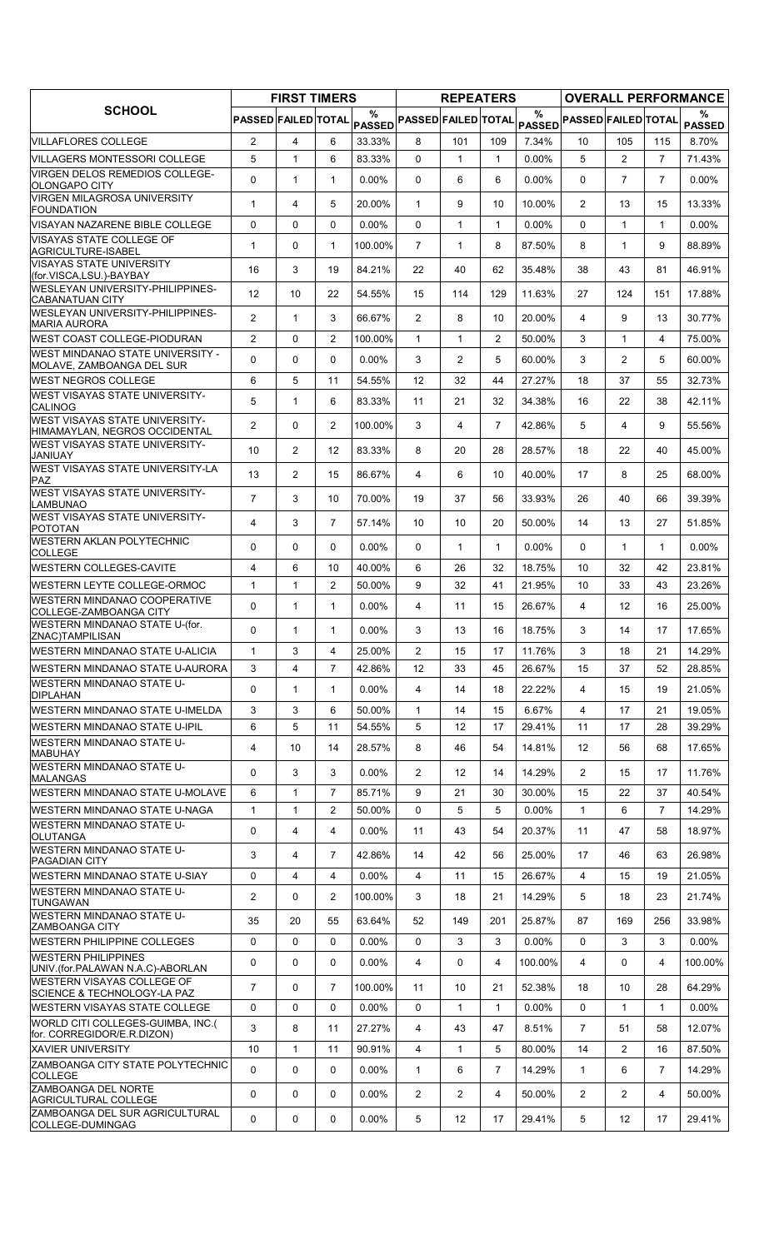| <b>SCHOOL</b>                                                     | <b>FIRST TIMERS</b> |                |                |          | <b>REPEATERS</b>           |                |                |               | <b>OVERALL PERFORMANCE</b> |                |                |                    |  |
|-------------------------------------------------------------------|---------------------|----------------|----------------|----------|----------------------------|----------------|----------------|---------------|----------------------------|----------------|----------------|--------------------|--|
|                                                                   | PASSED FAILED TOTAL |                |                | %        | PASSED PASSED FAILED TOTAL |                |                | $\frac{0}{0}$ | PASSED PASSED FAILED TOTAL |                |                | %<br><b>PASSED</b> |  |
| <b>VILLAFLORES COLLEGE</b>                                        | $\overline{2}$      | $\overline{4}$ | 6              | 33.33%   | 8                          | 101            | 109            | 7.34%         | 10                         | 105            | 115            | 8.70%              |  |
| VILLAGERS MONTESSORI COLLEGE                                      | 5                   | $\mathbf{1}$   | 6              | 83.33%   | $\Omega$                   | $\mathbf{1}$   | $\mathbf{1}$   | 0.00%         | 5                          | $\overline{2}$ | $\overline{7}$ | 71.43%             |  |
| <b>VIRGEN DELOS REMEDIOS COLLEGE-</b><br>OLONGAPO CITY            | $\Omega$            | $\mathbf{1}$   | $\mathbf{1}$   | 0.00%    | $\Omega$                   | 6              | 6              | 0.00%         | $\Omega$                   | $\overline{7}$ | $\overline{7}$ | $0.00\%$           |  |
| <b>VIRGEN MILAGROSA UNIVERSITY</b><br><b>FOUNDATION</b>           | $\mathbf{1}$        | $\overline{4}$ | 5              | 20.00%   | $\mathbf{1}$               | 9              | 10             | 10.00%        | $\overline{2}$             | 13             | 15             | 13.33%             |  |
| VISAYAN NAZARENE BIBLE COLLEGE                                    | 0                   | 0              | $\mathbf{0}$   | $0.00\%$ | 0                          | 1              | $\mathbf{1}$   | 0.00%         | $\Omega$                   | $\mathbf{1}$   | $\mathbf{1}$   | $0.00\%$           |  |
| <b>VISAYAS STATE COLLEGE OF</b><br>AGRICULTURE-ISABEL             | $\mathbf{1}$        | 0              | $\mathbf{1}$   | 100.00%  | $\overline{7}$             | $\mathbf{1}$   | 8              | 87.50%        | 8                          | $\mathbf{1}$   | 9              | 88.89%             |  |
| <b>VISAYAS STATE UNIVERSITY</b><br>(for.VISCA,LSU.)-BAYBAY        | 16                  | 3              | 19             | 84.21%   | 22                         | 40             | 62             | 35.48%        | 38                         | 43             | 81             | 46.91%             |  |
| <b>WESLEYAN UNIVERSITY-PHILIPPINES-</b><br><b>CABANATUAN CITY</b> | 12                  | 10             | 22             | 54.55%   | 15                         | 114            | 129            | 11.63%        | 27                         | 124            | 151            | 17.88%             |  |
| WESLEYAN UNIVERSITY-PHILIPPINES-<br><b>MARIA AURORA</b>           | $\overline{2}$      | $\mathbf{1}$   | 3              | 66.67%   | $\overline{2}$             | 8              | 10             | 20.00%        | 4                          | 9              | 13             | 30.77%             |  |
| <b>WEST COAST COLLEGE-PIODURAN</b>                                | $\overline{2}$      | 0              | 2              | 100.00%  | $\mathbf{1}$               | $\mathbf{1}$   | $\overline{2}$ | 50.00%        | 3                          | $\mathbf{1}$   | 4              | 75.00%             |  |
| <b>WEST MINDANAO STATE UNIVERSITY -</b>                           | $\Omega$            | 0              | $\mathbf{0}$   | $0.00\%$ | 3                          | $\overline{2}$ | 5              | 60.00%        | 3                          | $\overline{2}$ | 5              | 60.00%             |  |
| MOLAVE, ZAMBOANGA DEL SUR<br><b>WEST NEGROS COLLEGE</b>           | 6                   | 5              | 11             | 54.55%   | 12                         | 32             | 44             | 27.27%        | 18                         | 37             | 55             | 32.73%             |  |
| <b>WEST VISAYAS STATE UNIVERSITY-</b>                             |                     |                |                |          |                            |                |                |               |                            |                |                |                    |  |
| <b>CALINOG</b><br><b>WEST VISAYAS STATE UNIVERSITY-</b>           | 5                   | $\mathbf{1}$   | 6              | 83.33%   | 11                         | 21             | 32             | 34.38%        | 16                         | 22             | 38             | 42.11%             |  |
| HIMAMAYLAN, NEGROS OCCIDENTAL                                     | 2                   | 0              | $\overline{2}$ | 100.00%  | 3                          | 4              | $\overline{7}$ | 42.86%        | 5                          | 4              | 9              | 55.56%             |  |
| <b>WEST VISAYAS STATE UNIVERSITY-</b><br><b>JANIUAY</b>           | 10                  | $\overline{2}$ | 12             | 83.33%   | 8                          | 20             | 28             | 28.57%        | 18                         | 22             | 40             | 45.00%             |  |
| <b>WEST VISAYAS STATE UNIVERSITY-LA</b><br><b>PAZ</b>             | 13                  | $\overline{2}$ | 15             | 86.67%   | 4                          | 6              | 10             | 40.00%        | 17                         | 8              | 25             | 68.00%             |  |
| <b>WEST VISAYAS STATE UNIVERSITY-</b><br><b>LAMBUNAO</b>          | $\overline{7}$      | 3              | 10             | 70.00%   | 19                         | 37             | 56             | 33.93%        | 26                         | 40             | 66             | 39.39%             |  |
| <b>WEST VISAYAS STATE UNIVERSITY-</b><br><b>POTOTAN</b>           | 4                   | 3              | $\overline{7}$ | 57.14%   | 10                         | 10             | 20             | 50.00%        | 14                         | 13             | 27             | 51.85%             |  |
| <b>WESTERN AKLAN POLYTECHNIC</b><br><b>COLLEGE</b>                | 0                   | 0              | $\mathbf{0}$   | $0.00\%$ | $\Omega$                   | $\mathbf{1}$   | $\mathbf{1}$   | 0.00%         | $\Omega$                   | $\mathbf{1}$   | $\mathbf{1}$   | $0.00\%$           |  |
| <b>WESTERN COLLEGES-CAVITE</b>                                    | 4                   | 6              | 10             | 40.00%   | 6                          | 26             | 32             | 18.75%        | 10                         | 32             | 42             | 23.81%             |  |
| <b>WESTERN LEYTE COLLEGE-ORMOC</b>                                | $\mathbf{1}$        | $\mathbf{1}$   | $\overline{c}$ | 50.00%   | 9                          | 32             | 41             | 21.95%        | 10                         | 33             | 43             | 23.26%             |  |
| <b>WESTERN MINDANAO COOPERATIVE</b><br>COLLEGE-ZAMBOANGA CITY     | 0                   | $\mathbf{1}$   | $\mathbf{1}$   | $0.00\%$ | 4                          | 11             | 15             | 26.67%        | 4                          | 12             | 16             | 25.00%             |  |
| WESTERN MINDANAO STATE U-(for.<br>ZNAC)TAMPILISAN                 | $\mathbf 0$         | $\mathbf{1}$   | $\mathbf{1}$   | $0.00\%$ | 3                          | 13             | 16             | 18.75%        | 3                          | 14             | 17             | 17.65%             |  |
| WESTERN MINDANAO STATE U-ALICIA                                   | $\mathbf{1}$        | 3              | 4              | 25.00%   | $\mathbf{2}^{\prime}$      | 15             | 17             | 11.76%        | 3                          | 18             | 21             | 14.29%             |  |
| WESTERN MINDANAO STATE U-AURORA                                   | 3                   | $\overline{4}$ | $\overline{7}$ | 42.86%   | 12                         | 33             | 45             | 26.67%        | 15                         | 37             | 52             | 28.85%             |  |
| WESTERN MINDANAO STATE U-<br><b>DIPLAHAN</b>                      | $\mathbf 0$         | $\mathbf{1}$   | $\mathbf{1}$   | $0.00\%$ | 4                          | 14             | 18             | 22.22%        | $\overline{4}$             | 15             | 19             | 21.05%             |  |
| <b>WESTERN MINDANAO STATE U-IMELDA</b>                            | 3                   | 3              | 6              | 50.00%   | $\mathbf{1}$               | 14             | 15             | 6.67%         | 4                          | 17             | 21             | 19.05%             |  |
| WESTERN MINDANAO STATE U-IPIL                                     | 6                   | 5              | 11             | 54.55%   | 5                          | 12             | 17             | 29.41%        | 11                         | 17             | 28             | 39.29%             |  |
| <b>WESTERN MINDANAO STATE U-</b><br><b>MABUHAY</b>                | $\overline{4}$      | 10             | 14             | 28.57%   | 8                          | 46             | 54             | 14.81%        | $12 \overline{ }$          | 56             | 68             | 17.65%             |  |
| WESTERN MINDANAO STATE U-<br>MALANGAS                             | 0                   | 3              | 3              | $0.00\%$ | $\overline{2}$             | 12             | 14             | 14.29%        | $\overline{2}$             | 15             | 17             | 11.76%             |  |
| <b>WESTERN MINDANAO STATE U-MOLAVE</b>                            | 6                   | $\mathbf{1}$   | 7              | 85.71%   | 9                          | 21             | 30             | 30.00%        | 15                         | 22             | 37             | 40.54%             |  |
| WESTERN MINDANAO STATE U-NAGA                                     | $\mathbf{1}$        | $\mathbf{1}$   | $\overline{2}$ | 50.00%   | 0                          | 5              | 5              | 0.00%         | $\mathbf{1}$               | 6              | $\overline{7}$ | 14.29%             |  |
| <b>WESTERN MINDANAO STATE U-</b><br>OLUTANGA                      | 0                   | $\overline{4}$ | 4              | $0.00\%$ | 11                         | 43             | 54             | 20.37%        | 11                         | 47             | 58             | 18.97%             |  |
| <b>WESTERN MINDANAO STATE U-</b><br><b>PAGADIAN CITY</b>          | 3                   | 4              | $\overline{7}$ | 42.86%   | 14                         | 42             | 56             | 25.00%        | 17                         | 46             | 63             | 26.98%             |  |
| <b>WESTERN MINDANAO STATE U-SIAY</b>                              | $\mathbf 0$         | 4              | $\overline{4}$ | $0.00\%$ | $\overline{4}$             | 11             | 15             | 26.67%        | $\overline{4}$             | 15             | 19             | 21.05%             |  |
| <b>WESTERN MINDANAO STATE U-</b><br><b>TUNGAWAN</b>               | $\overline{2}$      | 0              | $\overline{2}$ | 100.00%  | 3                          | 18             | 21             | 14.29%        | 5                          | 18             | 23             | 21.74%             |  |
| <b>WESTERN MINDANAO STATE U-</b><br><b>ZAMBOANGA CITY</b>         | 35                  | 20             | 55             | 63.64%   | 52                         | 149            | 201            | 25.87%        | 87                         | 169            | 256            | 33.98%             |  |
| <b>WESTERN PHILIPPINE COLLEGES</b>                                | $\mathbf 0$         | 0              | 0              | $0.00\%$ | $\Omega$                   | 3              | 3              | 0.00%         | 0                          | 3              | 3              | $0.00\%$           |  |
| <b>WESTERN PHILIPPINES</b><br>UNIV (for PALAWAN N.A.C)-ABORLAN    | 0                   | 0              | 0              | 0.00%    | 4                          | 0              | 4              | 100.00%       | 4                          | 0              | 4              | 100.00%            |  |
| <b>WESTERN VISAYAS COLLEGE OF</b><br>SCIENCE & TECHNOLOGY-LA PAZ  | $\overline{7}$      | 0              | $\overline{7}$ | 100.00%  | 11                         | 10             | 21             | 52.38%        | 18                         | 10             | 28             | 64.29%             |  |
| <b>WESTERN VISAYAS STATE COLLEGE</b>                              | 0                   | 0              | $\mathbf 0$    | $0.00\%$ | $\mathbf{0}$               | $\mathbf{1}$   | $\mathbf{1}$   | 0.00%         | 0                          | $\mathbf{1}$   | $\mathbf{1}$   | $0.00\%$           |  |
| WORLD CITI COLLEGES-GUIMBA, INC.(                                 | 3                   | 8              | 11             | 27.27%   | 4                          | 43             | 47             | 8.51%         | $\overline{7}$             | 51             | 58             | 12.07%             |  |
| for. CORREGIDOR/E.R.DIZON)<br><b>XAVIER UNIVERSITY</b>            | 10                  | 1              | 11             | 90.91%   | 4                          | 1              | 5              | 80.00%        | 14                         | 2              | 16             | 87.50%             |  |
| <b>ZAMBOANGA CITY STATE POLYTECHNIC</b><br><b>COLLEGE</b>         | $\Omega$            | 0              | 0              | $0.00\%$ | $\mathbf{1}$               | 6              | 7              | 14.29%        | $\mathbf{1}$               | 6              | 7              | 14.29%             |  |
| ZAMBOANGA DEL NORTE<br><b>AGRICULTURAL COLLEGE</b>                | 0                   | 0              | 0              | $0.00\%$ | $\overline{2}$             | $\overline{2}$ | 4              | 50.00%        | $\overline{2}$             | $\overline{2}$ | 4              | 50.00%             |  |
| ZAMBOANGA DEL SUR AGRICULTURAL<br>COLLEGE-DUMINGAG                | 0                   | 0              | 0              | 0.00%    | 5                          | 12             | 17             | 29.41%        | 5                          | 12             | 17             | 29.41%             |  |
|                                                                   |                     |                |                |          |                            |                |                |               |                            |                |                |                    |  |